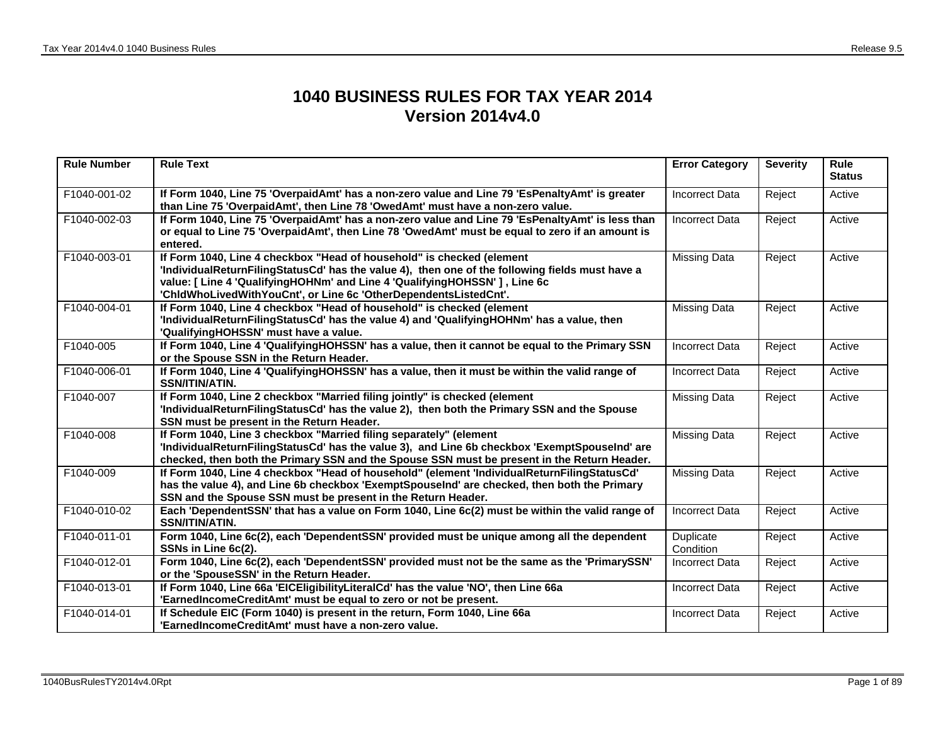## **1040 BUSINESS RULES FOR TAX YEAR 2014 Version 2014v4.0**

| <b>Rule Number</b> | <b>Rule Text</b>                                                                                                                                                                                                                                                                                                            | <b>Error Category</b>  | <b>Severity</b> | Rule<br><b>Status</b> |
|--------------------|-----------------------------------------------------------------------------------------------------------------------------------------------------------------------------------------------------------------------------------------------------------------------------------------------------------------------------|------------------------|-----------------|-----------------------|
| F1040-001-02       | If Form 1040, Line 75 'OverpaidAmt' has a non-zero value and Line 79 'EsPenaltyAmt' is greater<br>than Line 75 'OverpaidAmt', then Line 78 'OwedAmt' must have a non-zero value.                                                                                                                                            | <b>Incorrect Data</b>  | Reject          | Active                |
| F1040-002-03       | If Form 1040, Line 75 'OverpaidAmt' has a non-zero value and Line 79 'EsPenaltyAmt' is less than<br>or equal to Line 75 'OverpaidAmt', then Line 78 'OwedAmt' must be equal to zero if an amount is<br>entered.                                                                                                             | Incorrect Data         | Reject          | Active                |
| F1040-003-01       | If Form 1040, Line 4 checkbox "Head of household" is checked (element<br>'IndividualReturnFilingStatusCd' has the value 4), then one of the following fields must have a<br>value: [ Line 4 'QualifyingHOHNm' and Line 4 'QualifyingHOHSSN' ] , Line 6c<br>'ChidWhoLivedWithYouCnt', or Line 6c 'OtherDependentsListedCnt'. | <b>Missing Data</b>    | Reject          | Active                |
| F1040-004-01       | If Form 1040, Line 4 checkbox "Head of household" is checked (element<br>'IndividualReturnFilingStatusCd' has the value 4) and 'QualifyingHOHNm' has a value, then<br>'QualifyingHOHSSN' must have a value.                                                                                                                 | <b>Missing Data</b>    | Reject          | Active                |
| F1040-005          | If Form 1040, Line 4 'QualifyingHOHSSN' has a value, then it cannot be equal to the Primary SSN<br>or the Spouse SSN in the Return Header.                                                                                                                                                                                  | <b>Incorrect Data</b>  | Reject          | Active                |
| F1040-006-01       | If Form 1040, Line 4 'QualifyingHOHSSN' has a value, then it must be within the valid range of<br><b>SSN/ITIN/ATIN.</b>                                                                                                                                                                                                     | <b>Incorrect Data</b>  | Reject          | Active                |
| F1040-007          | If Form 1040, Line 2 checkbox "Married filing jointly" is checked (element<br>'IndividualReturnFilingStatusCd' has the value 2), then both the Primary SSN and the Spouse<br>SSN must be present in the Return Header.                                                                                                      | <b>Missing Data</b>    | Reject          | Active                |
| F1040-008          | If Form 1040, Line 3 checkbox "Married filing separately" (element<br>'IndividualReturnFilingStatusCd' has the value 3), and Line 6b checkbox 'ExemptSpouseInd' are<br>checked, then both the Primary SSN and the Spouse SSN must be present in the Return Header.                                                          | <b>Missing Data</b>    | Reject          | Active                |
| F1040-009          | If Form 1040, Line 4 checkbox "Head of household" (element 'IndividualReturnFilingStatusCd'<br>has the value 4), and Line 6b checkbox 'ExemptSpouseInd' are checked, then both the Primary<br>SSN and the Spouse SSN must be present in the Return Header.                                                                  | <b>Missing Data</b>    | Reject          | Active                |
| F1040-010-02       | Each 'DependentSSN' that has a value on Form 1040, Line 6c(2) must be within the valid range of<br><b>SSN/ITIN/ATIN.</b>                                                                                                                                                                                                    | <b>Incorrect Data</b>  | Reject          | Active                |
| F1040-011-01       | Form 1040, Line 6c(2), each 'DependentSSN' provided must be unique among all the dependent<br>SSNs in Line 6c(2).                                                                                                                                                                                                           | Duplicate<br>Condition | Reject          | Active                |
| F1040-012-01       | Form 1040, Line 6c(2), each 'DependentSSN' provided must not be the same as the 'PrimarySSN'<br>or the 'SpouseSSN' in the Return Header.                                                                                                                                                                                    | Incorrect Data         | Reject          | Active                |
| F1040-013-01       | If Form 1040, Line 66a 'EICEligibilityLiteralCd' has the value 'NO', then Line 66a<br>'EarnedIncomeCreditAmt' must be equal to zero or not be present.                                                                                                                                                                      | <b>Incorrect Data</b>  | Reject          | Active                |
| F1040-014-01       | If Schedule EIC (Form 1040) is present in the return, Form 1040, Line 66a<br>'EarnedIncomeCreditAmt' must have a non-zero value.                                                                                                                                                                                            | Incorrect Data         | Reject          | Active                |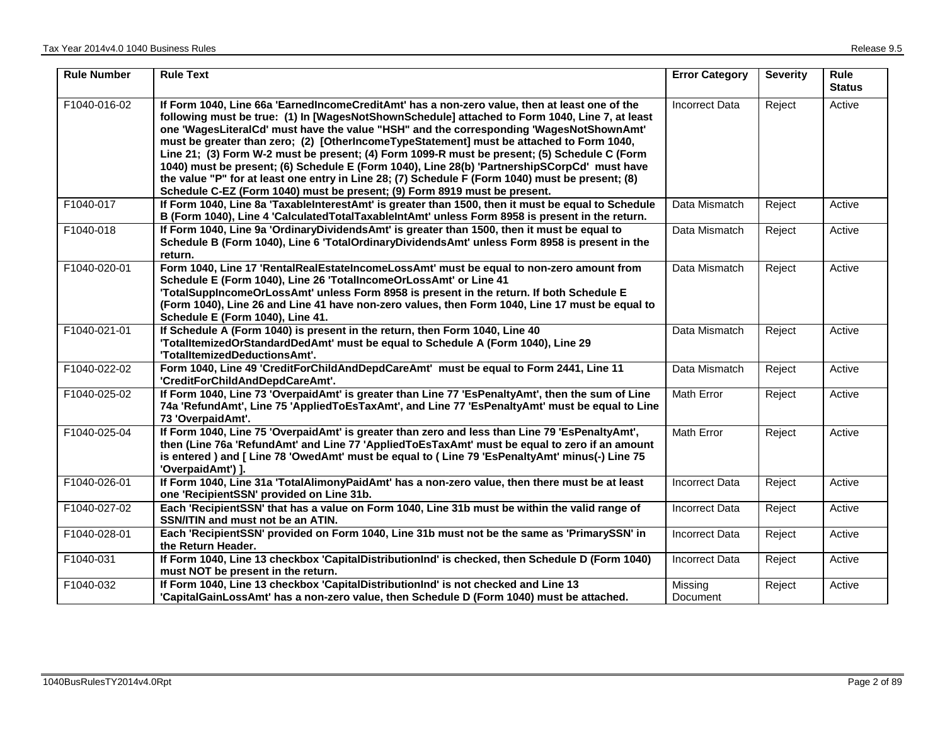| <b>Rule Number</b> | <b>Rule Text</b>                                                                                                                                                                                                                                                                                                                                                                                                                                                                                                                                                                                                                                                                                                                                                        | <b>Error Category</b> | <b>Severity</b> | <b>Rule</b><br><b>Status</b> |
|--------------------|-------------------------------------------------------------------------------------------------------------------------------------------------------------------------------------------------------------------------------------------------------------------------------------------------------------------------------------------------------------------------------------------------------------------------------------------------------------------------------------------------------------------------------------------------------------------------------------------------------------------------------------------------------------------------------------------------------------------------------------------------------------------------|-----------------------|-----------------|------------------------------|
| F1040-016-02       | If Form 1040, Line 66a 'EarnedIncomeCreditAmt' has a non-zero value, then at least one of the<br>following must be true: (1) In [WagesNotShownSchedule] attached to Form 1040, Line 7, at least<br>one 'WagesLiteralCd' must have the value "HSH" and the corresponding 'WagesNotShownAmt'<br>must be greater than zero; (2) [OtherIncomeTypeStatement] must be attached to Form 1040,<br>Line 21; (3) Form W-2 must be present; (4) Form 1099-R must be present; (5) Schedule C (Form<br>1040) must be present; (6) Schedule E (Form 1040), Line 28(b) 'PartnershipSCorpCd' must have<br>the value "P" for at least one entry in Line 28; (7) Schedule F (Form 1040) must be present; (8)<br>Schedule C-EZ (Form 1040) must be present; (9) Form 8919 must be present. | <b>Incorrect Data</b> | Reject          | Active                       |
| F1040-017          | If Form 1040, Line 8a 'TaxableInterestAmt' is greater than 1500, then it must be equal to Schedule<br>B (Form 1040), Line 4 'Calculated Total Taxable Int Amt' unless Form 8958 is present in the return.                                                                                                                                                                                                                                                                                                                                                                                                                                                                                                                                                               | Data Mismatch         | Reject          | Active                       |
| F1040-018          | If Form 1040, Line 9a 'OrdinaryDividendsAmt' is greater than 1500, then it must be equal to<br>Schedule B (Form 1040), Line 6 'TotalOrdinaryDividendsAmt' unless Form 8958 is present in the<br>return.                                                                                                                                                                                                                                                                                                                                                                                                                                                                                                                                                                 | Data Mismatch         | Reject          | Active                       |
| F1040-020-01       | Form 1040, Line 17 'RentalRealEstateIncomeLossAmt' must be equal to non-zero amount from<br>Schedule E (Form 1040), Line 26 'TotalIncomeOrLossAmt' or Line 41<br>'TotalSuppIncomeOrLossAmt' unless Form 8958 is present in the return. If both Schedule E<br>(Form 1040), Line 26 and Line 41 have non-zero values, then Form 1040, Line 17 must be equal to<br>Schedule E (Form 1040), Line 41.                                                                                                                                                                                                                                                                                                                                                                        | Data Mismatch         | Reject          | Active                       |
| F1040-021-01       | If Schedule A (Form 1040) is present in the return, then Form 1040, Line 40<br>'TotalltemizedOrStandardDedAmt' must be equal to Schedule A (Form 1040), Line 29<br>'TotalItemizedDeductionsAmt'.                                                                                                                                                                                                                                                                                                                                                                                                                                                                                                                                                                        | Data Mismatch         | Reject          | Active                       |
| F1040-022-02       | Form 1040, Line 49 'CreditForChildAndDepdCareAmt' must be equal to Form 2441, Line 11<br>'CreditForChildAndDepdCareAmt'.                                                                                                                                                                                                                                                                                                                                                                                                                                                                                                                                                                                                                                                | Data Mismatch         | Reject          | Active                       |
| F1040-025-02       | If Form 1040, Line 73 'OverpaidAmt' is greater than Line 77 'EsPenaltyAmt', then the sum of Line<br>74a 'RefundAmt', Line 75 'AppliedToEsTaxAmt', and Line 77 'EsPenaltyAmt' must be equal to Line<br>73 'OverpaidAmt'.                                                                                                                                                                                                                                                                                                                                                                                                                                                                                                                                                 | <b>Math Error</b>     | Reject          | Active                       |
| F1040-025-04       | If Form 1040, Line 75 'OverpaidAmt' is greater than zero and less than Line 79 'EsPenaltyAmt',<br>then (Line 76a 'RefundAmt' and Line 77 'AppliedToEsTaxAmt' must be equal to zero if an amount<br>is entered) and [Line 78 'OwedAmt' must be equal to (Line 79 'EsPenaltyAmt' minus(-) Line 75<br>'OverpaidAmt') ].                                                                                                                                                                                                                                                                                                                                                                                                                                                    | <b>Math Error</b>     | Reject          | Active                       |
| F1040-026-01       | If Form 1040, Line 31a 'TotalAlimonyPaidAmt' has a non-zero value, then there must be at least<br>one 'RecipientSSN' provided on Line 31b.                                                                                                                                                                                                                                                                                                                                                                                                                                                                                                                                                                                                                              | <b>Incorrect Data</b> | Reject          | Active                       |
| F1040-027-02       | Each 'RecipientSSN' that has a value on Form 1040, Line 31b must be within the valid range of<br>SSN/ITIN and must not be an ATIN.                                                                                                                                                                                                                                                                                                                                                                                                                                                                                                                                                                                                                                      | <b>Incorrect Data</b> | Reject          | Active                       |
| F1040-028-01       | Each 'RecipientSSN' provided on Form 1040, Line 31b must not be the same as 'PrimarySSN' in<br>the Return Header.                                                                                                                                                                                                                                                                                                                                                                                                                                                                                                                                                                                                                                                       | <b>Incorrect Data</b> | Reject          | Active                       |
| F1040-031          | If Form 1040, Line 13 checkbox 'CapitalDistributionInd' is checked, then Schedule D (Form 1040)<br>must NOT be present in the return.                                                                                                                                                                                                                                                                                                                                                                                                                                                                                                                                                                                                                                   | <b>Incorrect Data</b> | Reject          | Active                       |
| F1040-032          | If Form 1040, Line 13 checkbox 'CapitalDistributionInd' is not checked and Line 13<br>'CapitalGainLossAmt' has a non-zero value, then Schedule D (Form 1040) must be attached.                                                                                                                                                                                                                                                                                                                                                                                                                                                                                                                                                                                          | Missing<br>Document   | Reject          | Active                       |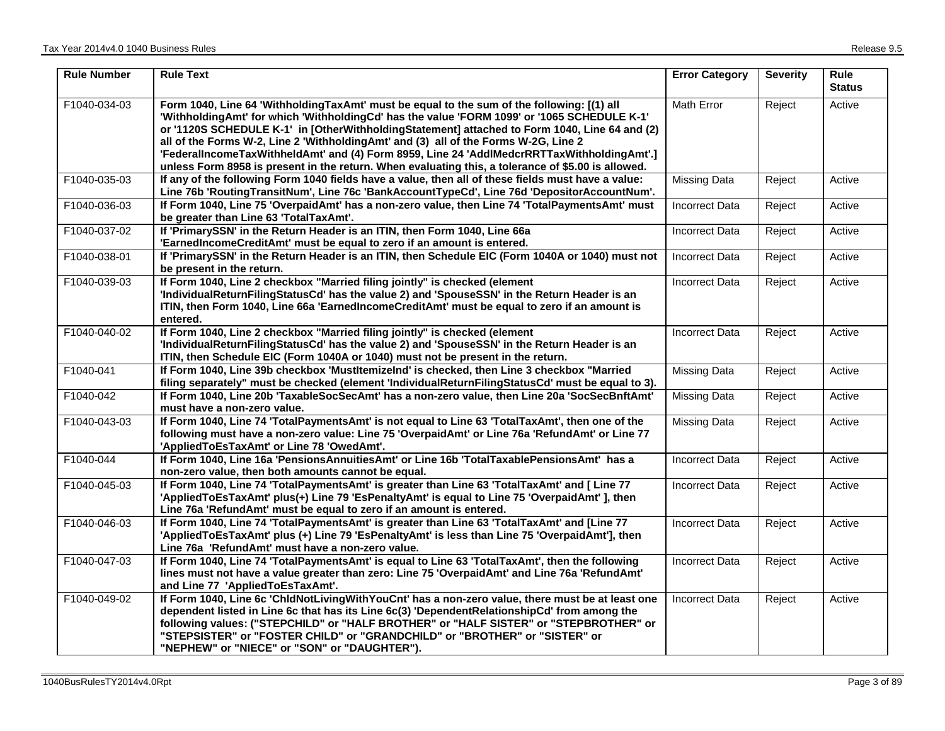| <b>Rule Number</b> | <b>Rule Text</b>                                                                                                                                                                                                                                                                                                                                                                                                                                                                                                                                                                      | <b>Error Category</b> | <b>Severity</b> | <b>Rule</b><br><b>Status</b> |
|--------------------|---------------------------------------------------------------------------------------------------------------------------------------------------------------------------------------------------------------------------------------------------------------------------------------------------------------------------------------------------------------------------------------------------------------------------------------------------------------------------------------------------------------------------------------------------------------------------------------|-----------------------|-----------------|------------------------------|
| F1040-034-03       | Form 1040, Line 64 'WithholdingTaxAmt' must be equal to the sum of the following: [(1) all<br>"WithholdingAmt' for which 'WithholdingCd' has the value 'FORM 1099' or '1065 SCHEDULE K-1'<br>or '1120S SCHEDULE K-1' in [OtherWithholdingStatement] attached to Form 1040, Line 64 and (2)<br>all of the Forms W-2, Line 2 'WithholdingAmt' and (3) all of the Forms W-2G, Line 2<br>'FederalIncomeTaxWithheldAmt' and (4) Form 8959, Line 24 'AddIMedcrRRTTaxWithholdingAmt'.]<br>unless Form 8958 is present in the return. When evaluating this, a tolerance of \$5.00 is allowed. | Math Error            | Reject          | Active                       |
| F1040-035-03       | If any of the following Form 1040 fields have a value, then all of these fields must have a value:<br>Line 76b 'RoutingTransitNum', Line 76c 'BankAccountTypeCd', Line 76d 'DepositorAccountNum'.                                                                                                                                                                                                                                                                                                                                                                                     | <b>Missing Data</b>   | Reject          | Active                       |
| F1040-036-03       | If Form 1040, Line 75 'OverpaidAmt' has a non-zero value, then Line 74 'TotalPaymentsAmt' must<br>be greater than Line 63 'TotalTaxAmt'.                                                                                                                                                                                                                                                                                                                                                                                                                                              | <b>Incorrect Data</b> | Reject          | Active                       |
| F1040-037-02       | If 'PrimarySSN' in the Return Header is an ITIN, then Form 1040, Line 66a<br>'EarnedIncomeCreditAmt' must be equal to zero if an amount is entered.                                                                                                                                                                                                                                                                                                                                                                                                                                   | <b>Incorrect Data</b> | Reject          | Active                       |
| F1040-038-01       | If 'PrimarySSN' in the Return Header is an ITIN, then Schedule EIC (Form 1040A or 1040) must not<br>be present in the return.                                                                                                                                                                                                                                                                                                                                                                                                                                                         | <b>Incorrect Data</b> | Reject          | Active                       |
| F1040-039-03       | If Form 1040, Line 2 checkbox "Married filing jointly" is checked (element<br>'IndividualReturnFilingStatusCd' has the value 2) and 'SpouseSSN' in the Return Header is an<br>ITIN, then Form 1040, Line 66a 'EarnedIncomeCreditAmt' must be equal to zero if an amount is<br>entered.                                                                                                                                                                                                                                                                                                | <b>Incorrect Data</b> | Reject          | Active                       |
| F1040-040-02       | If Form 1040, Line 2 checkbox "Married filing jointly" is checked (element<br>'IndividualReturnFilingStatusCd' has the value 2) and 'SpouseSSN' in the Return Header is an<br>ITIN, then Schedule EIC (Form 1040A or 1040) must not be present in the return.                                                                                                                                                                                                                                                                                                                         | <b>Incorrect Data</b> | Reject          | Active                       |
| F1040-041          | If Form 1040, Line 39b checkbox 'MustItemizeInd' is checked, then Line 3 checkbox "Married<br>filing separately" must be checked (element 'IndividualReturnFilingStatusCd' must be equal to 3).                                                                                                                                                                                                                                                                                                                                                                                       | <b>Missing Data</b>   | Reject          | Active                       |
| F1040-042          | If Form 1040, Line 20b 'TaxableSocSecAmt' has a non-zero value, then Line 20a 'SocSecBnftAmt'<br>must have a non-zero value.                                                                                                                                                                                                                                                                                                                                                                                                                                                          | Missing Data          | Reject          | Active                       |
| F1040-043-03       | If Form 1040, Line 74 'TotalPaymentsAmt' is not equal to Line 63 'TotalTaxAmt', then one of the<br>following must have a non-zero value: Line 75 'OverpaidAmt' or Line 76a 'RefundAmt' or Line 77<br>'AppliedToEsTaxAmt' or Line 78 'OwedAmt'.                                                                                                                                                                                                                                                                                                                                        | <b>Missing Data</b>   | Reject          | Active                       |
| F1040-044          | If Form 1040, Line 16a 'PensionsAnnuitiesAmt' or Line 16b 'TotalTaxablePensionsAmt' has a<br>non-zero value, then both amounts cannot be equal.                                                                                                                                                                                                                                                                                                                                                                                                                                       | <b>Incorrect Data</b> | Reject          | Active                       |
| F1040-045-03       | If Form 1040, Line 74 'TotalPaymentsAmt' is greater than Line 63 'TotalTaxAmt' and [ Line 77<br>'AppliedToEsTaxAmt' plus(+) Line 79 'EsPenaltyAmt' is equal to Line 75 'OverpaidAmt' ], then<br>Line 76a 'RefundAmt' must be equal to zero if an amount is entered.                                                                                                                                                                                                                                                                                                                   | <b>Incorrect Data</b> | Reject          | Active                       |
| F1040-046-03       | If Form 1040, Line 74 'TotalPaymentsAmt' is greater than Line 63 'TotalTaxAmt' and [Line 77<br>'AppliedToEsTaxAmt' plus (+) Line 79 'EsPenaltyAmt' is less than Line 75 'OverpaidAmt'], then<br>Line 76a 'RefundAmt' must have a non-zero value.                                                                                                                                                                                                                                                                                                                                      | <b>Incorrect Data</b> | Reject          | Active                       |
| F1040-047-03       | If Form 1040, Line 74 'TotalPaymentsAmt' is equal to Line 63 'TotalTaxAmt', then the following<br>lines must not have a value greater than zero: Line 75 'OverpaidAmt' and Line 76a 'RefundAmt'<br>and Line 77 'AppliedToEsTaxAmt'.                                                                                                                                                                                                                                                                                                                                                   | <b>Incorrect Data</b> | Reject          | Active                       |
| F1040-049-02       | If Form 1040, Line 6c 'ChidNotLivingWithYouCnt' has a non-zero value, there must be at least one<br>dependent listed in Line 6c that has its Line 6c(3) 'DependentRelationshipCd' from among the<br>following values: ("STEPCHILD" or "HALF BROTHER" or "HALF SISTER" or "STEPBROTHER" or<br>"STEPSISTER" or "FOSTER CHILD" or "GRANDCHILD" or "BROTHER" or "SISTER" or<br>"NEPHEW" or "NIECE" or "SON" or "DAUGHTER").                                                                                                                                                               | <b>Incorrect Data</b> | Reject          | Active                       |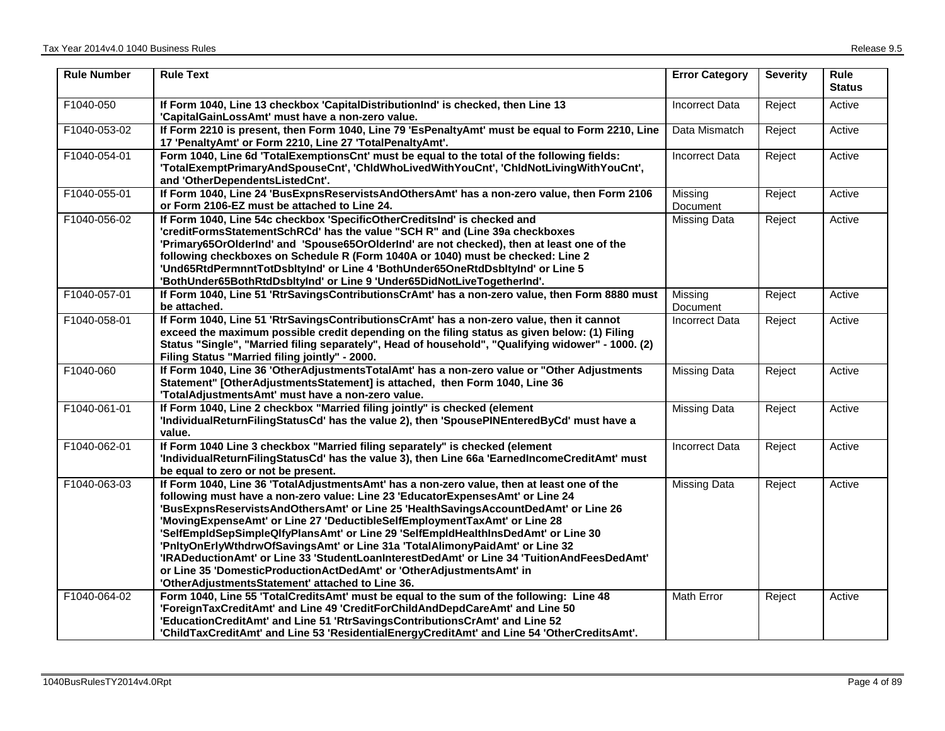| <b>Rule Number</b> | <b>Rule Text</b>                                                                                                                                                                                                                                                                                                                                                                                                                                                                                                                                                                                                                                                                                                                                | <b>Error Category</b> | <b>Severity</b> | <b>Rule</b><br><b>Status</b> |
|--------------------|-------------------------------------------------------------------------------------------------------------------------------------------------------------------------------------------------------------------------------------------------------------------------------------------------------------------------------------------------------------------------------------------------------------------------------------------------------------------------------------------------------------------------------------------------------------------------------------------------------------------------------------------------------------------------------------------------------------------------------------------------|-----------------------|-----------------|------------------------------|
| F1040-050          | If Form 1040, Line 13 checkbox 'CapitalDistributionInd' is checked, then Line 13<br>'CapitalGainLossAmt' must have a non-zero value.                                                                                                                                                                                                                                                                                                                                                                                                                                                                                                                                                                                                            | <b>Incorrect Data</b> | Reject          | Active                       |
| F1040-053-02       | If Form 2210 is present, then Form 1040, Line 79 'EsPenaltyAmt' must be equal to Form 2210, Line<br>17 'PenaltyAmt' or Form 2210, Line 27 'TotalPenaltyAmt'.                                                                                                                                                                                                                                                                                                                                                                                                                                                                                                                                                                                    | Data Mismatch         | Reject          | Active                       |
| F1040-054-01       | Form 1040, Line 6d 'TotalExemptionsCnt' must be equal to the total of the following fields:<br>'TotalExemptPrimaryAndSpouseCnt', 'ChldWhoLivedWithYouCnt', 'ChldNotLivingWithYouCnt',<br>and 'OtherDependentsListedCnt'.                                                                                                                                                                                                                                                                                                                                                                                                                                                                                                                        | <b>Incorrect Data</b> | Reject          | Active                       |
| F1040-055-01       | If Form 1040, Line 24 'BusExpnsReservistsAndOthersAmt' has a non-zero value, then Form 2106<br>or Form 2106-EZ must be attached to Line 24.                                                                                                                                                                                                                                                                                                                                                                                                                                                                                                                                                                                                     | Missing<br>Document   | Reject          | Active                       |
| F1040-056-02       | If Form 1040, Line 54c checkbox 'SpecificOtherCreditsInd' is checked and<br>'creditFormsStatementSchRCd' has the value "SCH R" and (Line 39a checkboxes<br>'Primary65OrOlderInd' and 'Spouse65OrOlderInd' are not checked), then at least one of the<br>following checkboxes on Schedule R (Form 1040A or 1040) must be checked: Line 2<br>'Und65RtdPermnntTotDsbltyInd' or Line 4 'BothUnder65OneRtdDsbltyInd' or Line 5<br>'BothUnder65BothRtdDsbltyInd' or Line 9 'Under65DidNotLiveTogetherInd'.                                                                                                                                                                                                                                            | <b>Missing Data</b>   | Reject          | Active                       |
| F1040-057-01       | If Form 1040, Line 51 'RtrSavingsContributionsCrAmt' has a non-zero value, then Form 8880 must<br>be attached.                                                                                                                                                                                                                                                                                                                                                                                                                                                                                                                                                                                                                                  | Missing<br>Document   | Reject          | Active                       |
| F1040-058-01       | If Form 1040, Line 51 'RtrSavingsContributionsCrAmt' has a non-zero value, then it cannot<br>exceed the maximum possible credit depending on the filing status as given below: (1) Filing<br>Status "Single", "Married filing separately", Head of household", "Qualifying widower" - 1000. (2)<br>Filing Status "Married filing jointly" - 2000.                                                                                                                                                                                                                                                                                                                                                                                               | <b>Incorrect Data</b> | Reject          | Active                       |
| F1040-060          | If Form 1040, Line 36 'OtherAdjustmentsTotalAmt' has a non-zero value or "Other Adjustments<br>Statement" [OtherAdjustmentsStatement] is attached, then Form 1040, Line 36<br>'TotalAdjustmentsAmt' must have a non-zero value.                                                                                                                                                                                                                                                                                                                                                                                                                                                                                                                 | <b>Missing Data</b>   | Reject          | Active                       |
| F1040-061-01       | If Form 1040, Line 2 checkbox "Married filing jointly" is checked (element<br>'IndividualReturnFilingStatusCd' has the value 2), then 'SpousePINEnteredByCd' must have a<br>value.                                                                                                                                                                                                                                                                                                                                                                                                                                                                                                                                                              | <b>Missing Data</b>   | Reject          | Active                       |
| F1040-062-01       | If Form 1040 Line 3 checkbox "Married filing separately" is checked (element<br>'IndividualReturnFilingStatusCd' has the value 3), then Line 66a 'EarnedIncomeCreditAmt' must<br>be equal to zero or not be present.                                                                                                                                                                                                                                                                                                                                                                                                                                                                                                                            | <b>Incorrect Data</b> | Reject          | Active                       |
| F1040-063-03       | If Form 1040, Line 36 'TotalAdjustmentsAmt' has a non-zero value, then at least one of the<br>following must have a non-zero value: Line 23 'EducatorExpensesAmt' or Line 24<br>'BusExpnsReservistsAndOthersAmt' or Line 25 'HealthSavingsAccountDedAmt' or Line 26<br>'MovingExpenseAmt' or Line 27 'DeductibleSelfEmploymentTaxAmt' or Line 28<br>'SelfEmpldSepSimpleQlfyPlansAmt' or Line 29 'SelfEmpldHealthInsDedAmt' or Line 30<br>'PnltyOnErlyWthdrwOfSavingsAmt' or Line 31a 'TotalAlimonyPaidAmt' or Line 32<br>'IRADeductionAmt' or Line 33 'StudentLoanInterestDedAmt' or Line 34 'TuitionAndFeesDedAmt'<br>or Line 35 'DomesticProductionActDedAmt' or 'OtherAdjustmentsAmt' in<br>'OtherAdjustmentsStatement' attached to Line 36. | Missing Data          | Reject          | Active                       |
| F1040-064-02       | Form 1040, Line 55 'TotalCreditsAmt' must be equal to the sum of the following: Line 48<br>'ForeignTaxCreditAmt' and Line 49 'CreditForChildAndDepdCareAmt' and Line 50<br>'EducationCreditAmt' and Line 51 'RtrSavingsContributionsCrAmt' and Line 52<br>'ChildTaxCreditAmt' and Line 53 'ResidentialEnergyCreditAmt' and Line 54 'OtherCreditsAmt'.                                                                                                                                                                                                                                                                                                                                                                                           | <b>Math Error</b>     | Reject          | Active                       |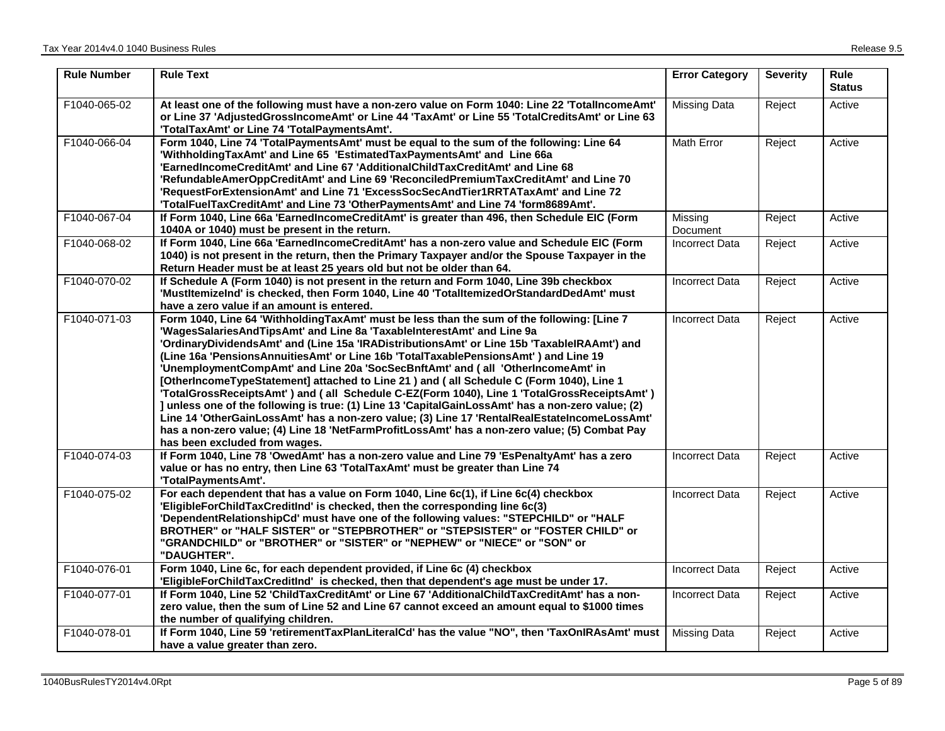| <b>Rule Number</b> | <b>Rule Text</b>                                                                                                                                                                                                                                                                                                                                                                                                                                                                                                                                                                                                                                                                                                                                                                                                                                                                                                                                                                | <b>Error Category</b> | <b>Severity</b> | Rule<br><b>Status</b> |
|--------------------|---------------------------------------------------------------------------------------------------------------------------------------------------------------------------------------------------------------------------------------------------------------------------------------------------------------------------------------------------------------------------------------------------------------------------------------------------------------------------------------------------------------------------------------------------------------------------------------------------------------------------------------------------------------------------------------------------------------------------------------------------------------------------------------------------------------------------------------------------------------------------------------------------------------------------------------------------------------------------------|-----------------------|-----------------|-----------------------|
| F1040-065-02       | At least one of the following must have a non-zero value on Form 1040: Line 22 'TotalIncomeAmt'<br>or Line 37 'AdjustedGrossIncomeAmt' or Line 44 'TaxAmt' or Line 55 'TotalCreditsAmt' or Line 63<br>'TotalTaxAmt' or Line 74 'TotalPaymentsAmt'.                                                                                                                                                                                                                                                                                                                                                                                                                                                                                                                                                                                                                                                                                                                              | <b>Missing Data</b>   | Reject          | Active                |
| F1040-066-04       | Form 1040, Line 74 'TotalPaymentsAmt' must be equal to the sum of the following: Line 64<br>'WithholdingTaxAmt' and Line 65 'EstimatedTaxPaymentsAmt' and Line 66a<br>'EarnedIncomeCreditAmt' and Line 67 'AdditionalChildTaxCreditAmt' and Line 68<br>'RefundableAmerOppCreditAmt' and Line 69 'ReconciledPremiumTaxCreditAmt' and Line 70<br>'RequestForExtensionAmt' and Line 71 'ExcessSocSecAndTier1RRTATaxAmt' and Line 72<br>'TotalFuelTaxCreditAmt' and Line 73 'OtherPaymentsAmt' and Line 74 'form8689Amt'.                                                                                                                                                                                                                                                                                                                                                                                                                                                           | Math Error            | Reject          | Active                |
| F1040-067-04       | If Form 1040, Line 66a 'EarnedIncomeCreditAmt' is greater than 496, then Schedule EIC (Form<br>1040A or 1040) must be present in the return.                                                                                                                                                                                                                                                                                                                                                                                                                                                                                                                                                                                                                                                                                                                                                                                                                                    | Missing<br>Document   | Reject          | Active                |
| F1040-068-02       | If Form 1040, Line 66a 'EarnedIncomeCreditAmt' has a non-zero value and Schedule EIC (Form<br>1040) is not present in the return, then the Primary Taxpayer and/or the Spouse Taxpayer in the<br>Return Header must be at least 25 years old but not be older than 64.                                                                                                                                                                                                                                                                                                                                                                                                                                                                                                                                                                                                                                                                                                          | <b>Incorrect Data</b> | Reject          | Active                |
| F1040-070-02       | If Schedule A (Form 1040) is not present in the return and Form 1040, Line 39b checkbox<br>'MustItemizeInd' is checked, then Form 1040, Line 40 'TotalItemizedOrStandardDedAmt' must<br>have a zero value if an amount is entered.                                                                                                                                                                                                                                                                                                                                                                                                                                                                                                                                                                                                                                                                                                                                              | <b>Incorrect Data</b> | Reject          | Active                |
| F1040-071-03       | Form 1040, Line 64 'WithholdingTaxAmt' must be less than the sum of the following: [Line 7<br>'WagesSalariesAndTipsAmt' and Line 8a 'TaxableInterestAmt' and Line 9a<br>'OrdinaryDividendsAmt' and (Line 15a 'IRADistributionsAmt' or Line 15b 'TaxablelRAAmt') and<br>(Line 16a 'PensionsAnnuitiesAmt' or Line 16b 'TotalTaxablePensionsAmt') and Line 19<br>'UnemploymentCompAmt' and Line 20a 'SocSecBnftAmt' and (all 'OtherIncomeAmt' in<br>[OtherIncomeTypeStatement] attached to Line 21 ) and (all Schedule C (Form 1040), Line 1<br>'TotalGrossReceiptsAmt') and (all Schedule C-EZ(Form 1040), Line 1 'TotalGrossReceiptsAmt')<br>] unless one of the following is true: (1) Line 13 'CapitalGainLossAmt' has a non-zero value; (2)<br>Line 14 'OtherGainLossAmt' has a non-zero value; (3) Line 17 'RentalRealEstateIncomeLossAmt'<br>has a non-zero value; (4) Line 18 'NetFarmProfitLossAmt' has a non-zero value; (5) Combat Pay<br>has been excluded from wages. | <b>Incorrect Data</b> | Reject          | Active                |
| F1040-074-03       | If Form 1040, Line 78 'OwedAmt' has a non-zero value and Line 79 'EsPenaltyAmt' has a zero<br>value or has no entry, then Line 63 'TotalTaxAmt' must be greater than Line 74<br>'TotalPaymentsAmt'.                                                                                                                                                                                                                                                                                                                                                                                                                                                                                                                                                                                                                                                                                                                                                                             | <b>Incorrect Data</b> | Reject          | Active                |
| F1040-075-02       | For each dependent that has a value on Form 1040, Line 6c(1), if Line 6c(4) checkbox<br>'EligibleForChildTaxCreditInd' is checked, then the corresponding line 6c(3)<br>'DependentRelationshipCd' must have one of the following values: "STEPCHILD" or "HALF<br>BROTHER" or "HALF SISTER" or "STEPBROTHER" or "STEPSISTER" or "FOSTER CHILD" or<br>"GRANDCHILD" or "BROTHER" or "SISTER" or "NEPHEW" or "NIECE" or "SON" or<br>"DAUGHTER".                                                                                                                                                                                                                                                                                                                                                                                                                                                                                                                                     | <b>Incorrect Data</b> | Reject          | Active                |
| F1040-076-01       | Form 1040, Line 6c, for each dependent provided, if Line 6c (4) checkbox<br>'EligibleForChildTaxCreditInd' is checked, then that dependent's age must be under 17.                                                                                                                                                                                                                                                                                                                                                                                                                                                                                                                                                                                                                                                                                                                                                                                                              | <b>Incorrect Data</b> | Reject          | Active                |
| F1040-077-01       | If Form 1040, Line 52 'ChildTaxCreditAmt' or Line 67 'AdditionalChildTaxCreditAmt' has a non-<br>zero value, then the sum of Line 52 and Line 67 cannot exceed an amount equal to \$1000 times<br>the number of qualifying children.                                                                                                                                                                                                                                                                                                                                                                                                                                                                                                                                                                                                                                                                                                                                            | <b>Incorrect Data</b> | Reject          | Active                |
| F1040-078-01       | If Form 1040, Line 59 'retirementTaxPlanLiteralCd' has the value "NO", then 'TaxOnIRAsAmt' must<br>have a value greater than zero.                                                                                                                                                                                                                                                                                                                                                                                                                                                                                                                                                                                                                                                                                                                                                                                                                                              | <b>Missing Data</b>   | Reject          | Active                |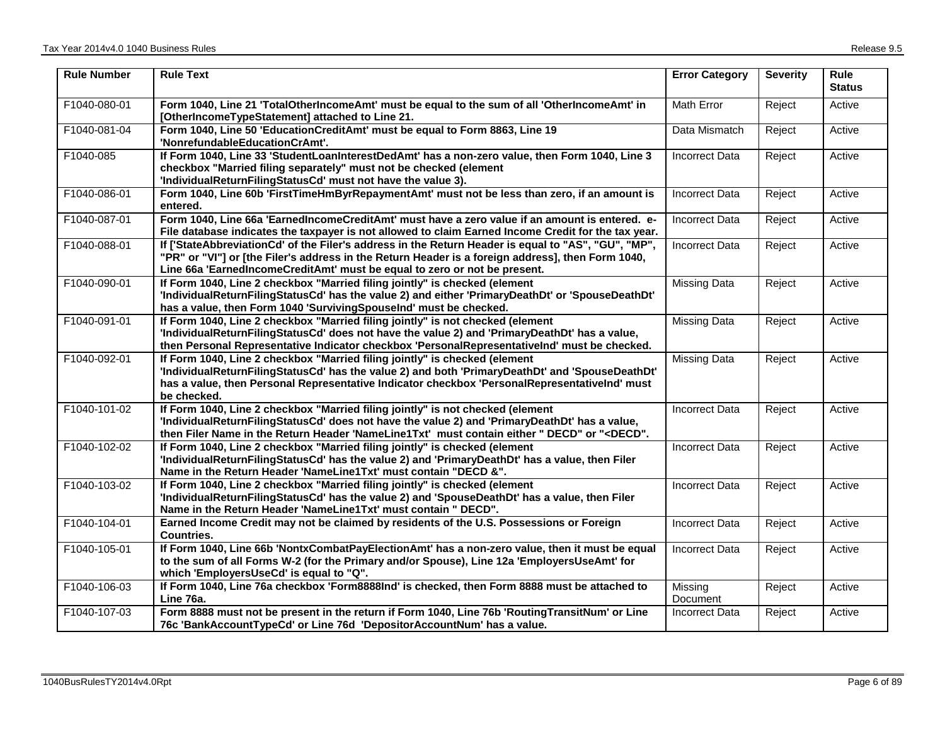| <b>Rule Number</b> | <b>Rule Text</b>                                                                                                                                                                                                                                                                                                                                              | <b>Error Category</b> | <b>Severity</b> | Rule<br><b>Status</b> |
|--------------------|---------------------------------------------------------------------------------------------------------------------------------------------------------------------------------------------------------------------------------------------------------------------------------------------------------------------------------------------------------------|-----------------------|-----------------|-----------------------|
| F1040-080-01       | Form 1040, Line 21 'TotalOtherIncomeAmt' must be equal to the sum of all 'OtherIncomeAmt' in<br>[OtherIncomeTypeStatement] attached to Line 21.                                                                                                                                                                                                               | Math Error            | Reject          | Active                |
| F1040-081-04       | Form 1040, Line 50 'EducationCreditAmt' must be equal to Form 8863, Line 19<br>'NonrefundableEducationCrAmt'.                                                                                                                                                                                                                                                 | Data Mismatch         | Reject          | Active                |
| F1040-085          | If Form 1040, Line 33 'StudentLoanInterestDedAmt' has a non-zero value, then Form 1040, Line 3<br>checkbox "Married filing separately" must not be checked (element<br>'IndividualReturnFilingStatusCd' must not have the value 3).                                                                                                                           | Incorrect Data        | Reject          | Active                |
| F1040-086-01       | Form 1040, Line 60b 'FirstTimeHmByrRepaymentAmt' must not be less than zero, if an amount is<br>entered.                                                                                                                                                                                                                                                      | <b>Incorrect Data</b> | Reject          | Active                |
| F1040-087-01       | Form 1040, Line 66a 'EarnedIncomeCreditAmt' must have a zero value if an amount is entered. e-<br>File database indicates the taxpayer is not allowed to claim Earned Income Credit for the tax year.                                                                                                                                                         | Incorrect Data        | Reject          | Active                |
| F1040-088-01       | If ['StateAbbreviationCd' of the Filer's address in the Return Header is equal to "AS", "GU", "MP",<br>"PR" or "VI"] or [the Filer's address in the Return Header is a foreign address], then Form 1040,<br>Line 66a 'EarnedIncomeCreditAmt' must be equal to zero or not be present.                                                                         | <b>Incorrect Data</b> | Reject          | Active                |
| F1040-090-01       | If Form 1040, Line 2 checkbox "Married filing jointly" is checked (element<br>'IndividualReturnFilingStatusCd' has the value 2) and either 'PrimaryDeathDt' or 'SpouseDeathDt'<br>has a value, then Form 1040 'SurvivingSpouseInd' must be checked.                                                                                                           | <b>Missing Data</b>   | Reject          | Active                |
| F1040-091-01       | If Form 1040, Line 2 checkbox "Married filing jointly" is not checked (element<br>'IndividualReturnFilingStatusCd' does not have the value 2) and 'PrimaryDeathDt' has a value,<br>then Personal Representative Indicator checkbox 'PersonalRepresentativelnd' must be checked.                                                                               | <b>Missing Data</b>   | Reject          | Active                |
| F1040-092-01       | If Form 1040, Line 2 checkbox "Married filing jointly" is checked (element<br>'IndividualReturnFilingStatusCd' has the value 2) and both 'PrimaryDeathDt' and 'SpouseDeathDt'<br>has a value, then Personal Representative Indicator checkbox 'PersonalRepresentativeInd' must<br>be checked.                                                                 | <b>Missing Data</b>   | Reject          | Active                |
| F1040-101-02       | If Form 1040, Line 2 checkbox "Married filing jointly" is not checked (element<br>'IndividualReturnFilingStatusCd' does not have the value 2) and 'PrimaryDeathDt' has a value,<br>then Filer Name in the Return Header 'NameLine1Txt' must contain either " DECD" or " <decd".< td=""><td><b>Incorrect Data</b></td><td>Reject</td><td>Active</td></decd".<> | <b>Incorrect Data</b> | Reject          | Active                |
| F1040-102-02       | If Form 1040, Line 2 checkbox "Married filing jointly" is checked (element<br>'IndividualReturnFilingStatusCd' has the value 2) and 'PrimaryDeathDt' has a value, then Filer<br>Name in the Return Header 'NameLine1Txt' must contain "DECD &".                                                                                                               | <b>Incorrect Data</b> | Reject          | Active                |
| F1040-103-02       | If Form 1040, Line 2 checkbox "Married filing jointly" is checked (element<br>'IndividualReturnFilingStatusCd' has the value 2) and 'SpouseDeathDt' has a value, then Filer<br>Name in the Return Header 'NameLine1Txt' must contain " DECD".                                                                                                                 | <b>Incorrect Data</b> | Reject          | Active                |
| F1040-104-01       | Earned Income Credit may not be claimed by residents of the U.S. Possessions or Foreign<br>Countries.                                                                                                                                                                                                                                                         | <b>Incorrect Data</b> | Reject          | Active                |
| F1040-105-01       | If Form 1040, Line 66b 'NontxCombatPayElectionAmt' has a non-zero value, then it must be equal<br>to the sum of all Forms W-2 (for the Primary and/or Spouse), Line 12a 'EmployersUseAmt' for<br>which 'EmployersUseCd' is equal to "Q".                                                                                                                      | Incorrect Data        | Reject          | Active                |
| F1040-106-03       | If Form 1040, Line 76a checkbox 'Form8888Ind' is checked, then Form 8888 must be attached to<br>Line 76a.                                                                                                                                                                                                                                                     | Missing<br>Document   | Reject          | Active                |
| F1040-107-03       | Form 8888 must not be present in the return if Form 1040, Line 76b 'RoutingTransitNum' or Line<br>76c 'BankAccountTypeCd' or Line 76d 'DepositorAccountNum' has a value.                                                                                                                                                                                      | <b>Incorrect Data</b> | Reject          | Active                |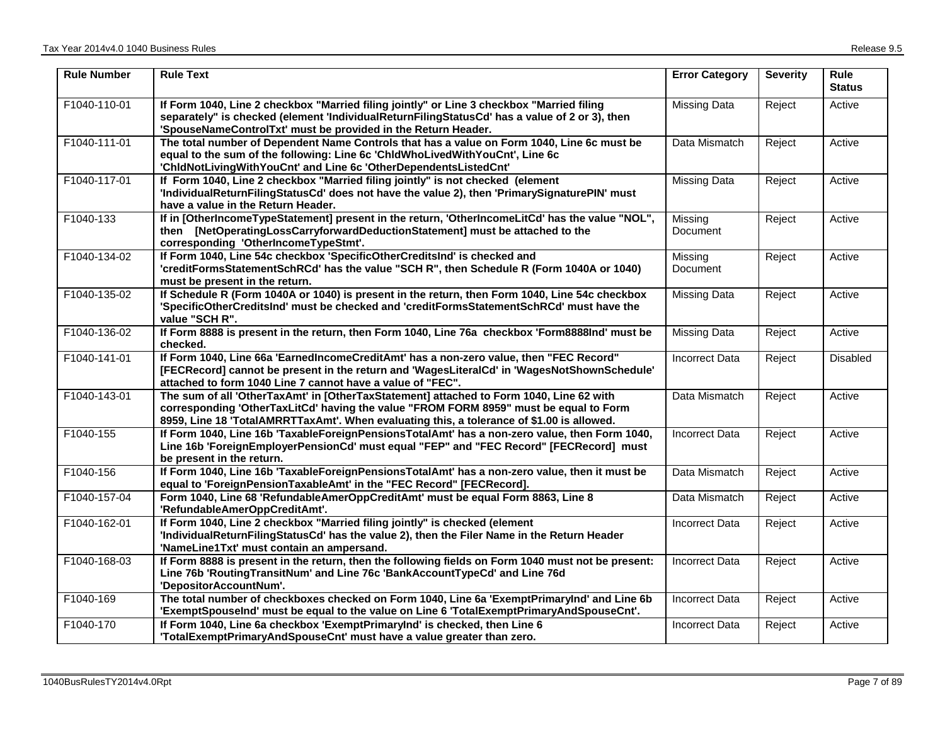| <b>Rule Number</b> | <b>Rule Text</b>                                                                                                                                                                                                                                                              | <b>Error Category</b>      | <b>Severity</b> | <b>Rule</b><br><b>Status</b> |
|--------------------|-------------------------------------------------------------------------------------------------------------------------------------------------------------------------------------------------------------------------------------------------------------------------------|----------------------------|-----------------|------------------------------|
| F1040-110-01       | If Form 1040, Line 2 checkbox "Married filing jointly" or Line 3 checkbox "Married filing<br>separately" is checked (element 'IndividualReturnFilingStatusCd' has a value of 2 or 3), then<br>'SpouseNameControlTxt' must be provided in the Return Header.                   | <b>Missing Data</b>        | Reject          | Active                       |
| F1040-111-01       | The total number of Dependent Name Controls that has a value on Form 1040, Line 6c must be<br>equal to the sum of the following: Line 6c 'ChldWhoLivedWithYouCnt', Line 6c<br>'ChidNotLivingWithYouCnt' and Line 6c 'OtherDependentsListedCnt'                                | Data Mismatch              | Reject          | Active                       |
| F1040-117-01       | If Form 1040, Line 2 checkbox "Married filing jointly" is not checked (element<br>'IndividualReturnFilingStatusCd' does not have the value 2), then 'PrimarySignaturePIN' must<br>have a value in the Return Header.                                                          | <b>Missing Data</b>        | Reject          | Active                       |
| F1040-133          | If in [OtherIncomeTypeStatement] present in the return, 'OtherIncomeLitCd' has the value "NOL",<br>then [NetOperatingLossCarryforwardDeductionStatement] must be attached to the<br>corresponding 'OtherIncomeTypeStmt'.                                                      | Missing<br>Document        | Reject          | Active                       |
| F1040-134-02       | If Form 1040, Line 54c checkbox 'SpecificOtherCreditsInd' is checked and<br>'creditFormsStatementSchRCd' has the value "SCH R", then Schedule R (Form 1040A or 1040)<br>must be present in the return.                                                                        | Missing<br><b>Document</b> | Reject          | Active                       |
| F1040-135-02       | If Schedule R (Form 1040A or 1040) is present in the return, then Form 1040, Line 54c checkbox<br>'SpecificOtherCreditsInd' must be checked and 'creditFormsStatementSchRCd' must have the<br>value "SCH R".                                                                  | Missing Data               | Reject          | Active                       |
| F1040-136-02       | If Form 8888 is present in the return, then Form 1040, Line 76a checkbox 'Form8888Ind' must be<br>checked.                                                                                                                                                                    | <b>Missing Data</b>        | Reject          | Active                       |
| F1040-141-01       | If Form 1040, Line 66a 'EarnedIncomeCreditAmt' has a non-zero value, then "FEC Record"<br>[FECRecord] cannot be present in the return and 'WagesLiteralCd' in 'WagesNotShownSchedule'<br>attached to form 1040 Line 7 cannot have a value of "FEC".                           | <b>Incorrect Data</b>      | Reject          | Disabled                     |
| F1040-143-01       | The sum of all 'OtherTaxAmt' in [OtherTaxStatement] attached to Form 1040, Line 62 with<br>corresponding 'OtherTaxLitCd' having the value "FROM FORM 8959" must be equal to Form<br>8959, Line 18 'TotalAMRRTTaxAmt'. When evaluating this, a tolerance of \$1.00 is allowed. | Data Mismatch              | Reject          | Active                       |
| F1040-155          | If Form 1040, Line 16b 'TaxableForeignPensionsTotalAmt' has a non-zero value, then Form 1040,<br>Line 16b 'ForeignEmployerPensionCd' must equal "FEP" and "FEC Record" [FECRecord] must<br>be present in the return.                                                          | <b>Incorrect Data</b>      | Reject          | Active                       |
| F1040-156          | If Form 1040, Line 16b 'TaxableForeignPensionsTotalAmt' has a non-zero value, then it must be<br>equal to 'ForeignPensionTaxableAmt' in the "FEC Record" [FECRecord].                                                                                                         | Data Mismatch              | Reject          | Active                       |
| F1040-157-04       | Form 1040, Line 68 'RefundableAmerOppCreditAmt' must be equal Form 8863, Line 8<br>'RefundableAmerOppCreditAmt'.                                                                                                                                                              | Data Mismatch              | Reject          | Active                       |
| F1040-162-01       | If Form 1040, Line 2 checkbox "Married filing jointly" is checked (element<br>'IndividualReturnFilingStatusCd' has the value 2), then the Filer Name in the Return Header<br>'NameLine1Txt' must contain an ampersand.                                                        | <b>Incorrect Data</b>      | Reject          | Active                       |
| F1040-168-03       | If Form 8888 is present in the return, then the following fields on Form 1040 must not be present:<br>Line 76b 'RoutingTransitNum' and Line 76c 'BankAccountTypeCd' and Line 76d<br>'DepositorAccountNum'.                                                                    | <b>Incorrect Data</b>      | Reject          | Active                       |
| F1040-169          | The total number of checkboxes checked on Form 1040, Line 6a 'ExemptPrimaryInd' and Line 6b<br>'ExemptSpouseInd' must be equal to the value on Line 6 'TotalExemptPrimaryAndSpouseCnt'.                                                                                       | <b>Incorrect Data</b>      | Reject          | Active                       |
| F1040-170          | If Form 1040, Line 6a checkbox 'ExemptPrimaryInd' is checked, then Line 6<br>'TotalExemptPrimaryAndSpouseCnt' must have a value greater than zero.                                                                                                                            | <b>Incorrect Data</b>      | Reject          | Active                       |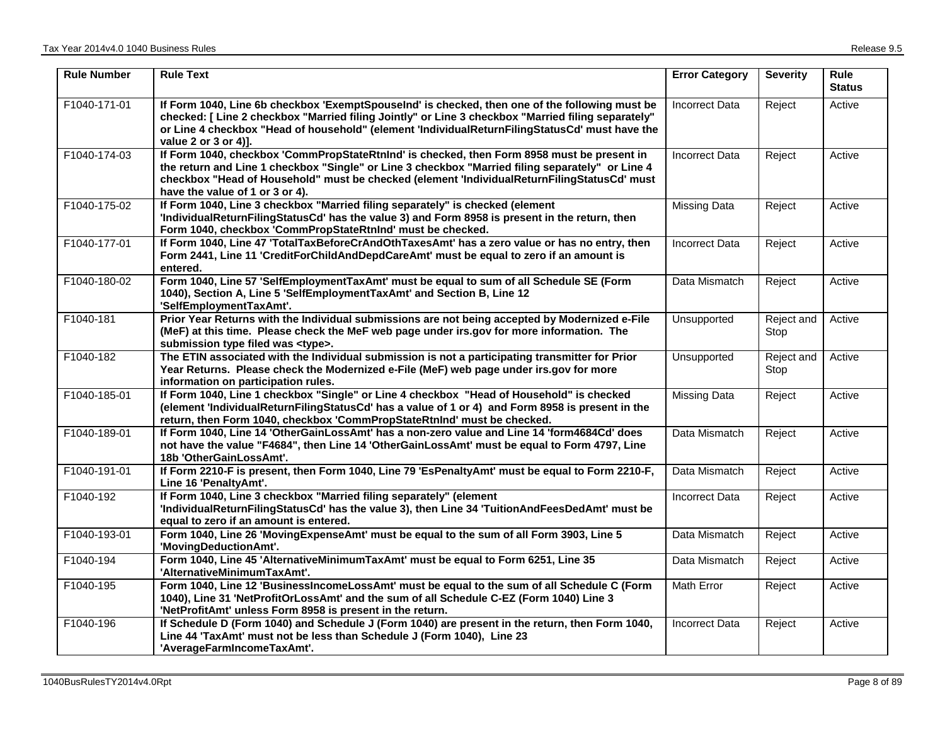| <b>Rule Number</b> | <b>Rule Text</b>                                                                                                                                                                                                                                                                                                                 | <b>Error Category</b> | <b>Severity</b>    | <b>Rule</b><br><b>Status</b> |
|--------------------|----------------------------------------------------------------------------------------------------------------------------------------------------------------------------------------------------------------------------------------------------------------------------------------------------------------------------------|-----------------------|--------------------|------------------------------|
| F1040-171-01       | If Form 1040, Line 6b checkbox 'ExemptSpouseInd' is checked, then one of the following must be<br>checked: [Line 2 checkbox "Married filing Jointly" or Line 3 checkbox "Married filing separately"<br>or Line 4 checkbox "Head of household" (element 'IndividualReturnFilingStatusCd' must have the<br>value 2 or 3 or 4).     | <b>Incorrect Data</b> | Reject             | Active                       |
| F1040-174-03       | If Form 1040, checkbox 'CommPropStateRtnInd' is checked, then Form 8958 must be present in<br>the return and Line 1 checkbox "Single" or Line 3 checkbox "Married filing separately" or Line 4<br>checkbox "Head of Household" must be checked (element 'IndividualReturnFilingStatusCd' must<br>have the value of 1 or 3 or 4). | <b>Incorrect Data</b> | Reject             | Active                       |
| F1040-175-02       | If Form 1040, Line 3 checkbox "Married filing separately" is checked (element<br>'IndividualReturnFilingStatusCd' has the value 3) and Form 8958 is present in the return, then<br>Form 1040, checkbox 'CommPropStateRtnInd' must be checked.                                                                                    | <b>Missing Data</b>   | Reject             | Active                       |
| F1040-177-01       | If Form 1040, Line 47 'TotalTaxBeforeCrAndOthTaxesAmt' has a zero value or has no entry, then<br>Form 2441, Line 11 'CreditForChildAndDepdCareAmt' must be equal to zero if an amount is<br>entered.                                                                                                                             | <b>Incorrect Data</b> | Reject             | Active                       |
| F1040-180-02       | Form 1040, Line 57 'SelfEmploymentTaxAmt' must be equal to sum of all Schedule SE (Form<br>1040), Section A, Line 5 'SelfEmploymentTaxAmt' and Section B, Line 12<br>'SelfEmploymentTaxAmt'.                                                                                                                                     | Data Mismatch         | Reject             | Active                       |
| F1040-181          | Prior Year Returns with the Individual submissions are not being accepted by Modernized e-File<br>(MeF) at this time. Please check the MeF web page under irs.gov for more information. The<br>submission type filed was <type>.</type>                                                                                          | Unsupported           | Reject and<br>Stop | Active                       |
| F1040-182          | The ETIN associated with the Individual submission is not a participating transmitter for Prior<br>Year Returns. Please check the Modernized e-File (MeF) web page under irs.gov for more<br>information on participation rules.                                                                                                 | Unsupported           | Reject and<br>Stop | Active                       |
| F1040-185-01       | If Form 1040, Line 1 checkbox "Single" or Line 4 checkbox "Head of Household" is checked<br>(element 'IndividualReturnFilingStatusCd' has a value of 1 or 4) and Form 8958 is present in the<br>return, then Form 1040, checkbox 'CommPropStateRtnInd' must be checked.                                                          | <b>Missing Data</b>   | Reject             | Active                       |
| F1040-189-01       | If Form 1040, Line 14 'OtherGainLossAmt' has a non-zero value and Line 14 'form4684Cd' does<br>not have the value "F4684", then Line 14 'OtherGainLossAmt' must be equal to Form 4797, Line<br>18b 'OtherGainLossAmt'.                                                                                                           | Data Mismatch         | Reject             | Active                       |
| F1040-191-01       | If Form 2210-F is present, then Form 1040, Line 79 'EsPenaltyAmt' must be equal to Form 2210-F,<br>Line 16 'PenaltyAmt'.                                                                                                                                                                                                         | Data Mismatch         | Reject             | Active                       |
| F1040-192          | If Form 1040, Line 3 checkbox "Married filing separately" (element<br>'IndividualReturnFilingStatusCd' has the value 3), then Line 34 'TuitionAndFeesDedAmt' must be<br>equal to zero if an amount is entered.                                                                                                                   | <b>Incorrect Data</b> | Reject             | Active                       |
| F1040-193-01       | Form 1040, Line 26 'MovingExpenseAmt' must be equal to the sum of all Form 3903, Line 5<br>'MovingDeductionAmt'.                                                                                                                                                                                                                 | Data Mismatch         | Reject             | Active                       |
| F1040-194          | Form 1040, Line 45 'AlternativeMinimumTaxAmt' must be equal to Form 6251, Line 35<br>'AlternativeMinimumTaxAmt'.                                                                                                                                                                                                                 | Data Mismatch         | Reject             | Active                       |
| F1040-195          | Form 1040, Line 12 'BusinessIncomeLossAmt' must be equal to the sum of all Schedule C (Form<br>1040), Line 31 'NetProfitOrLossAmt' and the sum of all Schedule C-EZ (Form 1040) Line 3<br>'NetProfitAmt' unless Form 8958 is present in the return.                                                                              | <b>Math Error</b>     | Reject             | Active                       |
| F1040-196          | If Schedule D (Form 1040) and Schedule J (Form 1040) are present in the return, then Form 1040,<br>Line 44 'TaxAmt' must not be less than Schedule J (Form 1040), Line 23<br>'AverageFarmIncomeTaxAmt'.                                                                                                                          | <b>Incorrect Data</b> | Reject             | Active                       |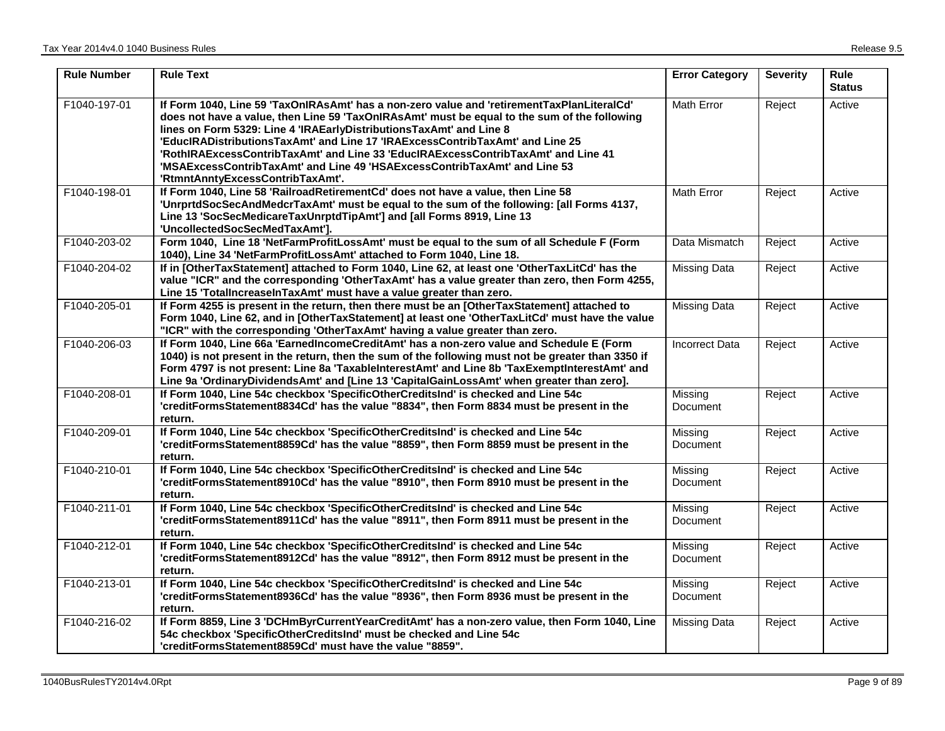| <b>Rule Number</b> | <b>Rule Text</b>                                                                                                                                                                                                                                                                                                                                                                                                                                                                                                                                         | <b>Error Category</b>      | <b>Severity</b> | <b>Rule</b><br><b>Status</b> |
|--------------------|----------------------------------------------------------------------------------------------------------------------------------------------------------------------------------------------------------------------------------------------------------------------------------------------------------------------------------------------------------------------------------------------------------------------------------------------------------------------------------------------------------------------------------------------------------|----------------------------|-----------------|------------------------------|
| F1040-197-01       | If Form 1040, Line 59 'TaxOnIRAsAmt' has a non-zero value and 'retirementTaxPlanLiteralCd'<br>does not have a value, then Line 59 'TaxOnlRAsAmt' must be equal to the sum of the following<br>lines on Form 5329: Line 4 'IRAEarlyDistributionsTaxAmt' and Line 8<br>'EducIRADistributionsTaxAmt' and Line 17 'IRAExcessContribTaxAmt' and Line 25<br>'RothIRAExcessContribTaxAmt' and Line 33 'EducIRAExcessContribTaxAmt' and Line 41<br>'MSAExcessContribTaxAmt' and Line 49 'HSAExcessContribTaxAmt' and Line 53<br>'RtmntAnntyExcessContribTaxAmt'. | Math Error                 | Reject          | Active                       |
| F1040-198-01       | If Form 1040, Line 58 'RailroadRetirementCd' does not have a value, then Line 58<br>'UnrprtdSocSecAndMedcrTaxAmt' must be equal to the sum of the following: [all Forms 4137,<br>Line 13 'SocSecMedicareTaxUnrptdTipAmt'] and [all Forms 8919, Line 13<br>'UncollectedSocSecMedTaxAmt'].                                                                                                                                                                                                                                                                 | Math Error                 | Reject          | Active                       |
| F1040-203-02       | Form 1040, Line 18 'NetFarmProfitLossAmt' must be equal to the sum of all Schedule F (Form<br>1040), Line 34 'NetFarmProfitLossAmt' attached to Form 1040, Line 18.                                                                                                                                                                                                                                                                                                                                                                                      | Data Mismatch              | Reject          | Active                       |
| F1040-204-02       | If in [OtherTaxStatement] attached to Form 1040, Line 62, at least one 'OtherTaxLitCd' has the<br>value "ICR" and the corresponding 'OtherTaxAmt' has a value greater than zero, then Form 4255,<br>Line 15 'TotalIncreaseInTaxAmt' must have a value greater than zero.                                                                                                                                                                                                                                                                                 | <b>Missing Data</b>        | Reject          | Active                       |
| F1040-205-01       | If Form 4255 is present in the return, then there must be an [OtherTaxStatement] attached to<br>Form 1040, Line 62, and in [OtherTaxStatement] at least one 'OtherTaxLitCd' must have the value<br>"ICR" with the corresponding 'OtherTaxAmt' having a value greater than zero.                                                                                                                                                                                                                                                                          | <b>Missing Data</b>        | Reject          | Active                       |
| F1040-206-03       | If Form 1040, Line 66a 'EarnedIncomeCreditAmt' has a non-zero value and Schedule E (Form<br>1040) is not present in the return, then the sum of the following must not be greater than 3350 if<br>Form 4797 is not present: Line 8a 'TaxableInterestAmt' and Line 8b 'TaxExemptInterestAmt' and<br>Line 9a 'OrdinaryDividendsAmt' and [Line 13 'CapitalGainLossAmt' when greater than zero].                                                                                                                                                             | <b>Incorrect Data</b>      | Reject          | Active                       |
| F1040-208-01       | If Form 1040, Line 54c checkbox 'SpecificOtherCreditsInd' is checked and Line 54c<br>'creditFormsStatement8834Cd' has the value "8834", then Form 8834 must be present in the<br>return.                                                                                                                                                                                                                                                                                                                                                                 | Missing<br>Document        | Reject          | Active                       |
| F1040-209-01       | If Form 1040, Line 54c checkbox 'SpecificOtherCreditsInd' is checked and Line 54c<br>'creditFormsStatement8859Cd' has the value "8859", then Form 8859 must be present in the<br>return.                                                                                                                                                                                                                                                                                                                                                                 | Missing<br><b>Document</b> | Reject          | Active                       |
| F1040-210-01       | If Form 1040, Line 54c checkbox 'SpecificOtherCreditsInd' is checked and Line 54c<br>'creditFormsStatement8910Cd' has the value "8910", then Form 8910 must be present in the<br>return.                                                                                                                                                                                                                                                                                                                                                                 | Missing<br>Document        | Reject          | Active                       |
| F1040-211-01       | If Form 1040, Line 54c checkbox 'SpecificOtherCreditsInd' is checked and Line 54c<br>'creditFormsStatement8911Cd' has the value "8911", then Form 8911 must be present in the<br>return.                                                                                                                                                                                                                                                                                                                                                                 | Missing<br>Document        | Reject          | Active                       |
| F1040-212-01       | If Form 1040, Line 54c checkbox 'SpecificOtherCreditsInd' is checked and Line 54c<br>'creditFormsStatement8912Cd' has the value "8912", then Form 8912 must be present in the<br>return.                                                                                                                                                                                                                                                                                                                                                                 | Missing<br>Document        | Reject          | Active                       |
| F1040-213-01       | If Form 1040, Line 54c checkbox 'SpecificOtherCreditsInd' is checked and Line 54c<br>'creditFormsStatement8936Cd' has the value "8936", then Form 8936 must be present in the<br>return.                                                                                                                                                                                                                                                                                                                                                                 | Missing<br>Document        | Reject          | Active                       |
| F1040-216-02       | If Form 8859, Line 3 'DCHmByrCurrentYearCreditAmt' has a non-zero value, then Form 1040, Line<br>54c checkbox 'SpecificOtherCreditsInd' must be checked and Line 54c<br>'creditFormsStatement8859Cd' must have the value "8859".                                                                                                                                                                                                                                                                                                                         | <b>Missing Data</b>        | Reject          | Active                       |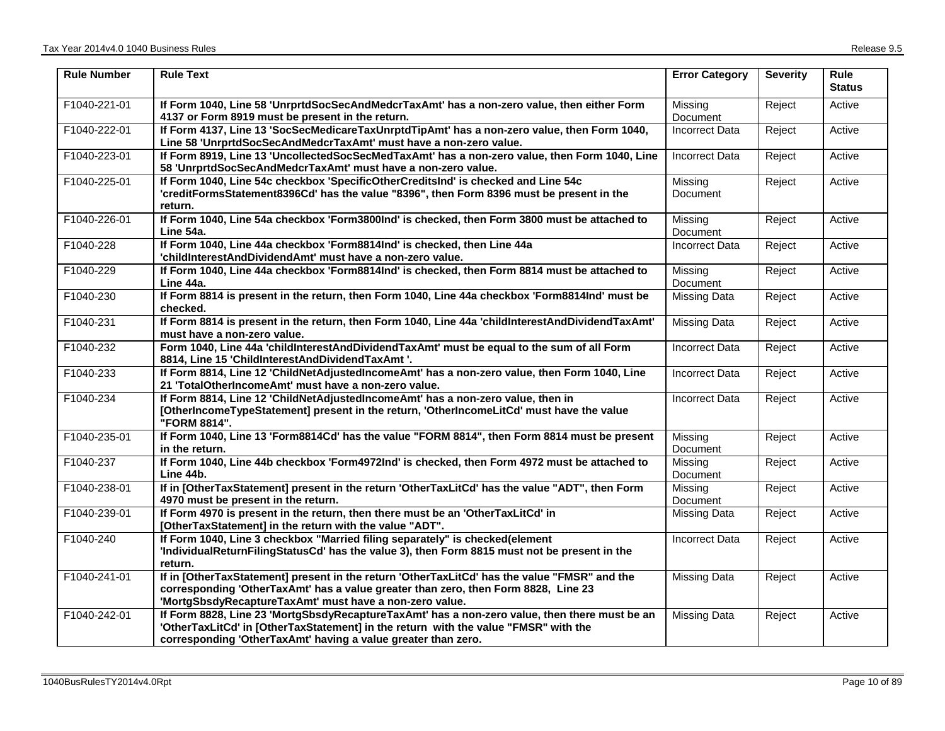| <b>Rule Number</b> | <b>Rule Text</b>                                                                                                                                                                                                                                      | <b>Error Category</b>      | <b>Severity</b> | Rule<br><b>Status</b> |
|--------------------|-------------------------------------------------------------------------------------------------------------------------------------------------------------------------------------------------------------------------------------------------------|----------------------------|-----------------|-----------------------|
| F1040-221-01       | If Form 1040, Line 58 'UnrprtdSocSecAndMedcrTaxAmt' has a non-zero value, then either Form<br>4137 or Form 8919 must be present in the return.                                                                                                        | Missina<br>Document        | Reject          | Active                |
| F1040-222-01       | If Form 4137, Line 13 'SocSecMedicareTaxUnrptdTipAmt' has a non-zero value, then Form 1040,<br>Line 58 'UnrprtdSocSecAndMedcrTaxAmt' must have a non-zero value.                                                                                      | <b>Incorrect Data</b>      | Reject          | Active                |
| F1040-223-01       | If Form 8919, Line 13 'UncollectedSocSecMedTaxAmt' has a non-zero value, then Form 1040, Line<br>58 'UnrprtdSocSecAndMedcrTaxAmt' must have a non-zero value.                                                                                         | <b>Incorrect Data</b>      | Reject          | Active                |
| F1040-225-01       | If Form 1040, Line 54c checkbox 'SpecificOtherCreditsInd' is checked and Line 54c<br>'creditFormsStatement8396Cd' has the value "8396", then Form 8396 must be present in the<br>return.                                                              | Missing<br>Document        | Reject          | Active                |
| F1040-226-01       | If Form 1040, Line 54a checkbox 'Form3800Ind' is checked, then Form 3800 must be attached to<br>Line 54a.                                                                                                                                             | Missing<br><b>Document</b> | Reject          | Active                |
| F1040-228          | If Form 1040, Line 44a checkbox 'Form8814Ind' is checked, then Line 44a<br>'childInterestAndDividendAmt' must have a non-zero value.                                                                                                                  | <b>Incorrect Data</b>      | Reject          | Active                |
| F1040-229          | If Form 1040, Line 44a checkbox 'Form8814Ind' is checked, then Form 8814 must be attached to<br>Line 44a.                                                                                                                                             | Missing<br>Document        | Reject          | Active                |
| F1040-230          | If Form 8814 is present in the return, then Form 1040, Line 44a checkbox 'Form8814Ind' must be<br>checked.                                                                                                                                            | <b>Missing Data</b>        | Reject          | Active                |
| F1040-231          | If Form 8814 is present in the return, then Form 1040, Line 44a 'childInterestAndDividendTaxAmt'<br>must have a non-zero value.                                                                                                                       | <b>Missing Data</b>        | Reject          | Active                |
| F1040-232          | Form 1040, Line 44a 'childInterestAndDividendTaxAmt' must be equal to the sum of all Form<br>8814, Line 15 'ChildInterestAndDividendTaxAmt '.                                                                                                         | <b>Incorrect Data</b>      | Reject          | Active                |
| F1040-233          | If Form 8814, Line 12 'ChildNetAdjustedIncomeAmt' has a non-zero value, then Form 1040, Line<br>21 'TotalOtherIncomeAmt' must have a non-zero value.                                                                                                  | <b>Incorrect Data</b>      | Reject          | Active                |
| F1040-234          | If Form 8814, Line 12 'ChildNetAdjustedIncomeAmt' has a non-zero value, then in<br>[OtherIncomeTypeStatement] present in the return, 'OtherIncomeLitCd' must have the value<br>"FORM 8814".                                                           | <b>Incorrect Data</b>      | Reject          | Active                |
| F1040-235-01       | If Form 1040, Line 13 'Form8814Cd' has the value "FORM 8814", then Form 8814 must be present<br>in the return.                                                                                                                                        | Missing<br>Document        | Reject          | Active                |
| F1040-237          | If Form 1040, Line 44b checkbox 'Form4972Ind' is checked, then Form 4972 must be attached to<br>Line 44b.                                                                                                                                             | Missing<br>Document        | Reject          | Active                |
| F1040-238-01       | If in [OtherTaxStatement] present in the return 'OtherTaxLitCd' has the value "ADT", then Form<br>4970 must be present in the return.                                                                                                                 | Missing<br>Document        | Reject          | Active                |
| F1040-239-01       | If Form 4970 is present in the return, then there must be an 'OtherTaxLitCd' in<br>[OtherTaxStatement] in the return with the value "ADT".                                                                                                            | Missing Data               | Reject          | Active                |
| F1040-240          | If Form 1040, Line 3 checkbox "Married filing separately" is checked(element<br>'IndividualReturnFilingStatusCd' has the value 3), then Form 8815 must not be present in the<br>return.                                                               | <b>Incorrect Data</b>      | Reject          | Active                |
| F1040-241-01       | If in [OtherTaxStatement] present in the return 'OtherTaxLitCd' has the value "FMSR" and the<br>corresponding 'OtherTaxAmt' has a value greater than zero, then Form 8828, Line 23<br>'MortgSbsdyRecaptureTaxAmt' must have a non-zero value.         | Missing Data               | Reject          | Active                |
| F1040-242-01       | If Form 8828, Line 23 'MortgSbsdyRecaptureTaxAmt' has a non-zero value, then there must be an<br>'OtherTaxLitCd' in [OtherTaxStatement] in the return with the value "FMSR" with the<br>corresponding 'OtherTaxAmt' having a value greater than zero. | <b>Missing Data</b>        | Reject          | Active                |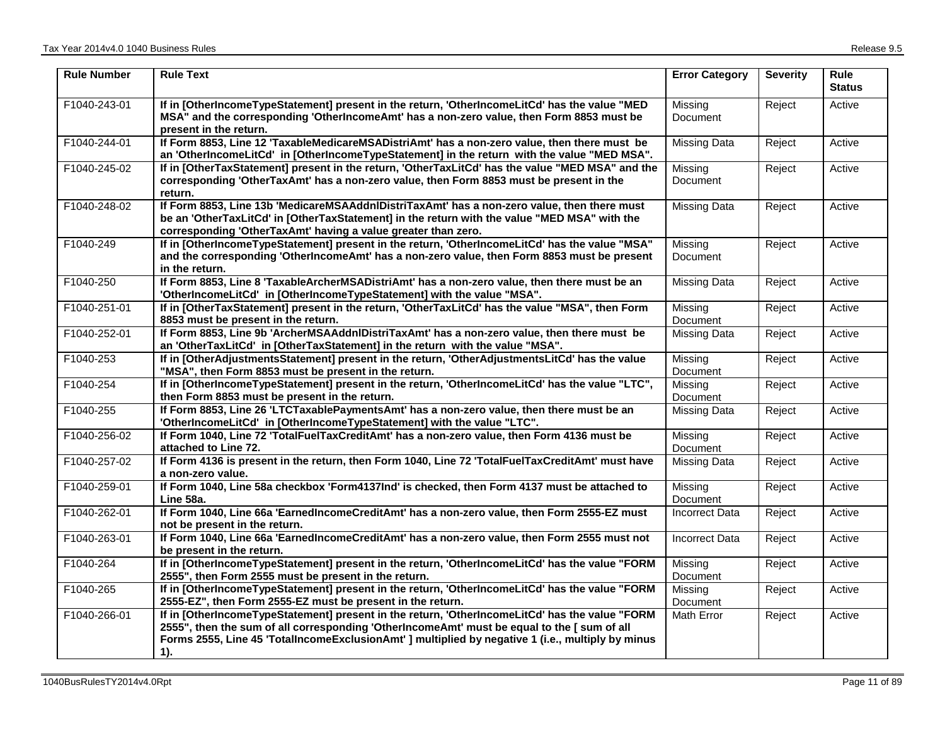| <b>Rule Number</b> | <b>Rule Text</b>                                                                                                                                                                                                                                                                                             | <b>Error Category</b> | <b>Severity</b> | <b>Rule</b><br><b>Status</b> |
|--------------------|--------------------------------------------------------------------------------------------------------------------------------------------------------------------------------------------------------------------------------------------------------------------------------------------------------------|-----------------------|-----------------|------------------------------|
| F1040-243-01       | If in [OtherIncomeTypeStatement] present in the return, 'OtherIncomeLitCd' has the value "MED<br>MSA" and the corresponding 'OtherIncomeAmt' has a non-zero value, then Form 8853 must be<br>present in the return.                                                                                          | Missing<br>Document   | Reject          | Active                       |
| F1040-244-01       | If Form 8853, Line 12 'TaxableMedicareMSADistriAmt' has a non-zero value, then there must be<br>an 'OtherIncomeLitCd' in [OtherIncomeTypeStatement] in the return with the value "MED MSA".                                                                                                                  | <b>Missing Data</b>   | Reject          | Active                       |
| F1040-245-02       | If in [OtherTaxStatement] present in the return, 'OtherTaxLitCd' has the value "MED MSA" and the<br>corresponding 'OtherTaxAmt' has a non-zero value, then Form 8853 must be present in the<br>return.                                                                                                       | Missing<br>Document   | Reject          | Active                       |
| F1040-248-02       | If Form 8853, Line 13b 'MedicareMSAAddnIDistriTaxAmt' has a non-zero value, then there must<br>be an 'OtherTaxLitCd' in [OtherTaxStatement] in the return with the value "MED MSA" with the<br>corresponding 'OtherTaxAmt' having a value greater than zero.                                                 | <b>Missing Data</b>   | Reject          | Active                       |
| F1040-249          | If in [OtherIncomeTypeStatement] present in the return, 'OtherIncomeLitCd' has the value "MSA"<br>and the corresponding 'OtherIncomeAmt' has a non-zero value, then Form 8853 must be present<br>in the return.                                                                                              | Missing<br>Document   | Reject          | Active                       |
| F1040-250          | If Form 8853, Line 8 'TaxableArcherMSADistriAmt' has a non-zero value, then there must be an<br>'OtherIncomeLitCd' in [OtherIncomeTypeStatement] with the value "MSA".                                                                                                                                       | <b>Missing Data</b>   | Reject          | Active                       |
| F1040-251-01       | If in [OtherTaxStatement] present in the return, 'OtherTaxLitCd' has the value "MSA", then Form<br>8853 must be present in the return.                                                                                                                                                                       | Missing<br>Document   | Reject          | Active                       |
| F1040-252-01       | If Form 8853, Line 9b 'ArcherMSAAddnIDistriTaxAmt' has a non-zero value, then there must be<br>an 'OtherTaxLitCd' in [OtherTaxStatement] in the return with the value "MSA".                                                                                                                                 | <b>Missing Data</b>   | Reject          | Active                       |
| F1040-253          | If in [OtherAdjustmentsStatement] present in the return, 'OtherAdjustmentsLitCd' has the value<br>"MSA", then Form 8853 must be present in the return.                                                                                                                                                       | Missing<br>Document   | Reject          | Active                       |
| F1040-254          | If in [OtherIncomeTypeStatement] present in the return, 'OtherIncomeLitCd' has the value "LTC",<br>then Form 8853 must be present in the return.                                                                                                                                                             | Missing<br>Document   | Reject          | Active                       |
| F1040-255          | If Form 8853, Line 26 'LTCTaxablePaymentsAmt' has a non-zero value, then there must be an<br>'OtherIncomeLitCd' in [OtherIncomeTypeStatement] with the value "LTC".                                                                                                                                          | <b>Missing Data</b>   | Reject          | Active                       |
| F1040-256-02       | If Form 1040, Line 72 'TotalFuelTaxCreditAmt' has a non-zero value, then Form 4136 must be<br>attached to Line 72.                                                                                                                                                                                           | Missing<br>Document   | Reject          | Active                       |
| F1040-257-02       | If Form 4136 is present in the return, then Form 1040, Line 72 'TotalFuelTaxCreditAmt' must have<br>a non-zero value.                                                                                                                                                                                        | <b>Missing Data</b>   | Reject          | Active                       |
| F1040-259-01       | If Form 1040, Line 58a checkbox 'Form4137Ind' is checked, then Form 4137 must be attached to<br>Line 58a.                                                                                                                                                                                                    | Missing<br>Document   | Reject          | Active                       |
| F1040-262-01       | If Form 1040, Line 66a 'EarnedIncomeCreditAmt' has a non-zero value, then Form 2555-EZ must<br>not be present in the return.                                                                                                                                                                                 | <b>Incorrect Data</b> | Reject          | Active                       |
| F1040-263-01       | If Form 1040, Line 66a 'EarnedIncomeCreditAmt' has a non-zero value, then Form 2555 must not<br>be present in the return.                                                                                                                                                                                    | <b>Incorrect Data</b> | Reject          | Active                       |
| F1040-264          | If in [OtherIncomeTypeStatement] present in the return, 'OtherIncomeLitCd' has the value "FORM<br>2555", then Form 2555 must be present in the return.                                                                                                                                                       | Missing<br>Document   | Reject          | Active                       |
| F1040-265          | If in [OtherIncomeTypeStatement] present in the return, 'OtherIncomeLitCd' has the value "FORM<br>2555-EZ", then Form 2555-EZ must be present in the return.                                                                                                                                                 | Missing<br>Document   | Reject          | Active                       |
| F1040-266-01       | If in [OtherIncomeTypeStatement] present in the return, 'OtherIncomeLitCd' has the value "FORM<br>2555", then the sum of all corresponding 'OtherIncomeAmt' must be equal to the [ sum of all<br>Forms 2555, Line 45 'TotalIncomeExclusionAmt' ] multiplied by negative 1 (i.e., multiply by minus<br>$1$ ). | Math Error            | Reject          | Active                       |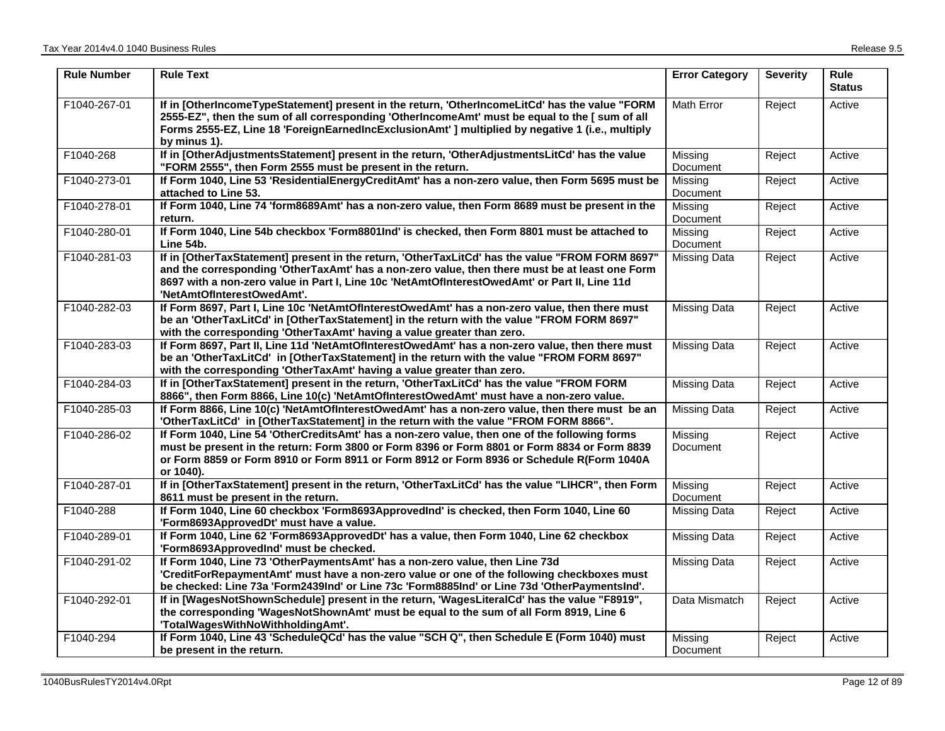| <b>Rule Number</b> | <b>Rule Text</b>                                                                                                                                                                                                                                                                                                                 | <b>Error Category</b> | <b>Severity</b> | <b>Rule</b><br><b>Status</b> |
|--------------------|----------------------------------------------------------------------------------------------------------------------------------------------------------------------------------------------------------------------------------------------------------------------------------------------------------------------------------|-----------------------|-----------------|------------------------------|
| F1040-267-01       | If in [OtherIncomeTypeStatement] present in the return, 'OtherIncomeLitCd' has the value "FORM<br>2555-EZ", then the sum of all corresponding 'OtherlncomeAmt' must be equal to the [ sum of all<br>Forms 2555-EZ, Line 18 'ForeignEarnedIncExclusionAmt' ] multiplied by negative 1 (i.e., multiply<br>by minus 1).             | Math Error            | Reject          | Active                       |
| F1040-268          | If in [OtherAdjustmentsStatement] present in the return, 'OtherAdjustmentsLitCd' has the value<br>"FORM 2555", then Form 2555 must be present in the return.                                                                                                                                                                     | Missing<br>Document   | Reject          | Active                       |
| F1040-273-01       | If Form 1040, Line 53 'ResidentialEnergyCreditAmt' has a non-zero value, then Form 5695 must be<br>attached to Line 53.                                                                                                                                                                                                          | Missing<br>Document   | Reject          | Active                       |
| F1040-278-01       | If Form 1040, Line 74 'form8689Amt' has a non-zero value, then Form 8689 must be present in the<br>return.                                                                                                                                                                                                                       | Missing<br>Document   | Reject          | Active                       |
| F1040-280-01       | If Form 1040, Line 54b checkbox 'Form8801Ind' is checked, then Form 8801 must be attached to<br>Line 54b.                                                                                                                                                                                                                        | Missing<br>Document   | Reject          | Active                       |
| F1040-281-03       | If in [OtherTaxStatement] present in the return, 'OtherTaxLitCd' has the value "FROM FORM 8697"<br>and the corresponding 'OtherTaxAmt' has a non-zero value, then there must be at least one Form<br>8697 with a non-zero value in Part I, Line 10c 'NetAmtOfInterestOwedAmt' or Part II, Line 11d<br>'NetAmtOfInterestOwedAmt'. | <b>Missing Data</b>   | Reject          | Active                       |
| F1040-282-03       | If Form 8697, Part I, Line 10c 'NetAmtOfInterestOwedAmt' has a non-zero value, then there must<br>be an 'OtherTaxLitCd' in [OtherTaxStatement] in the return with the value "FROM FORM 8697"<br>with the corresponding 'OtherTaxAmt' having a value greater than zero.                                                           | <b>Missing Data</b>   | Reject          | Active                       |
| F1040-283-03       | If Form 8697, Part II, Line 11d 'NetAmtOfInterestOwedAmt' has a non-zero value, then there must<br>be an 'OtherTaxLitCd' in [OtherTaxStatement] in the return with the value "FROM FORM 8697"<br>with the corresponding 'OtherTaxAmt' having a value greater than zero.                                                          | <b>Missing Data</b>   | Reject          | Active                       |
| F1040-284-03       | If in [OtherTaxStatement] present in the return, 'OtherTaxLitCd' has the value "FROM FORM<br>8866", then Form 8866, Line 10(c) 'NetAmtOfInterestOwedAmt' must have a non-zero value.                                                                                                                                             | <b>Missing Data</b>   | Reject          | Active                       |
| F1040-285-03       | If Form 8866, Line 10(c) 'NetAmtOfInterestOwedAmt' has a non-zero value, then there must be an<br>'OtherTaxLitCd' in [OtherTaxStatement] in the return with the value "FROM FORM 8866".                                                                                                                                          | <b>Missing Data</b>   | Reject          | Active                       |
| F1040-286-02       | If Form 1040, Line 54 'OtherCreditsAmt' has a non-zero value, then one of the following forms<br>must be present in the return: Form 3800 or Form 8396 or Form 8801 or Form 8834 or Form 8839<br>or Form 8859 or Form 8910 or Form 8911 or Form 8912 or Form 8936 or Schedule R(Form 1040A<br>or 1040).                          | Missing<br>Document   | Reject          | Active                       |
| F1040-287-01       | If in [OtherTaxStatement] present in the return, 'OtherTaxLitCd' has the value "LIHCR", then Form<br>8611 must be present in the return.                                                                                                                                                                                         | Missing<br>Document   | Reject          | Active                       |
| F1040-288          | If Form 1040, Line 60 checkbox 'Form8693ApprovedInd' is checked, then Form 1040, Line 60<br>'Form8693ApprovedDt' must have a value.                                                                                                                                                                                              | <b>Missing Data</b>   | Reject          | Active                       |
| F1040-289-01       | If Form 1040, Line 62 'Form8693ApprovedDt' has a value, then Form 1040, Line 62 checkbox<br>'Form8693ApprovedInd' must be checked.                                                                                                                                                                                               | <b>Missing Data</b>   | Reject          | Active                       |
| F1040-291-02       | If Form 1040, Line 73 'OtherPaymentsAmt' has a non-zero value, then Line 73d<br>'CreditForRepaymentAmt' must have a non-zero value or one of the following checkboxes must<br>be checked: Line 73a 'Form2439Ind' or Line 73c 'Form8885Ind' or Line 73d 'OtherPaymentsInd'.                                                       | <b>Missing Data</b>   | Reject          | Active                       |
| F1040-292-01       | If in [WagesNotShownSchedule] present in the return, 'WagesLiteralCd' has the value "F8919",<br>the corresponding 'WagesNotShownAmt' must be equal to the sum of all Form 8919, Line 6<br>'TotalWagesWithNoWithholdingAmt'.                                                                                                      | Data Mismatch         | Reject          | Active                       |
| F1040-294          | If Form 1040, Line 43 'ScheduleQCd' has the value "SCH Q", then Schedule E (Form 1040) must<br>be present in the return.                                                                                                                                                                                                         | Missina<br>Document   | Reject          | Active                       |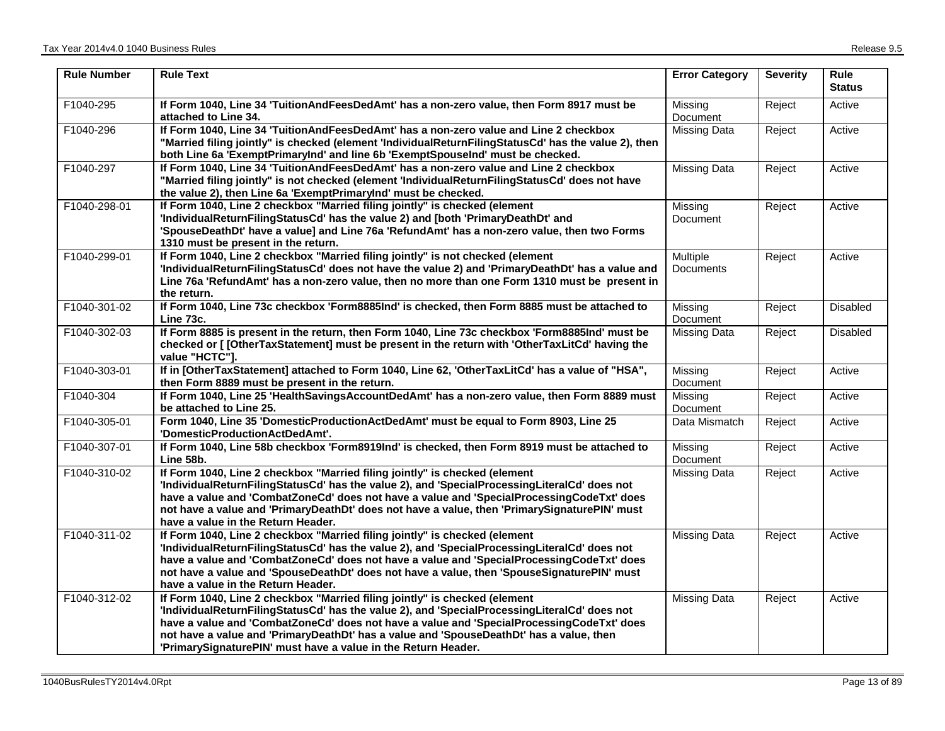| <b>Rule Number</b> | <b>Rule Text</b>                                                                                                                                                                                                                                                                                                                                                                                                                    | <b>Error Category</b> | <b>Severity</b> | <b>Rule</b><br><b>Status</b> |
|--------------------|-------------------------------------------------------------------------------------------------------------------------------------------------------------------------------------------------------------------------------------------------------------------------------------------------------------------------------------------------------------------------------------------------------------------------------------|-----------------------|-----------------|------------------------------|
| F1040-295          | If Form 1040, Line 34 'TuitionAndFeesDedAmt' has a non-zero value, then Form 8917 must be<br>attached to Line 34.                                                                                                                                                                                                                                                                                                                   | Missing<br>Document   | Reject          | Active                       |
| F1040-296          | If Form 1040, Line 34 'TuitionAndFeesDedAmt' has a non-zero value and Line 2 checkbox<br>"Married filing jointly" is checked (element 'IndividualReturnFilingStatusCd' has the value 2), then<br>both Line 6a 'ExemptPrimaryInd' and line 6b 'ExemptSpouseInd' must be checked.                                                                                                                                                     | <b>Missing Data</b>   | Reject          | Active                       |
| F1040-297          | If Form 1040, Line 34 'TuitionAndFeesDedAmt' has a non-zero value and Line 2 checkbox<br>"Married filing jointly" is not checked (element 'IndividualReturnFilingStatusCd' does not have<br>the value 2), then Line 6a 'ExemptPrimaryInd' must be checked.                                                                                                                                                                          | <b>Missing Data</b>   | Reject          | Active                       |
| F1040-298-01       | If Form 1040, Line 2 checkbox "Married filing jointly" is checked (element<br>'IndividualReturnFilingStatusCd' has the value 2) and [both 'PrimaryDeathDt' and<br>'SpouseDeathDt' have a value] and Line 76a 'RefundAmt' has a non-zero value, then two Forms<br>1310 must be present in the return.                                                                                                                                | Missing<br>Document   | Reject          | Active                       |
| F1040-299-01       | If Form 1040, Line 2 checkbox "Married filing jointly" is not checked (element<br>'IndividualReturnFilingStatusCd' does not have the value 2) and 'PrimaryDeathDt' has a value and<br>Line 76a 'RefundAmt' has a non-zero value, then no more than one Form 1310 must be present in<br>the return.                                                                                                                                  | Multiple<br>Documents | Reject          | Active                       |
| F1040-301-02       | If Form 1040, Line 73c checkbox 'Form8885Ind' is checked, then Form 8885 must be attached to<br>Line 73c.                                                                                                                                                                                                                                                                                                                           | Missing<br>Document   | Reject          | <b>Disabled</b>              |
| F1040-302-03       | If Form 8885 is present in the return, then Form 1040, Line 73c checkbox 'Form8885Ind' must be<br>checked or [ [OtherTaxStatement] must be present in the return with 'OtherTaxLitCd' having the<br>value "HCTC"].                                                                                                                                                                                                                  | <b>Missing Data</b>   | Reject          | Disabled                     |
| F1040-303-01       | If in [OtherTaxStatement] attached to Form 1040, Line 62, 'OtherTaxLitCd' has a value of "HSA",<br>then Form 8889 must be present in the return.                                                                                                                                                                                                                                                                                    | Missing<br>Document   | Reject          | Active                       |
| F1040-304          | If Form 1040, Line 25 'HealthSavingsAccountDedAmt' has a non-zero value, then Form 8889 must<br>be attached to Line 25.                                                                                                                                                                                                                                                                                                             | Missing<br>Document   | Reject          | Active                       |
| F1040-305-01       | Form 1040, Line 35 'DomesticProductionActDedAmt' must be equal to Form 8903, Line 25<br>'DomesticProductionActDedAmt'.                                                                                                                                                                                                                                                                                                              | Data Mismatch         | Reject          | Active                       |
| F1040-307-01       | If Form 1040, Line 58b checkbox 'Form8919Ind' is checked, then Form 8919 must be attached to<br>Line 58b.                                                                                                                                                                                                                                                                                                                           | Missing<br>Document   | Reject          | Active                       |
| F1040-310-02       | If Form 1040, Line 2 checkbox "Married filing jointly" is checked (element<br>'IndividualReturnFilingStatusCd' has the value 2), and 'SpecialProcessingLiteralCd' does not<br>have a value and 'CombatZoneCd' does not have a value and 'SpecialProcessingCodeTxt' does<br>not have a value and 'PrimaryDeathDt' does not have a value, then 'PrimarySignaturePIN' must<br>have a value in the Return Header.                       | Missing Data          | Reject          | Active                       |
| F1040-311-02       | If Form 1040, Line 2 checkbox "Married filing jointly" is checked (element<br>'IndividualReturnFilingStatusCd' has the value 2), and 'SpecialProcessingLiteralCd' does not<br>have a value and 'CombatZoneCd' does not have a value and 'SpecialProcessingCodeTxt' does<br>not have a value and 'SpouseDeathDt' does not have a value, then 'SpouseSignaturePIN' must<br>have a value in the Return Header.                         | <b>Missing Data</b>   | Reject          | Active                       |
| F1040-312-02       | If Form 1040, Line 2 checkbox "Married filing jointly" is checked (element<br>'IndividualReturnFilingStatusCd' has the value 2), and 'SpecialProcessingLiteralCd' does not<br>have a value and 'CombatZoneCd' does not have a value and 'SpecialProcessingCodeTxt' does<br>not have a value and 'PrimaryDeathDt' has a value and 'SpouseDeathDt' has a value, then<br>'PrimarySignaturePIN' must have a value in the Return Header. | <b>Missing Data</b>   | Reject          | Active                       |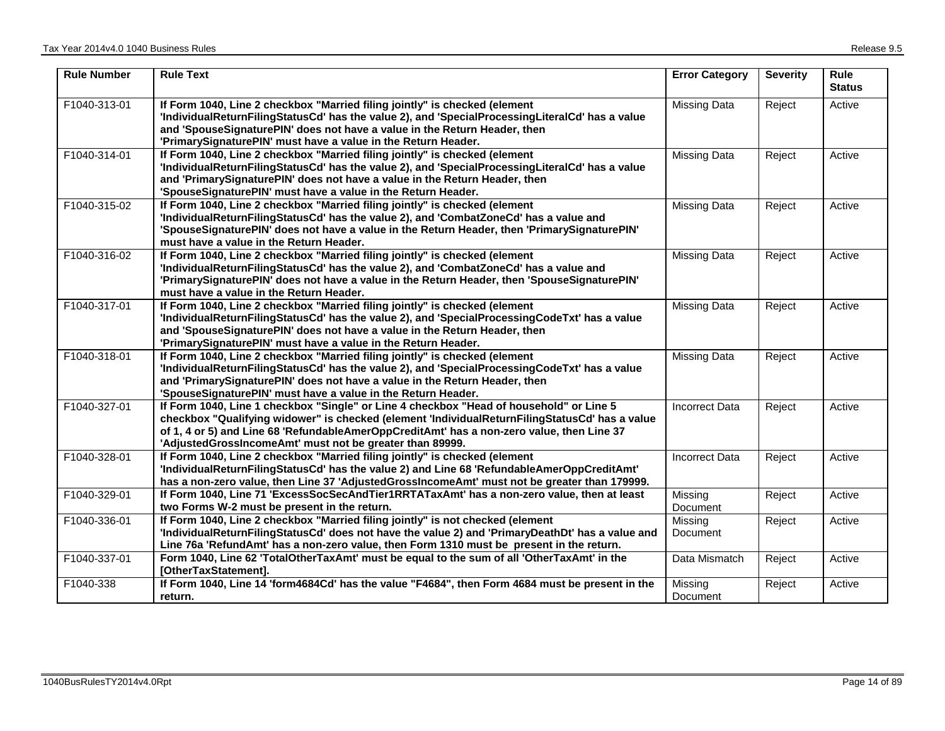| <b>Rule Number</b> | <b>Rule Text</b>                                                                                                                                                                                                                                                                                                                                   | <b>Error Category</b> | <b>Severity</b> | Rule<br><b>Status</b> |
|--------------------|----------------------------------------------------------------------------------------------------------------------------------------------------------------------------------------------------------------------------------------------------------------------------------------------------------------------------------------------------|-----------------------|-----------------|-----------------------|
| F1040-313-01       | If Form 1040, Line 2 checkbox "Married filing jointly" is checked (element<br>'IndividualReturnFilingStatusCd' has the value 2), and 'SpecialProcessingLiteralCd' has a value<br>and 'SpouseSignaturePIN' does not have a value in the Return Header, then<br>'PrimarySignaturePIN' must have a value in the Return Header.                        | <b>Missing Data</b>   | Reject          | Active                |
| F1040-314-01       | If Form 1040, Line 2 checkbox "Married filing jointly" is checked (element<br>'IndividualReturnFilingStatusCd' has the value 2), and 'SpecialProcessingLiteralCd' has a value<br>and 'PrimarySignaturePIN' does not have a value in the Return Header, then<br>'SpouseSignaturePIN' must have a value in the Return Header.                        | <b>Missing Data</b>   | Reject          | Active                |
| F1040-315-02       | If Form 1040, Line 2 checkbox "Married filing jointly" is checked (element<br>'IndividualReturnFilingStatusCd' has the value 2), and 'CombatZoneCd' has a value and<br>'SpouseSignaturePIN' does not have a value in the Return Header, then 'PrimarySignaturePIN'<br>must have a value in the Return Header.                                      | <b>Missing Data</b>   | Reject          | Active                |
| F1040-316-02       | If Form 1040, Line 2 checkbox "Married filing jointly" is checked (element<br>'IndividualReturnFilingStatusCd' has the value 2), and 'CombatZoneCd' has a value and<br>'PrimarySignaturePIN' does not have a value in the Return Header, then 'SpouseSignaturePIN'<br>must have a value in the Return Header.                                      | <b>Missing Data</b>   | Reject          | Active                |
| F1040-317-01       | If Form 1040, Line 2 checkbox "Married filing jointly" is checked (element<br>'IndividualReturnFilingStatusCd' has the value 2), and 'SpecialProcessingCodeTxt' has a value<br>and 'SpouseSignaturePIN' does not have a value in the Return Header, then<br>'PrimarySignaturePIN' must have a value in the Return Header.                          | <b>Missing Data</b>   | Reject          | Active                |
| F1040-318-01       | If Form 1040, Line 2 checkbox "Married filing jointly" is checked (element<br>'IndividualReturnFilingStatusCd' has the value 2), and 'SpecialProcessingCodeTxt' has a value<br>and 'PrimarySignaturePIN' does not have a value in the Return Header, then<br>'SpouseSignaturePIN' must have a value in the Return Header.                          | <b>Missing Data</b>   | Reject          | Active                |
| F1040-327-01       | If Form 1040, Line 1 checkbox "Single" or Line 4 checkbox "Head of household" or Line 5<br>checkbox "Qualifying widower" is checked (element 'IndividualReturnFilingStatusCd' has a value<br>of 1, 4 or 5) and Line 68 'RefundableAmerOppCreditAmt' has a non-zero value, then Line 37<br>'AdjustedGrossIncomeAmt' must not be greater than 89999. | <b>Incorrect Data</b> | Reject          | Active                |
| F1040-328-01       | If Form 1040, Line 2 checkbox "Married filing jointly" is checked (element<br>'IndividualReturnFilingStatusCd' has the value 2) and Line 68 'RefundableAmerOppCreditAmt'<br>has a non-zero value, then Line 37 'AdjustedGrossIncomeAmt' must not be greater than 179999.                                                                           | <b>Incorrect Data</b> | Reject          | Active                |
| F1040-329-01       | If Form 1040, Line 71 'ExcessSocSecAndTier1RRTATaxAmt' has a non-zero value, then at least<br>two Forms W-2 must be present in the return.                                                                                                                                                                                                         | Missing<br>Document   | Reject          | Active                |
| F1040-336-01       | If Form 1040, Line 2 checkbox "Married filing jointly" is not checked (element<br>'IndividualReturnFilingStatusCd' does not have the value 2) and 'PrimaryDeathDt' has a value and<br>Line 76a 'RefundAmt' has a non-zero value, then Form 1310 must be present in the return.                                                                     | Missing<br>Document   | Reject          | Active                |
| F1040-337-01       | Form 1040, Line 62 'TotalOtherTaxAmt' must be equal to the sum of all 'OtherTaxAmt' in the<br>[OtherTaxStatement].                                                                                                                                                                                                                                 | Data Mismatch         | Reject          | Active                |
| F1040-338          | If Form 1040, Line 14 'form4684Cd' has the value "F4684", then Form 4684 must be present in the<br>return.                                                                                                                                                                                                                                         | Missing<br>Document   | Reject          | Active                |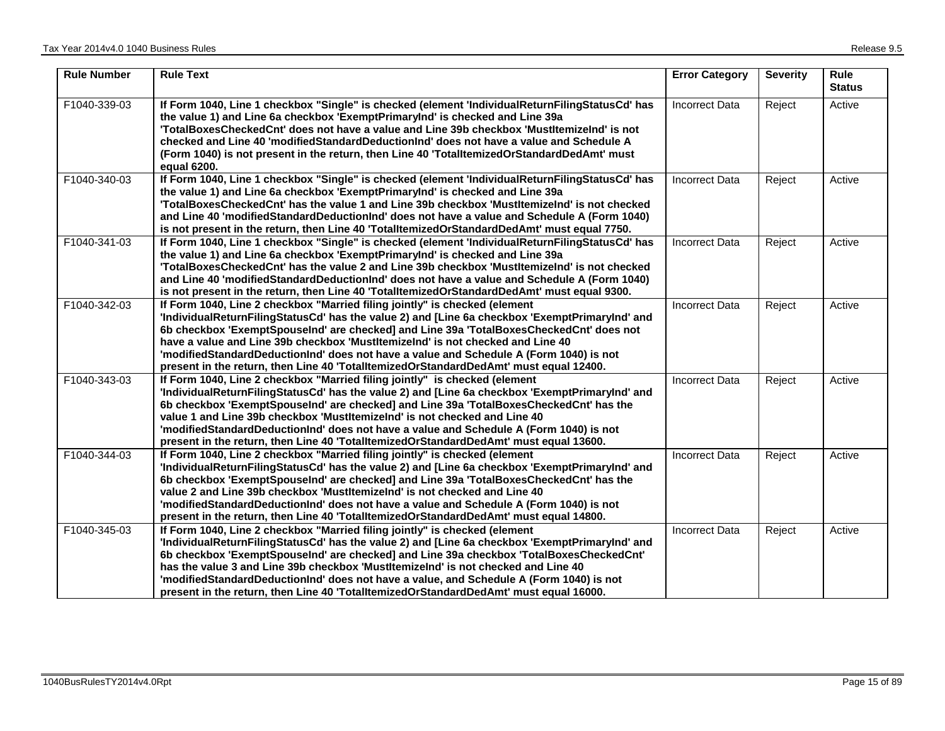| <b>Rule Number</b> | <b>Rule Text</b>                                                                                                                                                                                                                                                                                                                                                                                                                                                                                                                                 | <b>Error Category</b> | <b>Severity</b> | Rule<br><b>Status</b> |
|--------------------|--------------------------------------------------------------------------------------------------------------------------------------------------------------------------------------------------------------------------------------------------------------------------------------------------------------------------------------------------------------------------------------------------------------------------------------------------------------------------------------------------------------------------------------------------|-----------------------|-----------------|-----------------------|
| F1040-339-03       | If Form 1040, Line 1 checkbox "Single" is checked (element 'IndividualReturnFilingStatusCd' has<br>the value 1) and Line 6a checkbox 'ExemptPrimaryInd' is checked and Line 39a<br>'TotalBoxesCheckedCnt' does not have a value and Line 39b checkbox 'MustItemizeInd' is not<br>checked and Line 40 'modifiedStandardDeductionInd' does not have a value and Schedule A<br>(Form 1040) is not present in the return, then Line 40 'TotalltemizedOrStandardDedAmt' must<br>equal 6200.                                                           | <b>Incorrect Data</b> | Reject          | Active                |
| F1040-340-03       | If Form 1040, Line 1 checkbox "Single" is checked (element 'IndividualReturnFilingStatusCd' has<br>the value 1) and Line 6a checkbox 'ExemptPrimaryInd' is checked and Line 39a<br>'TotalBoxesCheckedCnt' has the value 1 and Line 39b checkbox 'MustItemizeInd' is not checked<br>and Line 40 'modifiedStandardDeductionInd' does not have a value and Schedule A (Form 1040)<br>is not present in the return, then Line 40 'TotalltemizedOrStandardDedAmt' must equal 7750.                                                                    | <b>Incorrect Data</b> | Reject          | Active                |
| F1040-341-03       | If Form 1040, Line 1 checkbox "Single" is checked (element 'IndividualReturnFilingStatusCd' has<br>the value 1) and Line 6a checkbox 'ExemptPrimaryInd' is checked and Line 39a<br>'TotalBoxesCheckedCnt' has the value 2 and Line 39b checkbox 'MustItemizeInd' is not checked<br>and Line 40 'modified Standard Deduction Ind' does not have a value and Schedule A (Form 1040)<br>is not present in the return, then Line 40 'TotalItemizedOrStandardDedAmt' must equal 9300.                                                                 | <b>Incorrect Data</b> | Reject          | Active                |
| F1040-342-03       | If Form 1040, Line 2 checkbox "Married filing jointly" is checked (element<br>'IndividualReturnFilingStatusCd' has the value 2) and [Line 6a checkbox 'ExemptPrimaryInd' and<br>6b checkbox 'ExemptSpouseInd' are checked] and Line 39a 'TotalBoxesCheckedCnt' does not<br>have a value and Line 39b checkbox 'MustItemizeInd' is not checked and Line 40<br>'modifiedStandardDeductionInd' does not have a value and Schedule A (Form 1040) is not<br>present in the return, then Line 40 'TotalltemizedOrStandardDedAmt' must equal 12400.     | <b>Incorrect Data</b> | Reject          | Active                |
| F1040-343-03       | If Form 1040, Line 2 checkbox "Married filing jointly" is checked (element<br>'IndividualReturnFilingStatusCd' has the value 2) and [Line 6a checkbox 'ExemptPrimaryInd' and<br>6b checkbox 'ExemptSpouseInd' are checked] and Line 39a 'TotalBoxesCheckedCnt' has the<br>value 1 and Line 39b checkbox 'Mustltemizelnd' is not checked and Line 40<br>'modifiedStandardDeductionInd' does not have a value and Schedule A (Form 1040) is not<br>present in the return, then Line 40 'TotalItemizedOrStandardDedAmt' must equal 13600.           | <b>Incorrect Data</b> | Reject          | Active                |
| F1040-344-03       | If Form 1040, Line 2 checkbox "Married filing jointly" is checked (element<br>'IndividualReturnFilingStatusCd' has the value 2) and [Line 6a checkbox 'ExemptPrimaryInd' and<br>6b checkbox 'ExemptSpouseInd' are checked] and Line 39a 'TotalBoxesCheckedCnt' has the<br>value 2 and Line 39b checkbox 'Mustltemizelnd' is not checked and Line 40<br>'modifiedStandardDeductionInd' does not have a value and Schedule A (Form 1040) is not<br>present in the return, then Line 40 'TotalltemizedOrStandardDedAmt' must equal 14800.           | <b>Incorrect Data</b> | Reject          | Active                |
| F1040-345-03       | If Form 1040, Line 2 checkbox "Married filing jointly" is checked (element<br>'IndividualReturnFilingStatusCd' has the value 2) and [Line 6a checkbox 'ExemptPrimaryInd' and<br>6b checkbox 'ExemptSpouseInd' are checked] and Line 39a checkbox 'TotalBoxesCheckedCnt'<br>has the value 3 and Line 39b checkbox 'MustItemizeInd' is not checked and Line 40<br>'modifiedStandardDeductionInd' does not have a value, and Schedule A (Form 1040) is not<br>present in the return, then Line 40 'TotalltemizedOrStandardDedAmt' must equal 16000. | <b>Incorrect Data</b> | Reject          | Active                |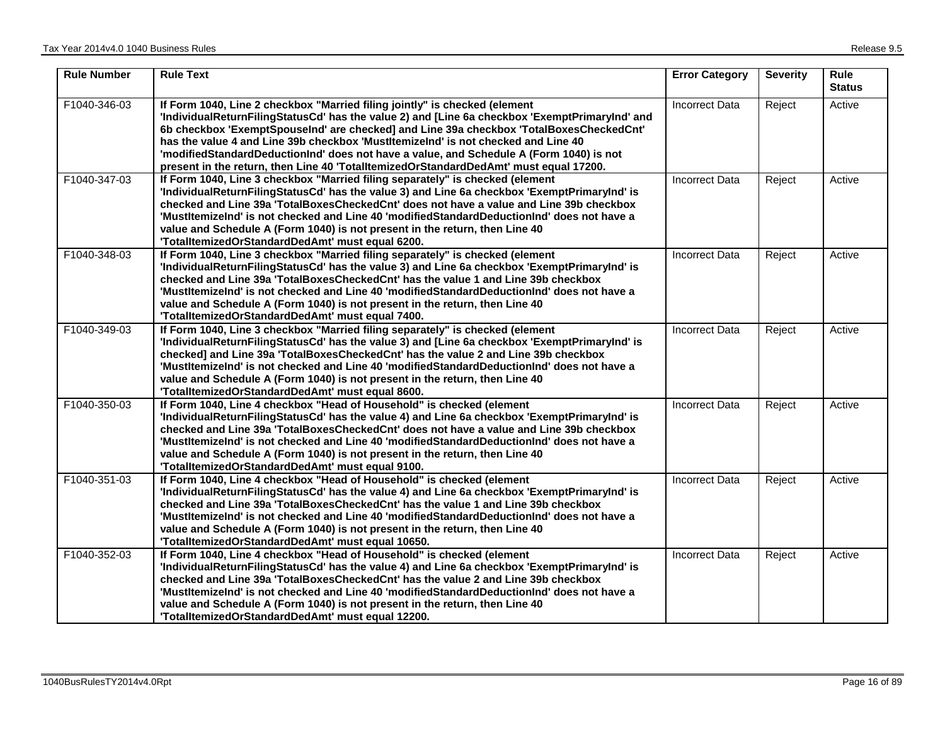| <b>Rule Number</b> | <b>Rule Text</b>                                                                                                                                                                                                                                                                                                                                                                                                                                                                                                                                 | <b>Error Category</b> | <b>Severity</b> | <b>Rule</b><br><b>Status</b> |
|--------------------|--------------------------------------------------------------------------------------------------------------------------------------------------------------------------------------------------------------------------------------------------------------------------------------------------------------------------------------------------------------------------------------------------------------------------------------------------------------------------------------------------------------------------------------------------|-----------------------|-----------------|------------------------------|
| F1040-346-03       | If Form 1040, Line 2 checkbox "Married filing jointly" is checked (element<br>'IndividualReturnFilingStatusCd' has the value 2) and [Line 6a checkbox 'ExemptPrimaryInd' and<br>6b checkbox 'ExemptSpouseInd' are checked] and Line 39a checkbox 'TotalBoxesCheckedCnt'<br>has the value 4 and Line 39b checkbox 'MustItemizeInd' is not checked and Line 40<br>'modifiedStandardDeductionInd' does not have a value, and Schedule A (Form 1040) is not<br>present in the return, then Line 40 'TotalltemizedOrStandardDedAmt' must equal 17200. | <b>Incorrect Data</b> | Reject          | Active                       |
| F1040-347-03       | If Form 1040, Line 3 checkbox "Married filing separately" is checked (element<br>'IndividualReturnFilingStatusCd' has the value 3) and Line 6a checkbox 'ExemptPrimaryInd' is<br>checked and Line 39a 'TotalBoxesCheckedCnt' does not have a value and Line 39b checkbox<br>'MustItemizelnd' is not checked and Line 40 'modifiedStandardDeductionInd' does not have a<br>value and Schedule A (Form 1040) is not present in the return, then Line 40<br>'TotalltemizedOrStandardDedAmt' must equal 6200.                                        | <b>Incorrect Data</b> | Reject          | Active                       |
| F1040-348-03       | If Form 1040, Line 3 checkbox "Married filing separately" is checked (element<br>'IndividualReturnFilingStatusCd' has the value 3) and Line 6a checkbox 'ExemptPrimaryInd' is<br>checked and Line 39a 'TotalBoxesCheckedCnt' has the value 1 and Line 39b checkbox<br>'MustItemizelnd' is not checked and Line 40 'modifiedStandardDeductionInd' does not have a<br>value and Schedule A (Form 1040) is not present in the return, then Line 40<br>'TotalltemizedOrStandardDedAmt' must equal 7400.                                              | <b>Incorrect Data</b> | Reject          | Active                       |
| F1040-349-03       | If Form 1040, Line 3 checkbox "Married filing separately" is checked (element<br>'IndividualReturnFilingStatusCd' has the value 3) and [Line 6a checkbox 'ExemptPrimaryInd' is<br>checked] and Line 39a 'TotalBoxesCheckedCnt' has the value 2 and Line 39b checkbox<br>'MustItemizeInd' is not checked and Line 40 'modifiedStandardDeductionInd' does not have a<br>value and Schedule A (Form 1040) is not present in the return, then Line 40<br>'TotalltemizedOrStandardDedAmt' must equal 8600.                                            | <b>Incorrect Data</b> | Reject          | Active                       |
| F1040-350-03       | If Form 1040, Line 4 checkbox "Head of Household" is checked (element<br>'IndividualReturnFilingStatusCd' has the value 4) and Line 6a checkbox 'ExemptPrimaryInd' is<br>checked and Line 39a 'TotalBoxesCheckedCnt' does not have a value and Line 39b checkbox<br>'MustItemizeInd' is not checked and Line 40 'modifiedStandardDeductionInd' does not have a<br>value and Schedule A (Form 1040) is not present in the return, then Line 40<br>'TotalltemizedOrStandardDedAmt' must equal 9100.                                                | <b>Incorrect Data</b> | Reject          | Active                       |
| F1040-351-03       | If Form 1040, Line 4 checkbox "Head of Household" is checked (element<br>'IndividualReturnFilingStatusCd' has the value 4) and Line 6a checkbox 'ExemptPrimaryInd' is<br>checked and Line 39a 'TotalBoxesCheckedCnt' has the value 1 and Line 39b checkbox<br>'MustItemizeInd' is not checked and Line 40 'modifiedStandardDeductionInd' does not have a<br>value and Schedule A (Form 1040) is not present in the return, then Line 40<br>'TotalltemizedOrStandardDedAmt' must equal 10650.                                                     | <b>Incorrect Data</b> | Reject          | Active                       |
| F1040-352-03       | If Form 1040, Line 4 checkbox "Head of Household" is checked (element<br>'IndividualReturnFilingStatusCd' has the value 4) and Line 6a checkbox 'ExemptPrimaryInd' is<br>checked and Line 39a 'TotalBoxesCheckedCnt' has the value 2 and Line 39b checkbox<br>'MustItemizeInd' is not checked and Line 40 'modifiedStandardDeductionInd' does not have a<br>value and Schedule A (Form 1040) is not present in the return, then Line 40<br>'TotalltemizedOrStandardDedAmt' must equal 12200.                                                     | <b>Incorrect Data</b> | Reject          | Active                       |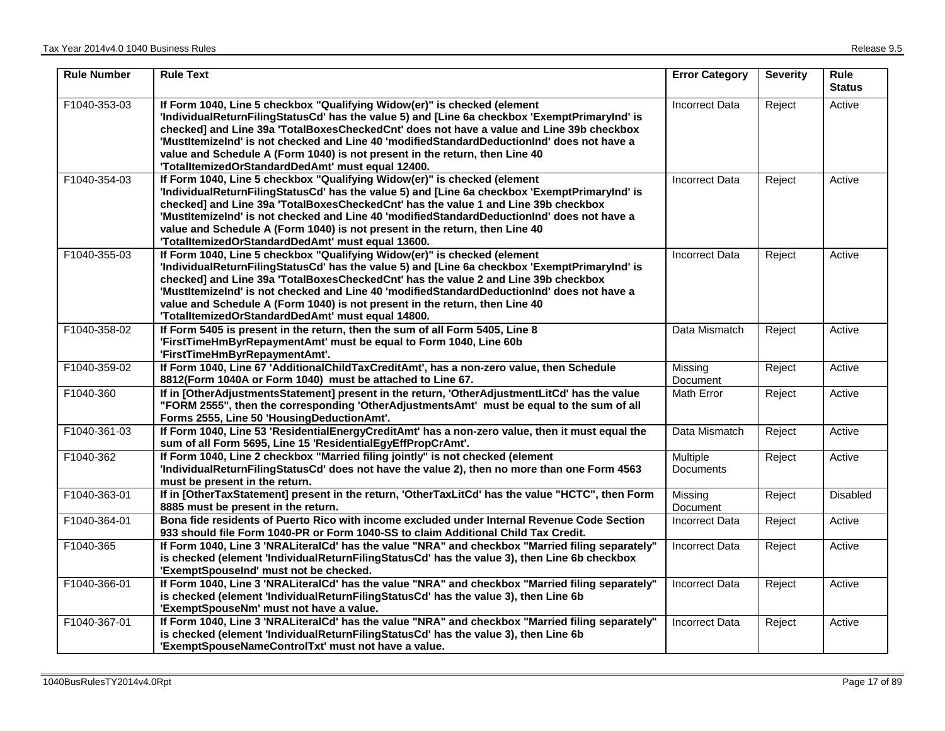| <b>Rule Number</b> | <b>Rule Text</b>                                                                                                                                                                                                                                                                                                                                                                                                                                                                                        | <b>Error Category</b>               | <b>Severity</b> | <b>Rule</b><br><b>Status</b> |
|--------------------|---------------------------------------------------------------------------------------------------------------------------------------------------------------------------------------------------------------------------------------------------------------------------------------------------------------------------------------------------------------------------------------------------------------------------------------------------------------------------------------------------------|-------------------------------------|-----------------|------------------------------|
| F1040-353-03       | If Form 1040, Line 5 checkbox "Qualifying Widow(er)" is checked (element<br>'IndividualReturnFilingStatusCd' has the value 5) and [Line 6a checkbox 'ExemptPrimaryInd' is<br>checked] and Line 39a 'TotalBoxesCheckedCnt' does not have a value and Line 39b checkbox<br>'MustItemizeInd' is not checked and Line 40 'modifiedStandardDeductionInd' does not have a<br>value and Schedule A (Form 1040) is not present in the return, then Line 40<br>'TotalltemizedOrStandardDedAmt' must equal 12400. | <b>Incorrect Data</b>               | Reject          | Active                       |
| F1040-354-03       | If Form 1040, Line 5 checkbox "Qualifying Widow(er)" is checked (element<br>'IndividualReturnFilingStatusCd' has the value 5) and [Line 6a checkbox 'ExemptPrimaryInd' is<br>checked] and Line 39a 'TotalBoxesCheckedCnt' has the value 1 and Line 39b checkbox<br>'MustItemizeInd' is not checked and Line 40 'modifiedStandardDeductionInd' does not have a<br>value and Schedule A (Form 1040) is not present in the return, then Line 40<br>'TotalltemizedOrStandardDedAmt' must equal 13600.       | <b>Incorrect Data</b>               | Reject          | Active                       |
| F1040-355-03       | If Form 1040, Line 5 checkbox "Qualifying Widow(er)" is checked (element<br>'IndividualReturnFilingStatusCd' has the value 5) and [Line 6a checkbox 'ExemptPrimaryInd' is<br>checked] and Line 39a 'TotalBoxesCheckedCnt' has the value 2 and Line 39b checkbox<br>'MustItemizeInd' is not checked and Line 40 'modifiedStandardDeductionInd' does not have a<br>value and Schedule A (Form 1040) is not present in the return, then Line 40<br>'TotalltemizedOrStandardDedAmt' must equal 14800.       | <b>Incorrect Data</b>               | Reject          | Active                       |
| F1040-358-02       | If Form 5405 is present in the return, then the sum of all Form 5405, Line 8<br>'FirstTimeHmByrRepaymentAmt' must be equal to Form 1040, Line 60b<br>'FirstTimeHmByrRepaymentAmt'.                                                                                                                                                                                                                                                                                                                      | Data Mismatch                       | Reject          | Active                       |
| F1040-359-02       | If Form 1040, Line 67 'AdditionalChildTaxCreditAmt', has a non-zero value, then Schedule<br>8812(Form 1040A or Form 1040) must be attached to Line 67.                                                                                                                                                                                                                                                                                                                                                  | Missing<br>Document                 | Reject          | Active                       |
| F1040-360          | If in [OtherAdjustmentsStatement] present in the return, 'OtherAdjustmentLitCd' has the value<br>"FORM 2555", then the corresponding 'OtherAdjustmentsAmt' must be equal to the sum of all<br>Forms 2555, Line 50 'HousingDeductionAmt'.                                                                                                                                                                                                                                                                | Math Error                          | Reject          | Active                       |
| F1040-361-03       | If Form 1040, Line 53 'ResidentialEnergyCreditAmt' has a non-zero value, then it must equal the<br>sum of all Form 5695, Line 15 'ResidentialEgyEffPropCrAmt'.                                                                                                                                                                                                                                                                                                                                          | Data Mismatch                       | Reject          | Active                       |
| F1040-362          | If Form 1040, Line 2 checkbox "Married filing jointly" is not checked (element<br>'IndividualReturnFilingStatusCd' does not have the value 2), then no more than one Form 4563<br>must be present in the return.                                                                                                                                                                                                                                                                                        | <b>Multiple</b><br><b>Documents</b> | Reject          | Active                       |
| F1040-363-01       | If in [OtherTaxStatement] present in the return, 'OtherTaxLitCd' has the value "HCTC", then Form<br>8885 must be present in the return.                                                                                                                                                                                                                                                                                                                                                                 | Missing<br><b>Document</b>          | Reject          | Disabled                     |
| F1040-364-01       | Bona fide residents of Puerto Rico with income excluded under Internal Revenue Code Section<br>933 should file Form 1040-PR or Form 1040-SS to claim Additional Child Tax Credit.                                                                                                                                                                                                                                                                                                                       | <b>Incorrect Data</b>               | Reject          | Active                       |
| F1040-365          | If Form 1040, Line 3 'NRALiteralCd' has the value "NRA" and checkbox "Married filing separately"<br>is checked (element 'IndividualReturnFilingStatusCd' has the value 3), then Line 6b checkbox<br>'ExemptSpouseInd' must not be checked.                                                                                                                                                                                                                                                              | <b>Incorrect Data</b>               | Reject          | Active                       |
| F1040-366-01       | If Form 1040, Line 3 'NRALiteralCd' has the value "NRA" and checkbox "Married filing separately"<br>is checked (element 'IndividualReturnFilingStatusCd' has the value 3), then Line 6b<br>'ExemptSpouseNm' must not have a value.                                                                                                                                                                                                                                                                      | <b>Incorrect Data</b>               | Reject          | Active                       |
| F1040-367-01       | If Form 1040, Line 3 'NRALiteralCd' has the value "NRA" and checkbox "Married filing separately"<br>is checked (element 'IndividualReturnFilingStatusCd' has the value 3), then Line 6b<br>'ExemptSpouseNameControlTxt' must not have a value.                                                                                                                                                                                                                                                          | <b>Incorrect Data</b>               | Reject          | Active                       |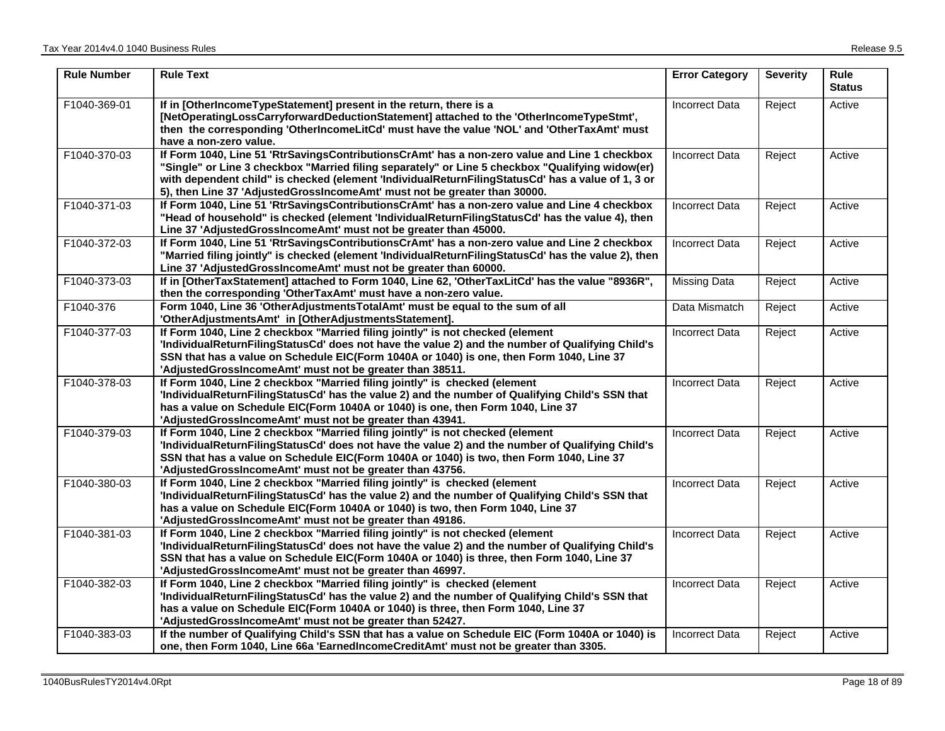| <b>Rule Number</b> | <b>Rule Text</b>                                                                                                                                                                                                                                                                                                                                                                    | <b>Error Category</b> | <b>Severity</b> | <b>Rule</b><br><b>Status</b> |
|--------------------|-------------------------------------------------------------------------------------------------------------------------------------------------------------------------------------------------------------------------------------------------------------------------------------------------------------------------------------------------------------------------------------|-----------------------|-----------------|------------------------------|
| F1040-369-01       | If in [OtherIncomeTypeStatement] present in the return, there is a<br>[NetOperatingLossCarryforwardDeductionStatement] attached to the 'OtherIncomeTypeStmt',<br>then the corresponding 'OtherIncomeLitCd' must have the value 'NOL' and 'OtherTaxAmt' must<br>have a non-zero value.                                                                                               | Incorrect Data        | Reject          | Active                       |
| F1040-370-03       | If Form 1040, Line 51 'RtrSavingsContributionsCrAmt' has a non-zero value and Line 1 checkbox<br>"Single" or Line 3 checkbox "Married filing separately" or Line 5 checkbox "Qualifying widow(er)<br>with dependent child" is checked (element 'IndividualReturnFilingStatusCd' has a value of 1, 3 or<br>5), then Line 37 'AdjustedGrossIncomeAmt' must not be greater than 30000. | <b>Incorrect Data</b> | Reject          | Active                       |
| F1040-371-03       | If Form 1040, Line 51 'RtrSavingsContributionsCrAmt' has a non-zero value and Line 4 checkbox<br>"Head of household" is checked (element 'IndividualReturnFilingStatusCd' has the value 4), then<br>Line 37 'AdjustedGrossIncomeAmt' must not be greater than 45000.                                                                                                                | <b>Incorrect Data</b> | Reject          | Active                       |
| F1040-372-03       | If Form 1040, Line 51 'RtrSavingsContributionsCrAmt' has a non-zero value and Line 2 checkbox<br>"Married filing jointly" is checked (element 'IndividualReturnFilingStatusCd' has the value 2), then<br>Line 37 'AdjustedGrossIncomeAmt' must not be greater than 60000.                                                                                                           | <b>Incorrect Data</b> | Reject          | Active                       |
| F1040-373-03       | If in [OtherTaxStatement] attached to Form 1040, Line 62, 'OtherTaxLitCd' has the value "8936R",<br>then the corresponding 'OtherTaxAmt' must have a non-zero value.                                                                                                                                                                                                                | <b>Missing Data</b>   | Reject          | Active                       |
| F1040-376          | Form 1040, Line 36 'OtherAdjustmentsTotalAmt' must be equal to the sum of all<br>'OtherAdjustmentsAmt' in [OtherAdjustmentsStatement].                                                                                                                                                                                                                                              | Data Mismatch         | Reject          | Active                       |
| F1040-377-03       | If Form 1040, Line 2 checkbox "Married filing jointly" is not checked (element<br>'IndividualReturnFilingStatusCd' does not have the value 2) and the number of Qualifying Child's<br>SSN that has a value on Schedule EIC(Form 1040A or 1040) is one, then Form 1040, Line 37<br>'AdjustedGrossIncomeAmt' must not be greater than 38511.                                          | <b>Incorrect Data</b> | Reject          | Active                       |
| F1040-378-03       | If Form 1040, Line 2 checkbox "Married filing jointly" is checked (element<br>'IndividualReturnFilingStatusCd' has the value 2) and the number of Qualifying Child's SSN that<br>has a value on Schedule EIC(Form 1040A or 1040) is one, then Form 1040, Line 37<br>'AdjustedGrossIncomeAmt' must not be greater than 43941.                                                        | <b>Incorrect Data</b> | Reject          | Active                       |
| F1040-379-03       | If Form 1040, Line 2 checkbox "Married filing jointly" is not checked (element<br>'IndividualReturnFilingStatusCd' does not have the value 2) and the number of Qualifying Child's<br>SSN that has a value on Schedule EIC(Form 1040A or 1040) is two, then Form 1040, Line 37<br>'AdjustedGrossIncomeAmt' must not be greater than 43756.                                          | <b>Incorrect Data</b> | Reject          | Active                       |
| F1040-380-03       | If Form 1040, Line 2 checkbox "Married filing jointly" is checked (element<br>'IndividualReturnFilingStatusCd' has the value 2) and the number of Qualifying Child's SSN that<br>has a value on Schedule EIC(Form 1040A or 1040) is two, then Form 1040, Line 37<br>'AdjustedGrossIncomeAmt' must not be greater than 49186.                                                        | <b>Incorrect Data</b> | Reject          | Active                       |
| F1040-381-03       | If Form 1040, Line 2 checkbox "Married filing jointly" is not checked (element<br>'IndividualReturnFilingStatusCd' does not have the value 2) and the number of Qualifying Child's<br>SSN that has a value on Schedule EIC(Form 1040A or 1040) is three, then Form 1040, Line 37<br>'AdjustedGrossIncomeAmt' must not be greater than 46997.                                        | <b>Incorrect Data</b> | Reject          | Active                       |
| F1040-382-03       | If Form 1040, Line 2 checkbox "Married filing jointly" is checked (element<br>'IndividualReturnFilingStatusCd' has the value 2) and the number of Qualifying Child's SSN that<br>has a value on Schedule EIC(Form 1040A or 1040) is three, then Form 1040, Line 37<br>'AdjustedGrossIncomeAmt' must not be greater than 52427.                                                      | <b>Incorrect Data</b> | Reject          | Active                       |
| F1040-383-03       | If the number of Qualifying Child's SSN that has a value on Schedule EIC (Form 1040A or 1040) is<br>one, then Form 1040, Line 66a 'EarnedIncomeCreditAmt' must not be greater than 3305.                                                                                                                                                                                            | <b>Incorrect Data</b> | Reject          | Active                       |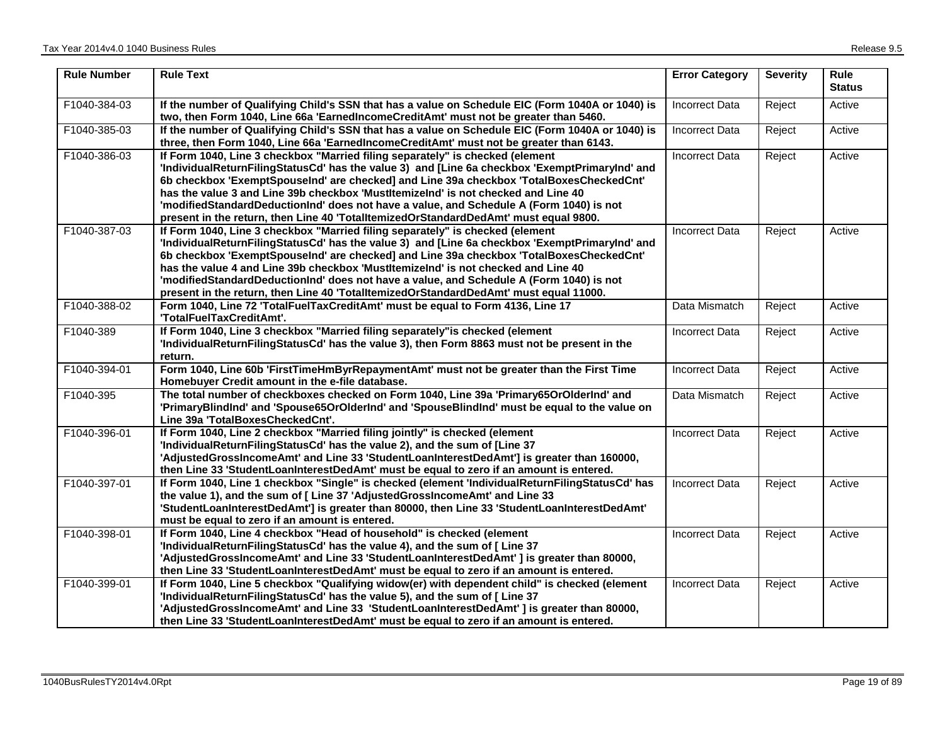| <b>Rule Number</b> | <b>Rule Text</b>                                                                                                                                                                                                                                                                                                                                                                                                                                                                                                                                    | <b>Error Category</b> | <b>Severity</b> | <b>Rule</b><br><b>Status</b> |
|--------------------|-----------------------------------------------------------------------------------------------------------------------------------------------------------------------------------------------------------------------------------------------------------------------------------------------------------------------------------------------------------------------------------------------------------------------------------------------------------------------------------------------------------------------------------------------------|-----------------------|-----------------|------------------------------|
| F1040-384-03       | If the number of Qualifying Child's SSN that has a value on Schedule EIC (Form 1040A or 1040) is<br>two, then Form 1040, Line 66a 'EarnedIncomeCreditAmt' must not be greater than 5460.                                                                                                                                                                                                                                                                                                                                                            | Incorrect Data        | Reject          | Active                       |
| F1040-385-03       | If the number of Qualifying Child's SSN that has a value on Schedule EIC (Form 1040A or 1040) is<br>three, then Form 1040, Line 66a 'EarnedIncomeCreditAmt' must not be greater than 6143.                                                                                                                                                                                                                                                                                                                                                          | <b>Incorrect Data</b> | Reject          | Active                       |
| F1040-386-03       | If Form 1040, Line 3 checkbox "Married filing separately" is checked (element<br>'IndividualReturnFilingStatusCd' has the value 3) and [Line 6a checkbox 'ExemptPrimaryInd' and<br>6b checkbox 'ExemptSpouseInd' are checked] and Line 39a checkbox 'TotalBoxesCheckedCnt'<br>has the value 3 and Line 39b checkbox 'MustItemizeInd' is not checked and Line 40<br>'modifiedStandardDeductionInd' does not have a value, and Schedule A (Form 1040) is not<br>present in the return, then Line 40 'TotalltemizedOrStandardDedAmt' must equal 9800.  | Incorrect Data        | Reject          | Active                       |
| F1040-387-03       | If Form 1040, Line 3 checkbox "Married filing separately" is checked (element<br>'IndividualReturnFilingStatusCd' has the value 3) and [Line 6a checkbox 'ExemptPrimaryInd' and<br>6b checkbox 'ExemptSpouseInd' are checked] and Line 39a checkbox 'TotalBoxesCheckedCnt'<br>has the value 4 and Line 39b checkbox 'MustItemizelnd' is not checked and Line 40<br>'modifiedStandardDeductionInd' does not have a value, and Schedule A (Form 1040) is not<br>present in the return, then Line 40 'TotalltemizedOrStandardDedAmt' must equal 11000. | <b>Incorrect Data</b> | Reject          | Active                       |
| F1040-388-02       | Form 1040, Line 72 'TotalFuelTaxCreditAmt' must be equal to Form 4136, Line 17<br>'TotalFuelTaxCreditAmt'.                                                                                                                                                                                                                                                                                                                                                                                                                                          | Data Mismatch         | Reject          | Active                       |
| F1040-389          | If Form 1040, Line 3 checkbox "Married filing separately" is checked (element<br>'IndividualReturnFilingStatusCd' has the value 3), then Form 8863 must not be present in the<br>return.                                                                                                                                                                                                                                                                                                                                                            | <b>Incorrect Data</b> | Reject          | Active                       |
| F1040-394-01       | Form 1040, Line 60b 'FirstTimeHmByrRepaymentAmt' must not be greater than the First Time<br>Homebuyer Credit amount in the e-file database.                                                                                                                                                                                                                                                                                                                                                                                                         | <b>Incorrect Data</b> | Reject          | Active                       |
| F1040-395          | The total number of checkboxes checked on Form 1040, Line 39a 'Primary65OrOlderInd' and<br>'PrimaryBlindInd' and 'Spouse65OrOlderInd' and 'SpouseBlindInd' must be equal to the value on<br>Line 39a 'TotalBoxesCheckedCnt'.                                                                                                                                                                                                                                                                                                                        | Data Mismatch         | Reject          | Active                       |
| F1040-396-01       | If Form 1040, Line 2 checkbox "Married filing jointly" is checked (element<br>'IndividualReturnFilingStatusCd' has the value 2), and the sum of [Line 37<br>'AdjustedGrossIncomeAmt' and Line 33 'StudentLoanInterestDedAmt'] is greater than 160000,<br>then Line 33 'StudentLoanInterestDedAmt' must be equal to zero if an amount is entered.                                                                                                                                                                                                    | <b>Incorrect Data</b> | Reject          | Active                       |
| F1040-397-01       | If Form 1040, Line 1 checkbox "Single" is checked (element 'IndividualReturnFilingStatusCd' has<br>the value 1), and the sum of [ Line 37 'AdjustedGrossIncomeAmt' and Line 33<br>'StudentLoanInterestDedAmt'] is greater than 80000, then Line 33 'StudentLoanInterestDedAmt'<br>must be equal to zero if an amount is entered.                                                                                                                                                                                                                    | <b>Incorrect Data</b> | Reject          | Active                       |
| F1040-398-01       | If Form 1040, Line 4 checkbox "Head of household" is checked (element<br>'IndividualReturnFilingStatusCd' has the value 4), and the sum of [ Line 37<br>'AdjustedGrossIncomeAmt' and Line 33 'StudentLoanInterestDedAmt' ] is greater than 80000,<br>then Line 33 'StudentLoanInterestDedAmt' must be equal to zero if an amount is entered.                                                                                                                                                                                                        | <b>Incorrect Data</b> | Reject          | Active                       |
| F1040-399-01       | If Form 1040, Line 5 checkbox "Qualifying widow(er) with dependent child" is checked (element<br>'IndividualReturnFilingStatusCd' has the value 5), and the sum of [ Line 37<br>'AdjustedGrossIncomeAmt' and Line 33 'StudentLoanInterestDedAmt'] is greater than 80000,<br>then Line 33 'StudentLoanInterestDedAmt' must be equal to zero if an amount is entered.                                                                                                                                                                                 | <b>Incorrect Data</b> | Reject          | Active                       |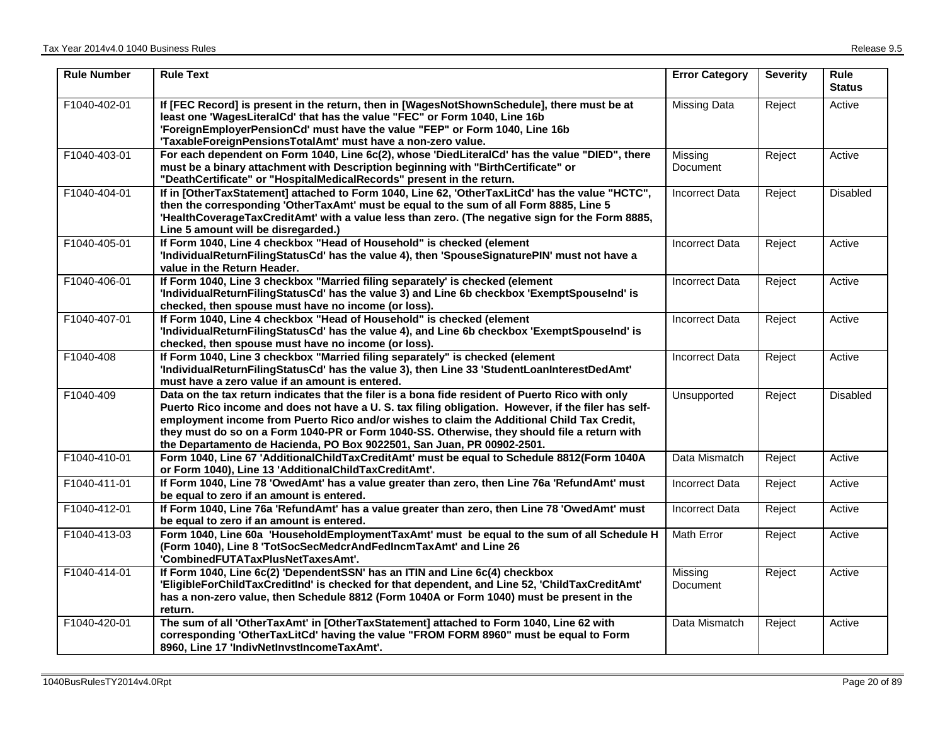| <b>Rule Number</b> | <b>Rule Text</b>                                                                                                                                                                                                                                                                                                                                                                                                                                                                | <b>Error Category</b> | <b>Severity</b> | <b>Rule</b><br><b>Status</b> |
|--------------------|---------------------------------------------------------------------------------------------------------------------------------------------------------------------------------------------------------------------------------------------------------------------------------------------------------------------------------------------------------------------------------------------------------------------------------------------------------------------------------|-----------------------|-----------------|------------------------------|
| F1040-402-01       | If [FEC Record] is present in the return, then in [WagesNotShownSchedule], there must be at<br>least one 'WagesLiteralCd' that has the value "FEC" or Form 1040, Line 16b<br>'ForeignEmployerPensionCd' must have the value "FEP" or Form 1040, Line 16b<br>'TaxableForeignPensionsTotalAmt' must have a non-zero value.                                                                                                                                                        | <b>Missing Data</b>   | Reject          | Active                       |
| F1040-403-01       | For each dependent on Form 1040, Line 6c(2), whose 'DiedLiteralCd' has the value "DIED", there<br>must be a binary attachment with Description beginning with "BirthCertificate" or<br>"DeathCertificate" or "HospitalMedicalRecords" present in the return.                                                                                                                                                                                                                    | Missing<br>Document   | Reject          | Active                       |
| F1040-404-01       | If in [OtherTaxStatement] attached to Form 1040, Line 62, 'OtherTaxLitCd' has the value "HCTC",<br>then the corresponding 'OtherTaxAmt' must be equal to the sum of all Form 8885, Line 5<br>'HealthCoverageTaxCreditAmt' with a value less than zero. (The negative sign for the Form 8885,<br>Line 5 amount will be disregarded.)                                                                                                                                             | <b>Incorrect Data</b> | Reject          | Disabled                     |
| F1040-405-01       | If Form 1040, Line 4 checkbox "Head of Household" is checked (element<br>'IndividualReturnFilingStatusCd' has the value 4), then 'SpouseSignaturePIN' must not have a<br>value in the Return Header.                                                                                                                                                                                                                                                                            | <b>Incorrect Data</b> | Reject          | Active                       |
| F1040-406-01       | If Form 1040, Line 3 checkbox "Married filing separately' is checked (element<br>'IndividualReturnFilingStatusCd' has the value 3) and Line 6b checkbox 'ExemptSpouseInd' is<br>checked, then spouse must have no income (or loss).                                                                                                                                                                                                                                             | <b>Incorrect Data</b> | Reject          | Active                       |
| F1040-407-01       | If Form 1040, Line 4 checkbox "Head of Household" is checked (element<br>'IndividualReturnFilingStatusCd' has the value 4), and Line 6b checkbox 'ExemptSpouseInd' is<br>checked, then spouse must have no income (or loss).                                                                                                                                                                                                                                                    | <b>Incorrect Data</b> | Reject          | Active                       |
| F1040-408          | If Form 1040, Line 3 checkbox "Married filing separately" is checked (element<br>'IndividualReturnFilingStatusCd' has the value 3), then Line 33 'StudentLoanInterestDedAmt'<br>must have a zero value if an amount is entered.                                                                                                                                                                                                                                                 | <b>Incorrect Data</b> | Reject          | Active                       |
| F1040-409          | Data on the tax return indicates that the filer is a bona fide resident of Puerto Rico with only<br>Puerto Rico income and does not have a U. S. tax filing obligation. However, if the filer has self-<br>employment income from Puerto Rico and/or wishes to claim the Additional Child Tax Credit,<br>they must do so on a Form 1040-PR or Form 1040-SS. Otherwise, they should file a return with<br>the Departamento de Hacienda, PO Box 9022501, San Juan, PR 00902-2501. | Unsupported           | Reject          | <b>Disabled</b>              |
| F1040-410-01       | Form 1040, Line 67 'AdditionalChildTaxCreditAmt' must be equal to Schedule 8812(Form 1040A<br>or Form 1040), Line 13 'AdditionalChildTaxCreditAmt'.                                                                                                                                                                                                                                                                                                                             | Data Mismatch         | Reject          | Active                       |
| F1040-411-01       | If Form 1040, Line 78 'OwedAmt' has a value greater than zero, then Line 76a 'RefundAmt' must<br>be equal to zero if an amount is entered.                                                                                                                                                                                                                                                                                                                                      | <b>Incorrect Data</b> | Reject          | Active                       |
| F1040-412-01       | If Form 1040, Line 76a 'RefundAmt' has a value greater than zero, then Line 78 'OwedAmt' must<br>be equal to zero if an amount is entered.                                                                                                                                                                                                                                                                                                                                      | <b>Incorrect Data</b> | Reject          | Active                       |
| F1040-413-03       | Form 1040, Line 60a 'HouseholdEmploymentTaxAmt' must be equal to the sum of all Schedule H<br>(Form 1040), Line 8 'TotSocSecMedcrAndFedIncmTaxAmt' and Line 26<br>'CombinedFUTATaxPlusNetTaxesAmt'.                                                                                                                                                                                                                                                                             | Math Error            | Reject          | Active                       |
| F1040-414-01       | If Form 1040, Line 6c(2) 'DependentSSN' has an ITIN and Line 6c(4) checkbox<br>'EligibleForChildTaxCreditInd' is checked for that dependent, and Line 52, 'ChildTaxCreditAmt'<br>has a non-zero value, then Schedule 8812 (Form 1040A or Form 1040) must be present in the<br>return.                                                                                                                                                                                           | Missing<br>Document   | Reject          | Active                       |
| F1040-420-01       | The sum of all 'OtherTaxAmt' in [OtherTaxStatement] attached to Form 1040, Line 62 with<br>corresponding 'OtherTaxLitCd' having the value "FROM FORM 8960" must be equal to Form<br>8960, Line 17 'IndivNetInvstIncomeTaxAmt'.                                                                                                                                                                                                                                                  | Data Mismatch         | Reject          | Active                       |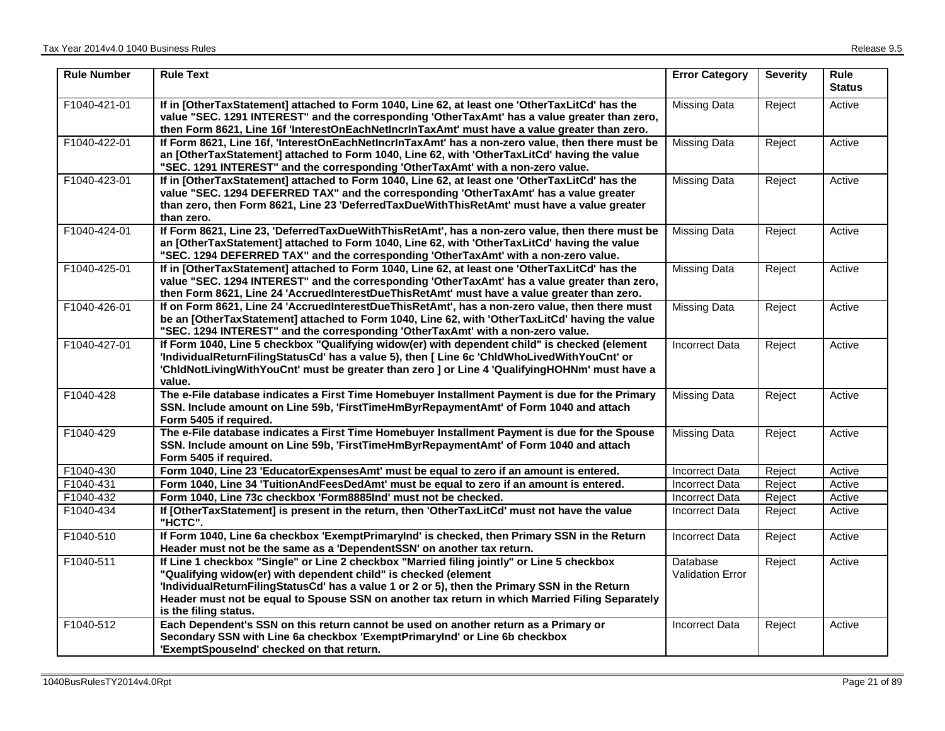| <b>Rule Number</b> | <b>Rule Text</b>                                                                                                                                                                                                                                                                                                                                                                           | <b>Error Category</b>               | <b>Severity</b> | <b>Rule</b><br><b>Status</b> |
|--------------------|--------------------------------------------------------------------------------------------------------------------------------------------------------------------------------------------------------------------------------------------------------------------------------------------------------------------------------------------------------------------------------------------|-------------------------------------|-----------------|------------------------------|
| F1040-421-01       | If in [OtherTaxStatement] attached to Form 1040, Line 62, at least one 'OtherTaxLitCd' has the<br>value "SEC. 1291 INTEREST" and the corresponding 'OtherTaxAmt' has a value greater than zero,<br>then Form 8621, Line 16f 'InterestOnEachNetIncrInTaxAmt' must have a value greater than zero.                                                                                           | <b>Missing Data</b>                 | Reject          | Active                       |
| F1040-422-01       | If Form 8621, Line 16f, 'InterestOnEachNetIncrInTaxAmt' has a non-zero value, then there must be<br>an [OtherTaxStatement] attached to Form 1040, Line 62, with 'OtherTaxLitCd' having the value<br>"SEC. 1291 INTEREST" and the corresponding 'OtherTaxAmt' with a non-zero value.                                                                                                        | <b>Missing Data</b>                 | Reject          | Active                       |
| F1040-423-01       | If in [OtherTaxStatement] attached to Form 1040, Line 62, at least one 'OtherTaxLitCd' has the<br>value "SEC. 1294 DEFERRED TAX" and the corresponding 'OtherTaxAmt' has a value greater<br>than zero, then Form 8621, Line 23 'DeferredTaxDueWithThisRetAmt' must have a value greater<br>than zero.                                                                                      | <b>Missing Data</b>                 | Reject          | Active                       |
| F1040-424-01       | If Form 8621, Line 23, 'DeferredTaxDueWithThisRetAmt', has a non-zero value, then there must be<br>an [OtherTaxStatement] attached to Form 1040, Line 62, with 'OtherTaxLitCd' having the value<br>"SEC. 1294 DEFERRED TAX" and the corresponding 'OtherTaxAmt' with a non-zero value.                                                                                                     | <b>Missing Data</b>                 | Reject          | Active                       |
| F1040-425-01       | If in [OtherTaxStatement] attached to Form 1040, Line 62, at least one 'OtherTaxLitCd' has the<br>value "SEC. 1294 INTEREST" and the corresponding 'OtherTaxAmt' has a value greater than zero,<br>then Form 8621, Line 24 'AccruedInterestDueThisRetAmt' must have a value greater than zero.                                                                                             | <b>Missing Data</b>                 | Reject          | Active                       |
| F1040-426-01       | If on Form 8621, Line 24 'AccruedInterestDueThisRetAmt', has a non-zero value, then there must<br>be an [OtherTaxStatement] attached to Form 1040, Line 62, with 'OtherTaxLitCd' having the value<br>"SEC. 1294 INTEREST" and the corresponding 'OtherTaxAmt' with a non-zero value.                                                                                                       | <b>Missing Data</b>                 | Reject          | Active                       |
| F1040-427-01       | If Form 1040, Line 5 checkbox "Qualifying widow(er) with dependent child" is checked (element<br>'IndividualReturnFilingStatusCd' has a value 5), then [ Line 6c 'ChldWhoLivedWithYouCnt' or<br>'ChldNotLivingWithYouCnt' must be greater than zero ] or Line 4 'QualifyingHOHNm' must have a<br>value.                                                                                    | <b>Incorrect Data</b>               | Reject          | Active                       |
| F1040-428          | The e-File database indicates a First Time Homebuyer Installment Payment is due for the Primary<br>SSN. Include amount on Line 59b, 'FirstTimeHmByrRepaymentAmt' of Form 1040 and attach<br>Form 5405 if required.                                                                                                                                                                         | <b>Missing Data</b>                 | Reject          | Active                       |
| F1040-429          | The e-File database indicates a First Time Homebuyer Installment Payment is due for the Spouse<br>SSN. Include amount on Line 59b, 'FirstTimeHmByrRepaymentAmt' of Form 1040 and attach<br>Form 5405 if required.                                                                                                                                                                          | <b>Missing Data</b>                 | Reject          | Active                       |
| F1040-430          | Form 1040, Line 23 'EducatorExpensesAmt' must be equal to zero if an amount is entered.                                                                                                                                                                                                                                                                                                    | <b>Incorrect Data</b>               | Reject          | Active                       |
| F1040-431          | Form 1040, Line 34 'TuitionAndFeesDedAmt' must be equal to zero if an amount is entered.                                                                                                                                                                                                                                                                                                   | <b>Incorrect Data</b>               | Reject          | Active                       |
| F1040-432          | Form 1040, Line 73c checkbox 'Form8885Ind' must not be checked.                                                                                                                                                                                                                                                                                                                            | <b>Incorrect Data</b>               | Reject          | Active                       |
| F1040-434          | If [OtherTaxStatement] is present in the return, then 'OtherTaxLitCd' must not have the value<br>"HCTC".                                                                                                                                                                                                                                                                                   | <b>Incorrect Data</b>               | Reject          | Active                       |
| F1040-510          | If Form 1040, Line 6a checkbox 'ExemptPrimaryInd' is checked, then Primary SSN in the Return<br>Header must not be the same as a 'DependentSSN' on another tax return.                                                                                                                                                                                                                     | <b>Incorrect Data</b>               | Reject          | Active                       |
| F1040-511          | If Line 1 checkbox "Single" or Line 2 checkbox "Married filing jointly" or Line 5 checkbox<br>"Qualifying widow(er) with dependent child" is checked (element<br>'IndividualReturnFilingStatusCd' has a value 1 or 2 or 5), then the Primary SSN in the Return<br>Header must not be equal to Spouse SSN on another tax return in which Married Filing Separately<br>is the filing status. | Database<br><b>Validation Error</b> | Reject          | Active                       |
| F1040-512          | Each Dependent's SSN on this return cannot be used on another return as a Primary or<br>Secondary SSN with Line 6a checkbox 'ExemptPrimaryInd' or Line 6b checkbox<br>'ExemptSpouseInd' checked on that return.                                                                                                                                                                            | <b>Incorrect Data</b>               | Reject          | Active                       |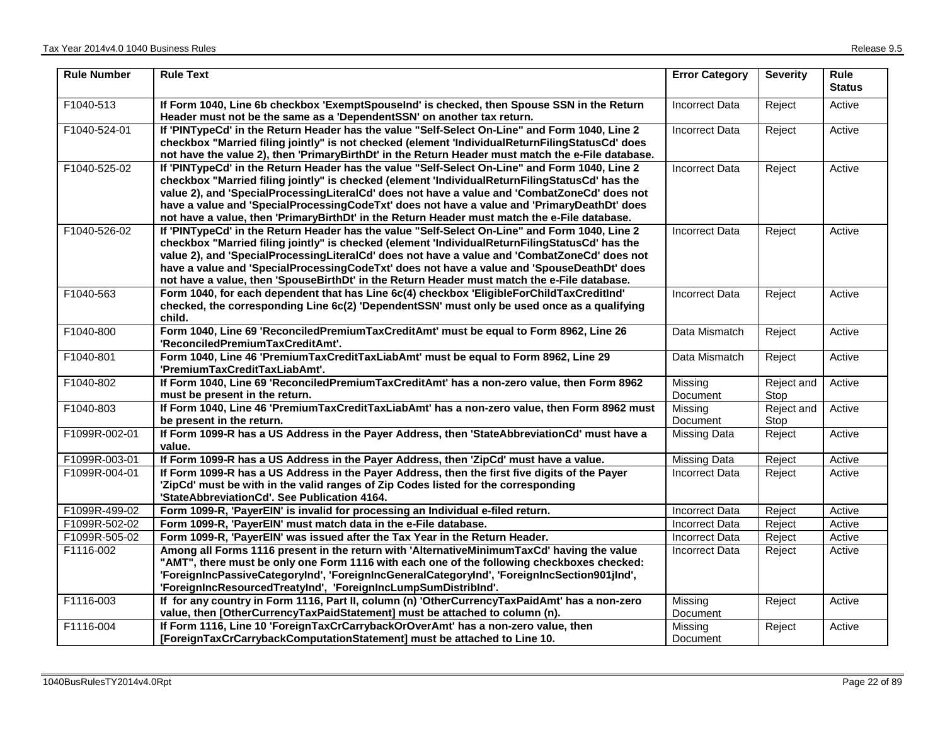| <b>Rule Number</b> | <b>Rule Text</b>                                                                                                                                                                                                                                                                                                                                                                                                                                                                               | <b>Error Category</b>      | <b>Severity</b>    | Rule<br><b>Status</b> |
|--------------------|------------------------------------------------------------------------------------------------------------------------------------------------------------------------------------------------------------------------------------------------------------------------------------------------------------------------------------------------------------------------------------------------------------------------------------------------------------------------------------------------|----------------------------|--------------------|-----------------------|
| F1040-513          | If Form 1040, Line 6b checkbox 'ExemptSpouseInd' is checked, then Spouse SSN in the Return<br>Header must not be the same as a 'DependentSSN' on another tax return.                                                                                                                                                                                                                                                                                                                           | <b>Incorrect Data</b>      | Reject             | Active                |
| F1040-524-01       | If 'PINTypeCd' in the Return Header has the value "Self-Select On-Line" and Form 1040, Line 2<br>checkbox "Married filing jointly" is not checked (element 'IndividualReturnFilingStatusCd' does<br>not have the value 2), then 'PrimaryBirthDt' in the Return Header must match the e-File database.                                                                                                                                                                                          | <b>Incorrect Data</b>      | Reject             | Active                |
| F1040-525-02       | If 'PINTypeCd' in the Return Header has the value "Self-Select On-Line" and Form 1040, Line 2<br>checkbox "Married filing jointly" is checked (element 'IndividualReturnFilingStatusCd' has the<br>value 2), and 'SpecialProcessingLiteralCd' does not have a value and 'CombatZoneCd' does not<br>have a value and 'SpecialProcessingCodeTxt' does not have a value and 'PrimaryDeathDt' does<br>not have a value, then 'PrimaryBirthDt' in the Return Header must match the e-File database. | <b>Incorrect Data</b>      | Reject             | Active                |
| F1040-526-02       | If 'PINTypeCd' in the Return Header has the value "Self-Select On-Line" and Form 1040, Line 2<br>checkbox "Married filing jointly" is checked (element 'IndividualReturnFilingStatusCd' has the<br>value 2), and 'SpecialProcessingLiteralCd' does not have a value and 'CombatZoneCd' does not<br>have a value and 'SpecialProcessingCodeTxt' does not have a value and 'SpouseDeathDt' does<br>not have a value, then 'SpouseBirthDt' in the Return Header must match the e-File database.   | <b>Incorrect Data</b>      | Reject             | Active                |
| F1040-563          | Form 1040, for each dependent that has Line 6c(4) checkbox 'EligibleForChildTaxCreditInd'<br>checked, the corresponding Line 6c(2) 'DependentSSN' must only be used once as a qualifying<br>child.                                                                                                                                                                                                                                                                                             | <b>Incorrect Data</b>      | Reject             | Active                |
| F1040-800          | Form 1040, Line 69 'ReconciledPremiumTaxCreditAmt' must be equal to Form 8962, Line 26<br>'ReconciledPremiumTaxCreditAmt'.                                                                                                                                                                                                                                                                                                                                                                     | Data Mismatch              | Reject             | Active                |
| F1040-801          | Form 1040, Line 46 'PremiumTaxCreditTaxLiabAmt' must be equal to Form 8962, Line 29<br>'PremiumTaxCreditTaxLiabAmt'.                                                                                                                                                                                                                                                                                                                                                                           | Data Mismatch              | Reject             | Active                |
| F1040-802          | If Form 1040, Line 69 'ReconciledPremiumTaxCreditAmt' has a non-zero value, then Form 8962<br>must be present in the return.                                                                                                                                                                                                                                                                                                                                                                   | Missing<br>Document        | Reject and<br>Stop | Active                |
| F1040-803          | If Form 1040, Line 46 'PremiumTaxCreditTaxLiabAmt' has a non-zero value, then Form 8962 must<br>be present in the return.                                                                                                                                                                                                                                                                                                                                                                      | Missing<br>Document        | Reject and<br>Stop | Active                |
| F1099R-002-01      | If Form 1099-R has a US Address in the Payer Address, then 'StateAbbreviationCd' must have a<br>value.                                                                                                                                                                                                                                                                                                                                                                                         | <b>Missing Data</b>        | Reject             | Active                |
| F1099R-003-01      | If Form 1099-R has a US Address in the Payer Address, then 'ZipCd' must have a value.                                                                                                                                                                                                                                                                                                                                                                                                          | Missing Data               | Reject             | Active                |
| F1099R-004-01      | If Form 1099-R has a US Address in the Payer Address, then the first five digits of the Payer<br>'ZipCd' must be with in the valid ranges of Zip Codes listed for the corresponding<br>'StateAbbreviationCd'. See Publication 4164.                                                                                                                                                                                                                                                            | <b>Incorrect Data</b>      | Reject             | Active                |
| F1099R-499-02      | Form 1099-R, 'PayerEIN' is invalid for processing an Individual e-filed return.                                                                                                                                                                                                                                                                                                                                                                                                                | <b>Incorrect Data</b>      | Reject             | Active                |
| F1099R-502-02      | Form 1099-R, 'PayerEIN' must match data in the e-File database.                                                                                                                                                                                                                                                                                                                                                                                                                                | <b>Incorrect Data</b>      | Reject             | Active                |
| F1099R-505-02      | Form 1099-R, 'PayerEIN' was issued after the Tax Year in the Return Header.                                                                                                                                                                                                                                                                                                                                                                                                                    | <b>Incorrect Data</b>      | Reject             | Active                |
| F1116-002          | Among all Forms 1116 present in the return with 'AlternativeMinimumTaxCd' having the value<br>"AMT", there must be only one Form 1116 with each one of the following checkboxes checked:<br>'ForeignIncPassiveCategoryInd', 'ForeignIncGeneralCategoryInd', 'ForeignIncSection901jInd',<br>'ForeignIncResourcedTreatyInd', 'ForeignIncLumpSumDistribInd'.                                                                                                                                      | Incorrect Data             | Reject             | Active                |
| F1116-003          | If for any country in Form 1116, Part II, column (n) 'OtherCurrencyTaxPaidAmt' has a non-zero<br>value, then [OtherCurrencyTaxPaidStatement] must be attached to column (n).                                                                                                                                                                                                                                                                                                                   | Missing<br>Document        | Reject             | Active                |
| F1116-004          | If Form 1116, Line 10 'ForeignTaxCrCarrybackOrOverAmt' has a non-zero value, then<br>[ForeignTaxCrCarrybackComputationStatement] must be attached to Line 10.                                                                                                                                                                                                                                                                                                                                  | Missing<br><b>Document</b> | Reject             | Active                |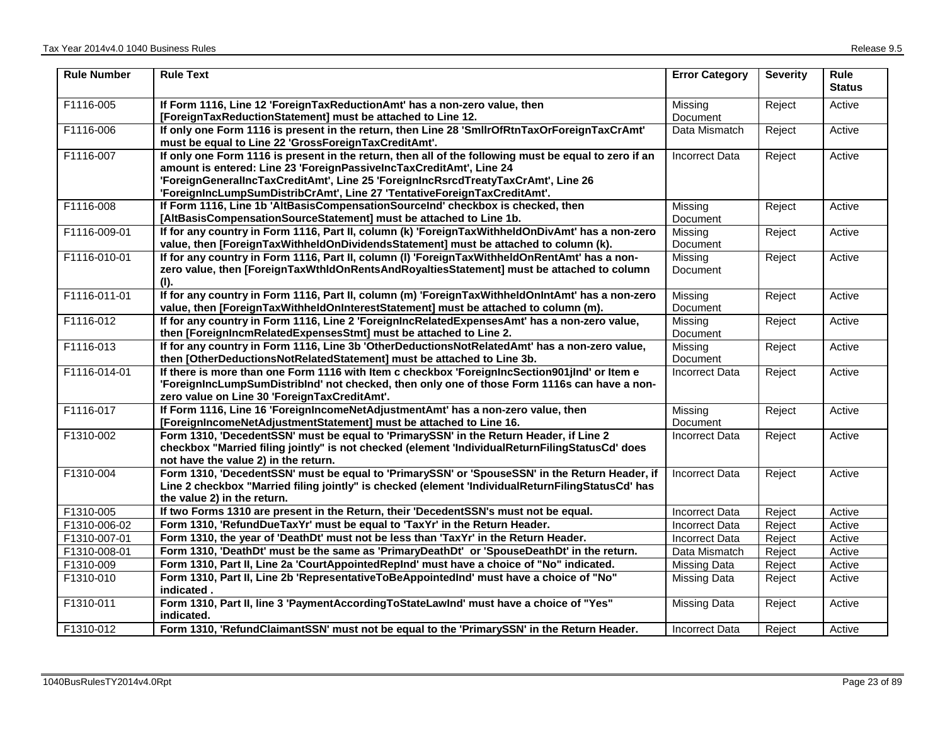| <b>Rule Number</b> | <b>Rule Text</b>                                                                                                                                                                                                                                                                                                                              | <b>Error Category</b> | <b>Severity</b> | <b>Rule</b><br><b>Status</b> |
|--------------------|-----------------------------------------------------------------------------------------------------------------------------------------------------------------------------------------------------------------------------------------------------------------------------------------------------------------------------------------------|-----------------------|-----------------|------------------------------|
| F1116-005          | If Form 1116, Line 12 'ForeignTaxReductionAmt' has a non-zero value, then<br>[ForeignTaxReductionStatement] must be attached to Line 12.                                                                                                                                                                                                      | Missing<br>Document   | Reject          | Active                       |
| F1116-006          | If only one Form 1116 is present in the return, then Line 28 'SmllrOfRtnTaxOrForeignTaxCrAmt'<br>must be equal to Line 22 'GrossForeignTaxCreditAmt'.                                                                                                                                                                                         | Data Mismatch         | Reject          | Active                       |
| F1116-007          | If only one Form 1116 is present in the return, then all of the following must be equal to zero if an<br>amount is entered: Line 23 'ForeignPassiveIncTaxCreditAmt', Line 24<br>'ForeignGeneralIncTaxCreditAmt', Line 25 'ForeignIncRsrcdTreatyTaxCrAmt', Line 26<br>'ForeignIncLumpSumDistribCrAmt', Line 27 'TentativeForeignTaxCreditAmt'. | <b>Incorrect Data</b> | Reject          | Active                       |
| F1116-008          | If Form 1116, Line 1b 'AltBasisCompensationSourceInd' checkbox is checked, then<br>[AltBasisCompensationSourceStatement] must be attached to Line 1b.                                                                                                                                                                                         | Missing<br>Document   | Reject          | Active                       |
| F1116-009-01       | If for any country in Form 1116, Part II, column (k) 'ForeignTaxWithheldOnDivAmt' has a non-zero<br>value, then [ForeignTaxWithheldOnDividendsStatement] must be attached to column (k).                                                                                                                                                      | Missing<br>Document   | Reject          | Active                       |
| F1116-010-01       | If for any country in Form 1116, Part II, column (I) 'ForeignTaxWithheldOnRentAmt' has a non-<br>zero value, then [ForeignTaxWthIdOnRentsAndRoyaltiesStatement] must be attached to column<br>(I).                                                                                                                                            | Missing<br>Document   | Reject          | Active                       |
| F1116-011-01       | If for any country in Form 1116, Part II, column (m) 'ForeignTaxWithheldOnIntAmt' has a non-zero<br>value, then [ForeignTaxWithheldOnInterestStatement] must be attached to column (m).                                                                                                                                                       | Missing<br>Document   | Reject          | Active                       |
| F1116-012          | If for any country in Form 1116, Line 2 'ForeignIncRelatedExpensesAmt' has a non-zero value,<br>then [ForeignIncmRelatedExpensesStmt] must be attached to Line 2.                                                                                                                                                                             | Missing<br>Document   | Reject          | Active                       |
| F1116-013          | If for any country in Form 1116, Line 3b 'OtherDeductionsNotRelatedAmt' has a non-zero value,<br>then [OtherDeductionsNotRelatedStatement] must be attached to Line 3b.                                                                                                                                                                       | Missing<br>Document   | Reject          | Active                       |
| F1116-014-01       | If there is more than one Form 1116 with Item c checkbox 'ForeignIncSection901jInd' or Item e<br>'ForeignIncLumpSumDistribInd' not checked, then only one of those Form 1116s can have a non-<br>zero value on Line 30 'ForeignTaxCreditAmt'.                                                                                                 | <b>Incorrect Data</b> | Reject          | Active                       |
| F1116-017          | If Form 1116, Line 16 'ForeignIncomeNetAdjustmentAmt' has a non-zero value, then<br>[ForeignIncomeNetAdjustmentStatement] must be attached to Line 16.                                                                                                                                                                                        | Missing<br>Document   | Reject          | Active                       |
| F1310-002          | Form 1310, 'DecedentSSN' must be equal to 'PrimarySSN' in the Return Header, if Line 2<br>checkbox "Married filing jointly" is not checked (element 'IndividualReturnFilingStatusCd' does<br>not have the value 2) in the return.                                                                                                             | <b>Incorrect Data</b> | Reject          | Active                       |
| F1310-004          | Form 1310, 'DecedentSSN' must be equal to 'PrimarySSN' or 'SpouseSSN' in the Return Header, if<br>Line 2 checkbox "Married filing jointly" is checked (element 'IndividualReturnFilingStatusCd' has<br>the value 2) in the return.                                                                                                            | <b>Incorrect Data</b> | Reject          | Active                       |
| F1310-005          | If two Forms 1310 are present in the Return, their 'DecedentSSN's must not be equal.                                                                                                                                                                                                                                                          | <b>Incorrect Data</b> | Reject          | Active                       |
| F1310-006-02       | Form 1310, 'RefundDueTaxYr' must be equal to 'TaxYr' in the Return Header.                                                                                                                                                                                                                                                                    | <b>Incorrect Data</b> | Reject          | Active                       |
| F1310-007-01       | Form 1310, the year of 'DeathDt' must not be less than 'TaxYr' in the Return Header.                                                                                                                                                                                                                                                          | <b>Incorrect Data</b> | Reject          | Active                       |
| F1310-008-01       | Form 1310, 'DeathDt' must be the same as 'PrimaryDeathDt' or 'SpouseDeathDt' in the return.                                                                                                                                                                                                                                                   | Data Mismatch         | Reject          | Active                       |
| F1310-009          | Form 1310, Part II, Line 2a 'CourtAppointedRepInd' must have a choice of "No" indicated.                                                                                                                                                                                                                                                      | <b>Missing Data</b>   | Reject          | Active                       |
| F1310-010          | Form 1310, Part II, Line 2b 'RepresentativeToBeAppointedInd' must have a choice of "No"<br>indicated.                                                                                                                                                                                                                                         | Missing Data          | Reject          | Active                       |
| F1310-011          | Form 1310, Part II, line 3 'PaymentAccordingToStateLawInd' must have a choice of "Yes"<br>indicated.                                                                                                                                                                                                                                          | Missing Data          | Reject          | Active                       |
| F1310-012          | Form 1310, 'RefundClaimantSSN' must not be equal to the 'PrimarySSN' in the Return Header.                                                                                                                                                                                                                                                    | <b>Incorrect Data</b> | Reject          | Active                       |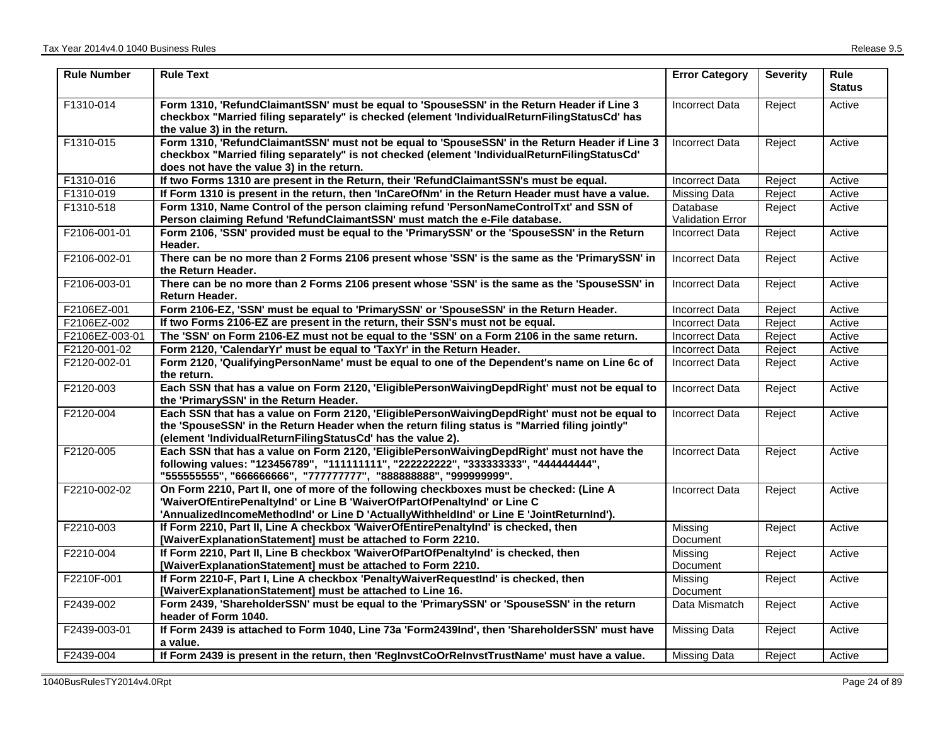| <b>Rule Number</b> | <b>Rule Text</b>                                                                                                                                                                                                                                                 | <b>Error Category</b>   | <b>Severity</b> | <b>Rule</b><br><b>Status</b> |
|--------------------|------------------------------------------------------------------------------------------------------------------------------------------------------------------------------------------------------------------------------------------------------------------|-------------------------|-----------------|------------------------------|
| F1310-014          | Form 1310, 'RefundClaimantSSN' must be equal to 'SpouseSSN' in the Return Header if Line 3<br>checkbox "Married filing separately" is checked (element 'IndividualReturnFilingStatusCd' has<br>the value 3) in the return.                                       | <b>Incorrect Data</b>   | Reject          | Active                       |
| F1310-015          | Form 1310, 'RefundClaimantSSN' must not be equal to 'SpouseSSN' in the Return Header if Line 3<br>checkbox "Married filing separately" is not checked (element 'IndividualReturnFilingStatusCd'<br>does not have the value 3) in the return.                     | <b>Incorrect Data</b>   | Reject          | Active                       |
| F1310-016          | If two Forms 1310 are present in the Return, their 'RefundClaimantSSN's must be equal.                                                                                                                                                                           | <b>Incorrect Data</b>   | Reject          | Active                       |
| F1310-019          | If Form 1310 is present in the return, then 'InCareOfNm' in the Return Header must have a value.                                                                                                                                                                 | <b>Missing Data</b>     | Reject          | Active                       |
| F1310-518          | Form 1310, Name Control of the person claiming refund 'PersonNameControlTxt' and SSN of                                                                                                                                                                          | Database                | Reject          | Active                       |
|                    | Person claiming Refund 'RefundClaimantSSN' must match the e-File database.                                                                                                                                                                                       | <b>Validation Error</b> |                 |                              |
| F2106-001-01       | Form 2106, 'SSN' provided must be equal to the 'PrimarySSN' or the 'SpouseSSN' in the Return<br>Header.                                                                                                                                                          | <b>Incorrect Data</b>   | Reject          | Active                       |
| F2106-002-01       | There can be no more than 2 Forms 2106 present whose 'SSN' is the same as the 'PrimarySSN' in<br>the Return Header.                                                                                                                                              | <b>Incorrect Data</b>   | Reject          | Active                       |
| F2106-003-01       | There can be no more than 2 Forms 2106 present whose 'SSN' is the same as the 'SpouseSSN' in<br>Return Header.                                                                                                                                                   | <b>Incorrect Data</b>   | Reject          | Active                       |
| F2106EZ-001        | Form 2106-EZ, 'SSN' must be equal to 'PrimarySSN' or 'SpouseSSN' in the Return Header.                                                                                                                                                                           | <b>Incorrect Data</b>   | Reject          | Active                       |
| F2106EZ-002        | If two Forms 2106-EZ are present in the return, their SSN's must not be equal.                                                                                                                                                                                   | <b>Incorrect Data</b>   | Reject          | Active                       |
| F2106EZ-003-01     | The 'SSN' on Form 2106-EZ must not be equal to the 'SSN' on a Form 2106 in the same return.                                                                                                                                                                      | <b>Incorrect Data</b>   | Reject          | Active                       |
| F2120-001-02       | Form 2120, 'CalendarYr' must be equal to 'TaxYr' in the Return Header.                                                                                                                                                                                           | <b>Incorrect Data</b>   | Reject          | Active                       |
| F2120-002-01       | Form 2120, 'QualifyingPersonName' must be equal to one of the Dependent's name on Line 6c of<br>the return.                                                                                                                                                      | <b>Incorrect Data</b>   | Reject          | Active                       |
| F2120-003          | Each SSN that has a value on Form 2120, 'EligiblePersonWaivingDepdRight' must not be equal to<br>the 'PrimarySSN' in the Return Header.                                                                                                                          | <b>Incorrect Data</b>   | Reject          | Active                       |
| F2120-004          | Each SSN that has a value on Form 2120, 'EligiblePersonWaivingDepdRight' must not be equal to<br>the 'SpouseSSN' in the Return Header when the return filing status is "Married filing jointly"<br>(element 'IndividualReturnFilingStatusCd' has the value 2).   | <b>Incorrect Data</b>   | Reject          | Active                       |
| F2120-005          | Each SSN that has a value on Form 2120, 'EligiblePersonWaivingDepdRight' must not have the<br>following values: "123456789", "111111111", "222222222", "333333333", "44444444",<br>"555555555", "666666666", "777777777", "888888888", "999999999".              | <b>Incorrect Data</b>   | Reject          | Active                       |
| F2210-002-02       | On Form 2210, Part II, one of more of the following checkboxes must be checked: (Line A<br>'WaiverOfEntirePenaltyInd' or Line B 'WaiverOfPartOfPenaltyInd' or Line C<br>'AnnualizedIncomeMethodInd' or Line D 'ActuallyWithheldInd' or Line E 'JointReturnInd'). | <b>Incorrect Data</b>   | Reject          | Active                       |
| F2210-003          | If Form 2210, Part II, Line A checkbox 'WaiverOfEntirePenaltyInd' is checked, then<br>[WaiverExplanationStatement] must be attached to Form 2210.                                                                                                                | Missing<br>Document     | Reject          | Active                       |
| F2210-004          | If Form 2210, Part II, Line B checkbox 'WaiverOfPartOfPenaltyInd' is checked, then<br>[WaiverExplanationStatement] must be attached to Form 2210.                                                                                                                | Missing<br>Document     | Reject          | Active                       |
| F2210F-001         | If Form 2210-F, Part I, Line A checkbox 'PenaltyWaiverRequestInd' is checked, then<br>[WaiverExplanationStatement] must be attached to Line 16.                                                                                                                  | Missina<br>Document     | Reject          | Active                       |
| F2439-002          | Form 2439, 'ShareholderSSN' must be equal to the 'PrimarySSN' or 'SpouseSSN' in the return<br>header of Form 1040.                                                                                                                                               | Data Mismatch           | Reject          | Active                       |
| F2439-003-01       | If Form 2439 is attached to Form 1040, Line 73a 'Form2439Ind', then 'ShareholderSSN' must have<br>a value.                                                                                                                                                       | <b>Missing Data</b>     | Reject          | Active                       |
| F2439-004          | If Form 2439 is present in the return, then 'RegInvstCoOrReInvstTrustName' must have a value.                                                                                                                                                                    | Missing Data            | Reject          | Active                       |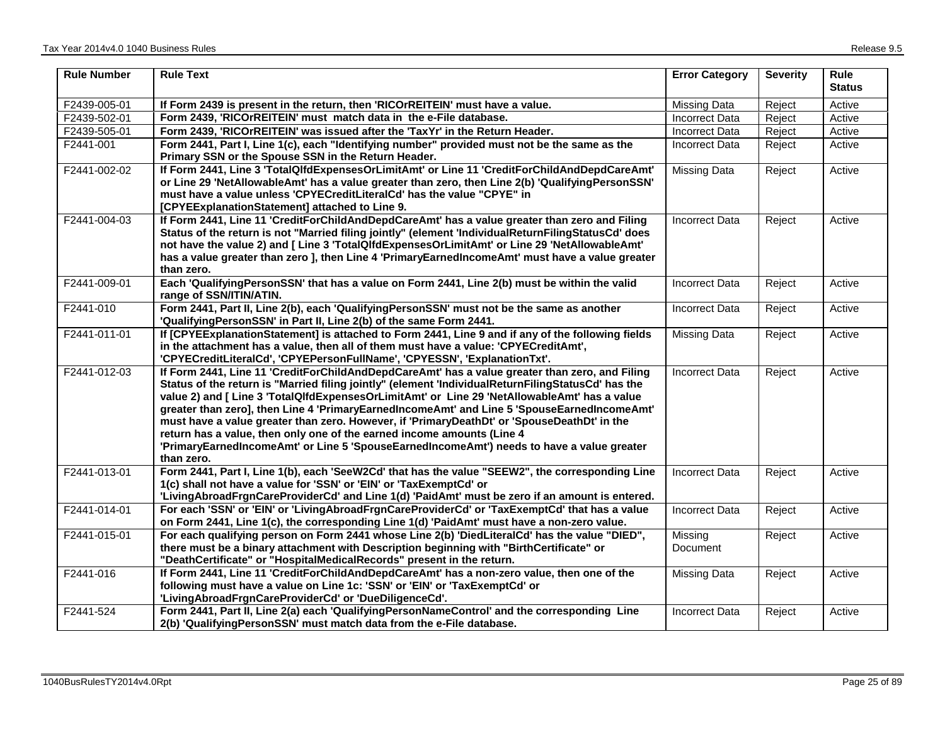| <b>Rule Number</b> | <b>Rule Text</b>                                                                                                                                                                                                                                                                                                                                                                                                                                                                                                                                                                                                                                                                        | <b>Error Category</b> | <b>Severity</b> | <b>Rule</b><br><b>Status</b> |
|--------------------|-----------------------------------------------------------------------------------------------------------------------------------------------------------------------------------------------------------------------------------------------------------------------------------------------------------------------------------------------------------------------------------------------------------------------------------------------------------------------------------------------------------------------------------------------------------------------------------------------------------------------------------------------------------------------------------------|-----------------------|-----------------|------------------------------|
| F2439-005-01       | If Form 2439 is present in the return, then 'RICOrREITEIN' must have a value.                                                                                                                                                                                                                                                                                                                                                                                                                                                                                                                                                                                                           | Missing Data          | Reject          | Active                       |
| F2439-502-01       | Form 2439, 'RICOrREITEIN' must match data in the e-File database.                                                                                                                                                                                                                                                                                                                                                                                                                                                                                                                                                                                                                       | <b>Incorrect Data</b> | Reject          | Active                       |
| F2439-505-01       | Form 2439, 'RICOrREITEIN' was issued after the 'TaxYr' in the Return Header.                                                                                                                                                                                                                                                                                                                                                                                                                                                                                                                                                                                                            | <b>Incorrect Data</b> | Reject          | Active                       |
| F2441-001          | Form 2441, Part I, Line 1(c), each "Identifying number" provided must not be the same as the<br>Primary SSN or the Spouse SSN in the Return Header.                                                                                                                                                                                                                                                                                                                                                                                                                                                                                                                                     | Incorrect Data        | Reject          | Active                       |
| F2441-002-02       | If Form 2441, Line 3 'TotalQlfdExpensesOrLimitAmt' or Line 11 'CreditForChildAndDepdCareAmt'<br>or Line 29 'NetAllowableAmt' has a value greater than zero, then Line 2(b) 'QualifyingPersonSSN'<br>must have a value unless 'CPYECreditLiteralCd' has the value "CPYE" in<br>[CPYEExplanationStatement] attached to Line 9.                                                                                                                                                                                                                                                                                                                                                            | Missing Data          | Reject          | Active                       |
| F2441-004-03       | If Form 2441, Line 11 'CreditForChildAndDepdCareAmt' has a value greater than zero and Filing<br>Status of the return is not "Married filing jointly" (element 'IndividualReturnFilingStatusCd' does<br>not have the value 2) and [ Line 3 'TotalQlfdExpensesOrLimitAmt' or Line 29 'NetAllowableAmt'<br>has a value greater than zero ], then Line 4 'PrimaryEarnedIncomeAmt' must have a value greater<br>than zero.                                                                                                                                                                                                                                                                  | <b>Incorrect Data</b> | Reject          | Active                       |
| F2441-009-01       | Each 'QualifyingPersonSSN' that has a value on Form 2441, Line 2(b) must be within the valid<br>range of SSN/ITIN/ATIN.                                                                                                                                                                                                                                                                                                                                                                                                                                                                                                                                                                 | <b>Incorrect Data</b> | Reject          | Active                       |
| F2441-010          | Form 2441, Part II, Line 2(b), each 'QualifyingPersonSSN' must not be the same as another<br>'QualifyingPersonSSN' in Part II, Line 2(b) of the same Form 2441.                                                                                                                                                                                                                                                                                                                                                                                                                                                                                                                         | Incorrect Data        | Reject          | Active                       |
| F2441-011-01       | If [CPYEExplanationStatement] is attached to Form 2441, Line 9 and if any of the following fields<br>in the attachment has a value, then all of them must have a value: 'CPYECreditAmt',<br>'CPYECreditLiteralCd', 'CPYEPersonFullName', 'CPYESSN', 'ExplanationTxt'.                                                                                                                                                                                                                                                                                                                                                                                                                   | Missing Data          | Reject          | Active                       |
| F2441-012-03       | If Form 2441, Line 11 'CreditForChildAndDepdCareAmt' has a value greater than zero, and Filing<br>Status of the return is "Married filing jointly" (element 'IndividualReturnFilingStatusCd' has the<br>value 2) and [ Line 3 'TotalQlfdExpensesOrLimitAmt' or Line 29 'NetAllowableAmt' has a value<br>greater than zero], then Line 4 'PrimaryEarnedIncomeAmt' and Line 5 'SpouseEarnedIncomeAmt'<br>must have a value greater than zero. However, if 'PrimaryDeathDt' or 'SpouseDeathDt' in the<br>return has a value, then only one of the earned income amounts (Line 4<br>'PrimaryEarnedIncomeAmt' or Line 5 'SpouseEarnedIncomeAmt') needs to have a value greater<br>than zero. | <b>Incorrect Data</b> | Reject          | Active                       |
| F2441-013-01       | Form 2441, Part I, Line 1(b), each 'SeeW2Cd' that has the value "SEEW2", the corresponding Line<br>1(c) shall not have a value for 'SSN' or 'EIN' or 'TaxExemptCd' or<br>'LivingAbroadFrgnCareProviderCd' and Line 1(d) 'PaidAmt' must be zero if an amount is entered.                                                                                                                                                                                                                                                                                                                                                                                                                 | <b>Incorrect Data</b> | Reject          | Active                       |
| F2441-014-01       | For each 'SSN' or 'EIN' or 'LivingAbroadFrgnCareProviderCd' or 'TaxExemptCd' that has a value<br>on Form 2441, Line 1(c), the corresponding Line 1(d) 'PaidAmt' must have a non-zero value.                                                                                                                                                                                                                                                                                                                                                                                                                                                                                             | <b>Incorrect Data</b> | Reject          | Active                       |
| F2441-015-01       | For each qualifying person on Form 2441 whose Line 2(b) 'DiedLiteralCd' has the value "DIED",<br>there must be a binary attachment with Description beginning with "BirthCertificate" or<br>"DeathCertificate" or "HospitalMedicalRecords" present in the return.                                                                                                                                                                                                                                                                                                                                                                                                                       | Missing<br>Document   | Reject          | Active                       |
| F2441-016          | If Form 2441, Line 11 'CreditForChildAndDepdCareAmt' has a non-zero value, then one of the<br>following must have a value on Line 1c: 'SSN' or 'EIN' or 'TaxExemptCd' or<br>'LivingAbroadFrgnCareProviderCd' or 'DueDiligenceCd'.                                                                                                                                                                                                                                                                                                                                                                                                                                                       | Missing Data          | Reject          | Active                       |
| F2441-524          | Form 2441, Part II, Line 2(a) each 'QualifyingPersonNameControl' and the corresponding Line<br>2(b) 'QualifyingPersonSSN' must match data from the e-File database.                                                                                                                                                                                                                                                                                                                                                                                                                                                                                                                     | <b>Incorrect Data</b> | Reject          | Active                       |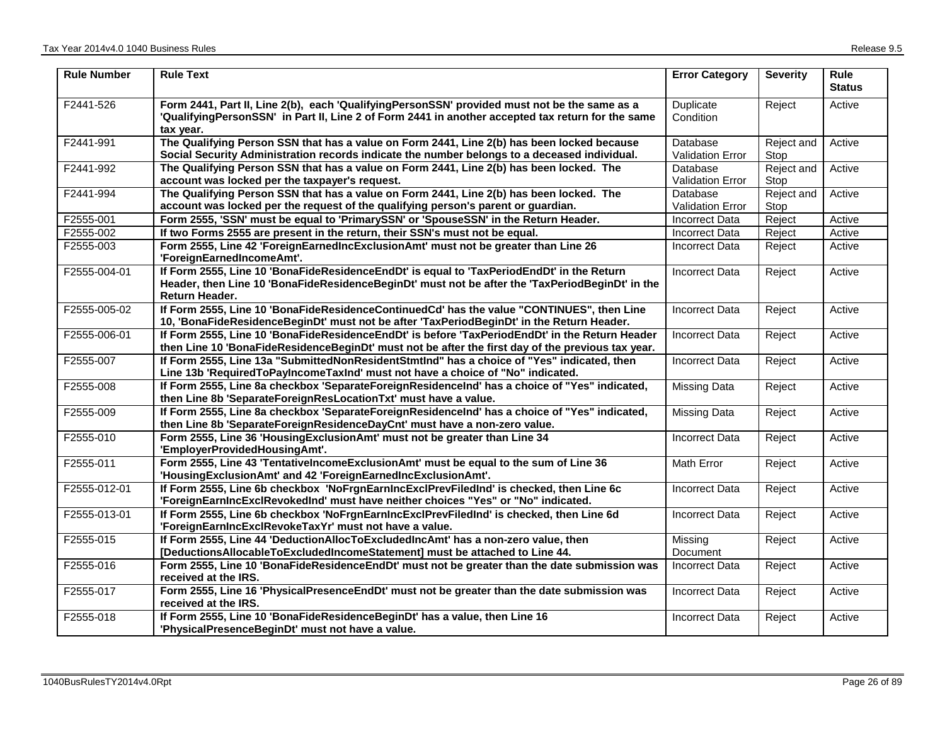| <b>Rule Number</b> | <b>Rule Text</b>                                                                                                                                                                                               | <b>Error Category</b>               | <b>Severity</b>    | <b>Rule</b><br><b>Status</b> |
|--------------------|----------------------------------------------------------------------------------------------------------------------------------------------------------------------------------------------------------------|-------------------------------------|--------------------|------------------------------|
| F2441-526          | Form 2441, Part II, Line 2(b), each 'QualifyingPersonSSN' provided must not be the same as a<br>'QualifyingPersonSSN' in Part II, Line 2 of Form 2441 in another accepted tax return for the same<br>tax year. | Duplicate<br>Condition              | Reject             | Active                       |
| F2441-991          | The Qualifying Person SSN that has a value on Form 2441, Line 2(b) has been locked because<br>Social Security Administration records indicate the number belongs to a deceased individual.                     | Database<br><b>Validation Error</b> | Reject and<br>Stop | Active                       |
| F2441-992          | The Qualifying Person SSN that has a value on Form 2441, Line 2(b) has been locked. The<br>account was locked per the taxpayer's request.                                                                      | Database<br><b>Validation Error</b> | Reject and<br>Stop | Active                       |
| F2441-994          | The Qualifying Person SSN that has a value on Form 2441, Line 2(b) has been locked. The<br>account was locked per the request of the qualifying person's parent or guardian.                                   | Database<br><b>Validation Error</b> | Reject and<br>Stop | Active                       |
| F2555-001          | Form 2555, 'SSN' must be equal to 'PrimarySSN' or 'SpouseSSN' in the Return Header.                                                                                                                            | <b>Incorrect Data</b>               | Reject             | Active                       |
| F2555-002          | If two Forms 2555 are present in the return, their SSN's must not be equal.                                                                                                                                    | <b>Incorrect Data</b>               | Reject             | Active                       |
| F2555-003          | Form 2555, Line 42 'ForeignEarnedIncExclusionAmt' must not be greater than Line 26<br>'ForeignEarnedIncomeAmt'.                                                                                                | <b>Incorrect Data</b>               | Reject             | Active                       |
| F2555-004-01       | If Form 2555, Line 10 'BonaFideResidenceEndDt' is equal to 'TaxPeriodEndDt' in the Return<br>Header, then Line 10 'BonaFideResidenceBeginDt' must not be after the 'TaxPeriodBeginDt' in the<br>Return Header. | <b>Incorrect Data</b>               | Reject             | Active                       |
| F2555-005-02       | If Form 2555, Line 10 'BonaFideResidenceContinuedCd' has the value "CONTINUES", then Line<br>10, 'BonaFideResidenceBeginDt' must not be after 'TaxPeriodBeginDt' in the Return Header.                         | <b>Incorrect Data</b>               | Reject             | Active                       |
| F2555-006-01       | If Form 2555, Line 10 'BonaFideResidenceEndDt' is before 'TaxPeriodEndDt' in the Return Header<br>then Line 10 'BonaFideResidenceBeginDt' must not be after the first day of the previous tax year.            | <b>Incorrect Data</b>               | Reject             | Active                       |
| F2555-007          | If Form 2555, Line 13a "SubmittedNonResidentStmtInd" has a choice of "Yes" indicated, then<br>Line 13b 'RequiredToPayIncomeTaxInd' must not have a choice of "No" indicated.                                   | <b>Incorrect Data</b>               | Reject             | Active                       |
| F2555-008          | If Form 2555, Line 8a checkbox 'SeparateForeignResidenceInd' has a choice of "Yes" indicated,<br>then Line 8b 'SeparateForeignResLocationTxt' must have a value.                                               | Missing Data                        | Reject             | Active                       |
| F2555-009          | If Form 2555, Line 8a checkbox 'SeparateForeignResidenceInd' has a choice of "Yes" indicated,<br>then Line 8b 'SeparateForeignResidenceDayCnt' must have a non-zero value.                                     | <b>Missing Data</b>                 | Reject             | Active                       |
| F2555-010          | Form 2555, Line 36 'HousingExclusionAmt' must not be greater than Line 34<br>'EmployerProvidedHousingAmt'.                                                                                                     | <b>Incorrect Data</b>               | Reject             | Active                       |
| F2555-011          | Form 2555, Line 43 'TentativeIncomeExclusionAmt' must be equal to the sum of Line 36<br>'HousingExclusionAmt' and 42 'ForeignEarnedIncExclusionAmt'.                                                           | Math Error                          | Reject             | Active                       |
| F2555-012-01       | If Form 2555, Line 6b checkbox 'NoFrgnEarnIncExclPrevFiledInd' is checked, then Line 6c<br>'ForeignEarnIncExclRevokedInd' must have neither choices "Yes" or "No" indicated.                                   | <b>Incorrect Data</b>               | Reject             | Active                       |
| F2555-013-01       | If Form 2555, Line 6b checkbox 'NoFrgnEarnIncExclPrevFiledInd' is checked, then Line 6d<br>'ForeignEarnIncExclRevokeTaxYr' must not have a value.                                                              | <b>Incorrect Data</b>               | Reject             | Active                       |
| F2555-015          | If Form 2555, Line 44 'DeductionAllocToExcludedIncAmt' has a non-zero value, then<br>[DeductionsAllocableToExcludedIncomeStatement] must be attached to Line 44.                                               | Missing<br>Document                 | Reject             | Active                       |
| F2555-016          | Form 2555, Line 10 'BonaFideResidenceEndDt' must not be greater than the date submission was<br>received at the IRS.                                                                                           | <b>Incorrect Data</b>               | Reject             | Active                       |
| F2555-017          | Form 2555, Line 16 'PhysicalPresenceEndDt' must not be greater than the date submission was<br>received at the IRS.                                                                                            | <b>Incorrect Data</b>               | Reject             | Active                       |
| F2555-018          | If Form 2555, Line 10 'BonaFideResidenceBeginDt' has a value, then Line 16<br>'PhysicalPresenceBeginDt' must not have a value.                                                                                 | <b>Incorrect Data</b>               | Reject             | Active                       |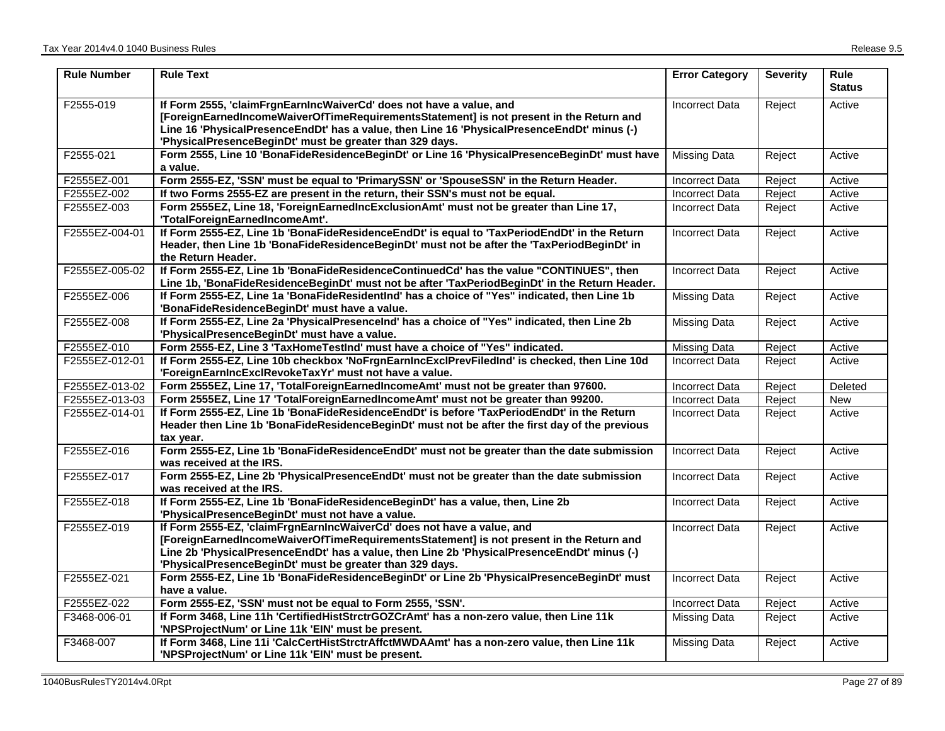| <b>Rule Number</b> | <b>Rule Text</b>                                                                                                                                                                                                                                                                                                             | <b>Error Category</b> | <b>Severity</b> | <b>Rule</b><br>Status |
|--------------------|------------------------------------------------------------------------------------------------------------------------------------------------------------------------------------------------------------------------------------------------------------------------------------------------------------------------------|-----------------------|-----------------|-----------------------|
| F2555-019          | If Form 2555, 'claimFrgnEarnIncWaiverCd' does not have a value, and<br>[ForeignEarnedIncomeWaiverOfTimeRequirementsStatement] is not present in the Return and<br>Line 16 'PhysicalPresenceEndDt' has a value, then Line 16 'PhysicalPresenceEndDt' minus (-)<br>'PhysicalPresenceBeginDt' must be greater than 329 days.    | <b>Incorrect Data</b> | Reject          | Active                |
| F2555-021          | Form 2555, Line 10 'BonaFideResidenceBeginDt' or Line 16 'PhysicalPresenceBeginDt' must have<br>a value.                                                                                                                                                                                                                     | <b>Missing Data</b>   | Reject          | Active                |
| F2555EZ-001        | Form 2555-EZ, 'SSN' must be equal to 'PrimarySSN' or 'SpouseSSN' in the Return Header.                                                                                                                                                                                                                                       | <b>Incorrect Data</b> | Reject          | Active                |
| F2555EZ-002        | If two Forms 2555-EZ are present in the return, their SSN's must not be equal.                                                                                                                                                                                                                                               | <b>Incorrect Data</b> | Reject          | Active                |
| F2555EZ-003        | Form 2555EZ, Line 18, 'ForeignEarnedIncExclusionAmt' must not be greater than Line 17,<br>'TotalForeignEarnedIncomeAmt'.                                                                                                                                                                                                     | <b>Incorrect Data</b> | Reject          | Active                |
| F2555EZ-004-01     | If Form 2555-EZ, Line 1b 'BonaFideResidenceEndDt' is equal to 'TaxPeriodEndDt' in the Return<br>Header, then Line 1b 'BonaFideResidenceBeginDt' must not be after the 'TaxPeriodBeginDt' in<br>the Return Header.                                                                                                            | Incorrect Data        | Reject          | Active                |
| F2555EZ-005-02     | If Form 2555-EZ, Line 1b 'BonaFideResidenceContinuedCd' has the value "CONTINUES", then<br>Line 1b, 'BonaFideResidenceBeginDt' must not be after 'TaxPeriodBeginDt' in the Return Header.                                                                                                                                    | <b>Incorrect Data</b> | Reject          | Active                |
| F2555EZ-006        | If Form 2555-EZ, Line 1a 'BonaFideResidentInd' has a choice of "Yes" indicated, then Line 1b<br>'BonaFideResidenceBeginDt' must have a value.                                                                                                                                                                                | <b>Missing Data</b>   | Reject          | Active                |
| F2555EZ-008        | If Form 2555-EZ, Line 2a 'PhysicalPresenceInd' has a choice of "Yes" indicated, then Line 2b<br>'PhysicalPresenceBeginDt' must have a value.                                                                                                                                                                                 | <b>Missing Data</b>   | Reject          | Active                |
| F2555EZ-010        | Form 2555-EZ, Line 3 'TaxHomeTestInd' must have a choice of "Yes" indicated.                                                                                                                                                                                                                                                 | <b>Missing Data</b>   | Reject          | Active                |
| F2555EZ-012-01     | If Form 2555-EZ, Line 10b checkbox 'NoFrgnEarnIncExclPrevFiledInd' is checked, then Line 10d<br>'ForeignEarnIncExclRevokeTaxYr' must not have a value.                                                                                                                                                                       | <b>Incorrect Data</b> | Reject          | Active                |
| F2555EZ-013-02     | Form 2555EZ, Line 17, 'TotalForeignEarnedIncomeAmt' must not be greater than 97600.                                                                                                                                                                                                                                          | <b>Incorrect Data</b> | Reject          | Deleted               |
| F2555EZ-013-03     | Form 2555EZ, Line 17 'TotalForeignEarnedIncomeAmt' must not be greater than 99200.                                                                                                                                                                                                                                           | <b>Incorrect Data</b> | Reject          | New                   |
| F2555EZ-014-01     | If Form 2555-EZ, Line 1b 'BonaFideResidenceEndDt' is before 'TaxPeriodEndDt' in the Return<br>Header then Line 1b 'BonaFideResidenceBeginDt' must not be after the first day of the previous<br>tax year.                                                                                                                    | <b>Incorrect Data</b> | Reject          | Active                |
| F2555EZ-016        | Form 2555-EZ, Line 1b 'BonaFideResidenceEndDt' must not be greater than the date submission<br>was received at the IRS.                                                                                                                                                                                                      | <b>Incorrect Data</b> | Reject          | Active                |
| F2555EZ-017        | Form 2555-EZ, Line 2b 'PhysicalPresenceEndDt' must not be greater than the date submission<br>was received at the IRS.                                                                                                                                                                                                       | <b>Incorrect Data</b> | Reject          | Active                |
| F2555EZ-018        | If Form 2555-EZ, Line 1b 'BonaFideResidenceBeginDt' has a value, then, Line 2b<br>'PhysicalPresenceBeginDt' must not have a value.                                                                                                                                                                                           | <b>Incorrect Data</b> | Reject          | Active                |
| F2555EZ-019        | If Form 2555-EZ, 'claimFrgnEarnIncWaiverCd' does not have a value, and<br>[ForeignEarnedIncomeWaiverOfTimeRequirementsStatement] is not present in the Return and<br>Line 2b 'PhysicalPresenceEndDt' has a value, then Line 2b 'PhysicalPresenceEndDt' minus (-)<br>'PhysicalPresenceBeginDt' must be greater than 329 days. | Incorrect Data        | Reject          | Active                |
| F2555EZ-021        | Form 2555-EZ, Line 1b 'BonaFideResidenceBeginDt' or Line 2b 'PhysicalPresenceBeginDt' must<br>have a value.                                                                                                                                                                                                                  | <b>Incorrect Data</b> | Reject          | Active                |
| F2555EZ-022        | Form 2555-EZ, 'SSN' must not be equal to Form 2555, 'SSN'.                                                                                                                                                                                                                                                                   | <b>Incorrect Data</b> | Reject          | Active                |
| F3468-006-01       | If Form 3468, Line 11h 'CertifiedHistStrctrGOZCrAmt' has a non-zero value, then Line 11k<br>'NPSProjectNum' or Line 11k 'EIN' must be present.                                                                                                                                                                               | <b>Missing Data</b>   | Reject          | Active                |
| F3468-007          | If Form 3468, Line 11i 'CalcCertHistStrctrAffctMWDAAmt' has a non-zero value, then Line 11k<br>'NPSProjectNum' or Line 11k 'EIN' must be present.                                                                                                                                                                            | <b>Missing Data</b>   | Reject          | Active                |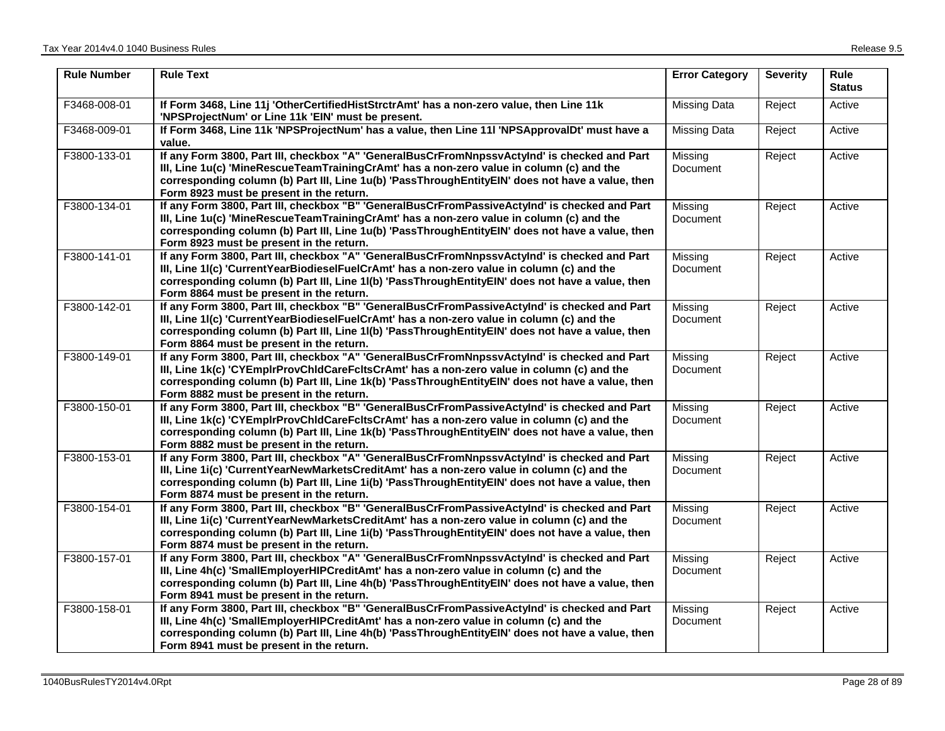| <b>Rule Number</b> | <b>Rule Text</b>                                                                                                                                                                                                                                                                                                                             | <b>Error Category</b>      | <b>Severity</b> | Rule<br><b>Status</b> |
|--------------------|----------------------------------------------------------------------------------------------------------------------------------------------------------------------------------------------------------------------------------------------------------------------------------------------------------------------------------------------|----------------------------|-----------------|-----------------------|
| F3468-008-01       | If Form 3468, Line 11j 'OtherCertifiedHistStrctrAmt' has a non-zero value, then Line 11k<br>'NPSProjectNum' or Line 11k 'EIN' must be present.                                                                                                                                                                                               | <b>Missing Data</b>        | Reject          | Active                |
| F3468-009-01       | If Form 3468, Line 11k 'NPSProjectNum' has a value, then Line 11I 'NPSApprovalDt' must have a<br>value.                                                                                                                                                                                                                                      | <b>Missing Data</b>        | Reject          | Active                |
| F3800-133-01       | If any Form 3800, Part III, checkbox "A" 'GeneralBusCrFromNnpssvActyInd' is checked and Part<br>III, Line 1u(c) 'MineRescueTeamTrainingCrAmt' has a non-zero value in column (c) and the<br>corresponding column (b) Part III, Line 1u(b) 'PassThroughEntityEIN' does not have a value, then<br>Form 8923 must be present in the return.     | Missing<br>Document        | Reject          | Active                |
| F3800-134-01       | If any Form 3800, Part III, checkbox "B" 'GeneralBusCrFromPassiveActyInd' is checked and Part<br>III, Line 1u(c) 'MineRescueTeamTrainingCrAmt' has a non-zero value in column (c) and the<br>corresponding column (b) Part III, Line 1u(b) 'PassThroughEntityEIN' does not have a value, then<br>Form 8923 must be present in the return.    | Missing<br><b>Document</b> | Reject          | Active                |
| F3800-141-01       | If any Form 3800, Part III, checkbox "A" 'GeneralBusCrFromNnpssvActyInd' is checked and Part<br>III, Line 1I(c) 'CurrentYearBiodieselFuelCrAmt' has a non-zero value in column (c) and the<br>corresponding column (b) Part III, Line 1I(b) 'PassThroughEntityEIN' does not have a value, then<br>Form 8864 must be present in the return.   | Missing<br><b>Document</b> | Reject          | Active                |
| F3800-142-01       | If any Form 3800, Part III, checkbox "B" 'GeneralBusCrFromPassiveActyInd' is checked and Part<br>III, Line 1I(c) 'CurrentYearBiodieselFuelCrAmt' has a non-zero value in column (c) and the<br>corresponding column (b) Part III, Line 1I(b) 'PassThroughEntityEIN' does not have a value, then<br>Form 8864 must be present in the return.  | Missing<br>Document        | Reject          | Active                |
| F3800-149-01       | If any Form 3800, Part III, checkbox "A" 'GeneralBusCrFromNnpssvActyInd' is checked and Part<br>III, Line 1k(c) 'CYEmplrProvChIdCareFcItsCrAmt' has a non-zero value in column (c) and the<br>corresponding column (b) Part III, Line 1k(b) 'PassThroughEntityEIN' does not have a value, then<br>Form 8882 must be present in the return.   | Missing<br>Document        | Reject          | Active                |
| F3800-150-01       | If any Form 3800, Part III, checkbox "B" 'GeneralBusCrFromPassiveActyInd' is checked and Part<br>III, Line 1k(c) 'CYEmplrProvChIdCareFcItsCrAmt' has a non-zero value in column (c) and the<br>corresponding column (b) Part III, Line 1k(b) 'PassThroughEntityEIN' does not have a value, then<br>Form 8882 must be present in the return.  | Missing<br>Document        | Reject          | Active                |
| F3800-153-01       | If any Form 3800, Part III, checkbox "A" 'GeneralBusCrFromNnpssvActyInd' is checked and Part<br>III, Line 1i(c) 'CurrentYearNewMarketsCreditAmt' has a non-zero value in column (c) and the<br>corresponding column (b) Part III, Line 1i(b) 'PassThroughEntityEIN' does not have a value, then<br>Form 8874 must be present in the return.  | Missing<br>Document        | Reject          | Active                |
| F3800-154-01       | If any Form 3800, Part III, checkbox "B" 'GeneralBusCrFromPassiveActyInd' is checked and Part<br>III, Line 1i(c) 'CurrentYearNewMarketsCreditAmt' has a non-zero value in column (c) and the<br>corresponding column (b) Part III, Line 1i(b) 'PassThroughEntityEIN' does not have a value, then<br>Form 8874 must be present in the return. | Missing<br>Document        | Reject          | Active                |
| F3800-157-01       | If any Form 3800, Part III, checkbox "A" 'GeneralBusCrFromNnpssvActyInd' is checked and Part<br>III, Line 4h(c) 'SmallEmployerHIPCreditAmt' has a non-zero value in column (c) and the<br>corresponding column (b) Part III, Line 4h(b) 'PassThroughEntityEIN' does not have a value, then<br>Form 8941 must be present in the return.       | Missing<br>Document        | Reject          | Active                |
| F3800-158-01       | If any Form 3800, Part III, checkbox "B" 'GeneralBusCrFromPassiveActyInd' is checked and Part<br>III, Line 4h(c) 'SmallEmployerHIPCreditAmt' has a non-zero value in column (c) and the<br>corresponding column (b) Part III, Line 4h(b) 'PassThroughEntityEIN' does not have a value, then<br>Form 8941 must be present in the return.      | Missing<br>Document        | Reject          | Active                |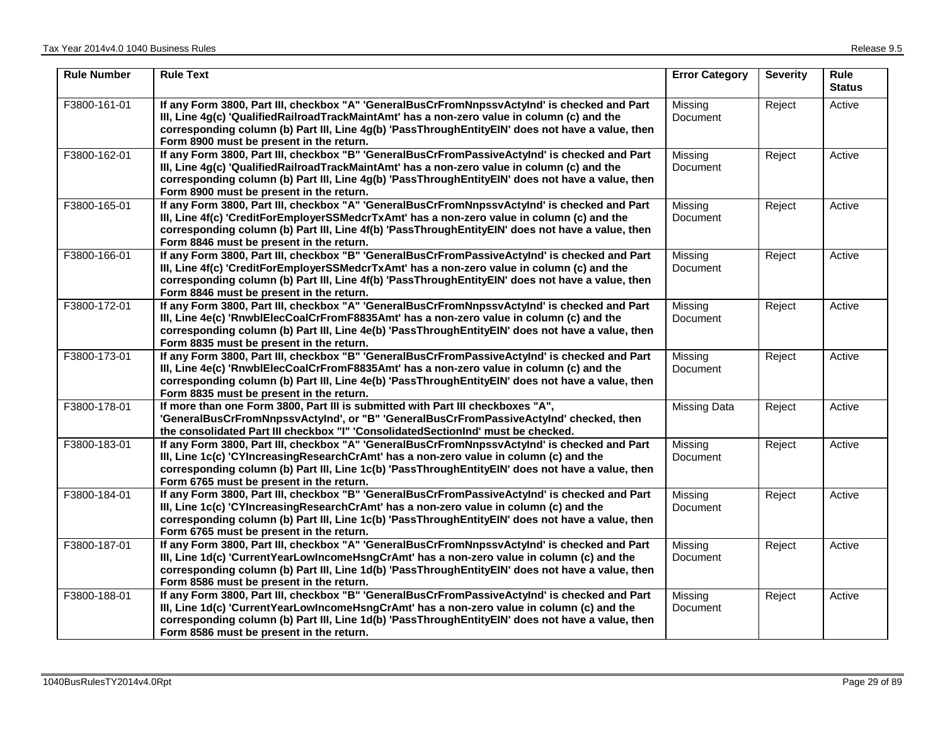| <b>Rule Number</b> | <b>Rule Text</b>                                                                                                                                                                                                                                                                                                                             | <b>Error Category</b> | <b>Severity</b> | <b>Rule</b><br><b>Status</b> |
|--------------------|----------------------------------------------------------------------------------------------------------------------------------------------------------------------------------------------------------------------------------------------------------------------------------------------------------------------------------------------|-----------------------|-----------------|------------------------------|
| F3800-161-01       | If any Form 3800, Part III, checkbox "A" 'GeneralBusCrFromNnpssvActyInd' is checked and Part<br>III, Line 4g(c) 'QualifiedRailroadTrackMaintAmt' has a non-zero value in column (c) and the<br>corresponding column (b) Part III, Line 4g(b) 'PassThroughEntityEIN' does not have a value, then<br>Form 8900 must be present in the return.  | Missing<br>Document   | Reject          | Active                       |
| F3800-162-01       | If any Form 3800, Part III, checkbox "B" 'GeneralBusCrFromPassiveActyInd' is checked and Part<br>III, Line 4g(c) 'QualifiedRailroadTrackMaintAmt' has a non-zero value in column (c) and the<br>corresponding column (b) Part III, Line 4g(b) 'PassThroughEntityEIN' does not have a value, then<br>Form 8900 must be present in the return. | Missing<br>Document   | Reject          | Active                       |
| F3800-165-01       | If any Form 3800, Part III, checkbox "A" 'GeneralBusCrFromNnpssvActyInd' is checked and Part<br>III, Line 4f(c) 'CreditForEmployerSSMedcrTxAmt' has a non-zero value in column (c) and the<br>corresponding column (b) Part III, Line 4f(b) 'PassThroughEntityEIN' does not have a value, then<br>Form 8846 must be present in the return.   | Missing<br>Document   | Reject          | Active                       |
| F3800-166-01       | If any Form 3800, Part III, checkbox "B" 'GeneralBusCrFromPassiveActyInd' is checked and Part<br>III, Line 4f(c) 'CreditForEmployerSSMedcrTxAmt' has a non-zero value in column (c) and the<br>corresponding column (b) Part III, Line 4f(b) 'PassThroughEntityEIN' does not have a value, then<br>Form 8846 must be present in the return.  | Missing<br>Document   | Reject          | Active                       |
| F3800-172-01       | If any Form 3800, Part III, checkbox "A" 'GeneralBusCrFromNnpssvActyInd' is checked and Part<br>III, Line 4e(c) 'RnwblElecCoalCrFromF8835Amt' has a non-zero value in column (c) and the<br>corresponding column (b) Part III, Line 4e(b) 'PassThroughEntityEIN' does not have a value, then<br>Form 8835 must be present in the return.     | Missing<br>Document   | Reject          | Active                       |
| F3800-173-01       | If any Form 3800, Part III, checkbox "B" 'GeneralBusCrFromPassiveActyInd' is checked and Part<br>III, Line 4e(c) 'RnwblElecCoalCrFromF8835Amt' has a non-zero value in column (c) and the<br>corresponding column (b) Part III, Line 4e(b) 'PassThroughEntityEIN' does not have a value, then<br>Form 8835 must be present in the return.    | Missing<br>Document   | Reject          | Active                       |
| F3800-178-01       | If more than one Form 3800, Part III is submitted with Part III checkboxes "A",<br>'GeneralBusCrFromNnpssvActyInd', or "B" 'GeneralBusCrFromPassiveActyInd' checked, then<br>the consolidated Part III checkbox "I" 'ConsolidatedSectionInd' must be checked.                                                                                | <b>Missing Data</b>   | Reject          | Active                       |
| F3800-183-01       | If any Form 3800, Part III, checkbox "A" 'GeneralBusCrFromNnpssvActyInd' is checked and Part<br>III, Line 1c(c) 'CYIncreasingResearchCrAmt' has a non-zero value in column (c) and the<br>corresponding column (b) Part III, Line 1c(b) 'PassThroughEntityEIN' does not have a value, then<br>Form 6765 must be present in the return.       | Missing<br>Document   | Reject          | Active                       |
| F3800-184-01       | If any Form 3800, Part III, checkbox "B" 'GeneralBusCrFromPassiveActyInd' is checked and Part<br>III, Line 1c(c) 'CYIncreasingResearchCrAmt' has a non-zero value in column (c) and the<br>corresponding column (b) Part III, Line 1c(b) 'PassThroughEntityEIN' does not have a value, then<br>Form 6765 must be present in the return.      | Missing<br>Document   | Reject          | Active                       |
| F3800-187-01       | If any Form 3800, Part III, checkbox "A" 'GeneralBusCrFromNnpssvActyInd' is checked and Part<br>III, Line 1d(c) 'CurrentYearLowIncomeHsngCrAmt' has a non-zero value in column (c) and the<br>corresponding column (b) Part III, Line 1d(b) 'PassThroughEntityEIN' does not have a value, then<br>Form 8586 must be present in the return.   | Missing<br>Document   | Reject          | Active                       |
| F3800-188-01       | If any Form 3800, Part III, checkbox "B" 'GeneralBusCrFromPassiveActyInd' is checked and Part<br>III, Line 1d(c) 'CurrentYearLowIncomeHsngCrAmt' has a non-zero value in column (c) and the<br>corresponding column (b) Part III, Line 1d(b) 'PassThroughEntityEIN' does not have a value, then<br>Form 8586 must be present in the return.  | Missing<br>Document   | Reject          | Active                       |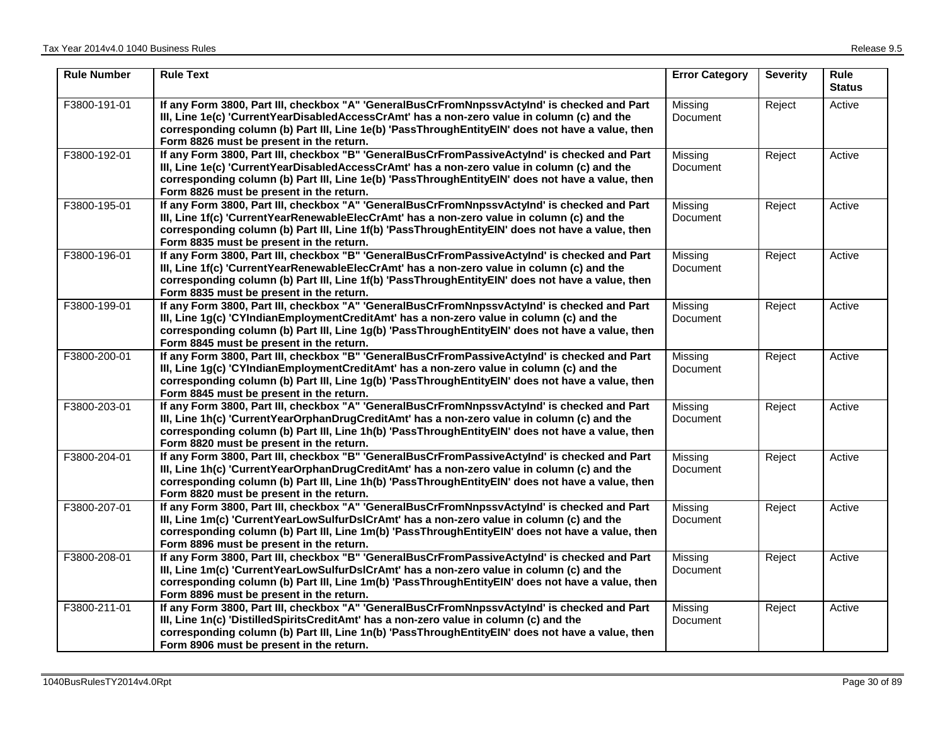| <b>Rule Number</b> | <b>Rule Text</b>                                                                                                                                                                                                                                                                                                                             | <b>Error Category</b>      | <b>Severity</b> | Rule<br><b>Status</b> |
|--------------------|----------------------------------------------------------------------------------------------------------------------------------------------------------------------------------------------------------------------------------------------------------------------------------------------------------------------------------------------|----------------------------|-----------------|-----------------------|
| F3800-191-01       | If any Form 3800, Part III, checkbox "A" 'GeneralBusCrFromNnpssvActyInd' is checked and Part<br>III, Line 1e(c) 'CurrentYearDisabledAccessCrAmt' has a non-zero value in column (c) and the<br>corresponding column (b) Part III, Line 1e(b) 'PassThroughEntityEIN' does not have a value, then<br>Form 8826 must be present in the return.  | Missing<br>Document        | Reject          | Active                |
| F3800-192-01       | If any Form 3800, Part III, checkbox "B" 'GeneralBusCrFromPassiveActyInd' is checked and Part<br>III, Line 1e(c) 'CurrentYearDisabledAccessCrAmt' has a non-zero value in column (c) and the<br>corresponding column (b) Part III, Line 1e(b) 'PassThroughEntityEIN' does not have a value, then<br>Form 8826 must be present in the return. | Missing<br>Document        | Reject          | Active                |
| F3800-195-01       | If any Form 3800, Part III, checkbox "A" 'GeneralBusCrFromNnpssvActyInd' is checked and Part<br>III, Line 1f(c) 'CurrentYearRenewableElecCrAmt' has a non-zero value in column (c) and the<br>corresponding column (b) Part III, Line 1f(b) 'PassThroughEntityEIN' does not have a value, then<br>Form 8835 must be present in the return.   | Missing<br>Document        | Reject          | Active                |
| F3800-196-01       | If any Form 3800, Part III, checkbox "B" 'GeneralBusCrFromPassiveActyInd' is checked and Part<br>III, Line 1f(c) 'CurrentYearRenewableElecCrAmt' has a non-zero value in column (c) and the<br>corresponding column (b) Part III, Line 1f(b) 'PassThroughEntityEIN' does not have a value, then<br>Form 8835 must be present in the return.  | Missing<br>Document        | Reject          | Active                |
| F3800-199-01       | If any Form 3800, Part III, checkbox "A" 'GeneralBusCrFromNnpssvActyInd' is checked and Part<br>III, Line 1g(c) 'CYIndianEmploymentCreditAmt' has a non-zero value in column (c) and the<br>corresponding column (b) Part III, Line 1g(b) 'PassThroughEntityEIN' does not have a value, then<br>Form 8845 must be present in the return.     | Missing<br>Document        | Reject          | Active                |
| F3800-200-01       | If any Form 3800, Part III, checkbox "B" 'GeneralBusCrFromPassiveActyInd' is checked and Part<br>III, Line 1g(c) 'CYIndianEmploymentCreditAmt' has a non-zero value in column (c) and the<br>corresponding column (b) Part III, Line 1g(b) 'PassThroughEntityEIN' does not have a value, then<br>Form 8845 must be present in the return.    | Missing<br>Document        | Reject          | Active                |
| F3800-203-01       | If any Form 3800, Part III, checkbox "A" 'GeneralBusCrFromNnpssvActyInd' is checked and Part<br>III, Line 1h(c) 'CurrentYearOrphanDrugCreditAmt' has a non-zero value in column (c) and the<br>corresponding column (b) Part III, Line 1h(b) 'PassThroughEntityEIN' does not have a value, then<br>Form 8820 must be present in the return.  | Missing<br><b>Document</b> | Reject          | Active                |
| F3800-204-01       | If any Form 3800, Part III, checkbox "B" 'GeneralBusCrFromPassiveActyInd' is checked and Part<br>III, Line 1h(c) 'CurrentYearOrphanDrugCreditAmt' has a non-zero value in column (c) and the<br>corresponding column (b) Part III, Line 1h(b) 'PassThroughEntityEIN' does not have a value, then<br>Form 8820 must be present in the return. | Missing<br>Document        | Reject          | Active                |
| F3800-207-01       | If any Form 3800, Part III, checkbox "A" 'GeneralBusCrFromNnpssvActyInd' is checked and Part<br>III, Line 1m(c) 'CurrentYearLowSulfurDsICrAmt' has a non-zero value in column (c) and the<br>corresponding column (b) Part III, Line 1m(b) 'PassThroughEntityEIN' does not have a value, then<br>Form 8896 must be present in the return.    | Missing<br>Document        | Reject          | Active                |
| F3800-208-01       | If any Form 3800, Part III, checkbox "B" 'GeneralBusCrFromPassiveActyInd' is checked and Part<br>III, Line 1m(c) 'CurrentYearLowSulfurDsICrAmt' has a non-zero value in column (c) and the<br>corresponding column (b) Part III, Line 1m(b) 'PassThroughEntityEIN' does not have a value, then<br>Form 8896 must be present in the return.   | Missing<br>Document        | Reject          | Active                |
| F3800-211-01       | If any Form 3800, Part III, checkbox "A" 'GeneralBusCrFromNnpssvActyInd' is checked and Part<br>III, Line 1n(c) 'DistilledSpiritsCreditAmt' has a non-zero value in column (c) and the<br>corresponding column (b) Part III, Line 1n(b) 'PassThroughEntityEIN' does not have a value, then<br>Form 8906 must be present in the return.       | Missing<br>Document        | Reject          | Active                |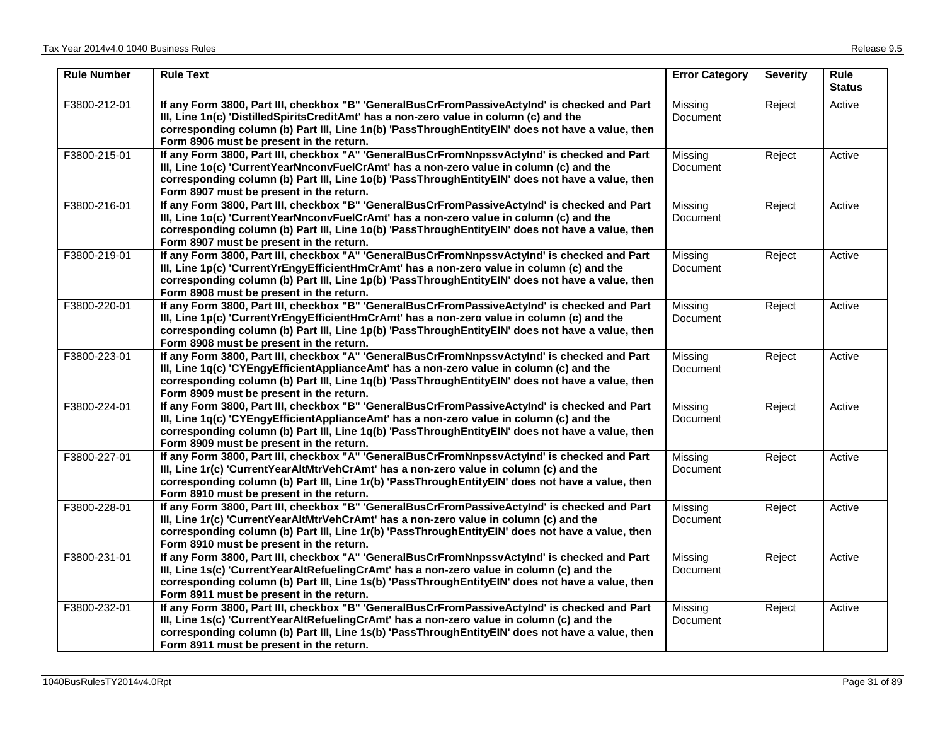| <b>Rule Number</b> | <b>Rule Text</b>                                                                                                                                                                                                                                                                                                                            | <b>Error Category</b>      | <b>Severity</b> | <b>Rule</b><br><b>Status</b> |
|--------------------|---------------------------------------------------------------------------------------------------------------------------------------------------------------------------------------------------------------------------------------------------------------------------------------------------------------------------------------------|----------------------------|-----------------|------------------------------|
| F3800-212-01       | If any Form 3800, Part III, checkbox "B" 'GeneralBusCrFromPassiveActyInd' is checked and Part<br>III, Line 1n(c) 'DistilledSpiritsCreditAmt' has a non-zero value in column (c) and the<br>corresponding column (b) Part III, Line 1n(b) 'PassThroughEntityEIN' does not have a value, then<br>Form 8906 must be present in the return.     | Missing<br>Document        | Reject          | Active                       |
| F3800-215-01       | If any Form 3800, Part III, checkbox "A" 'GeneralBusCrFromNnpssvActyInd' is checked and Part<br>III, Line 1o(c) 'CurrentYearNnconvFuelCrAmt' has a non-zero value in column (c) and the<br>corresponding column (b) Part III, Line 1o(b) 'PassThroughEntityEIN' does not have a value, then<br>Form 8907 must be present in the return.     | Missing<br>Document        | Reject          | Active                       |
| F3800-216-01       | If any Form 3800, Part III, checkbox "B" 'GeneralBusCrFromPassiveActyInd' is checked and Part<br>III, Line 1o(c) 'CurrentYearNnconvFuelCrAmt' has a non-zero value in column (c) and the<br>corresponding column (b) Part III, Line 1o(b) 'PassThroughEntityEIN' does not have a value, then<br>Form 8907 must be present in the return.    | Missing<br><b>Document</b> | Reject          | Active                       |
| F3800-219-01       | If any Form 3800, Part III, checkbox "A" 'GeneralBusCrFromNnpssvActyInd' is checked and Part<br>III, Line 1p(c) 'CurrentYrEngyEfficientHmCrAmt' has a non-zero value in column (c) and the<br>corresponding column (b) Part III, Line 1p(b) 'PassThroughEntityEIN' does not have a value, then<br>Form 8908 must be present in the return.  | Missing<br>Document        | Reject          | Active                       |
| F3800-220-01       | If any Form 3800, Part III, checkbox "B" 'GeneralBusCrFromPassiveActyInd' is checked and Part<br>III, Line 1p(c) 'CurrentYrEngyEfficientHmCrAmt' has a non-zero value in column (c) and the<br>corresponding column (b) Part III, Line 1p(b) 'PassThroughEntityEIN' does not have a value, then<br>Form 8908 must be present in the return. | Missing<br>Document        | Reject          | Active                       |
| F3800-223-01       | If any Form 3800, Part III, checkbox "A" 'GeneralBusCrFromNnpssvActyInd' is checked and Part<br>III, Line 1q(c) 'CYEngyEfficientApplianceAmt' has a non-zero value in column (c) and the<br>corresponding column (b) Part III, Line 1q(b) 'PassThroughEntityEIN' does not have a value, then<br>Form 8909 must be present in the return.    | Missing<br>Document        | Reject          | Active                       |
| F3800-224-01       | If any Form 3800, Part III, checkbox "B" 'GeneralBusCrFromPassiveActyInd' is checked and Part<br>III, Line 1g(c) 'CYEngyEfficientApplianceAmt' has a non-zero value in column (c) and the<br>corresponding column (b) Part III, Line 1q(b) 'PassThroughEntityEIN' does not have a value, then<br>Form 8909 must be present in the return.   | Missing<br><b>Document</b> | Reject          | Active                       |
| F3800-227-01       | If any Form 3800, Part III, checkbox "A" 'GeneralBusCrFromNnpssvActyInd' is checked and Part<br>III, Line 1r(c) 'CurrentYearAltMtrVehCrAmt' has a non-zero value in column (c) and the<br>corresponding column (b) Part III, Line 1r(b) 'PassThroughEntityEIN' does not have a value, then<br>Form 8910 must be present in the return.      | Missing<br>Document        | Reject          | Active                       |
| F3800-228-01       | If any Form 3800, Part III, checkbox "B" 'GeneralBusCrFromPassiveActyInd' is checked and Part<br>III, Line 1r(c) 'CurrentYearAltMtrVehCrAmt' has a non-zero value in column (c) and the<br>corresponding column (b) Part III, Line 1r(b) 'PassThroughEntityEIN' does not have a value, then<br>Form 8910 must be present in the return.     | Missing<br>Document        | Reject          | Active                       |
| F3800-231-01       | If any Form 3800, Part III, checkbox "A" 'GeneralBusCrFromNnpssvActyInd' is checked and Part<br>III, Line 1s(c) 'CurrentYearAltRefuelingCrAmt' has a non-zero value in column (c) and the<br>corresponding column (b) Part III, Line 1s(b) 'PassThroughEntityEIN' does not have a value, then<br>Form 8911 must be present in the return.   | Missing<br>Document        | Reject          | Active                       |
| F3800-232-01       | If any Form 3800, Part III, checkbox "B" 'GeneralBusCrFromPassiveActyInd' is checked and Part<br>III, Line 1s(c) 'CurrentYearAltRefuelingCrAmt' has a non-zero value in column (c) and the<br>corresponding column (b) Part III, Line 1s(b) 'PassThroughEntityEIN' does not have a value, then<br>Form 8911 must be present in the return.  | Missing<br>Document        | Reject          | Active                       |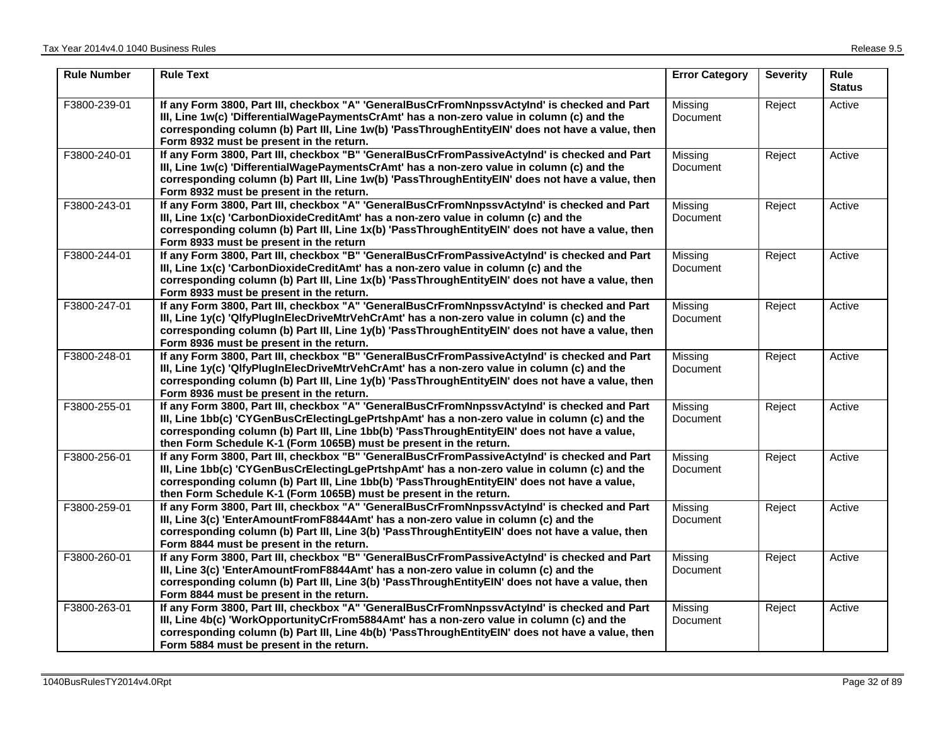| <b>Rule Number</b> | <b>Rule Text</b>                                                                                                                                                                                                                                                                                                                                                    | <b>Error Category</b>      | <b>Severity</b> | <b>Rule</b><br><b>Status</b> |
|--------------------|---------------------------------------------------------------------------------------------------------------------------------------------------------------------------------------------------------------------------------------------------------------------------------------------------------------------------------------------------------------------|----------------------------|-----------------|------------------------------|
| F3800-239-01       | If any Form 3800, Part III, checkbox "A" 'GeneralBusCrFromNnpssvActyInd' is checked and Part<br>III, Line 1w(c) 'DifferentialWagePaymentsCrAmt' has a non-zero value in column (c) and the<br>corresponding column (b) Part III, Line 1w(b) 'PassThroughEntityEIN' does not have a value, then<br>Form 8932 must be present in the return.                          | Missing<br>Document        | Reject          | Active                       |
| F3800-240-01       | If any Form 3800, Part III, checkbox "B" 'GeneralBusCrFromPassiveActyInd' is checked and Part<br>III, Line 1w(c) 'DifferentialWagePaymentsCrAmt' has a non-zero value in column (c) and the<br>corresponding column (b) Part III, Line 1w(b) 'PassThroughEntityEIN' does not have a value, then<br>Form 8932 must be present in the return.                         | Missing<br>Document        | Reject          | Active                       |
| F3800-243-01       | If any Form 3800, Part III, checkbox "A" 'GeneralBusCrFromNnpssvActyInd' is checked and Part<br>III, Line 1x(c) 'CarbonDioxideCreditAmt' has a non-zero value in column (c) and the<br>corresponding column (b) Part III, Line 1x(b) 'PassThroughEntityEIN' does not have a value, then<br>Form 8933 must be present in the return                                  | Missing<br>Document        | Reject          | Active                       |
| F3800-244-01       | If any Form 3800, Part III, checkbox "B" 'GeneralBusCrFromPassiveActyInd' is checked and Part<br>III, Line 1x(c) 'CarbonDioxideCreditAmt' has a non-zero value in column (c) and the<br>corresponding column (b) Part III, Line 1x(b) 'PassThroughEntityEIN' does not have a value, then<br>Form 8933 must be present in the return.                                | Missing<br><b>Document</b> | Reject          | Active                       |
| F3800-247-01       | If any Form 3800, Part III, checkbox "A" 'GeneralBusCrFromNnpssvActyInd' is checked and Part<br>III, Line 1y(c) 'QlfyPlugInElecDriveMtrVehCrAmt' has a non-zero value in column (c) and the<br>corresponding column (b) Part III, Line 1y(b) 'PassThroughEntityEIN' does not have a value, then<br>Form 8936 must be present in the return.                         | Missing<br>Document        | Reject          | Active                       |
| F3800-248-01       | If any Form 3800, Part III, checkbox "B" 'GeneralBusCrFromPassiveActyInd' is checked and Part<br>III, Line 1y(c) 'QlfyPlugInElecDriveMtrVehCrAmt' has a non-zero value in column (c) and the<br>corresponding column (b) Part III, Line 1y(b) 'PassThroughEntityEIN' does not have a value, then<br>Form 8936 must be present in the return.                        | Missing<br>Document        | Reject          | Active                       |
| F3800-255-01       | If any Form 3800, Part III, checkbox "A" 'GeneralBusCrFromNnpssvActyInd' is checked and Part<br>III, Line 1bb(c) 'CYGenBusCrElectingLgePrtshpAmt' has a non-zero value in column (c) and the<br>corresponding column (b) Part III, Line 1bb(b) 'PassThroughEntityEIN' does not have a value,<br>then Form Schedule K-1 (Form 1065B) must be present in the return.  | Missing<br>Document        | Reject          | Active                       |
| F3800-256-01       | If any Form 3800, Part III, checkbox "B" 'GeneralBusCrFromPassiveActyInd' is checked and Part<br>III, Line 1bb(c) 'CYGenBusCrElectingLgePrtshpAmt' has a non-zero value in column (c) and the<br>corresponding column (b) Part III, Line 1bb(b) 'PassThroughEntityEIN' does not have a value,<br>then Form Schedule K-1 (Form 1065B) must be present in the return. | Missing<br>Document        | Reject          | Active                       |
| F3800-259-01       | If any Form 3800, Part III, checkbox "A" 'GeneralBusCrFromNnpssvActyInd' is checked and Part<br>III, Line 3(c) 'EnterAmountFromF8844Amt' has a non-zero value in column (c) and the<br>corresponding column (b) Part III, Line 3(b) 'PassThroughEntityEIN' does not have a value, then<br>Form 8844 must be present in the return.                                  | Missing<br>Document        | Reject          | Active                       |
| F3800-260-01       | If any Form 3800, Part III, checkbox "B" 'GeneralBusCrFromPassiveActyInd' is checked and Part<br>III, Line 3(c) 'EnterAmountFromF8844Amt' has a non-zero value in column (c) and the<br>corresponding column (b) Part III, Line 3(b) 'PassThroughEntityEIN' does not have a value, then<br>Form 8844 must be present in the return.                                 | Missing<br>Document        | Reject          | Active                       |
| F3800-263-01       | If any Form 3800, Part III, checkbox "A" 'GeneralBusCrFromNnpssvActyInd' is checked and Part<br>III, Line 4b(c) 'WorkOpportunityCrFrom5884Amt' has a non-zero value in column (c) and the<br>corresponding column (b) Part III, Line 4b(b) 'PassThroughEntityEIN' does not have a value, then<br>Form 5884 must be present in the return.                           | Missing<br>Document        | Reject          | Active                       |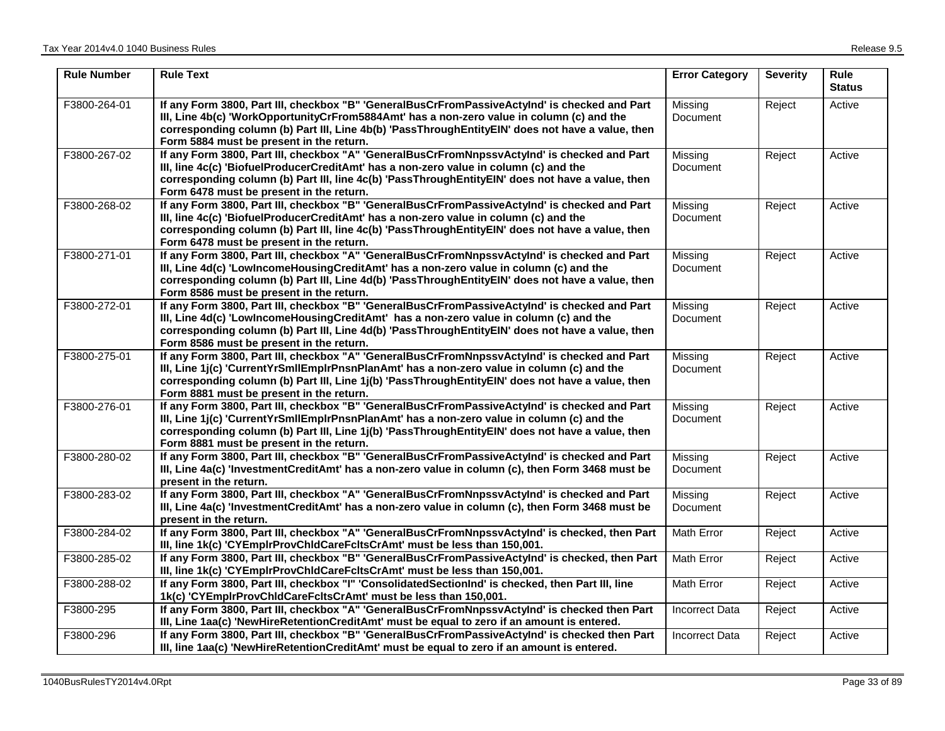| <b>Rule Number</b> | <b>Rule Text</b>                                                                                                                                                                                                                                                                                                                            | <b>Error Category</b>      | <b>Severity</b> | Rule<br><b>Status</b> |
|--------------------|---------------------------------------------------------------------------------------------------------------------------------------------------------------------------------------------------------------------------------------------------------------------------------------------------------------------------------------------|----------------------------|-----------------|-----------------------|
| F3800-264-01       | If any Form 3800, Part III, checkbox "B" 'GeneralBusCrFromPassiveActyInd' is checked and Part<br>III, Line 4b(c) 'WorkOpportunityCrFrom5884Amt' has a non-zero value in column (c) and the<br>corresponding column (b) Part III, Line 4b(b) 'PassThroughEntityEIN' does not have a value, then<br>Form 5884 must be present in the return.  | Missing<br>Document        | Reject          | Active                |
| F3800-267-02       | If any Form 3800, Part III, checkbox "A" 'GeneralBusCrFromNnpssvActyInd' is checked and Part<br>III, line 4c(c) 'BiofuelProducerCreditAmt' has a non-zero value in column (c) and the<br>corresponding column (b) Part III, line 4c(b) 'PassThroughEntityEIN' does not have a value, then<br>Form 6478 must be present in the return.       | Missing<br><b>Document</b> | Reject          | Active                |
| F3800-268-02       | If any Form 3800, Part III, checkbox "B" 'GeneralBusCrFromPassiveActyInd' is checked and Part<br>III, line 4c(c) 'BiofuelProducerCreditAmt' has a non-zero value in column (c) and the<br>corresponding column (b) Part III, line 4c(b) 'PassThroughEntityEIN' does not have a value, then<br>Form 6478 must be present in the return.      | Missing<br>Document        | Reject          | Active                |
| F3800-271-01       | If any Form 3800, Part III, checkbox "A" 'GeneralBusCrFromNnpssvActyInd' is checked and Part<br>III, Line 4d(c) 'LowIncomeHousingCreditAmt' has a non-zero value in column (c) and the<br>corresponding column (b) Part III, Line 4d(b) 'PassThroughEntityEIN' does not have a value, then<br>Form 8586 must be present in the return.      | Missing<br>Document        | Reject          | Active                |
| F3800-272-01       | If any Form 3800, Part III, checkbox "B" 'GeneralBusCrFromPassiveActyInd' is checked and Part<br>III, Line 4d(c) 'LowIncomeHousingCreditAmt' has a non-zero value in column (c) and the<br>corresponding column (b) Part III, Line 4d(b) 'PassThroughEntityEIN' does not have a value, then<br>Form 8586 must be present in the return.     | Missing<br>Document        | Reject          | Active                |
| F3800-275-01       | If any Form 3800, Part III, checkbox "A" 'GeneralBusCrFromNnpssvActyInd' is checked and Part<br>III, Line 1j(c) 'CurrentYrSmIIEmpIrPnsnPlanAmt' has a non-zero value in column (c) and the<br>corresponding column (b) Part III, Line 1j(b) 'PassThroughEntityEIN' does not have a value, then<br>Form 8881 must be present in the return.  | Missing<br>Document        | Reject          | Active                |
| F3800-276-01       | If any Form 3800, Part III, checkbox "B" 'GeneralBusCrFromPassiveActyInd' is checked and Part<br>III, Line 1j(c) 'CurrentYrSmIIEmpIrPnsnPlanAmt' has a non-zero value in column (c) and the<br>corresponding column (b) Part III, Line 1j(b) 'PassThroughEntityEIN' does not have a value, then<br>Form 8881 must be present in the return. | Missing<br>Document        | Reject          | Active                |
| F3800-280-02       | If any Form 3800, Part III, checkbox "B" 'GeneralBusCrFromPassiveActyInd' is checked and Part<br>III, Line 4a(c) 'InvestmentCreditAmt' has a non-zero value in column (c), then Form 3468 must be<br>present in the return.                                                                                                                 | Missing<br><b>Document</b> | Reject          | Active                |
| F3800-283-02       | If any Form 3800, Part III, checkbox "A" 'GeneralBusCrFromNnpssvActylnd' is checked and Part<br>III, Line 4a(c) 'InvestmentCreditAmt' has a non-zero value in column (c), then Form 3468 must be<br>present in the return.                                                                                                                  | Missing<br>Document        | Reject          | Active                |
| F3800-284-02       | If any Form 3800, Part III, checkbox "A" 'GeneralBusCrFromNnpssvActyInd' is checked, then Part<br>III, line 1k(c) 'CYEmpIrProvChIdCareFcItsCrAmt' must be less than 150,001.                                                                                                                                                                | Math Error                 | Reject          | Active                |
| F3800-285-02       | If any Form 3800, Part III, checkbox "B" 'GeneralBusCrFromPassiveActyInd' is checked, then Part<br>III, line 1k(c) 'CYEmplrProvChIdCareFcItsCrAmt' must be less than 150,001.                                                                                                                                                               | Math Error                 | Reject          | Active                |
| F3800-288-02       | If any Form 3800, Part III, checkbox "I" 'ConsolidatedSectionInd' is checked, then Part III, line<br>1k(c) 'CYEmpirProvChidCareFcitsCrAmt' must be less than 150,001.                                                                                                                                                                       | Math Error                 | Reject          | Active                |
| F3800-295          | If any Form 3800, Part III, checkbox "A" 'GeneralBusCrFromNnpssvActyInd' is checked then Part<br>III, Line 1aa(c) 'NewHireRetentionCreditAmt' must be equal to zero if an amount is entered.                                                                                                                                                | <b>Incorrect Data</b>      | Reject          | Active                |
| F3800-296          | If any Form 3800, Part III, checkbox "B" 'GeneralBusCrFromPassiveActyInd' is checked then Part<br>III, line 1aa(c) 'NewHireRetentionCreditAmt' must be equal to zero if an amount is entered.                                                                                                                                               | <b>Incorrect Data</b>      | Reject          | Active                |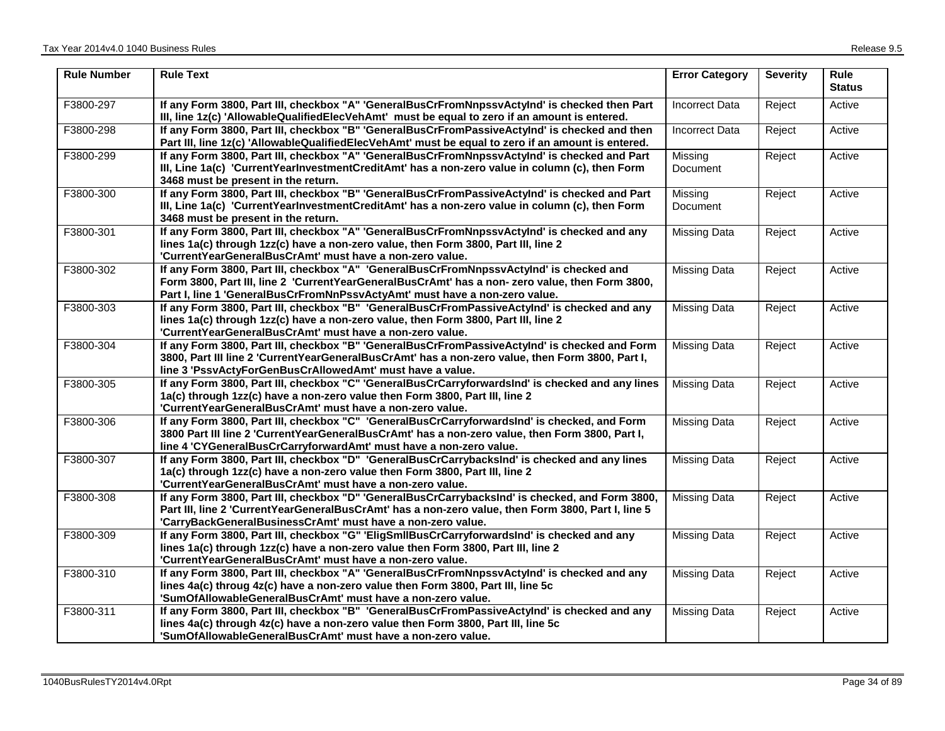| <b>Rule Number</b> | <b>Rule Text</b>                                                                                                                                                                                                                                                         | <b>Error Category</b> | <b>Severity</b> | <b>Rule</b><br><b>Status</b> |
|--------------------|--------------------------------------------------------------------------------------------------------------------------------------------------------------------------------------------------------------------------------------------------------------------------|-----------------------|-----------------|------------------------------|
| F3800-297          | If any Form 3800, Part III, checkbox "A" 'GeneralBusCrFromNnpssvActyInd' is checked then Part<br>III, line 1z(c) 'AllowableQualifiedElecVehAmt' must be equal to zero if an amount is entered.                                                                           | <b>Incorrect Data</b> | Reject          | Active                       |
| F3800-298          | If any Form 3800, Part III, checkbox "B" 'GeneralBusCrFromPassiveActyInd' is checked and then<br>Part III, line 1z(c) 'AllowableQualifiedElecVehAmt' must be equal to zero if an amount is entered.                                                                      | <b>Incorrect Data</b> | Reject          | Active                       |
| F3800-299          | If any Form 3800, Part III, checkbox "A" 'GeneralBusCrFromNnpssvActyInd' is checked and Part<br>III, Line 1a(c) 'CurrentYearInvestmentCreditAmt' has a non-zero value in column (c), then Form<br>3468 must be present in the return.                                    | Missing<br>Document   | Reject          | Active                       |
| F3800-300          | If any Form 3800, Part III, checkbox "B" 'GeneralBusCrFromPassiveActyInd' is checked and Part<br>III, Line 1a(c) 'CurrentYearInvestmentCreditAmt' has a non-zero value in column (c), then Form<br>3468 must be present in the return.                                   | Missing<br>Document   | Reject          | Active                       |
| F3800-301          | If any Form 3800, Part III, checkbox "A" 'GeneralBusCrFromNnpssvActyInd' is checked and any<br>lines 1a(c) through 1zz(c) have a non-zero value, then Form 3800, Part III, line 2<br>'CurrentYearGeneralBusCrAmt' must have a non-zero value.                            | <b>Missing Data</b>   | Reject          | Active                       |
| F3800-302          | If any Form 3800, Part III, checkbox "A" 'GeneralBusCrFromNnpssvActyInd' is checked and<br>Form 3800, Part III, line 2 'CurrentYearGeneralBusCrAmt' has a non- zero value, then Form 3800,<br>Part I, line 1 'GeneralBusCrFromNnPssvActyAmt' must have a non-zero value. | <b>Missing Data</b>   | Reject          | Active                       |
| F3800-303          | If any Form 3800, Part III, checkbox "B" 'GeneralBusCrFromPassiveActyInd' is checked and any<br>lines 1a(c) through 1zz(c) have a non-zero value, then Form 3800, Part III, line 2<br>'CurrentYearGeneralBusCrAmt' must have a non-zero value.                           | <b>Missing Data</b>   | Reject          | Active                       |
| F3800-304          | If any Form 3800, Part III, checkbox "B" 'GeneralBusCrFromPassiveActyInd' is checked and Form<br>3800, Part III line 2 'CurrentYearGeneralBusCrAmt' has a non-zero value, then Form 3800, Part I,<br>line 3 'PssvActyForGenBusCrAllowedAmt' must have a value.           | <b>Missing Data</b>   | Reject          | Active                       |
| F3800-305          | If any Form 3800, Part III, checkbox "C" 'GeneralBusCrCarryforwardsInd' is checked and any lines<br>1a(c) through 1zz(c) have a non-zero value then Form 3800, Part III, line 2<br>'CurrentYearGeneralBusCrAmt' must have a non-zero value.                              | <b>Missing Data</b>   | Reject          | Active                       |
| F3800-306          | If any Form 3800, Part III, checkbox "C" 'GeneralBusCrCarryforwardsInd' is checked, and Form<br>3800 Part III line 2 'CurrentYearGeneralBusCrAmt' has a non-zero value, then Form 3800, Part I,<br>line 4 'CYGeneralBusCrCarryforwardAmt' must have a non-zero value.    | <b>Missing Data</b>   | Reject          | Active                       |
| F3800-307          | If any Form 3800, Part III, checkbox "D" 'GeneralBusCrCarrybacksInd' is checked and any lines<br>1a(c) through 1zz(c) have a non-zero value then Form 3800, Part III, line 2<br>'CurrentYearGeneralBusCrAmt' must have a non-zero value.                                 | <b>Missing Data</b>   | Reject          | Active                       |
| F3800-308          | If any Form 3800, Part III, checkbox "D" 'GeneralBusCrCarrybacksInd' is checked, and Form 3800,<br>Part III, line 2 'CurrentYearGeneralBusCrAmt' has a non-zero value, then Form 3800, Part I, line 5<br>'CarryBackGeneralBusinessCrAmt' must have a non-zero value.     | <b>Missing Data</b>   | Reject          | Active                       |
| F3800-309          | If any Form 3800, Part III, checkbox "G" 'EligSmllBusCrCarryforwardsInd' is checked and any<br>lines 1a(c) through 1zz(c) have a non-zero value then Form 3800, Part III, line 2<br>'CurrentYearGeneralBusCrAmt' must have a non-zero value.                             | <b>Missing Data</b>   | Reject          | Active                       |
| F3800-310          | If any Form 3800, Part III, checkbox "A" 'GeneralBusCrFromNnpssvActyInd' is checked and any<br>lines 4a(c) throug 4z(c) have a non-zero value then Form 3800, Part III, line 5c<br>'SumOfAllowableGeneralBusCrAmt' must have a non-zero value.                           | <b>Missing Data</b>   | Reject          | Active                       |
| F3800-311          | If any Form 3800, Part III, checkbox "B" 'GeneralBusCrFromPassiveActyInd' is checked and any<br>lines 4a(c) through 4z(c) have a non-zero value then Form 3800, Part III, line 5c<br>'SumOfAllowableGeneralBusCrAmt' must have a non-zero value.                         | <b>Missing Data</b>   | Reject          | Active                       |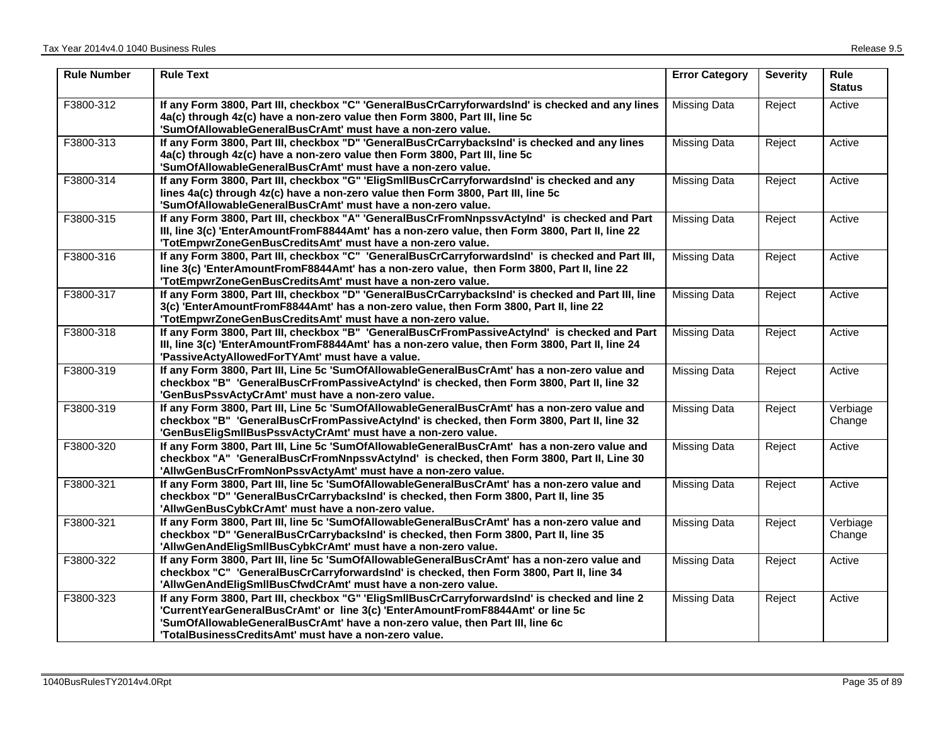| <b>Rule Number</b> | <b>Rule Text</b>                                                                                                                                                                                                                                                  | <b>Error Category</b> | <b>Severity</b> | Rule<br><b>Status</b> |
|--------------------|-------------------------------------------------------------------------------------------------------------------------------------------------------------------------------------------------------------------------------------------------------------------|-----------------------|-----------------|-----------------------|
| F3800-312          | If any Form 3800, Part III, checkbox "C" 'GeneralBusCrCarryforwardsInd' is checked and any lines<br>4a(c) through 4z(c) have a non-zero value then Form 3800, Part III, line 5c<br>'SumOfAllowableGeneralBusCrAmt' must have a non-zero value.                    | Missing Data          | Reject          | Active                |
| F3800-313          | If any Form 3800, Part III, checkbox "D" 'GeneralBusCrCarrybacksInd' is checked and any lines<br>4a(c) through 4z(c) have a non-zero value then Form 3800, Part III, line 5c<br>'SumOfAllowableGeneralBusCrAmt' must have a non-zero value.                       | Missing Data          | Reject          | Active                |
| F3800-314          | If any Form 3800, Part III, checkbox "G" 'EligSmllBusCrCarryforwardsInd' is checked and any<br>lines 4a(c) through 4z(c) have a non-zero value then Form 3800, Part III, line 5c<br>'SumOfAllowableGeneralBusCrAmt' must have a non-zero value.                   | Missing Data          | Reject          | Active                |
| F3800-315          | If any Form 3800, Part III, checkbox "A" 'GeneralBusCrFromNnpssvActyInd' is checked and Part<br>III, line 3(c) 'EnterAmountFromF8844Amt' has a non-zero value, then Form 3800, Part II, line 22<br>'TotEmpwrZoneGenBusCreditsAmt' must have a non-zero value.     | <b>Missing Data</b>   | Reject          | Active                |
| F3800-316          | If any Form 3800, Part III, checkbox "C" 'GeneralBusCrCarryforwardsInd' is checked and Part III,<br>line 3(c) 'EnterAmountFromF8844Amt' has a non-zero value, then Form 3800, Part II, line 22<br>'TotEmpwrZoneGenBusCreditsAmt' must have a non-zero value.      | Missing Data          | Reject          | Active                |
| F3800-317          | If any Form 3800, Part III, checkbox "D" 'GeneralBusCrCarrybacksInd' is checked and Part III, line<br>3(c) 'EnterAmountFromF8844Amt' has a non-zero value, then Form 3800, Part II, line 22<br>'TotEmpwrZoneGenBusCreditsAmt' must have a non-zero value.         | <b>Missing Data</b>   | Reject          | Active                |
| F3800-318          | If any Form 3800, Part III, checkbox "B" 'GeneralBusCrFromPassiveActyInd' is checked and Part<br>III, line 3(c) 'EnterAmountFromF8844Amt' has a non-zero value, then Form 3800, Part II, line 24<br>'PassiveActyAllowedForTYAmt' must have a value.               | Missing Data          | Reject          | Active                |
| F3800-319          | If any Form 3800, Part III, Line 5c 'SumOfAllowableGeneralBusCrAmt' has a non-zero value and<br>checkbox "B" 'GeneralBusCrFromPassiveActyInd' is checked, then Form 3800, Part II, line 32<br>'GenBusPssvActyCrAmt' must have a non-zero value.                   | Missing Data          | Reject          | Active                |
| F3800-319          | If any Form 3800, Part III, Line 5c 'SumOfAllowableGeneralBusCrAmt' has a non-zero value and<br>checkbox "B" 'GeneralBusCrFromPassiveActyInd' is checked, then Form 3800, Part II, line 32<br>'GenBusEligSmllBusPssvActyCrAmt' must have a non-zero value.        | Missing Data          | Reject          | Verbiage<br>Change    |
| F3800-320          | If any Form 3800, Part III, Line 5c 'SumOfAllowableGeneralBusCrAmt' has a non-zero value and<br>checkbox "A" 'GeneralBusCrFromNnpssvActylnd' is checked, then Form 3800, Part II, Line 30<br>'AllwGenBusCrFromNonPssvActyAmt' must have a non-zero value.         | Missing Data          | Reject          | Active                |
| F3800-321          | If any Form 3800, Part III, line 5c 'SumOfAllowableGeneralBusCrAmt' has a non-zero value and<br>checkbox "D" 'GeneralBusCrCarrybacksInd' is checked, then Form 3800, Part II, line 35<br>'AllwGenBusCybkCrAmt' must have a non-zero value.                        | Missing Data          | Reject          | Active                |
| F3800-321          | If any Form 3800, Part III, line 5c 'SumOfAllowableGeneralBusCrAmt' has a non-zero value and<br>checkbox "D" 'GeneralBusCrCarrybacksInd' is checked, then Form 3800, Part II, line 35<br>'AllwGenAndEligSmllBusCybkCrAmt' must have a non-zero value.             | Missing Data          | Reject          | Verbiage<br>Change    |
| F3800-322          | If any Form 3800, Part III, line 5c 'SumOfAllowableGeneralBusCrAmt' has a non-zero value and<br>checkbox "C" 'GeneralBusCrCarryforwardsInd' is checked, then Form 3800, Part II, line 34<br>'AllwGenAndEligSmllBusCfwdCrAmt' must have a non-zero value.          | Missing Data          | Reject          | Active                |
| F3800-323          | If any Form 3800, Part III, checkbox "G" 'EligSmllBusCrCarryforwardsInd' is checked and line 2<br>'CurrentYearGeneralBusCrAmt' or line 3(c) 'EnterAmountFromF8844Amt' or line 5c<br>'SumOfAllowableGeneralBusCrAmt' have a non-zero value, then Part III, line 6c | <b>Missing Data</b>   | Reject          | Active                |
|                    | 'TotalBusinessCreditsAmt' must have a non-zero value.                                                                                                                                                                                                             |                       |                 |                       |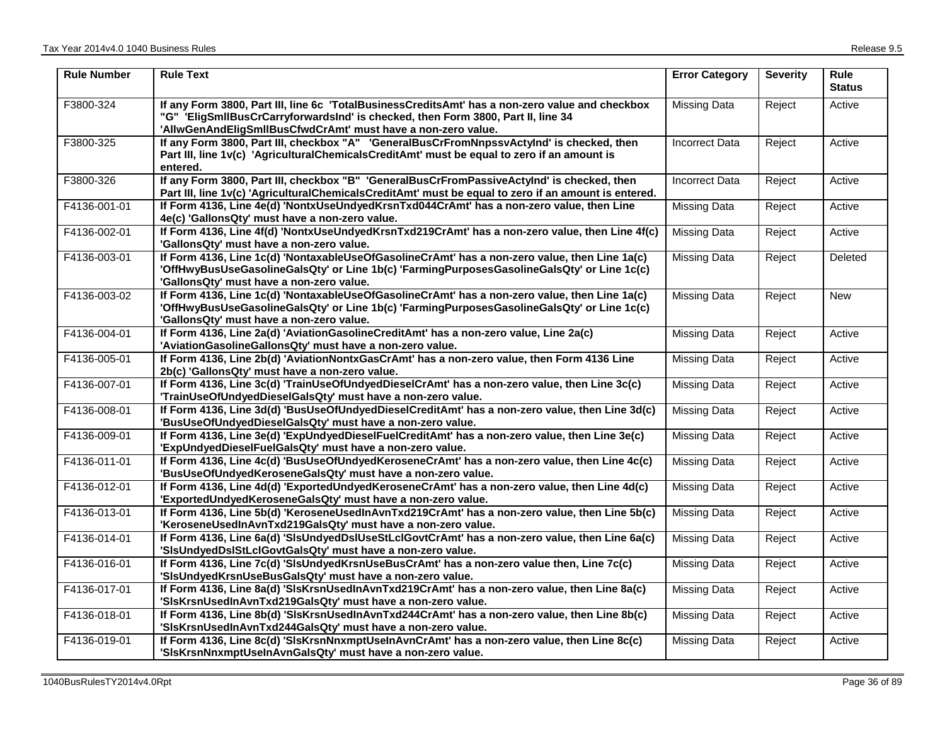| <b>Rule Number</b> | <b>Rule Text</b>                                                                                                                                                                                                                                    | <b>Error Category</b> | <b>Severity</b> | <b>Rule</b><br><b>Status</b> |
|--------------------|-----------------------------------------------------------------------------------------------------------------------------------------------------------------------------------------------------------------------------------------------------|-----------------------|-----------------|------------------------------|
| F3800-324          | If any Form 3800, Part III, line 6c 'TotalBusinessCreditsAmt' has a non-zero value and checkbox<br>"G" 'EligSmllBusCrCarryforwardsInd' is checked, then Form 3800, Part II, line 34<br>'AllwGenAndEligSmllBusCfwdCrAmt' must have a non-zero value. | Missing Data          | Reject          | Active                       |
| F3800-325          | If any Form 3800, Part III, checkbox "A" 'GeneralBusCrFromNnpssvActyInd' is checked, then<br>Part III, line 1v(c) 'AgriculturalChemicalsCreditAmt' must be equal to zero if an amount is<br>entered.                                                | <b>Incorrect Data</b> | Reject          | Active                       |
| F3800-326          | If any Form 3800, Part III, checkbox "B" 'GeneralBusCrFromPassiveActyInd' is checked, then<br>Part III, line 1v(c) 'AgriculturalChemicalsCreditAmt' must be equal to zero if an amount is entered.                                                  | Incorrect Data        | Reject          | Active                       |
| F4136-001-01       | If Form 4136, Line 4e(d) 'NontxUseUndyedKrsnTxd044CrAmt' has a non-zero value, then Line<br>4e(c) 'GallonsQty' must have a non-zero value.                                                                                                          | <b>Missing Data</b>   | Reject          | Active                       |
| F4136-002-01       | If Form 4136, Line 4f(d) 'NontxUseUndyedKrsnTxd219CrAmt' has a non-zero value, then Line 4f(c)<br>'GallonsQty' must have a non-zero value.                                                                                                          | <b>Missing Data</b>   | Reject          | Active                       |
| F4136-003-01       | If Form 4136, Line 1c(d) 'NontaxableUseOfGasolineCrAmt' has a non-zero value, then Line 1a(c)<br>'OffHwyBusUseGasolineGalsQty' or Line 1b(c) 'FarmingPurposesGasolineGalsQty' or Line 1c(c)<br>'GallonsQty' must have a non-zero value.             | <b>Missing Data</b>   | Reject          | Deleted                      |
| F4136-003-02       | If Form 4136, Line 1c(d) 'NontaxableUseOfGasolineCrAmt' has a non-zero value, then Line 1a(c)<br>'OffHwyBusUseGasolineGalsQty' or Line 1b(c) 'FarmingPurposesGasolineGalsQty' or Line 1c(c)<br>'GallonsQty' must have a non-zero value.             | <b>Missing Data</b>   | Reject          | <b>New</b>                   |
| F4136-004-01       | If Form 4136, Line 2a(d) 'AviationGasolineCreditAmt' has a non-zero value, Line 2a(c)<br>'AviationGasolineGallonsQty' must have a non-zero value.                                                                                                   | <b>Missing Data</b>   | Reject          | Active                       |
| F4136-005-01       | If Form 4136, Line 2b(d) 'AviationNontxGasCrAmt' has a non-zero value, then Form 4136 Line<br>2b(c) 'GallonsQty' must have a non-zero value.                                                                                                        | <b>Missing Data</b>   | Reject          | Active                       |
| F4136-007-01       | If Form 4136, Line 3c(d) 'TrainUseOfUndyedDieselCrAmt' has a non-zero value, then Line 3c(c)<br>'TrainUseOfUndyedDieselGalsQty' must have a non-zero value.                                                                                         | <b>Missing Data</b>   | Reject          | Active                       |
| F4136-008-01       | If Form 4136, Line 3d(d) 'BusUseOfUndyedDieselCreditAmt' has a non-zero value, then Line 3d(c)<br>'BusUseOfUndyedDieselGalsQty' must have a non-zero value.                                                                                         | <b>Missing Data</b>   | Reject          | Active                       |
| F4136-009-01       | If Form 4136, Line 3e(d) 'ExpUndyedDieselFuelCreditAmt' has a non-zero value, then Line 3e(c)<br>'ExpUndyedDieselFuelGalsQty' must have a non-zero value.                                                                                           | <b>Missing Data</b>   | Reject          | Active                       |
| F4136-011-01       | If Form 4136, Line 4c(d) 'BusUseOfUndyedKeroseneCrAmt' has a non-zero value, then Line 4c(c)<br>'BusUseOfUndyedKeroseneGalsQty' must have a non-zero value.                                                                                         | Missing Data          | Reject          | Active                       |
| F4136-012-01       | If Form 4136, Line 4d(d) 'ExportedUndyedKeroseneCrAmt' has a non-zero value, then Line 4d(c)<br>'ExportedUndyedKeroseneGalsQty' must have a non-zero value.                                                                                         | <b>Missing Data</b>   | Reject          | Active                       |
| F4136-013-01       | If Form 4136, Line 5b(d) 'KeroseneUsedInAvnTxd219CrAmt' has a non-zero value, then Line 5b(c)<br>'KeroseneUsedInAvnTxd219GalsQty' must have a non-zero value.                                                                                       | <b>Missing Data</b>   | Reject          | Active                       |
| F4136-014-01       | If Form 4136, Line 6a(d) 'SIsUndyedDsIUseStLcIGovtCrAmt' has a non-zero value, then Line 6a(c)<br>'SisUndyedDsIStLcIGovtGalsQty' must have a non-zero value.                                                                                        | Missing Data          | Reject          | Active                       |
| F4136-016-01       | If Form 4136, Line 7c(d) 'SIsUndyedKrsnUseBusCrAmt' has a non-zero value then, Line 7c(c)<br>'SisUndyedKrsnUseBusGalsQty' must have a non-zero value.                                                                                               | <b>Missing Data</b>   | Reject          | Active                       |
| F4136-017-01       | If Form 4136, Line 8a(d) 'SIsKrsnUsedInAvnTxd219CrAmt' has a non-zero value, then Line 8a(c)<br>'SIsKrsnUsedInAvnTxd219GalsQty' must have a non-zero value.                                                                                         | <b>Missing Data</b>   | Reject          | Active                       |
| F4136-018-01       | If Form 4136, Line 8b(d) 'SIsKrsnUsedInAvnTxd244CrAmt' has a non-zero value, then Line 8b(c)<br>'SisKrsnUsedInAvnTxd244GalsQty' must have a non-zero value.                                                                                         | <b>Missing Data</b>   | Reject          | Active                       |
| F4136-019-01       | If Form 4136, Line 8c(d) 'SIsKrsnNnxmptUseInAvnCrAmt' has a non-zero value, then Line 8c(c)<br>'SIsKrsnNnxmptUseInAvnGalsQty' must have a non-zero value.                                                                                           | <b>Missing Data</b>   | Reject          | Active                       |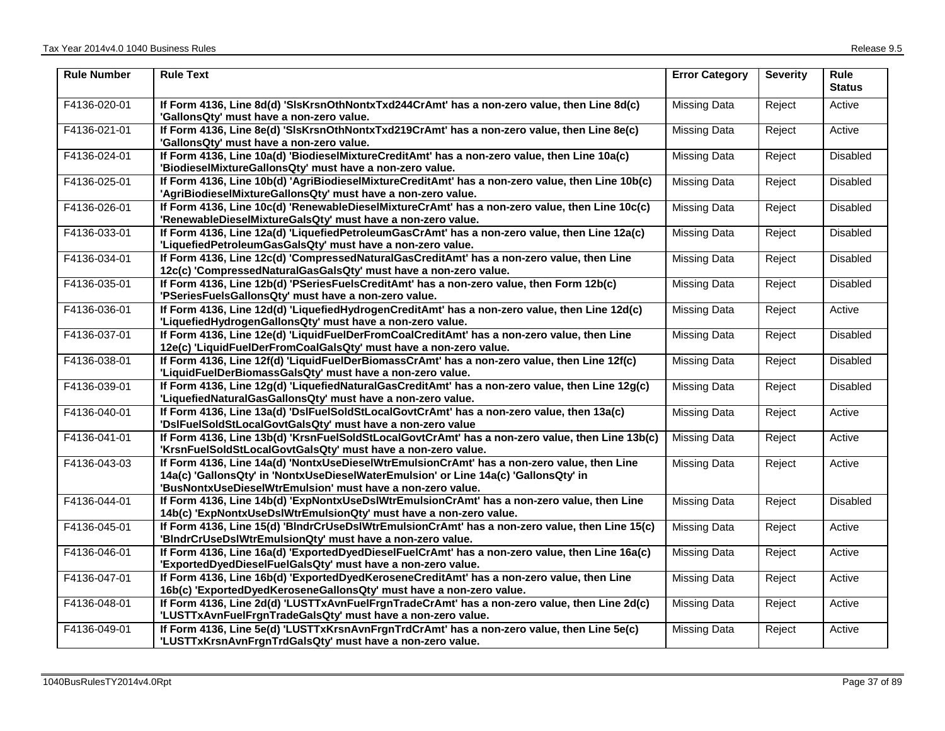| <b>Rule Number</b> | <b>Rule Text</b>                                                                                                                                                                                                                                | <b>Error Category</b> | <b>Severity</b> | Rule<br><b>Status</b> |
|--------------------|-------------------------------------------------------------------------------------------------------------------------------------------------------------------------------------------------------------------------------------------------|-----------------------|-----------------|-----------------------|
| F4136-020-01       | If Form 4136, Line 8d(d) 'SIsKrsnOthNontxTxd244CrAmt' has a non-zero value, then Line 8d(c)<br>'GallonsQty' must have a non-zero value.                                                                                                         | Missing Data          | Reject          | Active                |
| F4136-021-01       | If Form 4136, Line 8e(d) 'SIsKrsnOthNontxTxd219CrAmt' has a non-zero value, then Line 8e(c)<br>'GallonsQty' must have a non-zero value.                                                                                                         | Missing Data          | Reject          | Active                |
| F4136-024-01       | If Form 4136, Line 10a(d) 'BiodieselMixtureCreditAmt' has a non-zero value, then Line 10a(c)<br>'BiodieselMixtureGallonsQty' must have a non-zero value.                                                                                        | Missing Data          | Reject          | Disabled              |
| F4136-025-01       | If Form 4136, Line 10b(d) 'AgriBiodieselMixtureCreditAmt' has a non-zero value, then Line 10b(c)<br>'AgriBiodieselMixtureGallonsQty' must have a non-zero value.                                                                                | <b>Missing Data</b>   | Reject          | Disabled              |
| F4136-026-01       | If Form 4136, Line 10c(d) 'RenewableDieselMixtureCrAmt' has a non-zero value, then Line 10c(c)<br>'RenewableDieselMixtureGalsQty' must have a non-zero value.                                                                                   | Missing Data          | Reject          | Disabled              |
| F4136-033-01       | If Form 4136, Line 12a(d) 'LiquefiedPetroleumGasCrAmt' has a non-zero value, then Line 12a(c)<br>'LiquefiedPetroleumGasGalsQty' must have a non-zero value.                                                                                     | Missing Data          | Reject          | Disabled              |
| F4136-034-01       | If Form 4136, Line 12c(d) 'CompressedNaturalGasCreditAmt' has a non-zero value, then Line<br>12c(c) 'CompressedNaturalGasGalsQty' must have a non-zero value.                                                                                   | <b>Missing Data</b>   | Reject          | Disabled              |
| F4136-035-01       | If Form 4136, Line 12b(d) 'PSeriesFuelsCreditAmt' has a non-zero value, then Form 12b(c)<br>'PSeriesFuelsGallonsQty' must have a non-zero value.                                                                                                | <b>Missing Data</b>   | Reject          | Disabled              |
| F4136-036-01       | If Form 4136, Line 12d(d) 'LiquefiedHydrogenCreditAmt' has a non-zero value, then Line 12d(c)<br>'LiquefiedHydrogenGallonsQty' must have a non-zero value.                                                                                      | Missing Data          | Reject          | Active                |
| F4136-037-01       | If Form 4136, Line 12e(d) 'LiquidFuelDerFromCoalCreditAmt' has a non-zero value, then Line<br>12e(c) 'LiquidFuelDerFromCoalGalsQty' must have a non-zero value.                                                                                 | Missing Data          | Reject          | <b>Disabled</b>       |
| F4136-038-01       | If Form 4136, Line 12f(d) 'LiquidFuelDerBiomassCrAmt' has a non-zero value, then Line 12f(c)<br>'LiquidFuelDerBiomassGalsQty' must have a non-zero value.                                                                                       | Missing Data          | Reject          | Disabled              |
| F4136-039-01       | If Form 4136, Line 12g(d) 'LiquefiedNaturalGasCreditAmt' has a non-zero value, then Line 12g(c)<br>'LiquefiedNaturalGasGallonsQty' must have a non-zero value.                                                                                  | Missing Data          | Reject          | <b>Disabled</b>       |
| F4136-040-01       | If Form 4136, Line 13a(d) 'DsIFuelSoldStLocalGovtCrAmt' has a non-zero value, then 13a(c)<br>'DslFuelSoldStLocalGovtGalsQty' must have a non-zero value                                                                                         | Missing Data          | Reject          | Active                |
| F4136-041-01       | If Form 4136, Line 13b(d) 'KrsnFuelSoldStLocalGovtCrAmt' has a non-zero value, then Line 13b(c)<br>'KrsnFuelSoldStLocalGovtGalsQty' must have a non-zero value.                                                                                 | <b>Missing Data</b>   | Reject          | Active                |
| F4136-043-03       | If Form 4136, Line 14a(d) 'NontxUseDieselWtrEmulsionCrAmt' has a non-zero value, then Line<br>14a(c) 'GallonsQty' in 'NontxUseDieselWaterEmulsion' or Line 14a(c) 'GallonsQty' in<br>'BusNontxUseDieselWtrEmulsion' must have a non-zero value. | Missing Data          | Reject          | Active                |
| F4136-044-01       | If Form 4136, Line 14b(d) 'ExpNontxUseDsIWtrEmulsionCrAmt' has a non-zero value, then Line<br>14b(c) 'ExpNontxUseDsIWtrEmulsionQty' must have a non-zero value.                                                                                 | Missing Data          | Reject          | <b>Disabled</b>       |
| F4136-045-01       | If Form 4136, Line 15(d) 'BIndrCrUseDsIWtrEmulsionCrAmt' has a non-zero value, then Line 15(c)<br>'BIndrCrUseDsIWtrEmulsionQty' must have a non-zero value.                                                                                     | <b>Missing Data</b>   | Reject          | Active                |
| F4136-046-01       | If Form 4136, Line 16a(d) 'ExportedDyedDieselFuelCrAmt' has a non-zero value, then Line 16a(c)<br>'ExportedDyedDieselFuelGalsQty' must have a non-zero value.                                                                                   | <b>Missing Data</b>   | Reject          | Active                |
| F4136-047-01       | If Form 4136, Line 16b(d) 'ExportedDyedKeroseneCreditAmt' has a non-zero value, then Line<br>16b(c) 'ExportedDyedKeroseneGallonsQty' must have a non-zero value.                                                                                | Missing Data          | Reject          | Active                |
| F4136-048-01       | If Form 4136, Line 2d(d) 'LUSTTxAvnFuelFrgnTradeCrAmt' has a non-zero value, then Line 2d(c)<br>'LUSTTxAvnFuelFrgnTradeGalsQty' must have a non-zero value.                                                                                     | Missing Data          | Reject          | Active                |
| F4136-049-01       | If Form 4136, Line 5e(d) 'LUSTTxKrsnAvnFrgnTrdCrAmt' has a non-zero value, then Line 5e(c)<br>'LUSTTxKrsnAvnFrgnTrdGalsQty' must have a non-zero value.                                                                                         | Missing Data          | Reject          | Active                |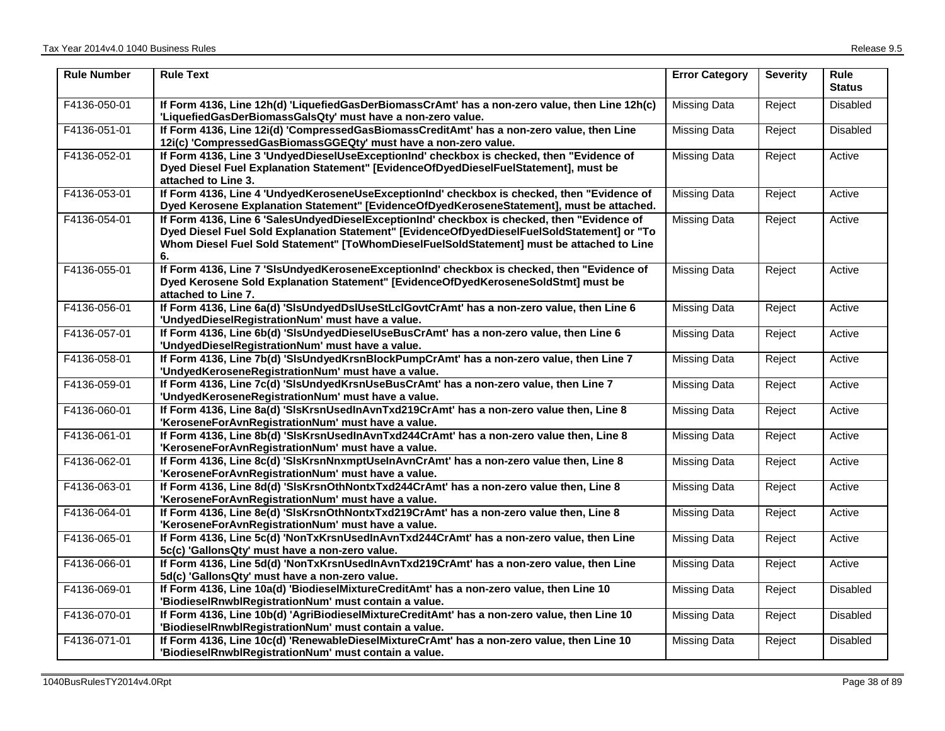| <b>Rule Number</b> | <b>Rule Text</b>                                                                                                                                                                                                                                                                              | <b>Error Category</b> | <b>Severity</b> | <b>Rule</b><br><b>Status</b> |
|--------------------|-----------------------------------------------------------------------------------------------------------------------------------------------------------------------------------------------------------------------------------------------------------------------------------------------|-----------------------|-----------------|------------------------------|
| F4136-050-01       | If Form 4136, Line 12h(d) 'LiquefiedGasDerBiomassCrAmt' has a non-zero value, then Line 12h(c)<br>'LiquefiedGasDerBiomassGalsQty' must have a non-zero value.                                                                                                                                 | Missing Data          | Reject          | <b>Disabled</b>              |
| F4136-051-01       | If Form 4136, Line 12i(d) 'CompressedGasBiomassCreditAmt' has a non-zero value, then Line<br>12i(c) 'CompressedGasBiomassGGEQty' must have a non-zero value.                                                                                                                                  | Missing Data          | Reject          | <b>Disabled</b>              |
| F4136-052-01       | If Form 4136, Line 3 'UndyedDieselUseExceptionInd' checkbox is checked, then "Evidence of<br>Dyed Diesel Fuel Explanation Statement" [EvidenceOfDyedDieselFuelStatement], must be<br>attached to Line 3.                                                                                      | <b>Missing Data</b>   | Reject          | Active                       |
| F4136-053-01       | If Form 4136, Line 4 'UndyedKeroseneUseExceptionInd' checkbox is checked, then "Evidence of<br>Dyed Kerosene Explanation Statement" [EvidenceOfDyedKeroseneStatement], must be attached.                                                                                                      | <b>Missing Data</b>   | Reject          | Active                       |
| F4136-054-01       | If Form 4136, Line 6 'SalesUndyedDieselExceptionInd' checkbox is checked, then "Evidence of<br>Dyed Diesel Fuel Sold Explanation Statement" [EvidenceOfDyedDieselFuelSoldStatement] or "To<br>Whom Diesel Fuel Sold Statement" [ToWhomDieselFuelSoldStatement] must be attached to Line<br>6. | <b>Missing Data</b>   | Reject          | Active                       |
| F4136-055-01       | If Form 4136, Line 7 'SIsUndyedKeroseneExceptionInd' checkbox is checked, then "Evidence of<br>Dyed Kerosene Sold Explanation Statement" [EvidenceOfDyedKeroseneSoldStmt] must be<br>attached to Line 7.                                                                                      | <b>Missing Data</b>   | Reject          | Active                       |
| F4136-056-01       | If Form 4136, Line 6a(d) 'SIsUndyedDsIUseStLcIGovtCrAmt' has a non-zero value, then Line 6<br>'UndyedDieselRegistrationNum' must have a value.                                                                                                                                                | <b>Missing Data</b>   | Reject          | Active                       |
| F4136-057-01       | If Form 4136, Line 6b(d) 'SIsUndyedDieselUseBusCrAmt' has a non-zero value, then Line 6<br>'UndyedDieselRegistrationNum' must have a value.                                                                                                                                                   | <b>Missing Data</b>   | Reject          | Active                       |
| F4136-058-01       | If Form 4136, Line 7b(d) 'SIsUndyedKrsnBlockPumpCrAmt' has a non-zero value, then Line 7<br>'UndyedKeroseneRegistrationNum' must have a value.                                                                                                                                                | Missing Data          | Reject          | Active                       |
| F4136-059-01       | If Form 4136, Line 7c(d) 'SIsUndyedKrsnUseBusCrAmt' has a non-zero value, then Line 7<br>'UndyedKeroseneRegistrationNum' must have a value.                                                                                                                                                   | <b>Missing Data</b>   | Reject          | Active                       |
| F4136-060-01       | If Form 4136, Line 8a(d) 'SIsKrsnUsedInAvnTxd219CrAmt' has a non-zero value then, Line 8<br>'KeroseneForAvnRegistrationNum' must have a value.                                                                                                                                                | <b>Missing Data</b>   | Reject          | Active                       |
| F4136-061-01       | If Form 4136, Line 8b(d) 'SIsKrsnUsedInAvnTxd244CrAmt' has a non-zero value then, Line 8<br>'KeroseneForAvnRegistrationNum' must have a value.                                                                                                                                                | Missing Data          | Reject          | Active                       |
| F4136-062-01       | If Form 4136, Line 8c(d) 'SIsKrsnNnxmptUseInAvnCrAmt' has a non-zero value then, Line 8<br>'KeroseneForAvnRegistrationNum' must have a value.                                                                                                                                                 | Missing Data          | Reject          | Active                       |
| F4136-063-01       | If Form 4136, Line 8d(d) 'SIsKrsnOthNontxTxd244CrAmt' has a non-zero value then, Line 8<br>'KeroseneForAvnRegistrationNum' must have a value.                                                                                                                                                 | <b>Missing Data</b>   | Reject          | Active                       |
| F4136-064-01       | If Form 4136, Line 8e(d) 'SIsKrsnOthNontxTxd219CrAmt' has a non-zero value then, Line 8<br>'KeroseneForAvnRegistrationNum' must have a value.                                                                                                                                                 | <b>Missing Data</b>   | Reject          | Active                       |
| F4136-065-01       | If Form 4136, Line 5c(d) 'NonTxKrsnUsedInAvnTxd244CrAmt' has a non-zero value, then Line<br>5c(c) 'GallonsQty' must have a non-zero value.                                                                                                                                                    | <b>Missing Data</b>   | Reject          | Active                       |
| F4136-066-01       | If Form 4136, Line 5d(d) 'NonTxKrsnUsedInAvnTxd219CrAmt' has a non-zero value, then Line<br>5d(c) 'GallonsQty' must have a non-zero value.                                                                                                                                                    | <b>Missing Data</b>   | Reject          | Active                       |
| F4136-069-01       | If Form 4136, Line 10a(d) 'BiodieselMixtureCreditAmt' has a non-zero value, then Line 10<br>'BiodieselRnwblRegistrationNum' must contain a value.                                                                                                                                             | Missing Data          | Reject          | <b>Disabled</b>              |
| F4136-070-01       | If Form 4136, Line 10b(d) 'AgriBiodieselMixtureCreditAmt' has a non-zero value, then Line 10<br>'BiodieselRnwblRegistrationNum' must contain a value.                                                                                                                                         | <b>Missing Data</b>   | Reject          | Disabled                     |
| F4136-071-01       | If Form 4136, Line 10c(d) 'RenewableDieselMixtureCrAmt' has a non-zero value, then Line 10<br>'BiodieselRnwblRegistrationNum' must contain a value.                                                                                                                                           | <b>Missing Data</b>   | Reject          | <b>Disabled</b>              |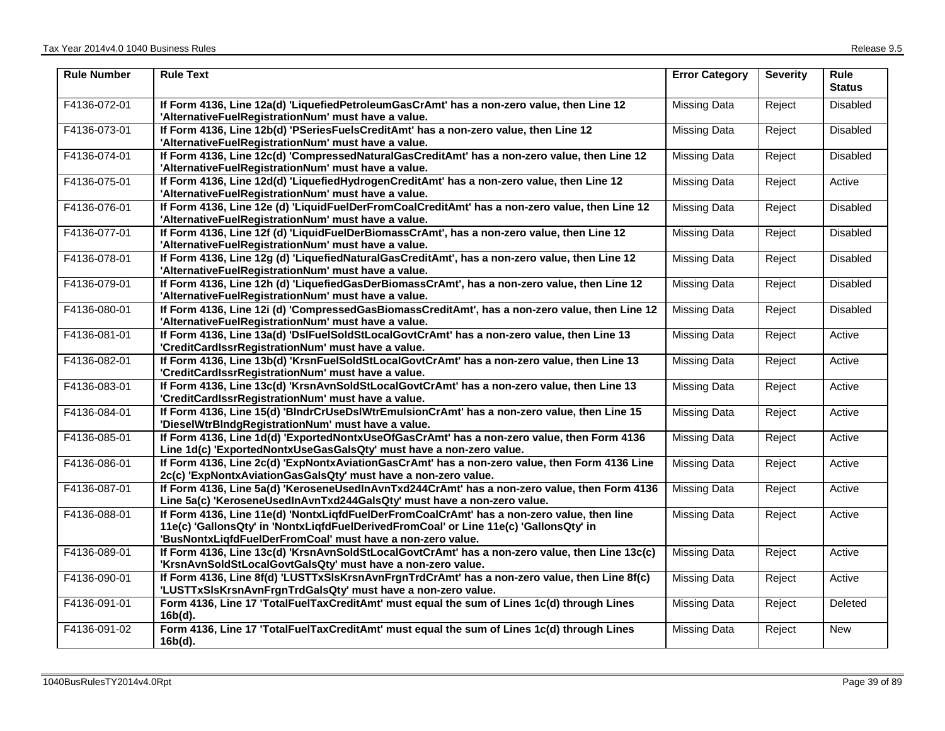| <b>Rule Number</b> | <b>Rule Text</b>                                                                                                                                                                                                                                  | <b>Error Category</b> | <b>Severity</b> | $\overline{\mathsf{Rule}}$<br><b>Status</b> |
|--------------------|---------------------------------------------------------------------------------------------------------------------------------------------------------------------------------------------------------------------------------------------------|-----------------------|-----------------|---------------------------------------------|
| F4136-072-01       | If Form 4136, Line 12a(d) 'LiquefiedPetroleumGasCrAmt' has a non-zero value, then Line 12<br>'AlternativeFuelRegistrationNum' must have a value.                                                                                                  | <b>Missing Data</b>   | Reject          | Disabled                                    |
| F4136-073-01       | If Form 4136, Line 12b(d) 'PSeriesFuelsCreditAmt' has a non-zero value, then Line 12<br>'AlternativeFuelRegistrationNum' must have a value.                                                                                                       | Missing Data          | Reject          | Disabled                                    |
| F4136-074-01       | If Form 4136, Line 12c(d) 'CompressedNaturalGasCreditAmt' has a non-zero value, then Line 12<br>'AlternativeFuelRegistrationNum' must have a value.                                                                                               | Missing Data          | Reject          | <b>Disabled</b>                             |
| F4136-075-01       | If Form 4136, Line 12d(d) 'LiquefiedHydrogenCreditAmt' has a non-zero value, then Line 12<br>'AlternativeFuelRegistrationNum' must have a value.                                                                                                  | <b>Missing Data</b>   | Reject          | Active                                      |
| F4136-076-01       | If Form 4136, Line 12e (d) 'LiquidFuelDerFromCoalCreditAmt' has a non-zero value, then Line 12<br>'AlternativeFuelRegistrationNum' must have a value.                                                                                             | Missing Data          | Reject          | Disabled                                    |
| F4136-077-01       | If Form 4136, Line 12f (d) 'LiquidFuelDerBiomassCrAmt', has a non-zero value, then Line 12<br>'AlternativeFuelRegistrationNum' must have a value.                                                                                                 | <b>Missing Data</b>   | Reject          | Disabled                                    |
| F4136-078-01       | If Form 4136, Line 12g (d) 'LiquefiedNaturalGasCreditAmt', has a non-zero value, then Line 12<br>'AlternativeFuelRegistrationNum' must have a value.                                                                                              | <b>Missing Data</b>   | Reject          | <b>Disabled</b>                             |
| F4136-079-01       | If Form 4136, Line 12h (d) 'LiquefiedGasDerBiomassCrAmt', has a non-zero value, then Line 12<br>'AlternativeFuelRegistrationNum' must have a value.                                                                                               | <b>Missing Data</b>   | Reject          | Disabled                                    |
| F4136-080-01       | If Form 4136, Line 12i (d) 'CompressedGasBiomassCreditAmt', has a non-zero value, then Line 12<br>'AlternativeFuelRegistrationNum' must have a value.                                                                                             | <b>Missing Data</b>   | Reject          | <b>Disabled</b>                             |
| F4136-081-01       | If Form 4136, Line 13a(d) 'DsIFuelSoldStLocalGovtCrAmt' has a non-zero value, then Line 13<br>'CreditCardIssrRegistrationNum' must have a value.                                                                                                  | <b>Missing Data</b>   | Reject          | Active                                      |
| F4136-082-01       | If Form 4136, Line 13b(d) 'KrsnFuelSoldStLocalGovtCrAmt' has a non-zero value, then Line 13<br>'CreditCardIssrRegistrationNum' must have a value.                                                                                                 | Missing Data          | Reject          | Active                                      |
| F4136-083-01       | If Form 4136, Line 13c(d) 'KrsnAvnSoldStLocalGovtCrAmt' has a non-zero value, then Line 13<br>'CreditCardIssrRegistrationNum' must have a value.                                                                                                  | <b>Missing Data</b>   | Reject          | Active                                      |
| F4136-084-01       | If Form 4136, Line 15(d) 'BIndrCrUseDsIWtrEmulsionCrAmt' has a non-zero value, then Line 15<br>'DieselWtrBIndgRegistrationNum' must have a value.                                                                                                 | <b>Missing Data</b>   | Reject          | Active                                      |
| F4136-085-01       | If Form 4136, Line 1d(d) 'ExportedNontxUseOfGasCrAmt' has a non-zero value, then Form 4136<br>Line 1d(c) 'ExportedNontxUseGasGalsQty' must have a non-zero value.                                                                                 | <b>Missing Data</b>   | Reject          | Active                                      |
| F4136-086-01       | If Form 4136, Line 2c(d) 'ExpNontxAviationGasCrAmt' has a non-zero value, then Form 4136 Line<br>2c(c) 'ExpNontxAviationGasGalsQty' must have a non-zero value.                                                                                   | <b>Missing Data</b>   | Reject          | Active                                      |
| F4136-087-01       | If Form 4136, Line 5a(d) 'KeroseneUsedInAvnTxd244CrAmt' has a non-zero value, then Form 4136<br>Line 5a(c) 'KeroseneUsedInAvnTxd244GalsQty' must have a non-zero value.                                                                           | Missing Data          | Reject          | Active                                      |
| F4136-088-01       | If Form 4136, Line 11e(d) 'NontxLigfdFuelDerFromCoalCrAmt' has a non-zero value, then line<br>11e(c) 'GallonsQty' in 'NontxLiqfdFuelDerivedFromCoal' or Line 11e(c) 'GallonsQty' in<br>'BusNontxLiqfdFuelDerFromCoal' must have a non-zero value. | Missing Data          | Reject          | Active                                      |
| F4136-089-01       | If Form 4136, Line 13c(d) 'KrsnAvnSoldStLocalGovtCrAmt' has a non-zero value, then Line 13c(c)<br>'KrsnAvnSoldStLocalGovtGalsQty' must have a non-zero value.                                                                                     | <b>Missing Data</b>   | Reject          | Active                                      |
| F4136-090-01       | If Form 4136, Line 8f(d) 'LUSTTxSIsKrsnAvnFrgnTrdCrAmt' has a non-zero value, then Line 8f(c)<br>'LUSTTxSIsKrsnAvnFrgnTrdGalsQty' must have a non-zero value.                                                                                     | Missing Data          | Reject          | Active                                      |
| F4136-091-01       | Form 4136, Line 17 'TotalFuelTaxCreditAmt' must equal the sum of Lines 1c(d) through Lines<br>$16b(d)$ .                                                                                                                                          | <b>Missing Data</b>   | Reject          | Deleted                                     |
| F4136-091-02       | Form 4136, Line 17 'TotalFuelTaxCreditAmt' must equal the sum of Lines 1c(d) through Lines<br>$16b(d)$ .                                                                                                                                          | <b>Missing Data</b>   | Reject          | <b>New</b>                                  |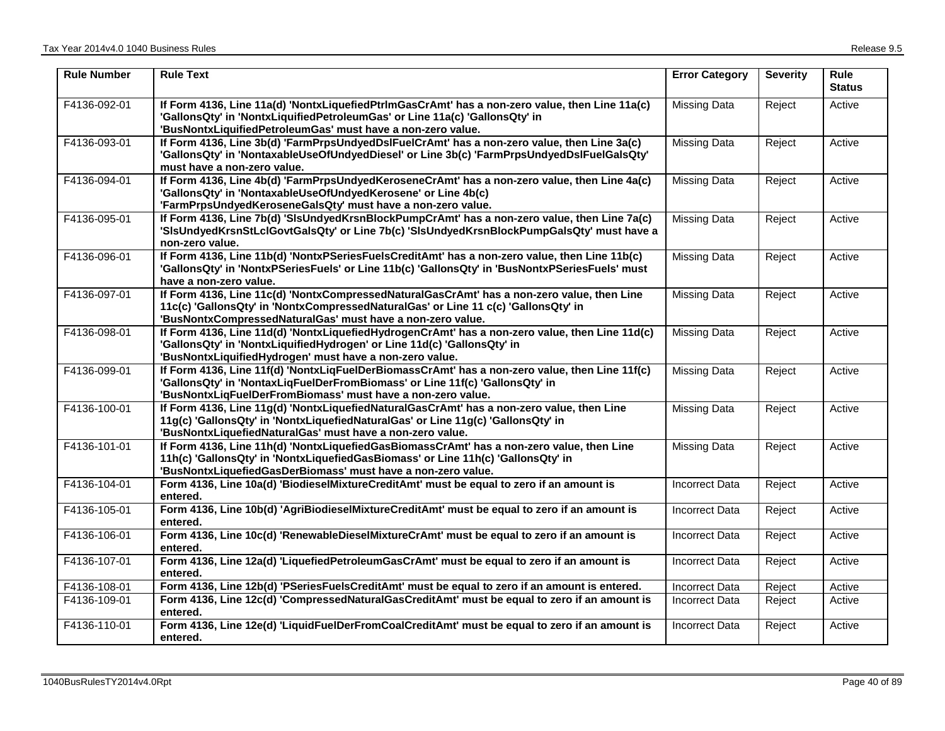| <b>Rule Number</b> | <b>Rule Text</b>                                                                                                                                                                                                                               | <b>Error Category</b> | <b>Severity</b> | Rule<br><b>Status</b> |
|--------------------|------------------------------------------------------------------------------------------------------------------------------------------------------------------------------------------------------------------------------------------------|-----------------------|-----------------|-----------------------|
| F4136-092-01       | If Form 4136, Line 11a(d) 'NontxLiquefiedPtrlmGasCrAmt' has a non-zero value, then Line 11a(c)<br>'GallonsQty' in 'NontxLiquifiedPetroleumGas' or Line 11a(c) 'GallonsQty' in<br>'BusNontxLiquifiedPetroleumGas' must have a non-zero value.   | <b>Missing Data</b>   | Reject          | Active                |
| F4136-093-01       | If Form 4136, Line 3b(d) 'FarmPrpsUndyedDsIFuelCrAmt' has a non-zero value, then Line 3a(c)<br>'GallonsQty' in 'NontaxableUseOfUndyedDiesel' or Line 3b(c) 'FarmPrpsUndyedDslFuelGalsQty'<br>must have a non-zero value.                       | <b>Missing Data</b>   | Reject          | Active                |
| F4136-094-01       | If Form 4136, Line 4b(d) 'FarmPrpsUndyedKeroseneCrAmt' has a non-zero value, then Line 4a(c)<br>'GallonsQty' in 'NontaxableUseOfUndyedKerosene' or Line 4b(c)<br>'FarmPrpsUndyedKeroseneGalsQty' must have a non-zero value.                   | <b>Missing Data</b>   | Reject          | Active                |
| F4136-095-01       | If Form 4136, Line 7b(d) 'SIsUndyedKrsnBlockPumpCrAmt' has a non-zero value, then Line 7a(c)<br>'SisUndyedKrsnStLclGovtGalsQty' or Line 7b(c) 'SisUndyedKrsnBlockPumpGalsQty' must have a<br>non-zero value.                                   | <b>Missing Data</b>   | Reject          | Active                |
| F4136-096-01       | If Form 4136, Line 11b(d) 'NontxPSeriesFuelsCreditAmt' has a non-zero value, then Line 11b(c)<br>'GallonsQty' in 'NontxPSeriesFuels' or Line 11b(c) 'GallonsQty' in 'BusNontxPSeriesFuels' must<br>have a non-zero value.                      | <b>Missing Data</b>   | Reject          | Active                |
| F4136-097-01       | If Form 4136, Line 11c(d) 'NontxCompressedNaturalGasCrAmt' has a non-zero value, then Line<br>11c(c) 'GallonsQty' in 'NontxCompressedNaturalGas' or Line 11 c(c) 'GallonsQty' in<br>'BusNontxCompressedNaturalGas' must have a non-zero value. | Missing Data          | Reject          | Active                |
| F4136-098-01       | If Form 4136, Line 11d(d) 'NontxLiquefiedHydrogenCrAmt' has a non-zero value, then Line 11d(c)<br>'GallonsQty' in 'NontxLiquifiedHydrogen' or Line 11d(c) 'GallonsQty' in<br>'BusNontxLiquifiedHydrogen' must have a non-zero value.           | <b>Missing Data</b>   | Reject          | Active                |
| F4136-099-01       | If Form 4136, Line 11f(d) 'NontxLigFuelDerBiomassCrAmt' has a non-zero value, then Line 11f(c)<br>'GallonsQty' in 'NontaxLiqFuelDerFromBiomass' or Line 11f(c) 'GallonsQty' in<br>'BusNontxLiqFuelDerFromBiomass' must have a non-zero value.  | <b>Missing Data</b>   | Reject          | Active                |
| F4136-100-01       | If Form 4136, Line 11g(d) 'NontxLiquefiedNaturalGasCrAmt' has a non-zero value, then Line<br>11g(c) 'GallonsQty' in 'NontxLiquefiedNaturalGas' or Line 11g(c) 'GallonsQty' in<br>'BusNontxLiquefiedNaturalGas' must have a non-zero value.     | <b>Missing Data</b>   | Reject          | Active                |
| F4136-101-01       | If Form 4136, Line 11h(d) 'NontxLiquefiedGasBiomassCrAmt' has a non-zero value, then Line<br>11h(c) 'GallonsQty' in 'NontxLiquefiedGasBiomass' or Line 11h(c) 'GallonsQty' in<br>'BusNontxLiquefiedGasDerBiomass' must have a non-zero value.  | <b>Missing Data</b>   | Reject          | Active                |
| F4136-104-01       | Form 4136, Line 10a(d) 'BiodieselMixtureCreditAmt' must be equal to zero if an amount is<br>entered.                                                                                                                                           | <b>Incorrect Data</b> | Reject          | Active                |
| F4136-105-01       | Form 4136, Line 10b(d) 'AgriBiodieselMixtureCreditAmt' must be equal to zero if an amount is<br>entered.                                                                                                                                       | <b>Incorrect Data</b> | Reject          | Active                |
| F4136-106-01       | Form 4136, Line 10c(d) 'RenewableDieselMixtureCrAmt' must be equal to zero if an amount is<br>entered.                                                                                                                                         | Incorrect Data        | Reject          | Active                |
| F4136-107-01       | Form 4136, Line 12a(d) 'LiquefiedPetroleumGasCrAmt' must be equal to zero if an amount is<br>entered.                                                                                                                                          | <b>Incorrect Data</b> | Reject          | Active                |
| F4136-108-01       | Form 4136, Line 12b(d) 'PSeriesFuelsCreditAmt' must be equal to zero if an amount is entered.                                                                                                                                                  | <b>Incorrect Data</b> | Reject          | Active                |
| F4136-109-01       | Form 4136, Line 12c(d) 'CompressedNaturalGasCreditAmt' must be equal to zero if an amount is<br>entered.                                                                                                                                       | <b>Incorrect Data</b> | Reject          | Active                |
| F4136-110-01       | Form 4136, Line 12e(d) 'LiquidFuelDerFromCoalCreditAmt' must be equal to zero if an amount is<br>entered.                                                                                                                                      | <b>Incorrect Data</b> | Reject          | Active                |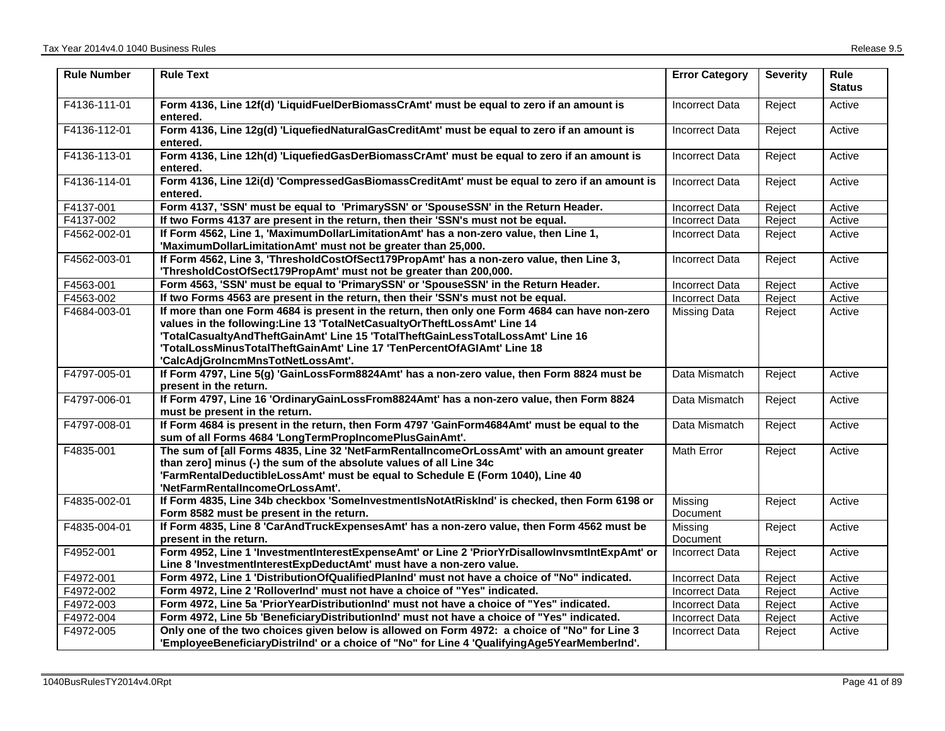| <b>Rule Number</b> | <b>Rule Text</b>                                                                                                                                                                                                                                                                                                                                                              | <b>Error Category</b> | <b>Severity</b> | <b>Rule</b><br><b>Status</b> |
|--------------------|-------------------------------------------------------------------------------------------------------------------------------------------------------------------------------------------------------------------------------------------------------------------------------------------------------------------------------------------------------------------------------|-----------------------|-----------------|------------------------------|
| F4136-111-01       | Form 4136, Line 12f(d) 'LiquidFuelDerBiomassCrAmt' must be equal to zero if an amount is<br>entered.                                                                                                                                                                                                                                                                          | <b>Incorrect Data</b> | Reject          | Active                       |
| F4136-112-01       | Form 4136, Line 12g(d) 'LiquefiedNaturalGasCreditAmt' must be equal to zero if an amount is<br>entered.                                                                                                                                                                                                                                                                       | <b>Incorrect Data</b> | Reject          | Active                       |
| F4136-113-01       | Form 4136, Line 12h(d) 'LiquefiedGasDerBiomassCrAmt' must be equal to zero if an amount is<br>entered.                                                                                                                                                                                                                                                                        | <b>Incorrect Data</b> | Reject          | Active                       |
| F4136-114-01       | Form 4136, Line 12i(d) 'CompressedGasBiomassCreditAmt' must be equal to zero if an amount is<br>entered.                                                                                                                                                                                                                                                                      | <b>Incorrect Data</b> | Reject          | Active                       |
| F4137-001          | Form 4137, 'SSN' must be equal to 'PrimarySSN' or 'SpouseSSN' in the Return Header.                                                                                                                                                                                                                                                                                           | <b>Incorrect Data</b> | Reject          | Active                       |
| F4137-002          | If two Forms 4137 are present in the return, then their 'SSN's must not be equal.                                                                                                                                                                                                                                                                                             | <b>Incorrect Data</b> | Reject          | Active                       |
| F4562-002-01       | If Form 4562, Line 1, 'MaximumDollarLimitationAmt' has a non-zero value, then Line 1,<br>'MaximumDollarLimitationAmt' must not be greater than 25,000.                                                                                                                                                                                                                        | Incorrect Data        | Reject          | Active                       |
| F4562-003-01       | If Form 4562, Line 3, 'ThresholdCostOfSect179PropAmt' has a non-zero value, then Line 3,<br>'ThresholdCostOfSect179PropAmt' must not be greater than 200,000.                                                                                                                                                                                                                 | <b>Incorrect Data</b> | Reject          | Active                       |
| F4563-001          | Form 4563, 'SSN' must be equal to 'PrimarySSN' or 'SpouseSSN' in the Return Header.                                                                                                                                                                                                                                                                                           | <b>Incorrect Data</b> | Reject          | Active                       |
| F4563-002          | If two Forms 4563 are present in the return, then their 'SSN's must not be equal.                                                                                                                                                                                                                                                                                             | <b>Incorrect Data</b> | Reject          | Active                       |
| F4684-003-01       | If more than one Form 4684 is present in the return, then only one Form 4684 can have non-zero<br>values in the following: Line 13 'TotalNetCasualtyOrTheftLossAmt' Line 14<br>'TotalCasualtyAndTheftGainAmt' Line 15 'TotalTheftGainLessTotalLossAmt' Line 16<br>'TotalLossMinusTotalTheftGainAmt' Line 17 'TenPercentOfAGIAmt' Line 18<br>'CalcAdjGroIncmMnsTotNetLossAmt'. | Missing Data          | Reject          | Active                       |
| F4797-005-01       | If Form 4797, Line 5(g) 'GainLossForm8824Amt' has a non-zero value, then Form 8824 must be<br>present in the return.                                                                                                                                                                                                                                                          | Data Mismatch         | Reject          | Active                       |
| F4797-006-01       | If Form 4797, Line 16 'OrdinaryGainLossFrom8824Amt' has a non-zero value, then Form 8824<br>must be present in the return.                                                                                                                                                                                                                                                    | Data Mismatch         | Reject          | Active                       |
| F4797-008-01       | If Form 4684 is present in the return, then Form 4797 'GainForm4684Amt' must be equal to the<br>sum of all Forms 4684 'LongTermPropIncomePlusGainAmt'.                                                                                                                                                                                                                        | Data Mismatch         | Reject          | Active                       |
| F4835-001          | The sum of [all Forms 4835, Line 32 'NetFarmRentalIncomeOrLossAmt' with an amount greater<br>than zero] minus (-) the sum of the absolute values of all Line 34c<br>'FarmRentalDeductibleLossAmt' must be equal to Schedule E (Form 1040), Line 40<br>'NetFarmRentalIncomeOrLossAmt'.                                                                                         | <b>Math Error</b>     | Reject          | Active                       |
| F4835-002-01       | If Form 4835, Line 34b checkbox 'SomeInvestmentIsNotAtRiskInd' is checked, then Form 6198 or<br>Form 8582 must be present in the return.                                                                                                                                                                                                                                      | Missing<br>Document   | Reject          | Active                       |
| F4835-004-01       | If Form 4835, Line 8 'CarAndTruckExpensesAmt' has a non-zero value, then Form 4562 must be<br>present in the return.                                                                                                                                                                                                                                                          | Missing<br>Document   | Reject          | Active                       |
| F4952-001          | Form 4952, Line 1 'InvestmentInterestExpenseAmt' or Line 2 'PriorYrDisallowInvsmtIntExpAmt' or<br>Line 8 'InvestmentInterestExpDeductAmt' must have a non-zero value.                                                                                                                                                                                                         | <b>Incorrect Data</b> | Reject          | Active                       |
| F4972-001          | Form 4972, Line 1 'DistributionOfQualifiedPlanInd' must not have a choice of "No" indicated.                                                                                                                                                                                                                                                                                  | <b>Incorrect Data</b> | Reject          | Active                       |
| F4972-002          | Form 4972, Line 2 'RolloverInd' must not have a choice of "Yes" indicated.                                                                                                                                                                                                                                                                                                    | <b>Incorrect Data</b> | Reject          | Active                       |
| F4972-003          | Form 4972, Line 5a 'PriorYearDistributionInd' must not have a choice of "Yes" indicated.                                                                                                                                                                                                                                                                                      | <b>Incorrect Data</b> | Reject          | Active                       |
| F4972-004          | Form 4972, Line 5b 'BeneficiaryDistributionInd' must not have a choice of "Yes" indicated.                                                                                                                                                                                                                                                                                    | Incorrect Data        | Reject          | Active                       |
| F4972-005          | Only one of the two choices given below is allowed on Form 4972: a choice of "No" for Line 3<br>'EmployeeBeneficiaryDistriInd' or a choice of "No" for Line 4 'QualifyingAge5YearMemberInd'.                                                                                                                                                                                  | <b>Incorrect Data</b> | Reject          | Active                       |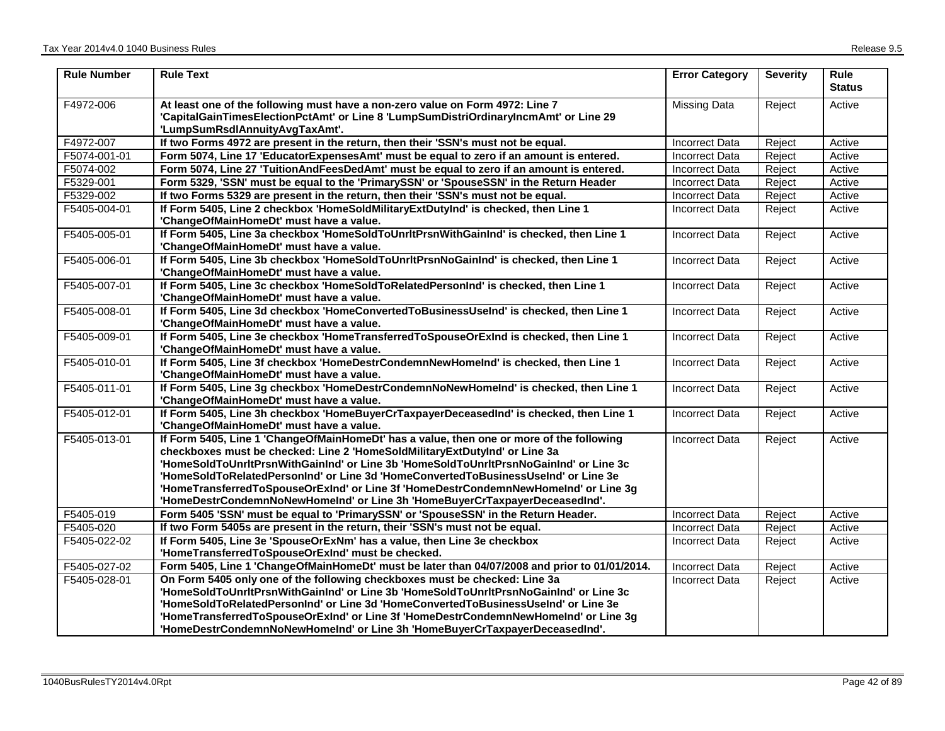| <b>Rule Number</b> | <b>Rule Text</b>                                                                                                                                                                                                                                                                                                                                                                                                                                                                                                            | <b>Error Category</b> | <b>Severity</b> | <b>Rule</b><br><b>Status</b> |
|--------------------|-----------------------------------------------------------------------------------------------------------------------------------------------------------------------------------------------------------------------------------------------------------------------------------------------------------------------------------------------------------------------------------------------------------------------------------------------------------------------------------------------------------------------------|-----------------------|-----------------|------------------------------|
| F4972-006          | At least one of the following must have a non-zero value on Form 4972: Line 7<br>'CapitalGainTimesElectionPctAmt' or Line 8 'LumpSumDistriOrdinaryIncmAmt' or Line 29<br>'LumpSumRsdlAnnuityAvgTaxAmt'.                                                                                                                                                                                                                                                                                                                     | <b>Missing Data</b>   | Reject          | Active                       |
| F4972-007          | If two Forms 4972 are present in the return, then their 'SSN's must not be equal.                                                                                                                                                                                                                                                                                                                                                                                                                                           | <b>Incorrect Data</b> | Reject          | Active                       |
| F5074-001-01       | Form 5074, Line 17 'EducatorExpensesAmt' must be equal to zero if an amount is entered.                                                                                                                                                                                                                                                                                                                                                                                                                                     | <b>Incorrect Data</b> | Reject          | Active                       |
| F5074-002          | Form 5074, Line 27 'TuitionAndFeesDedAmt' must be equal to zero if an amount is entered.                                                                                                                                                                                                                                                                                                                                                                                                                                    | <b>Incorrect Data</b> | Reject          | Active                       |
| F5329-001          | Form 5329, 'SSN' must be equal to the 'PrimarySSN' or 'SpouseSSN' in the Return Header                                                                                                                                                                                                                                                                                                                                                                                                                                      | <b>Incorrect Data</b> | Reject          | Active                       |
| F5329-002          | If two Forms 5329 are present in the return, then their 'SSN's must not be equal.                                                                                                                                                                                                                                                                                                                                                                                                                                           | <b>Incorrect Data</b> | Reject          | Active                       |
| F5405-004-01       | If Form 5405, Line 2 checkbox 'HomeSoldMilitaryExtDutyInd' is checked, then Line 1<br>'ChangeOfMainHomeDt' must have a value.                                                                                                                                                                                                                                                                                                                                                                                               | <b>Incorrect Data</b> | Reject          | Active                       |
| F5405-005-01       | If Form 5405, Line 3a checkbox 'HomeSoldToUnrltPrsnWithGainInd' is checked, then Line 1<br>'ChangeOfMainHomeDt' must have a value.                                                                                                                                                                                                                                                                                                                                                                                          | <b>Incorrect Data</b> | Reject          | Active                       |
| F5405-006-01       | If Form 5405, Line 3b checkbox 'HomeSoldToUnrItPrsnNoGainInd' is checked, then Line 1<br>'ChangeOfMainHomeDt' must have a value.                                                                                                                                                                                                                                                                                                                                                                                            | <b>Incorrect Data</b> | Reject          | Active                       |
| F5405-007-01       | If Form 5405, Line 3c checkbox 'HomeSoldToRelatedPersonInd' is checked, then Line 1<br>'ChangeOfMainHomeDt' must have a value.                                                                                                                                                                                                                                                                                                                                                                                              | Incorrect Data        | Reject          | Active                       |
| F5405-008-01       | If Form 5405, Line 3d checkbox 'HomeConvertedToBusinessUseInd' is checked, then Line 1<br>'ChangeOfMainHomeDt' must have a value.                                                                                                                                                                                                                                                                                                                                                                                           | <b>Incorrect Data</b> | Reject          | Active                       |
| F5405-009-01       | If Form 5405, Line 3e checkbox 'HomeTransferredToSpouseOrExInd is checked, then Line 1<br>'ChangeOfMainHomeDt' must have a value.                                                                                                                                                                                                                                                                                                                                                                                           | <b>Incorrect Data</b> | Reject          | Active                       |
| F5405-010-01       | If Form 5405, Line 3f checkbox 'HomeDestrCondemnNewHomeInd' is checked, then Line 1<br>'ChangeOfMainHomeDt' must have a value.                                                                                                                                                                                                                                                                                                                                                                                              | <b>Incorrect Data</b> | Reject          | Active                       |
| F5405-011-01       | If Form 5405, Line 3g checkbox 'HomeDestrCondemnNoNewHomeInd' is checked, then Line 1<br>'ChangeOfMainHomeDt' must have a value.                                                                                                                                                                                                                                                                                                                                                                                            | <b>Incorrect Data</b> | Reject          | Active                       |
| F5405-012-01       | If Form 5405, Line 3h checkbox 'HomeBuyerCrTaxpayerDeceasedInd' is checked, then Line 1<br>'ChangeOfMainHomeDt' must have a value.                                                                                                                                                                                                                                                                                                                                                                                          | <b>Incorrect Data</b> | Reject          | Active                       |
| F5405-013-01       | If Form 5405, Line 1 'ChangeOfMainHomeDt' has a value, then one or more of the following<br>checkboxes must be checked: Line 2 'HomeSoldMilitaryExtDutyInd' or Line 3a<br>'HomeSoldToUnrltPrsnWithGainInd' or Line 3b 'HomeSoldToUnrltPrsnNoGainInd' or Line 3c<br>'HomeSoldToRelatedPersonInd' or Line 3d 'HomeConvertedToBusinessUseInd' or Line 3e<br>'HomeTransferredToSpouseOrExInd' or Line 3f 'HomeDestrCondemnNewHomeInd' or Line 3g<br>'HomeDestrCondemnNoNewHomeInd' or Line 3h 'HomeBuyerCrTaxpayerDeceasedInd'. | <b>Incorrect Data</b> | Reject          | Active                       |
| F5405-019          | Form 5405 'SSN' must be equal to 'PrimarySSN' or 'SpouseSSN' in the Return Header.                                                                                                                                                                                                                                                                                                                                                                                                                                          | <b>Incorrect Data</b> | Reject          | Active                       |
| F5405-020          | If two Form 5405s are present in the return, their 'SSN's must not be equal.                                                                                                                                                                                                                                                                                                                                                                                                                                                | <b>Incorrect Data</b> | Reject          | Active                       |
| F5405-022-02       | If Form 5405, Line 3e 'SpouseOrExNm' has a value, then Line 3e checkbox<br>'HomeTransferredToSpouseOrExInd' must be checked.                                                                                                                                                                                                                                                                                                                                                                                                | <b>Incorrect Data</b> | Reject          | Active                       |
| F5405-027-02       | Form 5405, Line 1 'ChangeOfMainHomeDt' must be later than 04/07/2008 and prior to 01/01/2014.                                                                                                                                                                                                                                                                                                                                                                                                                               | <b>Incorrect Data</b> | Reject          | Active                       |
| F5405-028-01       | On Form 5405 only one of the following checkboxes must be checked: Line 3a<br>'HomeSoldToUnrltPrsnWithGainInd' or Line 3b 'HomeSoldToUnrltPrsnNoGainInd' or Line 3c<br>'HomeSoldToRelatedPersonInd' or Line 3d 'HomeConvertedToBusinessUseInd' or Line 3e<br>'HomeTransferredToSpouseOrExInd' or Line 3f 'HomeDestrCondemnNewHomeInd' or Line 3g                                                                                                                                                                            | <b>Incorrect Data</b> | Reject          | Active                       |
|                    | 'HomeDestrCondemnNoNewHomeInd' or Line 3h 'HomeBuyerCrTaxpayerDeceasedInd'.                                                                                                                                                                                                                                                                                                                                                                                                                                                 |                       |                 |                              |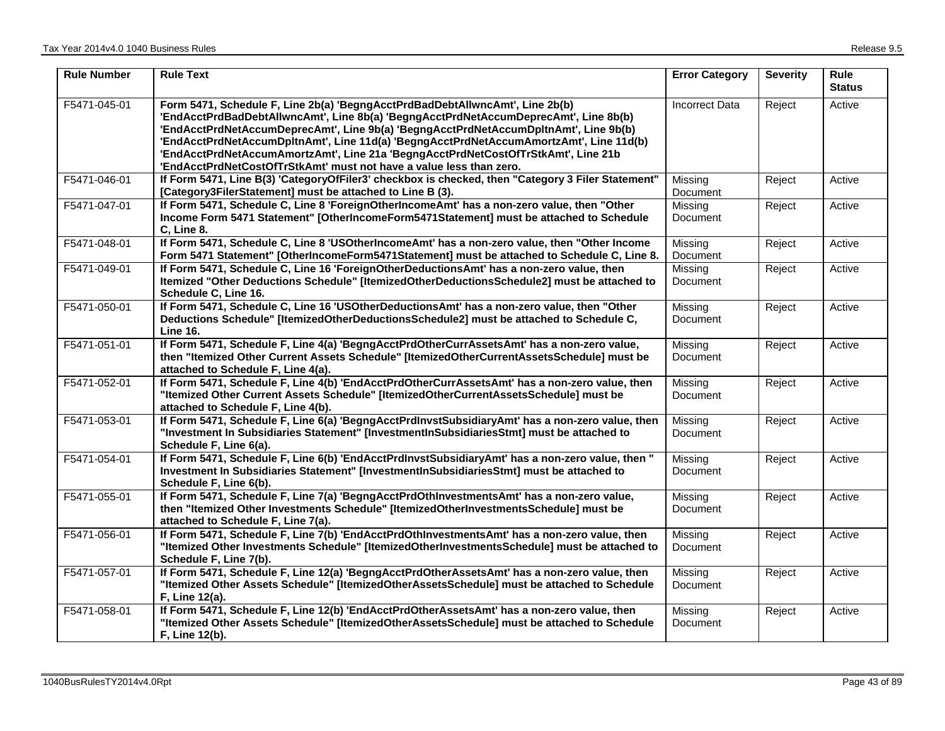| <b>Rule Number</b> | <b>Rule Text</b>                                                                                                                                                                                                                                                                                                                                                                                                                                                                                                   | <b>Error Category</b> | <b>Severity</b> | <b>Rule</b><br><b>Status</b> |
|--------------------|--------------------------------------------------------------------------------------------------------------------------------------------------------------------------------------------------------------------------------------------------------------------------------------------------------------------------------------------------------------------------------------------------------------------------------------------------------------------------------------------------------------------|-----------------------|-----------------|------------------------------|
| F5471-045-01       | Form 5471, Schedule F, Line 2b(a) 'BegngAcctPrdBadDebtAllwncAmt', Line 2b(b)<br>'EndAcctPrdBadDebtAllwncAmt', Line 8b(a) 'BegngAcctPrdNetAccumDeprecAmt', Line 8b(b)<br>'EndAcctPrdNetAccumDeprecAmt', Line 9b(a) 'BegngAcctPrdNetAccumDpltnAmt', Line 9b(b)<br>'EndAcctPrdNetAccumDpltnAmt', Line 11d(a) 'BegngAcctPrdNetAccumAmortzAmt', Line 11d(b)<br>'EndAcctPrdNetAccumAmortzAmt', Line 21a 'BegngAcctPrdNetCostOfTrStkAmt', Line 21b<br>'EndAcctPrdNetCostOfTrStkAmt' must not have a value less than zero. | <b>Incorrect Data</b> | Reject          | Active                       |
| F5471-046-01       | If Form 5471, Line B(3) 'CategoryOfFiler3' checkbox is checked, then "Category 3 Filer Statement"<br>[Category3FilerStatement] must be attached to Line B (3).                                                                                                                                                                                                                                                                                                                                                     | Missing<br>Document   | Reject          | Active                       |
| F5471-047-01       | If Form 5471, Schedule C, Line 8 'ForeignOtherIncomeAmt' has a non-zero value, then "Other<br>Income Form 5471 Statement" [OtherIncomeForm5471Statement] must be attached to Schedule<br>C, Line 8.                                                                                                                                                                                                                                                                                                                | Missing<br>Document   | Reject          | Active                       |
| F5471-048-01       | If Form 5471, Schedule C, Line 8 'USOtherIncomeAmt' has a non-zero value, then "Other Income<br>Form 5471 Statement" [OtherIncomeForm5471Statement] must be attached to Schedule C, Line 8.                                                                                                                                                                                                                                                                                                                        | Missing<br>Document   | Reject          | Active                       |
| F5471-049-01       | If Form 5471, Schedule C, Line 16 'ForeignOtherDeductionsAmt' has a non-zero value, then<br>Itemized "Other Deductions Schedule" [ItemizedOtherDeductionsSchedule2] must be attached to<br>Schedule C, Line 16.                                                                                                                                                                                                                                                                                                    | Missing<br>Document   | Reject          | Active                       |
| F5471-050-01       | If Form 5471, Schedule C, Line 16 'USOtherDeductionsAmt' has a non-zero value, then "Other<br>Deductions Schedule" [ItemizedOtherDeductionsSchedule2] must be attached to Schedule C,<br><b>Line 16.</b>                                                                                                                                                                                                                                                                                                           | Missing<br>Document   | Reject          | Active                       |
| F5471-051-01       | If Form 5471, Schedule F, Line 4(a) 'BegngAcctPrdOtherCurrAssetsAmt' has a non-zero value,<br>then "Itemized Other Current Assets Schedule" [ItemizedOtherCurrentAssetsSchedule] must be<br>attached to Schedule F, Line 4(a).                                                                                                                                                                                                                                                                                     | Missing<br>Document   | Reject          | Active                       |
| F5471-052-01       | If Form 5471, Schedule F, Line 4(b) 'EndAcctPrdOtherCurrAssetsAmt' has a non-zero value, then<br>"Itemized Other Current Assets Schedule" [ItemizedOtherCurrentAssetsSchedule] must be<br>attached to Schedule F, Line 4(b).                                                                                                                                                                                                                                                                                       | Missing<br>Document   | Reject          | Active                       |
| F5471-053-01       | If Form 5471, Schedule F, Line 6(a) 'BegngAcctPrdInvstSubsidiaryAmt' has a non-zero value, then<br>"Investment In Subsidiaries Statement" [InvestmentInSubsidiariesStmt] must be attached to<br>Schedule F, Line 6(a).                                                                                                                                                                                                                                                                                             | Missing<br>Document   | Reject          | Active                       |
| F5471-054-01       | If Form 5471, Schedule F, Line 6(b) 'EndAcctPrdInvstSubsidiaryAmt' has a non-zero value, then "<br>Investment In Subsidiaries Statement" [InvestmentInSubsidiariesStmt] must be attached to<br>Schedule F, Line 6(b).                                                                                                                                                                                                                                                                                              | Missing<br>Document   | Reject          | Active                       |
| F5471-055-01       | If Form 5471, Schedule F, Line 7(a) 'BegngAcctPrdOthInvestmentsAmt' has a non-zero value,<br>then "Itemized Other Investments Schedule" [ItemizedOtherInvestmentsSchedule] must be<br>attached to Schedule F, Line 7(a).                                                                                                                                                                                                                                                                                           | Missing<br>Document   | Reject          | Active                       |
| F5471-056-01       | If Form 5471, Schedule F, Line 7(b) 'EndAcctPrdOthInvestmentsAmt' has a non-zero value, then<br>"Itemized Other Investments Schedule" [ItemizedOtherInvestmentsSchedule] must be attached to<br>Schedule F, Line 7(b).                                                                                                                                                                                                                                                                                             | Missing<br>Document   | Reject          | Active                       |
| F5471-057-01       | If Form 5471, Schedule F, Line 12(a) 'BegngAcctPrdOtherAssetsAmt' has a non-zero value, then<br>"Itemized Other Assets Schedule" [ItemizedOtherAssetsSchedule] must be attached to Schedule<br>F, Line 12(a).                                                                                                                                                                                                                                                                                                      | Missing<br>Document   | Reject          | Active                       |
| F5471-058-01       | If Form 5471, Schedule F, Line 12(b) 'EndAcctPrdOtherAssetsAmt' has a non-zero value, then<br>"Itemized Other Assets Schedule" [ItemizedOtherAssetsSchedule] must be attached to Schedule<br>F, Line 12(b).                                                                                                                                                                                                                                                                                                        | Missing<br>Document   | Reject          | Active                       |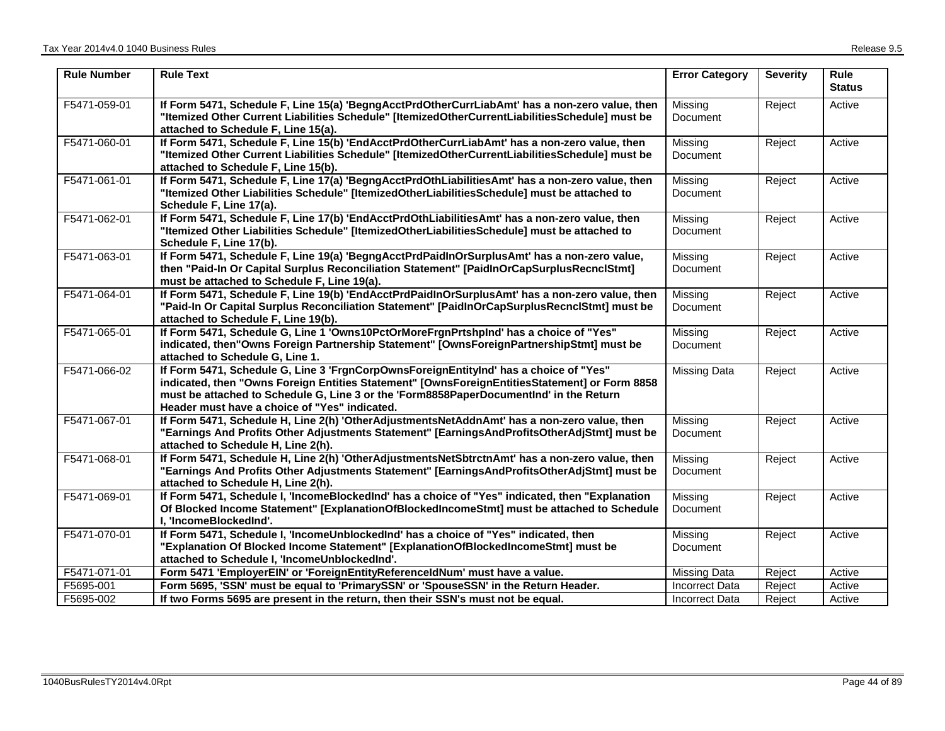| <b>Rule Number</b> | <b>Rule Text</b>                                                                                                                                                                                                                                                                                                                  | <b>Error Category</b>      | <b>Severity</b> | <b>Rule</b><br><b>Status</b> |
|--------------------|-----------------------------------------------------------------------------------------------------------------------------------------------------------------------------------------------------------------------------------------------------------------------------------------------------------------------------------|----------------------------|-----------------|------------------------------|
| F5471-059-01       | If Form 5471, Schedule F, Line 15(a) 'BegngAcctPrdOtherCurrLiabAmt' has a non-zero value, then<br>"Itemized Other Current Liabilities Schedule" [ItemizedOtherCurrentLiabilitiesSchedule] must be<br>attached to Schedule F, Line 15(a).                                                                                          | Missing<br>Document        | Reject          | Active                       |
| F5471-060-01       | If Form 5471, Schedule F, Line 15(b) 'EndAcctPrdOtherCurrLiabAmt' has a non-zero value, then<br>"Itemized Other Current Liabilities Schedule" [ItemizedOtherCurrentLiabilitiesSchedule] must be<br>attached to Schedule F, Line 15(b).                                                                                            | Missing<br><b>Document</b> | Reject          | Active                       |
| F5471-061-01       | If Form 5471, Schedule F, Line 17(a) 'BegngAcctPrdOthLiabilitiesAmt' has a non-zero value, then<br>"Itemized Other Liabilities Schedule" [ItemizedOtherLiabilitiesSchedule] must be attached to<br>Schedule F, Line 17(a).                                                                                                        | Missing<br><b>Document</b> | Reject          | Active                       |
| F5471-062-01       | If Form 5471, Schedule F, Line 17(b) 'EndAcctPrdOthLiabilitiesAmt' has a non-zero value, then<br>"Itemized Other Liabilities Schedule" [ItemizedOtherLiabilitiesSchedule] must be attached to<br>Schedule F, Line 17(b).                                                                                                          | Missing<br><b>Document</b> | Reject          | Active                       |
| F5471-063-01       | If Form 5471, Schedule F, Line 19(a) 'BegngAcctPrdPaidInOrSurplusAmt' has a non-zero value,<br>then "Paid-In Or Capital Surplus Reconciliation Statement" [PaidInOrCapSurplusRecnclStmt]<br>must be attached to Schedule F, Line 19(a).                                                                                           | Missing<br>Document        | Reject          | Active                       |
| F5471-064-01       | If Form 5471, Schedule F, Line 19(b) 'EndAcctPrdPaidInOrSurplusAmt' has a non-zero value, then<br>"Paid-In Or Capital Surplus Reconciliation Statement" [PaidInOrCapSurplusRecnclStmt] must be<br>attached to Schedule F, Line 19(b).                                                                                             | Missing<br>Document        | Reject          | Active                       |
| F5471-065-01       | If Form 5471, Schedule G, Line 1 'Owns10PctOrMoreFrgnPrtshpInd' has a choice of "Yes"<br>indicated, then"Owns Foreign Partnership Statement" [OwnsForeignPartnershipStmt] must be<br>attached to Schedule G, Line 1.                                                                                                              | Missing<br><b>Document</b> | Reject          | Active                       |
| F5471-066-02       | If Form 5471, Schedule G, Line 3 'FrgnCorpOwnsForeignEntityInd' has a choice of "Yes"<br>indicated, then "Owns Foreign Entities Statement" [OwnsForeignEntitiesStatement] or Form 8858<br>must be attached to Schedule G, Line 3 or the 'Form8858PaperDocumentInd' in the Return<br>Header must have a choice of "Yes" indicated. | Missing Data               | Reject          | Active                       |
| F5471-067-01       | If Form 5471, Schedule H, Line 2(h) 'OtherAdjustmentsNetAddnAmt' has a non-zero value, then<br>"Earnings And Profits Other Adjustments Statement" [EarningsAndProfitsOtherAdjStmt] must be<br>attached to Schedule H, Line 2(h).                                                                                                  | Missing<br>Document        | Reject          | Active                       |
| F5471-068-01       | If Form 5471, Schedule H, Line 2(h) 'OtherAdjustmentsNetSbtrctnAmt' has a non-zero value, then<br>"Earnings And Profits Other Adjustments Statement" [EarningsAndProfitsOtherAdjStmt] must be<br>attached to Schedule H, Line 2(h).                                                                                               | Missing<br><b>Document</b> | Reject          | Active                       |
| F5471-069-01       | If Form 5471, Schedule I, 'IncomeBlockedInd' has a choice of "Yes" indicated, then "Explanation<br>Of Blocked Income Statement" [ExplanationOfBlockedIncomeStmt] must be attached to Schedule<br>I, 'IncomeBlockedInd'.                                                                                                           | Missing<br><b>Document</b> | Reject          | Active                       |
| F5471-070-01       | If Form 5471, Schedule I, 'IncomeUnblockedInd' has a choice of "Yes" indicated, then<br>"Explanation Of Blocked Income Statement" [ExplanationOfBlockedIncomeStmt] must be<br>attached to Schedule I, 'IncomeUnblockedInd'.                                                                                                       | Missing<br><b>Document</b> | Reject          | Active                       |
| F5471-071-01       | Form 5471 'EmployerEIN' or 'ForeignEntityReferenceIdNum' must have a value.                                                                                                                                                                                                                                                       | Missing Data               | Reject          | Active                       |
| F5695-001          | Form 5695, 'SSN' must be equal to 'PrimarySSN' or 'SpouseSSN' in the Return Header.                                                                                                                                                                                                                                               | <b>Incorrect Data</b>      | Reject          | Active                       |
| F5695-002          | If two Forms 5695 are present in the return, then their SSN's must not be equal.                                                                                                                                                                                                                                                  | <b>Incorrect Data</b>      | Reject          | Active                       |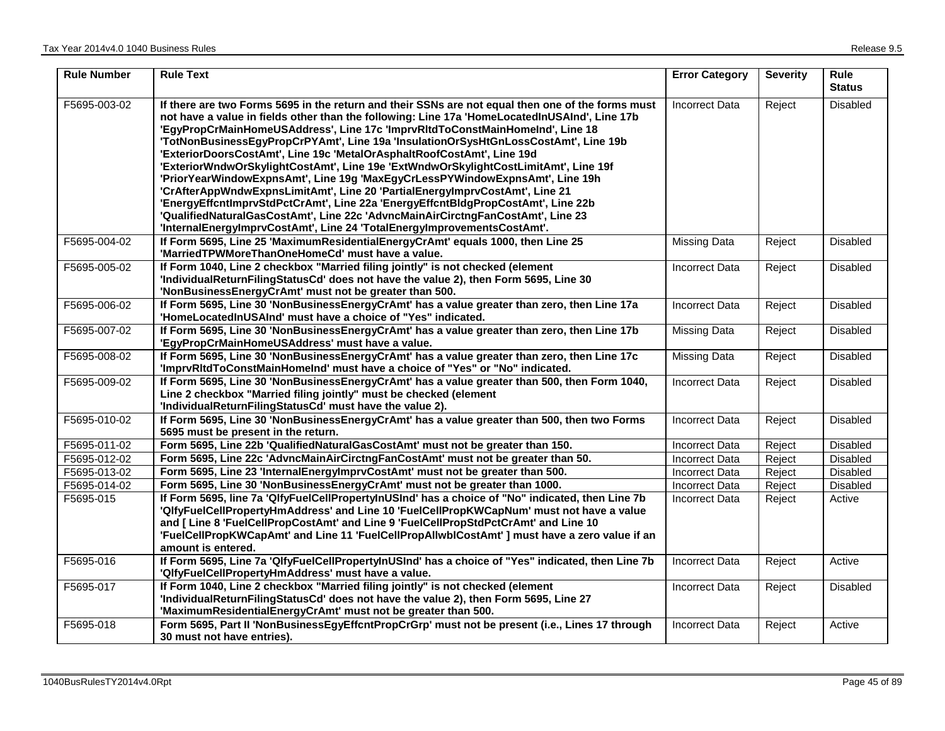| <b>Rule Number</b> | <b>Rule Text</b>                                                                                                                                                                                                                                                                                                                                                                                                                                                                                                                                                                                                                                                                                                                                                                                                                                                                                                                                             | <b>Error Category</b> | <b>Severity</b> | <b>Rule</b><br><b>Status</b> |
|--------------------|--------------------------------------------------------------------------------------------------------------------------------------------------------------------------------------------------------------------------------------------------------------------------------------------------------------------------------------------------------------------------------------------------------------------------------------------------------------------------------------------------------------------------------------------------------------------------------------------------------------------------------------------------------------------------------------------------------------------------------------------------------------------------------------------------------------------------------------------------------------------------------------------------------------------------------------------------------------|-----------------------|-----------------|------------------------------|
| F5695-003-02       | If there are two Forms 5695 in the return and their SSNs are not equal then one of the forms must<br>not have a value in fields other than the following: Line 17a 'HomeLocatedInUSAInd', Line 17b<br>'EgyPropCrMainHomeUSAddress', Line 17c 'ImprvRItdToConstMainHomeInd', Line 18<br>'TotNonBusinessEgyPropCrPYAmt', Line 19a 'InsulationOrSysHtGnLossCostAmt', Line 19b<br>'ExteriorDoorsCostAmt', Line 19c 'MetalOrAsphaltRoofCostAmt', Line 19d<br>'ExteriorWndwOrSkylightCostAmt', Line 19e 'ExtWndwOrSkylightCostLimitAmt', Line 19f<br>'PriorYearWindowExpnsAmt', Line 19g 'MaxEgyCrLessPYWindowExpnsAmt', Line 19h<br>'CrAfterAppWndwExpnsLimitAmt', Line 20 'PartialEnergyImprvCostAmt', Line 21<br>'EnergyEffcntImprvStdPctCrAmt', Line 22a 'EnergyEffcntBldgPropCostAmt', Line 22b<br>'QualifiedNaturalGasCostAmt', Line 22c 'AdvncMainAirCirctngFanCostAmt', Line 23<br>'InternalEnergyImprvCostAmt', Line 24 'TotalEnergyImprovementsCostAmt'. | <b>Incorrect Data</b> | Reject          | <b>Disabled</b>              |
| F5695-004-02       | If Form 5695, Line 25 'MaximumResidentialEnergyCrAmt' equals 1000, then Line 25<br>'MarriedTPWMoreThanOneHomeCd' must have a value.                                                                                                                                                                                                                                                                                                                                                                                                                                                                                                                                                                                                                                                                                                                                                                                                                          | Missing Data          | Reject          | Disabled                     |
| F5695-005-02       | If Form 1040, Line 2 checkbox "Married filing jointly" is not checked (element<br>'IndividualReturnFilingStatusCd' does not have the value 2), then Form 5695, Line 30<br>'NonBusinessEnergyCrAmt' must not be greater than 500.                                                                                                                                                                                                                                                                                                                                                                                                                                                                                                                                                                                                                                                                                                                             | Incorrect Data        | Reject          | Disabled                     |
| F5695-006-02       | If Form 5695, Line 30 'NonBusinessEnergyCrAmt' has a value greater than zero, then Line 17a<br>'HomeLocatedInUSAInd' must have a choice of "Yes" indicated.                                                                                                                                                                                                                                                                                                                                                                                                                                                                                                                                                                                                                                                                                                                                                                                                  | <b>Incorrect Data</b> | Reject          | Disabled                     |
| F5695-007-02       | If Form 5695, Line 30 'NonBusinessEnergyCrAmt' has a value greater than zero, then Line 17b<br>'EgyPropCrMainHomeUSAddress' must have a value.                                                                                                                                                                                                                                                                                                                                                                                                                                                                                                                                                                                                                                                                                                                                                                                                               | Missing Data          | Reject          | Disabled                     |
| F5695-008-02       | If Form 5695, Line 30 'NonBusinessEnergyCrAmt' has a value greater than zero, then Line 17c<br>'ImprvRItdToConstMainHomeInd' must have a choice of "Yes" or "No" indicated.                                                                                                                                                                                                                                                                                                                                                                                                                                                                                                                                                                                                                                                                                                                                                                                  | Missing Data          | Reject          | Disabled                     |
| F5695-009-02       | If Form 5695, Line 30 'NonBusinessEnergyCrAmt' has a value greater than 500, then Form 1040,<br>Line 2 checkbox "Married filing jointly" must be checked (element<br>'IndividualReturnFilingStatusCd' must have the value 2).                                                                                                                                                                                                                                                                                                                                                                                                                                                                                                                                                                                                                                                                                                                                | <b>Incorrect Data</b> | Reject          | Disabled                     |
| F5695-010-02       | If Form 5695, Line 30 'NonBusinessEnergyCrAmt' has a value greater than 500, then two Forms<br>5695 must be present in the return.                                                                                                                                                                                                                                                                                                                                                                                                                                                                                                                                                                                                                                                                                                                                                                                                                           | <b>Incorrect Data</b> | Reject          | Disabled                     |
| F5695-011-02       | Form 5695, Line 22b 'QualifiedNaturalGasCostAmt' must not be greater than 150.                                                                                                                                                                                                                                                                                                                                                                                                                                                                                                                                                                                                                                                                                                                                                                                                                                                                               | Incorrect Data        | Reject          | Disabled                     |
| F5695-012-02       | Form 5695, Line 22c 'AdvncMainAirCirctngFanCostAmt' must not be greater than 50.                                                                                                                                                                                                                                                                                                                                                                                                                                                                                                                                                                                                                                                                                                                                                                                                                                                                             | Incorrect Data        | Reject          | Disabled                     |
| F5695-013-02       | Form 5695, Line 23 'InternalEnergyImprvCostAmt' must not be greater than 500.                                                                                                                                                                                                                                                                                                                                                                                                                                                                                                                                                                                                                                                                                                                                                                                                                                                                                | Incorrect Data        | Reject          | Disabled                     |
| F5695-014-02       | Form 5695, Line 30 'NonBusinessEnergyCrAmt' must not be greater than 1000.                                                                                                                                                                                                                                                                                                                                                                                                                                                                                                                                                                                                                                                                                                                                                                                                                                                                                   | <b>Incorrect Data</b> | Reject          | <b>Disabled</b>              |
| F5695-015          | If Form 5695, line 7a 'QlfyFuelCellPropertyInUSInd' has a choice of "No" indicated, then Line 7b<br>'QlfyFuelCellPropertyHmAddress' and Line 10 'FuelCellPropKWCapNum' must not have a value<br>and [Line 8 'FuelCellPropCostAmt' and Line 9 'FuelCellPropStdPctCrAmt' and Line 10<br>'FuelCellPropKWCapAmt' and Line 11 'FuelCellPropAllwblCostAmt' ] must have a zero value if an<br>amount is entered.                                                                                                                                                                                                                                                                                                                                                                                                                                                                                                                                                    | <b>Incorrect Data</b> | Reject          | Active                       |
| F5695-016          | If Form 5695, Line 7a 'QlfyFuelCellPropertyInUSInd' has a choice of "Yes" indicated, then Line 7b<br>'QlfyFuelCellPropertyHmAddress' must have a value.                                                                                                                                                                                                                                                                                                                                                                                                                                                                                                                                                                                                                                                                                                                                                                                                      | <b>Incorrect Data</b> | Reject          | Active                       |
| F5695-017          | If Form 1040, Line 2 checkbox "Married filing jointly" is not checked (element<br>'IndividualReturnFilingStatusCd' does not have the value 2), then Form 5695, Line 27<br>'MaximumResidentialEnergyCrAmt' must not be greater than 500.                                                                                                                                                                                                                                                                                                                                                                                                                                                                                                                                                                                                                                                                                                                      | Incorrect Data        | Reject          | <b>Disabled</b>              |
| F5695-018          | Form 5695, Part II 'NonBusinessEgyEffcntPropCrGrp' must not be present (i.e., Lines 17 through<br>30 must not have entries).                                                                                                                                                                                                                                                                                                                                                                                                                                                                                                                                                                                                                                                                                                                                                                                                                                 | <b>Incorrect Data</b> | Reject          | Active                       |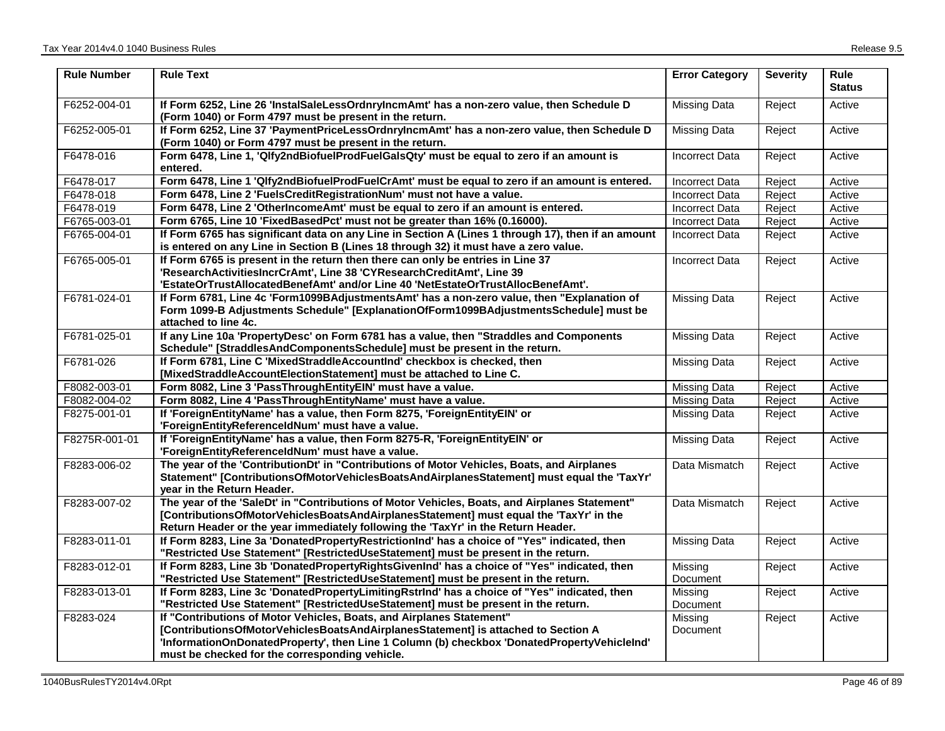| <b>Rule Number</b> | <b>Rule Text</b>                                                                                                                                                                                                                                                                                           | <b>Error Category</b> | <b>Severity</b> | <b>Rule</b><br><b>Status</b> |
|--------------------|------------------------------------------------------------------------------------------------------------------------------------------------------------------------------------------------------------------------------------------------------------------------------------------------------------|-----------------------|-----------------|------------------------------|
| F6252-004-01       | If Form 6252, Line 26 'InstalSaleLessOrdnryIncmAmt' has a non-zero value, then Schedule D<br>(Form 1040) or Form 4797 must be present in the return.                                                                                                                                                       | <b>Missing Data</b>   | Reject          | Active                       |
| F6252-005-01       | If Form 6252, Line 37 'PaymentPriceLessOrdnryIncmAmt' has a non-zero value, then Schedule D<br>(Form 1040) or Form 4797 must be present in the return.                                                                                                                                                     | Missing Data          | Reject          | Active                       |
| F6478-016          | Form 6478, Line 1, 'Qlfy2ndBiofuelProdFuelGalsQty' must be equal to zero if an amount is<br>entered.                                                                                                                                                                                                       | <b>Incorrect Data</b> | Reject          | Active                       |
| F6478-017          | Form 6478, Line 1 'Qlfy2ndBiofuelProdFuelCrAmt' must be equal to zero if an amount is entered.                                                                                                                                                                                                             | <b>Incorrect Data</b> | Reject          | Active                       |
| F6478-018          | Form 6478, Line 2 'FuelsCreditRegistrationNum' must not have a value.                                                                                                                                                                                                                                      | <b>Incorrect Data</b> | Reject          | Active                       |
| F6478-019          | Form 6478, Line 2 'OtherIncomeAmt' must be equal to zero if an amount is entered.                                                                                                                                                                                                                          | <b>Incorrect Data</b> | Reject          | Active                       |
| F6765-003-01       | Form 6765, Line 10 'FixedBasedPct' must not be greater than 16% (0.16000).                                                                                                                                                                                                                                 | <b>Incorrect Data</b> | Reject          | Active                       |
| F6765-004-01       | If Form 6765 has significant data on any Line in Section A (Lines 1 through 17), then if an amount<br>is entered on any Line in Section B (Lines 18 through 32) it must have a zero value.                                                                                                                 | <b>Incorrect Data</b> | Reject          | Active                       |
| F6765-005-01       | If Form 6765 is present in the return then there can only be entries in Line 37<br>'ResearchActivitiesIncrCrAmt', Line 38 'CYResearchCreditAmt', Line 39<br>'EstateOrTrustAllocatedBenefAmt' and/or Line 40 'NetEstateOrTrustAllocBenefAmt'.                                                               | <b>Incorrect Data</b> | Reject          | Active                       |
| F6781-024-01       | If Form 6781, Line 4c 'Form1099BAdjustmentsAmt' has a non-zero value, then "Explanation of<br>Form 1099-B Adjustments Schedule" [ExplanationOfForm1099BAdjustmentsSchedule] must be<br>attached to line 4c.                                                                                                | <b>Missing Data</b>   | Reject          | Active                       |
| F6781-025-01       | If any Line 10a 'PropertyDesc' on Form 6781 has a value, then "Straddles and Components<br>Schedule" [StraddlesAndComponentsSchedule] must be present in the return.                                                                                                                                       | <b>Missing Data</b>   | Reject          | Active                       |
| F6781-026          | If Form 6781, Line C 'MixedStraddleAccountInd' checkbox is checked, then<br>[MixedStraddleAccountElectionStatement] must be attached to Line C.                                                                                                                                                            | <b>Missing Data</b>   | Reject          | Active                       |
| F8082-003-01       | Form 8082, Line 3 'PassThroughEntityEIN' must have a value.                                                                                                                                                                                                                                                | <b>Missing Data</b>   | Reject          | Active                       |
| F8082-004-02       | Form 8082, Line 4 'PassThroughEntityName' must have a value.                                                                                                                                                                                                                                               | <b>Missing Data</b>   | Reject          | Active                       |
| F8275-001-01       | If 'ForeignEntityName' has a value, then Form 8275, 'ForeignEntityEIN' or<br>'ForeignEntityReferenceldNum' must have a value.                                                                                                                                                                              | Missing Data          | Reject          | Active                       |
| F8275R-001-01      | If 'ForeignEntityName' has a value, then Form 8275-R, 'ForeignEntityEIN' or<br>'ForeignEntityReferenceldNum' must have a value.                                                                                                                                                                            | Missing Data          | Reject          | Active                       |
| F8283-006-02       | The year of the 'ContributionDt' in "Contributions of Motor Vehicles, Boats, and Airplanes<br>Statement" [ContributionsOfMotorVehiclesBoatsAndAirplanesStatement] must equal the 'TaxYr'<br>year in the Return Header.                                                                                     | Data Mismatch         | Reject          | Active                       |
| F8283-007-02       | The year of the 'SaleDt' in "Contributions of Motor Vehicles, Boats, and Airplanes Statement"<br>[ContributionsOfMotorVehiclesBoatsAndAirplanesStatement] must equal the 'TaxYr' in the<br>Return Header or the year immediately following the 'TaxYr' in the Return Header.                               | Data Mismatch         | Reject          | Active                       |
| F8283-011-01       | If Form 8283, Line 3a 'DonatedPropertyRestrictionInd' has a choice of "Yes" indicated, then<br>"Restricted Use Statement" [RestrictedUseStatement] must be present in the return.                                                                                                                          | Missing Data          | Reject          | Active                       |
| F8283-012-01       | If Form 8283, Line 3b 'DonatedPropertyRightsGivenInd' has a choice of "Yes" indicated, then<br>"Restricted Use Statement" [RestrictedUseStatement] must be present in the return.                                                                                                                          | Missing<br>Document   | Reject          | Active                       |
| F8283-013-01       | If Form 8283, Line 3c 'DonatedPropertyLimitingRstrInd' has a choice of "Yes" indicated, then<br>"Restricted Use Statement" [RestrictedUseStatement] must be present in the return.                                                                                                                         | Missing<br>Document   | Reject          | Active                       |
| F8283-024          | If "Contributions of Motor Vehicles, Boats, and Airplanes Statement"<br>[ContributionsOfMotorVehiclesBoatsAndAirplanesStatement] is attached to Section A<br>'InformationOnDonatedProperty', then Line 1 Column (b) checkbox 'DonatedPropertyVehicleInd'<br>must be checked for the corresponding vehicle. | Missing<br>Document   | Reject          | Active                       |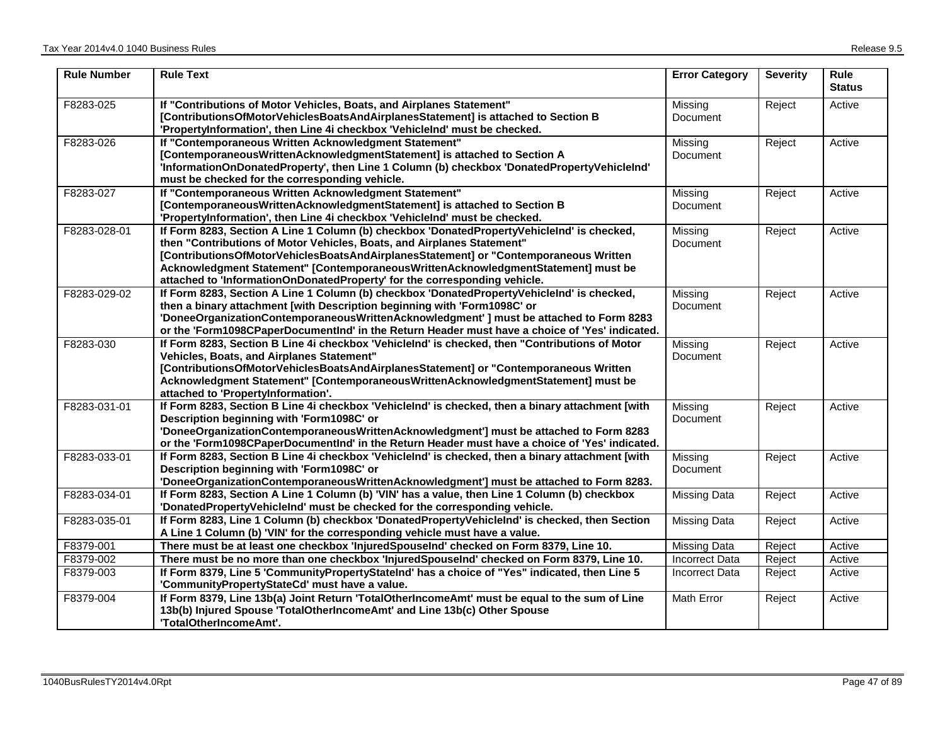| <b>Rule Number</b> | <b>Rule Text</b>                                                                                                                                                                                                                                                                                                                                                                                                               | <b>Error Category</b>      | <b>Severity</b> | Rule<br><b>Status</b> |
|--------------------|--------------------------------------------------------------------------------------------------------------------------------------------------------------------------------------------------------------------------------------------------------------------------------------------------------------------------------------------------------------------------------------------------------------------------------|----------------------------|-----------------|-----------------------|
| F8283-025          | If "Contributions of Motor Vehicles, Boats, and Airplanes Statement"<br>[ContributionsOfMotorVehiclesBoatsAndAirplanesStatement] is attached to Section B<br>'PropertyInformation', then Line 4i checkbox 'VehicleInd' must be checked.                                                                                                                                                                                        | Missing<br>Document        | Reject          | Active                |
| F8283-026          | If "Contemporaneous Written Acknowledgment Statement"<br>[ContemporaneousWrittenAcknowledgmentStatement] is attached to Section A<br>'InformationOnDonatedProperty', then Line 1 Column (b) checkbox 'DonatedPropertyVehicleInd'<br>must be checked for the corresponding vehicle.                                                                                                                                             | Missing<br>Document        | Reject          | Active                |
| F8283-027          | If "Contemporaneous Written Acknowledgment Statement"<br>[ContemporaneousWrittenAcknowledgmentStatement] is attached to Section B<br>'PropertyInformation', then Line 4i checkbox 'VehicleInd' must be checked.                                                                                                                                                                                                                | Missing<br>Document        | Reject          | Active                |
| F8283-028-01       | If Form 8283, Section A Line 1 Column (b) checkbox 'DonatedPropertyVehicleInd' is checked,<br>then "Contributions of Motor Vehicles, Boats, and Airplanes Statement"<br>[ContributionsOfMotorVehiclesBoatsAndAirplanesStatement] or "Contemporaneous Written<br>Acknowledgment Statement" [ContemporaneousWrittenAcknowledgmentStatement] must be<br>attached to 'InformationOnDonatedProperty' for the corresponding vehicle. | Missing<br>Document        | Reject          | Active                |
| F8283-029-02       | If Form 8283, Section A Line 1 Column (b) checkbox 'DonatedPropertyVehicleInd' is checked,<br>then a binary attachment [with Description beginning with 'Form1098C' or<br>'DoneeOrganizationContemporaneousWrittenAcknowledgment'   must be attached to Form 8283<br>or the 'Form1098CPaperDocumentInd' in the Return Header must have a choice of 'Yes' indicated.                                                            | Missing<br>Document        | Reject          | Active                |
| F8283-030          | If Form 8283, Section B Line 4i checkbox 'VehicleInd' is checked, then "Contributions of Motor<br>Vehicles, Boats, and Airplanes Statement"<br>[ContributionsOfMotorVehiclesBoatsAndAirplanesStatement] or "Contemporaneous Written<br>Acknowledgment Statement" [ContemporaneousWrittenAcknowledgmentStatement] must be<br>attached to 'PropertyInformation'.                                                                 | Missing<br><b>Document</b> | Reject          | Active                |
| F8283-031-01       | If Form 8283, Section B Line 4i checkbox 'VehicleInd' is checked, then a binary attachment [with<br>Description beginning with 'Form1098C' or<br>'DoneeOrganizationContemporaneousWrittenAcknowledgment'] must be attached to Form 8283<br>or the 'Form1098CPaperDocumentInd' in the Return Header must have a choice of 'Yes' indicated.                                                                                      | Missing<br>Document        | Reject          | Active                |
| F8283-033-01       | If Form 8283, Section B Line 4i checkbox 'VehicleInd' is checked, then a binary attachment [with<br>Description beginning with 'Form1098C' or<br>'DoneeOrganizationContemporaneousWrittenAcknowledgment'] must be attached to Form 8283.                                                                                                                                                                                       | Missing<br>Document        | Reject          | Active                |
| F8283-034-01       | If Form 8283, Section A Line 1 Column (b) 'VIN' has a value, then Line 1 Column (b) checkbox<br>'DonatedPropertyVehicleInd' must be checked for the corresponding vehicle.                                                                                                                                                                                                                                                     | <b>Missing Data</b>        | Reject          | Active                |
| F8283-035-01       | If Form 8283, Line 1 Column (b) checkbox 'DonatedPropertyVehicleInd' is checked, then Section<br>A Line 1 Column (b) 'VIN' for the corresponding vehicle must have a value.                                                                                                                                                                                                                                                    | Missing Data               | Reject          | Active                |
| F8379-001          | There must be at least one checkbox 'InjuredSpouseInd' checked on Form 8379, Line 10.                                                                                                                                                                                                                                                                                                                                          | Missing Data               | Reject          | Active                |
| F8379-002          | There must be no more than one checkbox 'InjuredSpouseInd' checked on Form 8379, Line 10.                                                                                                                                                                                                                                                                                                                                      | <b>Incorrect Data</b>      | Reject          | Active                |
| F8379-003          | If Form 8379, Line 5 'CommunityPropertyStateInd' has a choice of "Yes" indicated, then Line 5<br>'CommunityPropertyStateCd' must have a value.                                                                                                                                                                                                                                                                                 | <b>Incorrect Data</b>      | Reject          | Active                |
| F8379-004          | If Form 8379, Line 13b(a) Joint Return 'TotalOtherIncomeAmt' must be equal to the sum of Line<br>13b(b) Injured Spouse 'TotalOtherIncomeAmt' and Line 13b(c) Other Spouse<br>'TotalOtherIncomeAmt'.                                                                                                                                                                                                                            | Math Error                 | Reject          | Active                |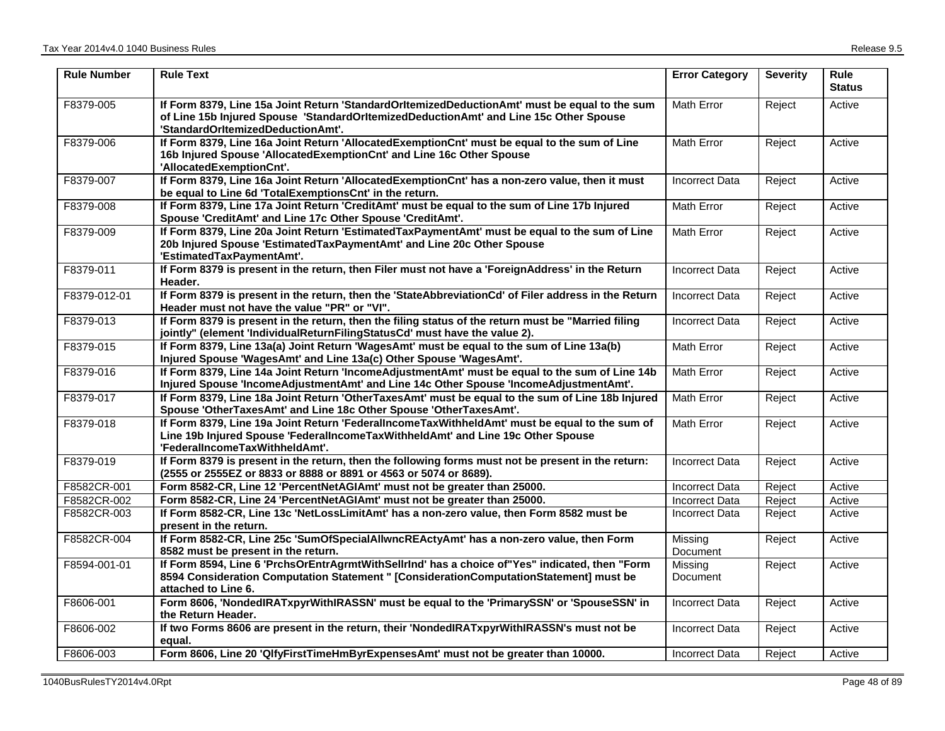| <b>Rule Number</b> | <b>Rule Text</b>                                                                                                                                                                                                            | <b>Error Category</b> | <b>Severity</b> | <b>Rule</b><br><b>Status</b> |
|--------------------|-----------------------------------------------------------------------------------------------------------------------------------------------------------------------------------------------------------------------------|-----------------------|-----------------|------------------------------|
| F8379-005          | If Form 8379, Line 15a Joint Return 'StandardOrltemizedDeductionAmt' must be equal to the sum<br>of Line 15b Injured Spouse 'StandardOrItemizedDeductionAmt' and Line 15c Other Spouse<br>'StandardOrItemizedDeductionAmt'. | Math Error            | Reject          | Active                       |
| F8379-006          | If Form 8379, Line 16a Joint Return 'AllocatedExemptionCnt' must be equal to the sum of Line<br>16b Injured Spouse 'AllocatedExemptionCnt' and Line 16c Other Spouse<br>'AllocatedExemptionCnt'.                            | Math Error            | Reject          | Active                       |
| F8379-007          | If Form 8379, Line 16a Joint Return 'AllocatedExemptionCnt' has a non-zero value, then it must<br>be equal to Line 6d 'TotalExemptionsCnt' in the return.                                                                   | Incorrect Data        | Reject          | Active                       |
| F8379-008          | If Form 8379, Line 17a Joint Return 'CreditAmt' must be equal to the sum of Line 17b Injured<br>Spouse 'CreditAmt' and Line 17c Other Spouse 'CreditAmt'.                                                                   | <b>Math Error</b>     | Reject          | Active                       |
| F8379-009          | If Form 8379, Line 20a Joint Return 'EstimatedTaxPaymentAmt' must be equal to the sum of Line<br>20b Injured Spouse 'EstimatedTaxPaymentAmt' and Line 20c Other Spouse<br>'EstimatedTaxPaymentAmt'.                         | Math Error            | Reject          | Active                       |
| F8379-011          | If Form 8379 is present in the return, then Filer must not have a 'ForeignAddress' in the Return<br>Header.                                                                                                                 | <b>Incorrect Data</b> | Reject          | Active                       |
| F8379-012-01       | If Form 8379 is present in the return, then the 'StateAbbreviationCd' of Filer address in the Return<br>Header must not have the value "PR" or "VI".                                                                        | <b>Incorrect Data</b> | Reject          | Active                       |
| F8379-013          | If Form 8379 is present in the return, then the filing status of the return must be "Married filing<br>jointly" (element 'IndividualReturnFilingStatusCd' must have the value 2).                                           | <b>Incorrect Data</b> | Reject          | Active                       |
| F8379-015          | If Form 8379, Line 13a(a) Joint Return 'WagesAmt' must be equal to the sum of Line 13a(b)<br>Injured Spouse 'WagesAmt' and Line 13a(c) Other Spouse 'WagesAmt'.                                                             | <b>Math Error</b>     | Reject          | Active                       |
| F8379-016          | If Form 8379, Line 14a Joint Return 'IncomeAdjustmentAmt' must be equal to the sum of Line 14b<br>Injured Spouse 'IncomeAdjustmentAmt' and Line 14c Other Spouse 'IncomeAdjustmentAmt'.                                     | Math Error            | Reject          | Active                       |
| F8379-017          | If Form 8379, Line 18a Joint Return 'OtherTaxesAmt' must be equal to the sum of Line 18b Injured<br>Spouse 'OtherTaxesAmt' and Line 18c Other Spouse 'OtherTaxesAmt'.                                                       | <b>Math Error</b>     | Reject          | Active                       |
| F8379-018          | If Form 8379, Line 19a Joint Return 'FederalIncomeTaxWithheldAmt' must be equal to the sum of<br>Line 19b Injured Spouse 'FederalIncomeTaxWithheldAmt' and Line 19c Other Spouse<br>'FederalIncomeTaxWithheldAmt'.          | Math Error            | Reject          | Active                       |
| F8379-019          | If Form 8379 is present in the return, then the following forms must not be present in the return:<br>(2555 or 2555EZ or 8833 or 8888 or 8891 or 4563 or 5074 or 8689).                                                     | <b>Incorrect Data</b> | Reject          | Active                       |
| F8582CR-001        | Form 8582-CR, Line 12 'PercentNetAGIAmt' must not be greater than 25000.                                                                                                                                                    | <b>Incorrect Data</b> | Reject          | Active                       |
| F8582CR-002        | Form 8582-CR, Line 24 'PercentNetAGIAmt' must not be greater than 25000.                                                                                                                                                    | <b>Incorrect Data</b> | Reject          | Active                       |
| F8582CR-003        | If Form 8582-CR, Line 13c 'NetLossLimitAmt' has a non-zero value, then Form 8582 must be<br>present in the return.                                                                                                          | <b>Incorrect Data</b> | Reject          | Active                       |
| F8582CR-004        | If Form 8582-CR, Line 25c 'SumOfSpecialAllwncREActyAmt' has a non-zero value, then Form<br>8582 must be present in the return.                                                                                              | Missing<br>Document   | Reject          | Active                       |
| F8594-001-01       | If Form 8594, Line 6 'PrchsOrEntrAgrmtWithSellrInd' has a choice of "Yes" indicated, then "Form<br>8594 Consideration Computation Statement " [ConsiderationComputationStatement] must be<br>attached to Line 6.            | Missing<br>Document   | Reject          | Active                       |
| F8606-001          | Form 8606, 'NondedIRATxpyrWithIRASSN' must be equal to the 'PrimarySSN' or 'SpouseSSN' in<br>the Return Header.                                                                                                             | <b>Incorrect Data</b> | Reject          | Active                       |
| F8606-002          | If two Forms 8606 are present in the return, their 'NondedIRATxpyrWithIRASSN's must not be<br>equal.                                                                                                                        | <b>Incorrect Data</b> | Reject          | Active                       |
| F8606-003          | Form 8606, Line 20 'QlfyFirstTimeHmByrExpensesAmt' must not be greater than 10000.                                                                                                                                          | <b>Incorrect Data</b> | Reject          | Active                       |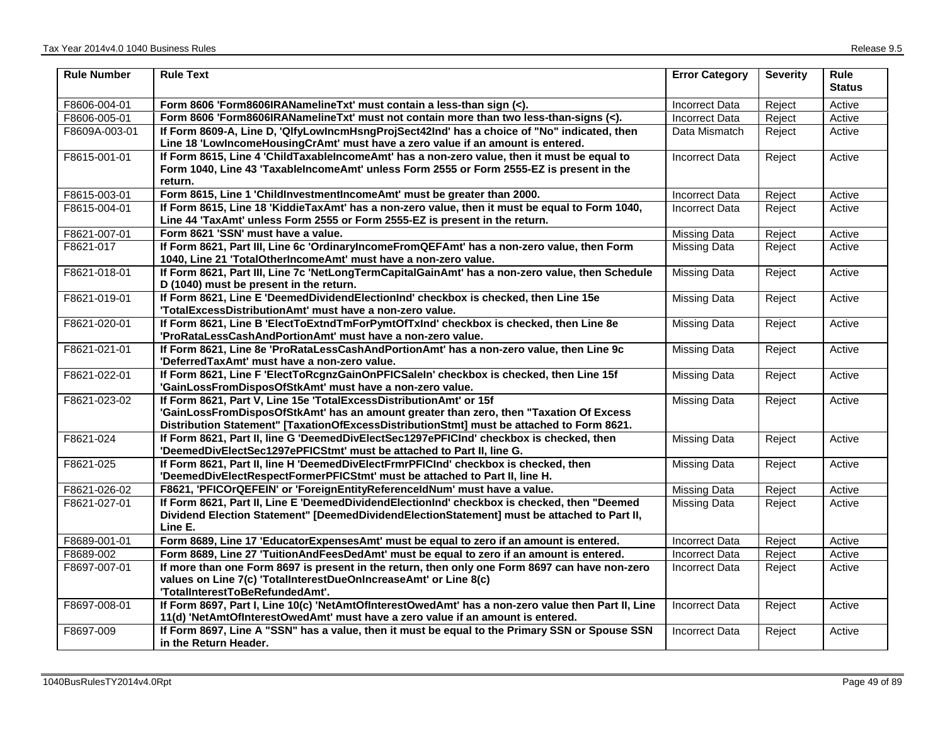| <b>Rule Number</b> | <b>Rule Text</b>                                                                                                                                                                                                                                          | <b>Error Category</b> | <b>Severity</b> | <b>Rule</b><br><b>Status</b> |
|--------------------|-----------------------------------------------------------------------------------------------------------------------------------------------------------------------------------------------------------------------------------------------------------|-----------------------|-----------------|------------------------------|
| F8606-004-01       | Form 8606 'Form8606IRANamelineTxt' must contain a less-than sign (<).                                                                                                                                                                                     | <b>Incorrect Data</b> | Reject          | Active                       |
| F8606-005-01       | Form 8606 'Form8606IRANamelineTxt' must not contain more than two less-than-signs (<).                                                                                                                                                                    | <b>Incorrect Data</b> | Reject          | Active                       |
| F8609A-003-01      | If Form 8609-A, Line D, 'QlfyLowIncmHsngProjSect42Ind' has a choice of "No" indicated, then<br>Line 18 'LowIncomeHousingCrAmt' must have a zero value if an amount is entered.                                                                            | Data Mismatch         | Reject          | Active                       |
| F8615-001-01       | If Form 8615, Line 4 'ChildTaxableIncomeAmt' has a non-zero value, then it must be equal to                                                                                                                                                               | <b>Incorrect Data</b> | Reject          | Active                       |
|                    | Form 1040, Line 43 'TaxableIncomeAmt' unless Form 2555 or Form 2555-EZ is present in the<br>return.                                                                                                                                                       |                       |                 |                              |
| F8615-003-01       | Form 8615, Line 1 ChildInvestmentIncomeAmt' must be greater than 2000.                                                                                                                                                                                    | <b>Incorrect Data</b> | Reject          | Active                       |
| F8615-004-01       | If Form 8615, Line 18 'KiddieTaxAmt' has a non-zero value, then it must be equal to Form 1040,<br>Line 44 'TaxAmt' unless Form 2555 or Form 2555-EZ is present in the return.                                                                             | <b>Incorrect Data</b> | Reject          | Active                       |
| F8621-007-01       | Form 8621 'SSN' must have a value.                                                                                                                                                                                                                        | Missing Data          | Reject          | Active                       |
| F8621-017          | If Form 8621, Part III, Line 6c 'OrdinaryIncomeFromQEFAmt' has a non-zero value, then Form<br>1040, Line 21 'TotalOtherIncomeAmt' must have a non-zero value.                                                                                             | <b>Missing Data</b>   | Reject          | Active                       |
| F8621-018-01       | If Form 8621, Part III, Line 7c 'NetLongTermCapitalGainAmt' has a non-zero value, then Schedule<br>D (1040) must be present in the return.                                                                                                                | Missing Data          | Reject          | Active                       |
| F8621-019-01       | If Form 8621, Line E 'DeemedDividendElectionInd' checkbox is checked, then Line 15e<br>'TotalExcessDistributionAmt' must have a non-zero value.                                                                                                           | Missing Data          | Reject          | Active                       |
| F8621-020-01       | If Form 8621, Line B 'ElectToExtndTmForPymtOfTxInd' checkbox is checked, then Line 8e<br>'ProRataLessCashAndPortionAmt' must have a non-zero value.                                                                                                       | Missing Data          | Reject          | Active                       |
| F8621-021-01       | If Form 8621, Line 8e 'ProRataLessCashAndPortionAmt' has a non-zero value, then Line 9c<br>'DeferredTaxAmt' must have a non-zero value.                                                                                                                   | <b>Missing Data</b>   | Reject          | Active                       |
| F8621-022-01       | If Form 8621, Line F 'ElectToRcgnzGainOnPFICSaleIn' checkbox is checked, then Line 15f<br>'GainLossFromDisposOfStkAmt' must have a non-zero value.                                                                                                        | Missing Data          | Reject          | Active                       |
| F8621-023-02       | If Form 8621, Part V, Line 15e 'TotalExcessDistributionAmt' or 15f<br>'GainLossFromDisposOfStkAmt' has an amount greater than zero, then "Taxation Of Excess<br>Distribution Statement" [TaxationOfExcessDistributionStmt] must be attached to Form 8621. | <b>Missing Data</b>   | Reject          | Active                       |
| F8621-024          | If Form 8621, Part II, line G 'DeemedDivElectSec1297ePFICInd' checkbox is checked, then<br>'DeemedDivElectSec1297ePFICStmt' must be attached to Part II, line G.                                                                                          | <b>Missing Data</b>   | Reject          | Active                       |
| F8621-025          | If Form 8621, Part II, line H 'DeemedDivElectFrmrPFICInd' checkbox is checked, then<br>'DeemedDivElectRespectFormerPFICStmt' must be attached to Part II, line H.                                                                                         | <b>Missing Data</b>   | Reject          | Active                       |
| F8621-026-02       | F8621, 'PFICOrQEFEIN' or 'ForeignEntityReferenceldNum' must have a value.                                                                                                                                                                                 | <b>Missing Data</b>   | Reject          | Active                       |
| F8621-027-01       | If Form 8621, Part II, Line E 'DeemedDividendElectionInd' checkbox is checked, then "Deemed<br>Dividend Election Statement" [DeemedDividendElectionStatement] must be attached to Part II,<br>Line E.                                                     | Missing Data          | Reject          | Active                       |
| F8689-001-01       | Form 8689, Line 17 'EducatorExpensesAmt' must be equal to zero if an amount is entered.                                                                                                                                                                   | <b>Incorrect Data</b> | Reject          | Active                       |
| F8689-002          | Form 8689, Line 27 'TuitionAndFeesDedAmt' must be equal to zero if an amount is entered.                                                                                                                                                                  | <b>Incorrect Data</b> | Reject          | Active                       |
| F8697-007-01       | If more than one Form 8697 is present in the return, then only one Form 8697 can have non-zero<br>values on Line 7(c) 'TotalInterestDueOnIncreaseAmt' or Line 8(c)<br>'TotalInterestToBeRefundedAmt'.                                                     | Incorrect Data        | Reject          | Active                       |
| F8697-008-01       | If Form 8697, Part I, Line 10(c) 'NetAmtOfInterestOwedAmt' has a non-zero value then Part II, Line<br>11(d) 'NetAmtOfInterestOwedAmt' must have a zero value if an amount is entered.                                                                     | <b>Incorrect Data</b> | Reject          | Active                       |
| F8697-009          | If Form 8697, Line A "SSN" has a value, then it must be equal to the Primary SSN or Spouse SSN<br>in the Return Header.                                                                                                                                   | <b>Incorrect Data</b> | Reject          | Active                       |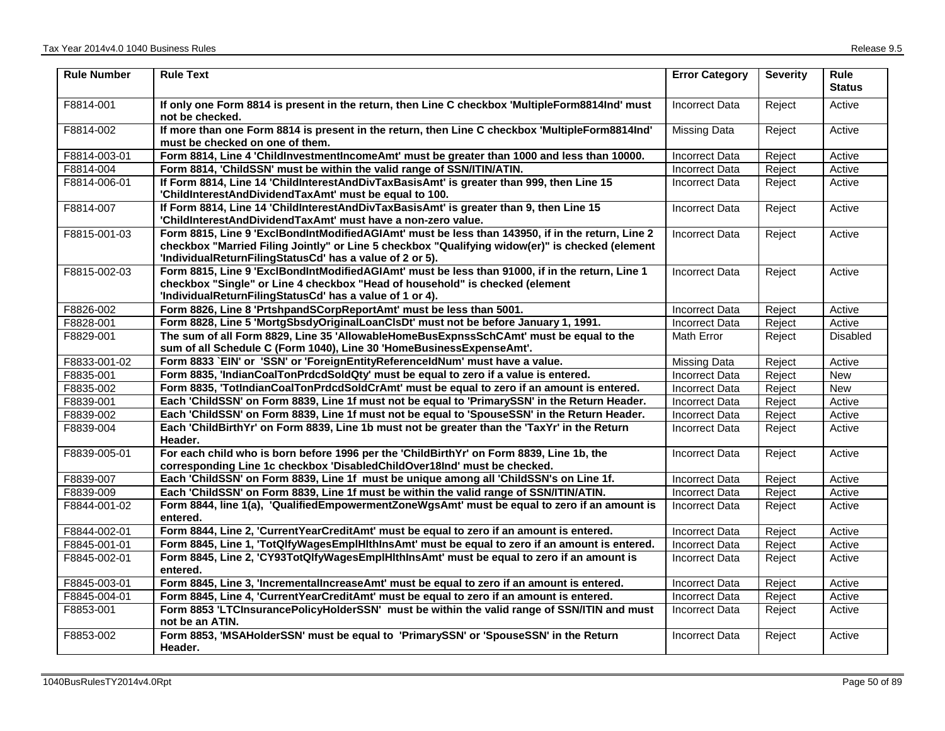| <b>Rule Number</b> | <b>Rule Text</b>                                                                                                                                                                                                                                                | <b>Error Category</b> | <b>Severity</b> | Rule<br><b>Status</b> |
|--------------------|-----------------------------------------------------------------------------------------------------------------------------------------------------------------------------------------------------------------------------------------------------------------|-----------------------|-----------------|-----------------------|
| F8814-001          | If only one Form 8814 is present in the return, then Line C checkbox 'MultipleForm8814Ind' must<br>not be checked.                                                                                                                                              | <b>Incorrect Data</b> | Reject          | Active                |
| F8814-002          | If more than one Form 8814 is present in the return, then Line C checkbox 'MultipleForm8814Ind'<br>must be checked on one of them.                                                                                                                              | <b>Missing Data</b>   | Reject          | Active                |
| F8814-003-01       | Form 8814, Line 4 'ChildInvestmentIncomeAmt' must be greater than 1000 and less than 10000.                                                                                                                                                                     | <b>Incorrect Data</b> | Reject          | Active                |
| F8814-004          | Form 8814, 'ChildSSN' must be within the valid range of SSN/ITIN/ATIN.                                                                                                                                                                                          | <b>Incorrect Data</b> | Reject          | Active                |
| F8814-006-01       | If Form 8814, Line 14 'ChildInterestAndDivTaxBasisAmt' is greater than 999, then Line 15<br>'ChildInterestAndDividendTaxAmt' must be equal to 100.                                                                                                              | <b>Incorrect Data</b> | Reject          | Active                |
| F8814-007          | If Form 8814, Line 14 'ChildInterestAndDivTaxBasisAmt' is greater than 9, then Line 15<br>'ChildInterestAndDividendTaxAmt' must have a non-zero value.                                                                                                          | <b>Incorrect Data</b> | Reject          | Active                |
| F8815-001-03       | Form 8815, Line 9 'ExclBondIntModifiedAGIAmt' must be less than 143950, if in the return, Line 2<br>checkbox "Married Filing Jointly" or Line 5 checkbox "Qualifying widow(er)" is checked (element<br>'IndividualReturnFilingStatusCd' has a value of 2 or 5). | <b>Incorrect Data</b> | Reject          | Active                |
| F8815-002-03       | Form 8815, Line 9 'ExclBondIntModifiedAGIAmt' must be less than 91000, if in the return, Line 1<br>checkbox "Single" or Line 4 checkbox "Head of household" is checked (element<br>'IndividualReturnFilingStatusCd' has a value of 1 or 4).                     | <b>Incorrect Data</b> | Reject          | Active                |
| F8826-002          | Form 8826, Line 8 'PrtshpandSCorpReportAmt' must be less than 5001.                                                                                                                                                                                             | <b>Incorrect Data</b> | Reject          | Active                |
| F8828-001          | Form 8828, Line 5 'MortgSbsdyOriginalLoanCIsDt' must not be before January 1, 1991.                                                                                                                                                                             | <b>Incorrect Data</b> | Reject          | Active                |
| F8829-001          | The sum of all Form 8829, Line 35 'AllowableHomeBusExpnssSchCAmt' must be equal to the<br>sum of all Schedule C (Form 1040), Line 30 'HomeBusinessExpenseAmt'.                                                                                                  | <b>Math Error</b>     | Reject          | Disabled              |
| F8833-001-02       | Form 8833 `EIN' or 'SSN' or 'ForeignEntityReferenceIdNum' must have a value.                                                                                                                                                                                    | <b>Missing Data</b>   | Reject          | Active                |
| F8835-001          | Form 8835, 'IndianCoalTonPrdcdSoldQty' must be equal to zero if a value is entered.                                                                                                                                                                             | <b>Incorrect Data</b> | Reject          | <b>New</b>            |
| F8835-002          | Form 8835, 'TotIndianCoalTonPrdcdSoldCrAmt' must be equal to zero if an amount is entered.                                                                                                                                                                      | <b>Incorrect Data</b> | Reject          | New                   |
| F8839-001          | Each 'ChildSSN' on Form 8839, Line 1f must not be equal to 'PrimarySSN' in the Return Header.                                                                                                                                                                   | <b>Incorrect Data</b> | Reject          | Active                |
| F8839-002          | Each 'ChildSSN' on Form 8839, Line 1f must not be equal to 'SpouseSSN' in the Return Header.                                                                                                                                                                    | <b>Incorrect Data</b> | Reject          | Active                |
| F8839-004          | Each 'ChildBirthYr' on Form 8839, Line 1b must not be greater than the 'TaxYr' in the Return<br>Header.                                                                                                                                                         | <b>Incorrect Data</b> | Reject          | Active                |
| F8839-005-01       | For each child who is born before 1996 per the 'ChildBirthYr' on Form 8839, Line 1b, the<br>corresponding Line 1c checkbox 'DisabledChildOver18Ind' must be checked.                                                                                            | <b>Incorrect Data</b> | Reject          | Active                |
| F8839-007          | Each 'ChildSSN' on Form 8839, Line 1f must be unique among all 'ChildSSN's on Line 1f.                                                                                                                                                                          | <b>Incorrect Data</b> | Reject          | Active                |
| F8839-009          | Each 'ChildSSN' on Form 8839, Line 1f must be within the valid range of SSN/ITIN/ATIN.                                                                                                                                                                          | <b>Incorrect Data</b> | Reject          | Active                |
| F8844-001-02       | Form 8844, line 1(a), 'QualifiedEmpowermentZoneWgsAmt' must be equal to zero if an amount is<br>entered.                                                                                                                                                        | <b>Incorrect Data</b> | Reject          | Active                |
| F8844-002-01       | Form 8844, Line 2, 'CurrentYearCreditAmt' must be equal to zero if an amount is entered.                                                                                                                                                                        | <b>Incorrect Data</b> | Reject          | Active                |
| F8845-001-01       | Form 8845, Line 1, 'TotQlfyWagesEmplHlthInsAmt' must be equal to zero if an amount is entered.                                                                                                                                                                  | <b>Incorrect Data</b> | Reject          | Active                |
| F8845-002-01       | Form 8845, Line 2, 'CY93TotQlfyWagesEmplHlthInsAmt' must be equal to zero if an amount is<br>entered.                                                                                                                                                           | <b>Incorrect Data</b> | Reject          | Active                |
| F8845-003-01       | Form 8845, Line 3, 'IncrementalIncreaseAmt' must be equal to zero if an amount is entered.                                                                                                                                                                      | <b>Incorrect Data</b> | Reject          | Active                |
| F8845-004-01       | Form 8845, Line 4, 'CurrentYearCreditAmt' must be equal to zero if an amount is entered.                                                                                                                                                                        | <b>Incorrect Data</b> | Reject          | Active                |
| F8853-001          | Form 8853 'LTCInsurancePolicyHolderSSN' must be within the valid range of SSN/ITIN and must<br>not be an ATIN.                                                                                                                                                  | <b>Incorrect Data</b> | Reject          | Active                |
| F8853-002          | Form 8853, 'MSAHolderSSN' must be equal to 'PrimarySSN' or 'SpouseSSN' in the Return<br>Header.                                                                                                                                                                 | <b>Incorrect Data</b> | Reject          | Active                |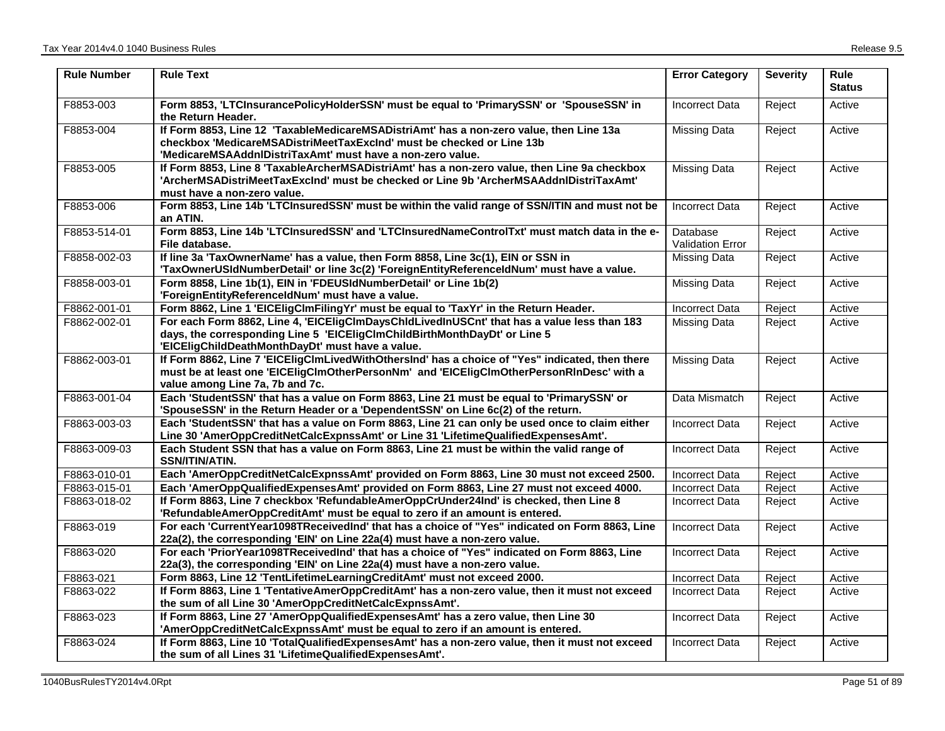| <b>Rule Number</b> | <b>Rule Text</b>                                                                                                                                                                                                               | <b>Error Category</b>               | <b>Severity</b> | <b>Rule</b><br><b>Status</b> |
|--------------------|--------------------------------------------------------------------------------------------------------------------------------------------------------------------------------------------------------------------------------|-------------------------------------|-----------------|------------------------------|
| F8853-003          | Form 8853, 'LTCInsurancePolicyHolderSSN' must be equal to 'PrimarySSN' or 'SpouseSSN' in<br>the Return Header.                                                                                                                 | <b>Incorrect Data</b>               | Reject          | Active                       |
| F8853-004          | If Form 8853, Line 12 'TaxableMedicareMSADistriAmt' has a non-zero value, then Line 13a<br>checkbox 'MedicareMSADistriMeetTaxExcInd' must be checked or Line 13b<br>'MedicareMSAAddnIDistriTaxAmt' must have a non-zero value. | Missing Data                        | Reject          | Active                       |
| F8853-005          | If Form 8853, Line 8 'TaxableArcherMSADistriAmt' has a non-zero value, then Line 9a checkbox<br>'ArcherMSADistriMeetTaxExcInd' must be checked or Line 9b 'ArcherMSAAddnlDistriTaxAmt'<br>must have a non-zero value.          | <b>Missing Data</b>                 | Reject          | Active                       |
| F8853-006          | Form 8853, Line 14b 'LTCInsuredSSN' must be within the valid range of SSN/ITIN and must not be<br>an ATIN.                                                                                                                     | <b>Incorrect Data</b>               | Reject          | Active                       |
| F8853-514-01       | Form 8853, Line 14b 'LTCInsuredSSN' and 'LTCInsuredNameControlTxt' must match data in the e-<br>File database.                                                                                                                 | Database<br><b>Validation Error</b> | Reject          | Active                       |
| F8858-002-03       | If line 3a 'TaxOwnerName' has a value, then Form 8858, Line 3c(1), EIN or SSN in<br>'TaxOwnerUSIdNumberDetail' or line 3c(2) 'ForeignEntityReferenceIdNum' must have a value.                                                  | <b>Missing Data</b>                 | Reject          | Active                       |
| F8858-003-01       | Form 8858, Line 1b(1), EIN in 'FDEUSIdNumberDetail' or Line 1b(2)<br>'ForeignEntityReferenceldNum' must have a value.                                                                                                          | <b>Missing Data</b>                 | Reject          | Active                       |
| F8862-001-01       | Form 8862, Line 1 'EICEligClmFilingYr' must be equal to 'TaxYr' in the Return Header.                                                                                                                                          | <b>Incorrect Data</b>               | Reject          | Active                       |
| F8862-002-01       | For each Form 8862, Line 4, 'EICEligClmDaysChldLivedInUSCnt' that has a value less than 183<br>days, the corresponding Line 5 'EICEligClmChildBirthMonthDayDt' or Line 5<br>'EICEligChildDeathMonthDayDt' must have a value.   | <b>Missing Data</b>                 | Reject          | Active                       |
| F8862-003-01       | If Form 8862, Line 7 'EICEligClmLivedWithOthersInd' has a choice of "Yes" indicated, then there<br>must be at least one 'EICEligClmOtherPersonNm' and 'EICEligClmOtherPersonRInDesc' with a<br>value among Line 7a, 7b and 7c. | <b>Missing Data</b>                 | Reject          | Active                       |
| F8863-001-04       | Each 'StudentSSN' that has a value on Form 8863, Line 21 must be equal to 'PrimarySSN' or<br>'SpouseSSN' in the Return Header or a 'DependentSSN' on Line 6c(2) of the return.                                                 | Data Mismatch                       | Reject          | Active                       |
| F8863-003-03       | Each 'StudentSSN' that has a value on Form 8863, Line 21 can only be used once to claim either<br>Line 30 'AmerOppCreditNetCalcExpnssAmt' or Line 31 'LifetimeQualifiedExpensesAmt'.                                           | <b>Incorrect Data</b>               | Reject          | Active                       |
| F8863-009-03       | Each Student SSN that has a value on Form 8863, Line 21 must be within the valid range of<br>SSN/ITIN/ATIN.                                                                                                                    | <b>Incorrect Data</b>               | Reject          | Active                       |
| F8863-010-01       | Each 'AmerOppCreditNetCalcExpnssAmt' provided on Form 8863, Line 30 must not exceed 2500.                                                                                                                                      | <b>Incorrect Data</b>               | Reject          | Active                       |
| F8863-015-01       | Each 'AmerOppQualifiedExpensesAmt' provided on Form 8863, Line 27 must not exceed 4000.                                                                                                                                        | <b>Incorrect Data</b>               | Reject          | Active                       |
| F8863-018-02       | If Form 8863, Line 7 checkbox 'RefundableAmerOppCrUnder24Ind' is checked, then Line 8<br>'RefundableAmerOppCreditAmt' must be equal to zero if an amount is entered.                                                           | <b>Incorrect Data</b>               | Reject          | Active                       |
| F8863-019          | For each 'CurrentYear1098TReceivedInd' that has a choice of "Yes" indicated on Form 8863, Line<br>22a(2), the corresponding 'EIN' on Line 22a(4) must have a non-zero value.                                                   | <b>Incorrect Data</b>               | Reject          | Active                       |
| F8863-020          | For each 'PriorYear1098TReceivedInd' that has a choice of "Yes" indicated on Form 8863, Line<br>22a(3), the corresponding 'EIN' on Line 22a(4) must have a non-zero value.                                                     | <b>Incorrect Data</b>               | Reject          | Active                       |
| F8863-021          | Form 8863, Line 12 'TentLifetimeLearningCreditAmt' must not exceed 2000.                                                                                                                                                       | <b>Incorrect Data</b>               | Reject          | Active                       |
| F8863-022          | If Form 8863, Line 1 'TentativeAmerOppCreditAmt' has a non-zero value, then it must not exceed<br>the sum of all Line 30 'AmerOppCreditNetCalcExpnssAmt'.                                                                      | <b>Incorrect Data</b>               | Reject          | Active                       |
| F8863-023          | If Form 8863, Line 27 'AmerOppQualifiedExpensesAmt' has a zero value, then Line 30<br>'AmerOppCreditNetCalcExpnssAmt' must be equal to zero if an amount is entered.                                                           | <b>Incorrect Data</b>               | Reject          | Active                       |
| F8863-024          | If Form 8863, Line 10 'TotalQualifiedExpensesAmt' has a non-zero value, then it must not exceed<br>the sum of all Lines 31 'LifetimeQualifiedExpensesAmt'.                                                                     | <b>Incorrect Data</b>               | Reject          | Active                       |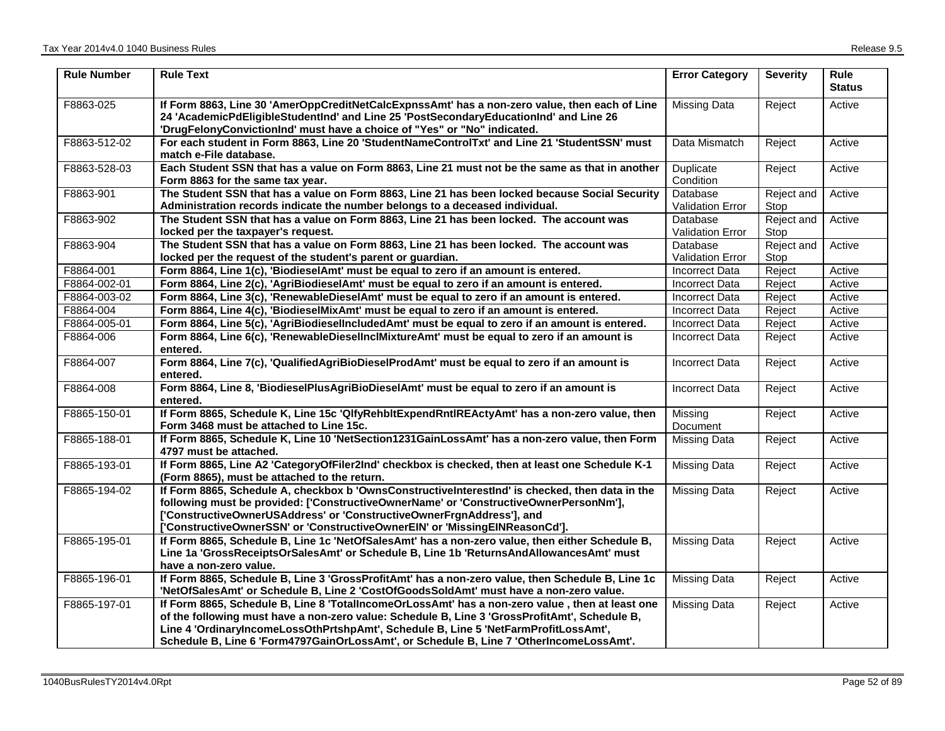| <b>Rule Number</b> | <b>Rule Text</b>                                                                                                                                                                                                                                                                                                                                                                   | <b>Error Category</b>               | <b>Severity</b>    | Rule<br><b>Status</b> |
|--------------------|------------------------------------------------------------------------------------------------------------------------------------------------------------------------------------------------------------------------------------------------------------------------------------------------------------------------------------------------------------------------------------|-------------------------------------|--------------------|-----------------------|
| F8863-025          | If Form 8863, Line 30 'AmerOppCreditNetCalcExpnssAmt' has a non-zero value, then each of Line<br>24 'AcademicPdEligibleStudentInd' and Line 25 'PostSecondaryEducationInd' and Line 26<br>'DrugFelonyConvictionInd' must have a choice of "Yes" or "No" indicated.                                                                                                                 | <b>Missing Data</b>                 | Reject             | Active                |
| F8863-512-02       | For each student in Form 8863, Line 20 'StudentNameControlTxt' and Line 21 'StudentSSN' must<br>match e-File database.                                                                                                                                                                                                                                                             | Data Mismatch                       | Reject             | Active                |
| F8863-528-03       | Each Student SSN that has a value on Form 8863, Line 21 must not be the same as that in another<br>Form 8863 for the same tax year.                                                                                                                                                                                                                                                | Duplicate<br>Condition              | Reject             | Active                |
| F8863-901          | The Student SSN that has a value on Form 8863, Line 21 has been locked because Social Security<br>Administration records indicate the number belongs to a deceased individual.                                                                                                                                                                                                     | Database<br><b>Validation Error</b> | Reject and<br>Stop | Active                |
| F8863-902          | The Student SSN that has a value on Form 8863, Line 21 has been locked. The account was<br>locked per the taxpayer's request.                                                                                                                                                                                                                                                      | Database<br><b>Validation Error</b> | Reject and<br>Stop | Active                |
| F8863-904          | The Student SSN that has a value on Form 8863, Line 21 has been locked. The account was<br>locked per the request of the student's parent or guardian.                                                                                                                                                                                                                             | Database<br><b>Validation Error</b> | Reject and<br>Stop | Active                |
| F8864-001          | Form 8864, Line 1(c), 'BiodieselAmt' must be equal to zero if an amount is entered.                                                                                                                                                                                                                                                                                                | <b>Incorrect Data</b>               | Reject             | Active                |
| F8864-002-01       | Form 8864, Line 2(c), 'AgriBiodieselAmt' must be equal to zero if an amount is entered.                                                                                                                                                                                                                                                                                            | <b>Incorrect Data</b>               | Reject             | Active                |
| F8864-003-02       | Form 8864, Line 3(c), 'RenewableDieselAmt' must be equal to zero if an amount is entered.                                                                                                                                                                                                                                                                                          | <b>Incorrect Data</b>               | Reject             | Active                |
| F8864-004          | Form 8864, Line 4(c), 'BiodieselMixAmt' must be equal to zero if an amount is entered.                                                                                                                                                                                                                                                                                             | <b>Incorrect Data</b>               | Reject             | Active                |
| F8864-005-01       | Form 8864, Line 5(c), 'AgriBiodieselIncludedAmt' must be equal to zero if an amount is entered.                                                                                                                                                                                                                                                                                    | Incorrect Data                      | Reject             | Active                |
| F8864-006          | Form 8864, Line 6(c), 'RenewableDieselInclMixtureAmt' must be equal to zero if an amount is<br>entered.                                                                                                                                                                                                                                                                            | <b>Incorrect Data</b>               | Reject             | Active                |
| F8864-007          | Form 8864, Line 7(c), 'QualifiedAgriBioDieselProdAmt' must be equal to zero if an amount is<br>entered.                                                                                                                                                                                                                                                                            | <b>Incorrect Data</b>               | Reject             | Active                |
| F8864-008          | Form 8864, Line 8, 'BiodieselPlusAgriBioDieselAmt' must be equal to zero if an amount is<br>entered.                                                                                                                                                                                                                                                                               | <b>Incorrect Data</b>               | Reject             | Active                |
| F8865-150-01       | If Form 8865, Schedule K, Line 15c 'QlfyRehbltExpendRntlREActyAmt' has a non-zero value, then<br>Form 3468 must be attached to Line 15c.                                                                                                                                                                                                                                           | Missing<br>Document                 | Reject             | Active                |
| F8865-188-01       | If Form 8865, Schedule K, Line 10 'NetSection1231GainLossAmt' has a non-zero value, then Form<br>4797 must be attached.                                                                                                                                                                                                                                                            | <b>Missing Data</b>                 | Reject             | Active                |
| F8865-193-01       | If Form 8865, Line A2 'CategoryOfFiler2Ind' checkbox is checked, then at least one Schedule K-1<br>(Form 8865), must be attached to the return.                                                                                                                                                                                                                                    | <b>Missing Data</b>                 | Reject             | Active                |
| F8865-194-02       | If Form 8865, Schedule A, checkbox b 'OwnsConstructiveInterestInd' is checked, then data in the<br>following must be provided: ['ConstructiveOwnerName' or 'ConstructiveOwnerPersonNm'],<br>['ConstructiveOwnerUSAddress' or 'ConstructiveOwnerFrgnAddress'], and<br>['ConstructiveOwnerSSN' or 'ConstructiveOwnerEIN' or 'MissingEINReasonCd'].                                   | <b>Missing Data</b>                 | Reject             | Active                |
| F8865-195-01       | If Form 8865, Schedule B, Line 1c 'NetOfSalesAmt' has a non-zero value, then either Schedule B,<br>Line 1a 'GrossReceiptsOrSalesAmt' or Schedule B, Line 1b 'ReturnsAndAllowancesAmt' must<br>have a non-zero value.                                                                                                                                                               | <b>Missing Data</b>                 | Reject             | Active                |
| F8865-196-01       | If Form 8865, Schedule B, Line 3 'GrossProfitAmt' has a non-zero value, then Schedule B, Line 1c<br>'NetOfSalesAmt' or Schedule B, Line 2 'CostOfGoodsSoldAmt' must have a non-zero value.                                                                                                                                                                                         | <b>Missing Data</b>                 | Reject             | Active                |
| F8865-197-01       | If Form 8865, Schedule B, Line 8 'TotalIncomeOrLossAmt' has a non-zero value, then at least one<br>of the following must have a non-zero value: Schedule B, Line 3 'GrossProfitAmt', Schedule B,<br>Line 4 'OrdinaryIncomeLossOthPrtshpAmt', Schedule B, Line 5 'NetFarmProfitLossAmt',<br>Schedule B, Line 6 'Form4797GainOrLossAmt', or Schedule B, Line 7 'OtherIncomeLossAmt'. | <b>Missing Data</b>                 | Reject             | Active                |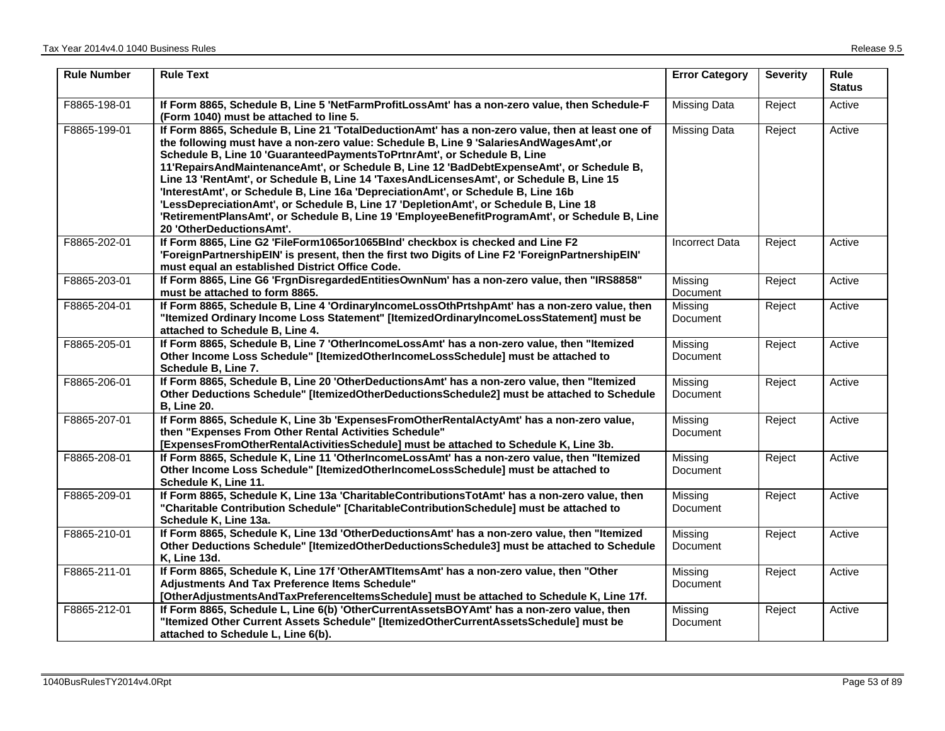| <b>Rule Number</b> | <b>Rule Text</b>                                                                                                                                                                                                                                                                                                                                                                                                                                                                                                                                                                                                                                                                                                                                                       | <b>Error Category</b>      | <b>Severity</b> | <b>Rule</b><br><b>Status</b> |
|--------------------|------------------------------------------------------------------------------------------------------------------------------------------------------------------------------------------------------------------------------------------------------------------------------------------------------------------------------------------------------------------------------------------------------------------------------------------------------------------------------------------------------------------------------------------------------------------------------------------------------------------------------------------------------------------------------------------------------------------------------------------------------------------------|----------------------------|-----------------|------------------------------|
| F8865-198-01       | If Form 8865, Schedule B, Line 5 'NetFarmProfitLossAmt' has a non-zero value, then Schedule-F<br>(Form 1040) must be attached to line 5.                                                                                                                                                                                                                                                                                                                                                                                                                                                                                                                                                                                                                               | <b>Missing Data</b>        | Reject          | Active                       |
| F8865-199-01       | If Form 8865, Schedule B, Line 21 'TotalDeductionAmt' has a non-zero value, then at least one of<br>the following must have a non-zero value: Schedule B, Line 9 'SalariesAndWagesAmt', or<br>Schedule B, Line 10 'GuaranteedPaymentsToPrtnrAmt', or Schedule B, Line<br>11'RepairsAndMaintenanceAmt', or Schedule B, Line 12 'BadDebtExpenseAmt', or Schedule B,<br>Line 13 'RentAmt', or Schedule B, Line 14 'TaxesAndLicensesAmt', or Schedule B, Line 15<br>'InterestAmt', or Schedule B, Line 16a 'DepreciationAmt', or Schedule B, Line 16b<br>'LessDepreciationAmt', or Schedule B, Line 17 'DepletionAmt', or Schedule B, Line 18<br>'RetirementPlansAmt', or Schedule B, Line 19 'EmployeeBenefitProgramAmt', or Schedule B, Line<br>20 'OtherDeductionsAmt'. | <b>Missing Data</b>        | Reject          | Active                       |
| F8865-202-01       | If Form 8865, Line G2 'FileForm1065or1065Blnd' checkbox is checked and Line F2<br>'ForeignPartnershipEIN' is present, then the first two Digits of Line F2 'ForeignPartnershipEIN'<br>must equal an established District Office Code.                                                                                                                                                                                                                                                                                                                                                                                                                                                                                                                                  | <b>Incorrect Data</b>      | Reject          | Active                       |
| F8865-203-01       | If Form 8865, Line G6 'FrgnDisregardedEntitiesOwnNum' has a non-zero value, then "IRS8858"<br>must be attached to form 8865.                                                                                                                                                                                                                                                                                                                                                                                                                                                                                                                                                                                                                                           | Missing<br>Document        | Reject          | Active                       |
| F8865-204-01       | If Form 8865, Schedule B, Line 4 'OrdinaryIncomeLossOthPrtshpAmt' has a non-zero value, then<br>"Itemized Ordinary Income Loss Statement" [ItemizedOrdinaryIncomeLossStatement] must be<br>attached to Schedule B, Line 4.                                                                                                                                                                                                                                                                                                                                                                                                                                                                                                                                             | Missing<br>Document        | Reject          | Active                       |
| F8865-205-01       | If Form 8865, Schedule B, Line 7 'OtherIncomeLossAmt' has a non-zero value, then "Itemized<br>Other Income Loss Schedule" [ItemizedOtherIncomeLossSchedule] must be attached to<br>Schedule B, Line 7.                                                                                                                                                                                                                                                                                                                                                                                                                                                                                                                                                                 | Missing<br>Document        | Reject          | Active                       |
| F8865-206-01       | If Form 8865, Schedule B, Line 20 'OtherDeductionsAmt' has a non-zero value, then "Itemized<br>Other Deductions Schedule" [ItemizedOtherDeductionsSchedule2] must be attached to Schedule<br><b>B</b> , Line 20.                                                                                                                                                                                                                                                                                                                                                                                                                                                                                                                                                       | Missing<br>Document        | Reject          | Active                       |
| F8865-207-01       | If Form 8865, Schedule K, Line 3b 'ExpensesFromOtherRentalActyAmt' has a non-zero value,<br>then "Expenses From Other Rental Activities Schedule"<br>[ExpensesFromOtherRentalActivitiesSchedule] must be attached to Schedule K, Line 3b.                                                                                                                                                                                                                                                                                                                                                                                                                                                                                                                              | Missing<br>Document        | Reject          | Active                       |
| F8865-208-01       | If Form 8865, Schedule K, Line 11 'OtherIncomeLossAmt' has a non-zero value, then "Itemized<br>Other Income Loss Schedule" [ItemizedOtherIncomeLossSchedule] must be attached to<br>Schedule K, Line 11.                                                                                                                                                                                                                                                                                                                                                                                                                                                                                                                                                               | Missing<br><b>Document</b> | Reject          | Active                       |
| F8865-209-01       | If Form 8865, Schedule K, Line 13a 'CharitableContributionsTotAmt' has a non-zero value, then<br>"Charitable Contribution Schedule" [CharitableContributionSchedule] must be attached to<br>Schedule K, Line 13a.                                                                                                                                                                                                                                                                                                                                                                                                                                                                                                                                                      | Missing<br>Document        | Reject          | Active                       |
| F8865-210-01       | If Form 8865, Schedule K, Line 13d 'OtherDeductionsAmt' has a non-zero value, then "Itemized<br>Other Deductions Schedule" [ItemizedOtherDeductionsSchedule3] must be attached to Schedule<br><b>K, Line 13d.</b>                                                                                                                                                                                                                                                                                                                                                                                                                                                                                                                                                      | Missing<br>Document        | Reject          | Active                       |
| F8865-211-01       | If Form 8865, Schedule K, Line 17f 'OtherAMTItemsAmt' has a non-zero value, then "Other<br>Adjustments And Tax Preference Items Schedule"<br>[OtherAdjustmentsAndTaxPreferenceItemsSchedule] must be attached to Schedule K, Line 17f.                                                                                                                                                                                                                                                                                                                                                                                                                                                                                                                                 | Missing<br>Document        | Reject          | Active                       |
| F8865-212-01       | If Form 8865, Schedule L, Line 6(b) 'OtherCurrentAssetsBOYAmt' has a non-zero value, then<br>"Itemized Other Current Assets Schedule" [ItemizedOtherCurrentAssetsSchedule] must be<br>attached to Schedule L, Line 6(b).                                                                                                                                                                                                                                                                                                                                                                                                                                                                                                                                               | Missing<br>Document        | Reject          | Active                       |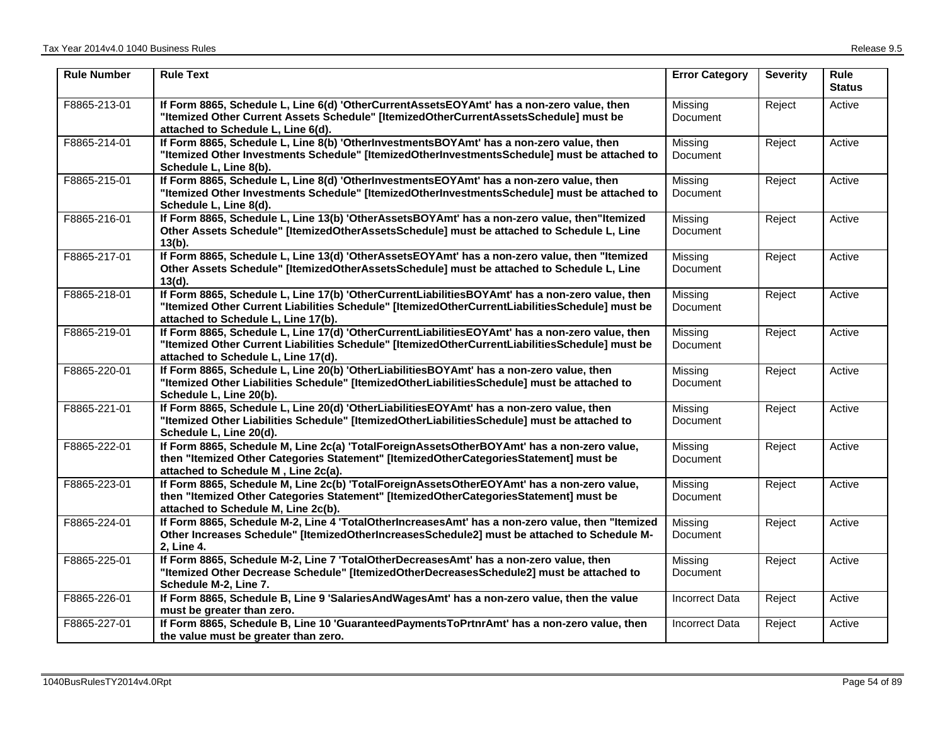| <b>Rule Number</b> | <b>Rule Text</b>                                                                                                                                                                                                                          | <b>Error Category</b>      | <b>Severity</b> | Rule<br><b>Status</b> |
|--------------------|-------------------------------------------------------------------------------------------------------------------------------------------------------------------------------------------------------------------------------------------|----------------------------|-----------------|-----------------------|
| F8865-213-01       | If Form 8865, Schedule L, Line 6(d) 'OtherCurrentAssetsEOYAmt' has a non-zero value, then<br>"Itemized Other Current Assets Schedule" [ItemizedOtherCurrentAssetsSchedule] must be<br>attached to Schedule L, Line 6(d).                  | Missing<br>Document        | Reject          | Active                |
| F8865-214-01       | If Form 8865, Schedule L, Line 8(b) 'OtherInvestmentsBOYAmt' has a non-zero value, then<br>"Itemized Other Investments Schedule" [ItemizedOtherInvestmentsSchedule] must be attached to<br>Schedule L, Line 8(b).                         | Missing<br>Document        | Reject          | Active                |
| F8865-215-01       | If Form 8865, Schedule L, Line 8(d) 'OtherInvestmentsEOYAmt' has a non-zero value, then<br>"Itemized Other Investments Schedule" [ItemizedOtherInvestmentsSchedule] must be attached to<br>Schedule L, Line 8(d).                         | Missing<br>Document        | Reject          | Active                |
| F8865-216-01       | If Form 8865, Schedule L, Line 13(b) 'OtherAssetsBOYAmt' has a non-zero value, then"Itemized<br>Other Assets Schedule" [ItemizedOtherAssetsSchedule] must be attached to Schedule L, Line<br>$13(b)$ .                                    | Missing<br>Document        | Reject          | Active                |
| F8865-217-01       | If Form 8865, Schedule L, Line 13(d) 'OtherAssetsEOYAmt' has a non-zero value, then "Itemized<br>Other Assets Schedule" [ItemizedOtherAssetsSchedule] must be attached to Schedule L, Line<br>$13(d)$ .                                   | Missing<br><b>Document</b> | Reject          | Active                |
| F8865-218-01       | If Form 8865, Schedule L, Line 17(b) 'OtherCurrentLiabilitiesBOYAmt' has a non-zero value, then<br>"Itemized Other Current Liabilities Schedule" [ItemizedOtherCurrentLiabilitiesSchedule] must be<br>attached to Schedule L, Line 17(b). | Missing<br>Document        | Reject          | Active                |
| F8865-219-01       | If Form 8865, Schedule L, Line 17(d) 'OtherCurrentLiabilitiesEOYAmt' has a non-zero value, then<br>"Itemized Other Current Liabilities Schedule" [ItemizedOtherCurrentLiabilitiesSchedule] must be<br>attached to Schedule L, Line 17(d). | Missing<br><b>Document</b> | Reject          | Active                |
| F8865-220-01       | If Form 8865, Schedule L, Line 20(b) 'OtherLiabilitiesBOYAmt' has a non-zero value, then<br>"Itemized Other Liabilities Schedule" [ItemizedOtherLiabilitiesSchedule] must be attached to<br>Schedule L, Line 20(b).                       | Missing<br>Document        | Reject          | Active                |
| F8865-221-01       | If Form 8865, Schedule L, Line 20(d) 'OtherLiabilitiesEOYAmt' has a non-zero value, then<br>"Itemized Other Liabilities Schedule" [ItemizedOtherLiabilitiesSchedule] must be attached to<br>Schedule L, Line 20(d).                       | Missing<br>Document        | Reject          | Active                |
| F8865-222-01       | If Form 8865, Schedule M, Line 2c(a) 'TotalForeignAssetsOtherBOYAmt' has a non-zero value,<br>then "Itemized Other Categories Statement" [ItemizedOtherCategoriesStatement] must be<br>attached to Schedule M, Line 2c(a).                | Missing<br>Document        | Reject          | Active                |
| F8865-223-01       | If Form 8865, Schedule M, Line 2c(b) 'TotalForeignAssetsOtherEOYAmt' has a non-zero value,<br>then "Itemized Other Categories Statement" [ItemizedOtherCategoriesStatement] must be<br>attached to Schedule M, Line 2c(b).                | Missing<br><b>Document</b> | Reject          | Active                |
| F8865-224-01       | If Form 8865, Schedule M-2, Line 4 'TotalOtherIncreasesAmt' has a non-zero value, then "Itemized<br>Other Increases Schedule" [ItemizedOtherIncreasesSchedule2] must be attached to Schedule M-<br>2, Line 4.                             | Missing<br><b>Document</b> | Reject          | Active                |
| F8865-225-01       | If Form 8865, Schedule M-2, Line 7 'TotalOtherDecreasesAmt' has a non-zero value, then<br>"Itemized Other Decrease Schedule" [ItemizedOtherDecreasesSchedule2] must be attached to<br>Schedule M-2, Line 7.                               | Missing<br>Document        | Reject          | Active                |
| F8865-226-01       | If Form 8865, Schedule B, Line 9 'Salaries And Wages Amt' has a non-zero value, then the value<br>must be greater than zero.                                                                                                              | <b>Incorrect Data</b>      | Reject          | Active                |
| F8865-227-01       | If Form 8865, Schedule B, Line 10 'GuaranteedPaymentsToPrtnrAmt' has a non-zero value, then<br>the value must be greater than zero.                                                                                                       | <b>Incorrect Data</b>      | Reject          | Active                |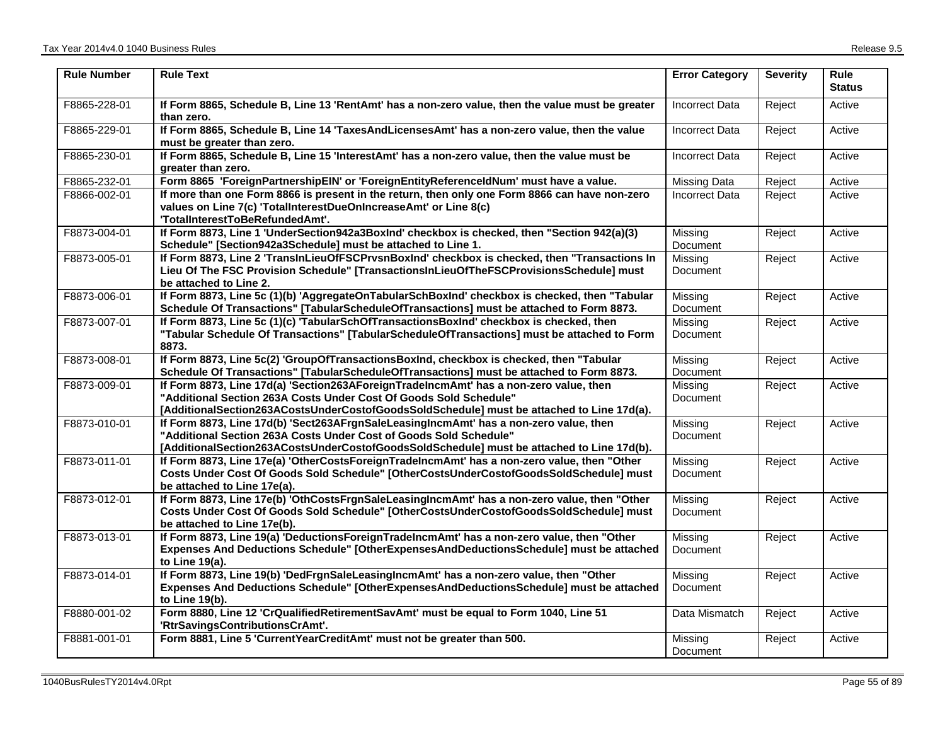| <b>Rule Number</b> | <b>Rule Text</b>                                                                                                                                                                                                                                        | <b>Error Category</b>      | <b>Severity</b> | <b>Rule</b><br><b>Status</b> |
|--------------------|---------------------------------------------------------------------------------------------------------------------------------------------------------------------------------------------------------------------------------------------------------|----------------------------|-----------------|------------------------------|
| F8865-228-01       | If Form 8865, Schedule B, Line 13 'RentAmt' has a non-zero value, then the value must be greater<br>than zero.                                                                                                                                          | <b>Incorrect Data</b>      | Reject          | Active                       |
| F8865-229-01       | If Form 8865, Schedule B, Line 14 'TaxesAndLicensesAmt' has a non-zero value, then the value<br>must be greater than zero.                                                                                                                              | <b>Incorrect Data</b>      | Reject          | Active                       |
| F8865-230-01       | If Form 8865, Schedule B, Line 15 'InterestAmt' has a non-zero value, then the value must be<br>greater than zero.                                                                                                                                      | <b>Incorrect Data</b>      | Reject          | Active                       |
| F8865-232-01       | Form 8865 'ForeignPartnershipEIN' or 'ForeignEntityReferenceIdNum' must have a value.                                                                                                                                                                   | Missing Data               | Reject          | Active                       |
| F8866-002-01       | If more than one Form 8866 is present in the return, then only one Form 8866 can have non-zero<br>values on Line 7(c) 'TotalInterestDueOnIncreaseAmt' or Line 8(c)<br>'TotalInterestToBeRefundedAmt'.                                                   | Incorrect Data             | Reject          | Active                       |
| F8873-004-01       | If Form 8873, Line 1 'UnderSection942a3BoxInd' checkbox is checked, then "Section 942(a)(3)<br>Schedule" [Section942a3Schedule] must be attached to Line 1.                                                                                             | Missing<br>Document        | Reject          | Active                       |
| F8873-005-01       | If Form 8873, Line 2 'TranslnLieuOfFSCPrvsnBoxInd' checkbox is checked, then "Transactions In<br>Lieu Of The FSC Provision Schedule" [TransactionsInLieuOfTheFSCProvisionsSchedule] must<br>be attached to Line 2.                                      | Missing<br>Document        | Reject          | Active                       |
| F8873-006-01       | If Form 8873, Line 5c (1)(b) 'AggregateOnTabularSchBoxInd' checkbox is checked, then "Tabular<br>Schedule Of Transactions" [TabularScheduleOfTransactions] must be attached to Form 8873.                                                               | Missing<br>Document        | Reject          | Active                       |
| F8873-007-01       | If Form 8873, Line 5c (1)(c) 'TabularSchOfTransactionsBoxInd' checkbox is checked, then<br>"Tabular Schedule Of Transactions" [TabularScheduleOfTransactions] must be attached to Form<br>8873.                                                         | Missing<br><b>Document</b> | Reject          | Active                       |
| F8873-008-01       | If Form 8873, Line 5c(2) 'GroupOfTransactionsBoxInd, checkbox is checked, then "Tabular<br>Schedule Of Transactions" [TabularScheduleOfTransactions] must be attached to Form 8873.                                                                     | Missing<br>Document        | Reject          | Active                       |
| F8873-009-01       | If Form 8873, Line 17d(a) 'Section263AForeignTradelncmAmt' has a non-zero value, then<br>"Additional Section 263A Costs Under Cost Of Goods Sold Schedule"<br>[AdditionalSection263ACostsUnderCostofGoodsSoldSchedule] must be attached to Line 17d(a). | Missing<br><b>Document</b> | Reject          | Active                       |
| F8873-010-01       | If Form 8873, Line 17d(b) 'Sect263AFrgnSaleLeasingIncmAmt' has a non-zero value, then<br>"Additional Section 263A Costs Under Cost of Goods Sold Schedule"<br>[AdditionalSection263ACostsUnderCostofGoodsSoldSchedule] must be attached to Line 17d(b). | Missing<br>Document        | Reject          | Active                       |
| F8873-011-01       | If Form 8873, Line 17e(a) 'OtherCostsForeignTradeIncmAmt' has a non-zero value, then "Other<br>Costs Under Cost Of Goods Sold Schedule" [OtherCostsUnderCostofGoodsSoldSchedule] must<br>be attached to Line 17e(a).                                    | Missing<br><b>Document</b> | Reject          | Active                       |
| F8873-012-01       | If Form 8873, Line 17e(b) 'OthCostsFrgnSaleLeasingIncmAmt' has a non-zero value, then "Other<br>Costs Under Cost Of Goods Sold Schedule" [OtherCostsUnderCostofGoodsSoldSchedule] must<br>be attached to Line 17e(b).                                   | Missing<br><b>Document</b> | Reject          | Active                       |
| F8873-013-01       | If Form 8873, Line 19(a) 'DeductionsForeignTradelncmAmt' has a non-zero value, then "Other<br>Expenses And Deductions Schedule" [OtherExpensesAndDeductionsSchedule] must be attached<br>to Line 19(a).                                                 | Missing<br><b>Document</b> | Reject          | Active                       |
| F8873-014-01       | If Form 8873, Line 19(b) 'DedFrgnSaleLeasingIncmAmt' has a non-zero value, then "Other<br>Expenses And Deductions Schedule" [OtherExpensesAndDeductionsSchedule] must be attached<br>to Line 19(b).                                                     | Missing<br>Document        | Reject          | Active                       |
| F8880-001-02       | Form 8880, Line 12 'CrQualifiedRetirementSavAmt' must be equal to Form 1040, Line 51<br>'RtrSavingsContributionsCrAmt'.                                                                                                                                 | Data Mismatch              | Reject          | Active                       |
| F8881-001-01       | Form 8881, Line 5 'CurrentYearCreditAmt' must not be greater than 500.                                                                                                                                                                                  | Missina<br>Document        | Reject          | Active                       |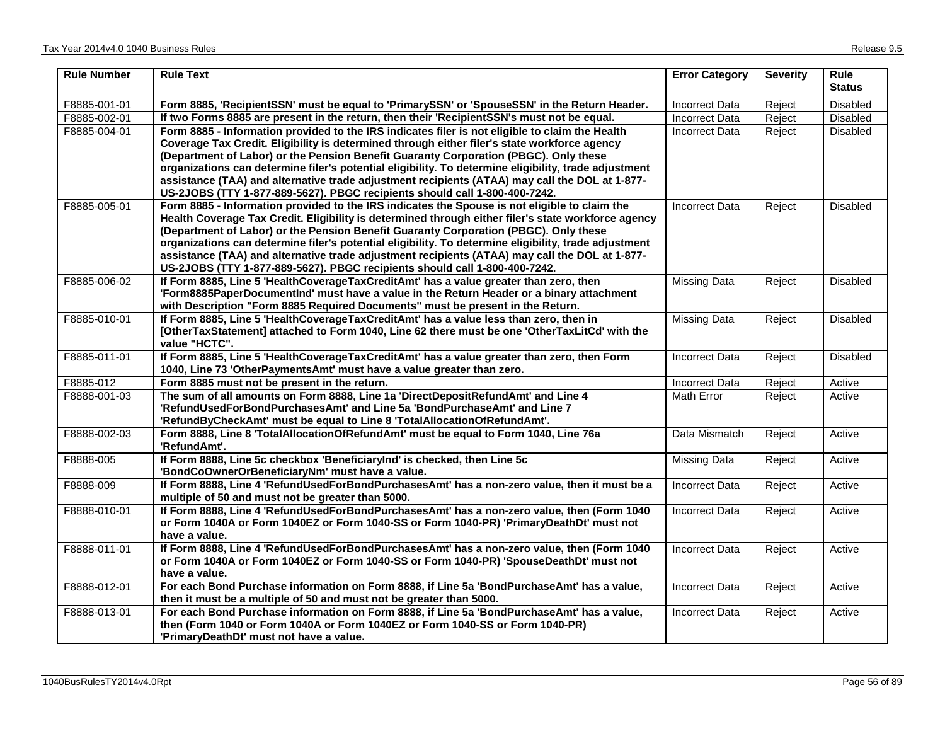| <b>Rule Number</b> | <b>Rule Text</b>                                                                                               | <b>Error Category</b> | <b>Severity</b> | <b>Rule</b><br><b>Status</b> |
|--------------------|----------------------------------------------------------------------------------------------------------------|-----------------------|-----------------|------------------------------|
| F8885-001-01       | Form 8885, 'RecipientSSN' must be equal to 'PrimarySSN' or 'SpouseSSN' in the Return Header.                   | <b>Incorrect Data</b> | Reject          | Disabled                     |
| F8885-002-01       | If two Forms 8885 are present in the return, then their 'RecipientSSN's must not be equal.                     | <b>Incorrect Data</b> | Reject          | Disabled                     |
| F8885-004-01       | Form 8885 - Information provided to the IRS indicates filer is not eligible to claim the Health                | <b>Incorrect Data</b> | Reject          | Disabled                     |
|                    | Coverage Tax Credit. Eligibility is determined through either filer's state workforce agency                   |                       |                 |                              |
|                    | (Department of Labor) or the Pension Benefit Guaranty Corporation (PBGC). Only these                           |                       |                 |                              |
|                    | organizations can determine filer's potential eligibility. To determine eligibility, trade adjustment          |                       |                 |                              |
|                    | assistance (TAA) and alternative trade adjustment recipients (ATAA) may call the DOL at 1-877-                 |                       |                 |                              |
|                    | US-2JOBS (TTY 1-877-889-5627). PBGC recipients should call 1-800-400-7242.                                     |                       |                 |                              |
| F8885-005-01       | Form 8885 - Information provided to the IRS indicates the Spouse is not eligible to claim the                  | <b>Incorrect Data</b> | Reject          | Disabled                     |
|                    | Health Coverage Tax Credit. Eligibility is determined through either filer's state workforce agency            |                       |                 |                              |
|                    | (Department of Labor) or the Pension Benefit Guaranty Corporation (PBGC). Only these                           |                       |                 |                              |
|                    | organizations can determine filer's potential eligibility. To determine eligibility, trade adjustment          |                       |                 |                              |
|                    | assistance (TAA) and alternative trade adjustment recipients (ATAA) may call the DOL at 1-877-                 |                       |                 |                              |
|                    | US-2JOBS (TTY 1-877-889-5627). PBGC recipients should call 1-800-400-7242.                                     |                       |                 |                              |
| F8885-006-02       | If Form 8885, Line 5 'HealthCoverageTaxCreditAmt' has a value greater than zero, then                          | <b>Missing Data</b>   | Reject          | <b>Disabled</b>              |
|                    | 'Form8885PaperDocumentInd' must have a value in the Return Header or a binary attachment                       |                       |                 |                              |
|                    | with Description "Form 8885 Required Documents" must be present in the Return.                                 |                       |                 |                              |
| F8885-010-01       | If Form 8885, Line 5 'HealthCoverageTaxCreditAmt' has a value less than zero, then in                          | <b>Missing Data</b>   | Reject          | Disabled                     |
|                    | [OtherTaxStatement] attached to Form 1040, Line 62 there must be one 'OtherTaxLitCd' with the<br>value "HCTC". |                       |                 |                              |
| F8885-011-01       | If Form 8885, Line 5 'HealthCoverageTaxCreditAmt' has a value greater than zero, then Form                     | <b>Incorrect Data</b> | Reject          | Disabled                     |
|                    | 1040, Line 73 'OtherPaymentsAmt' must have a value greater than zero.                                          |                       |                 |                              |
| F8885-012          | Form 8885 must not be present in the return.                                                                   | <b>Incorrect Data</b> | Reject          | Active                       |
| F8888-001-03       | The sum of all amounts on Form 8888, Line 1a 'DirectDepositRefundAmt' and Line 4                               | Math Error            | Reject          | Active                       |
|                    | 'RefundUsedForBondPurchasesAmt' and Line 5a 'BondPurchaseAmt' and Line 7                                       |                       |                 |                              |
|                    | 'RefundByCheckAmt' must be equal to Line 8 'TotalAllocationOfRefundAmt'.                                       |                       |                 |                              |
| F8888-002-03       | Form 8888, Line 8 'TotalAllocationOfRefundAmt' must be equal to Form 1040, Line 76a                            | Data Mismatch         | Reject          | Active                       |
|                    | 'RefundAmt'.                                                                                                   |                       |                 |                              |
| F8888-005          | If Form 8888, Line 5c checkbox 'BeneficiaryInd' is checked, then Line 5c                                       | <b>Missing Data</b>   | Reject          | Active                       |
|                    | 'BondCoOwnerOrBeneficiaryNm' must have a value.                                                                |                       |                 |                              |
| F8888-009          | If Form 8888, Line 4 'RefundUsedForBondPurchasesAmt' has a non-zero value, then it must be a                   | <b>Incorrect Data</b> | Reject          | Active                       |
|                    | multiple of 50 and must not be greater than 5000.                                                              |                       |                 |                              |
| F8888-010-01       | If Form 8888, Line 4 'RefundUsedForBondPurchasesAmt' has a non-zero value, then (Form 1040                     | <b>Incorrect Data</b> | Reject          | Active                       |
|                    | or Form 1040A or Form 1040EZ or Form 1040-SS or Form 1040-PR) 'PrimaryDeathDt' must not                        |                       |                 |                              |
|                    | have a value.                                                                                                  |                       |                 |                              |
| F8888-011-01       | If Form 8888, Line 4 'RefundUsedForBondPurchasesAmt' has a non-zero value, then (Form 1040                     | <b>Incorrect Data</b> | Reject          | Active                       |
|                    | or Form 1040A or Form 1040EZ or Form 1040-SS or Form 1040-PR) 'SpouseDeathDt' must not                         |                       |                 |                              |
|                    | have a value.                                                                                                  |                       |                 |                              |
| F8888-012-01       | For each Bond Purchase information on Form 8888, if Line 5a 'BondPurchaseAmt' has a value,                     | <b>Incorrect Data</b> | Reject          | Active                       |
|                    | then it must be a multiple of 50 and must not be greater than 5000.                                            |                       |                 |                              |
| F8888-013-01       | For each Bond Purchase information on Form 8888, if Line 5a 'BondPurchaseAmt' has a value,                     | <b>Incorrect Data</b> | Reject          | Active                       |
|                    | then (Form 1040 or Form 1040A or Form 1040EZ or Form 1040-SS or Form 1040-PR)                                  |                       |                 |                              |
|                    | 'PrimaryDeathDt' must not have a value.                                                                        |                       |                 |                              |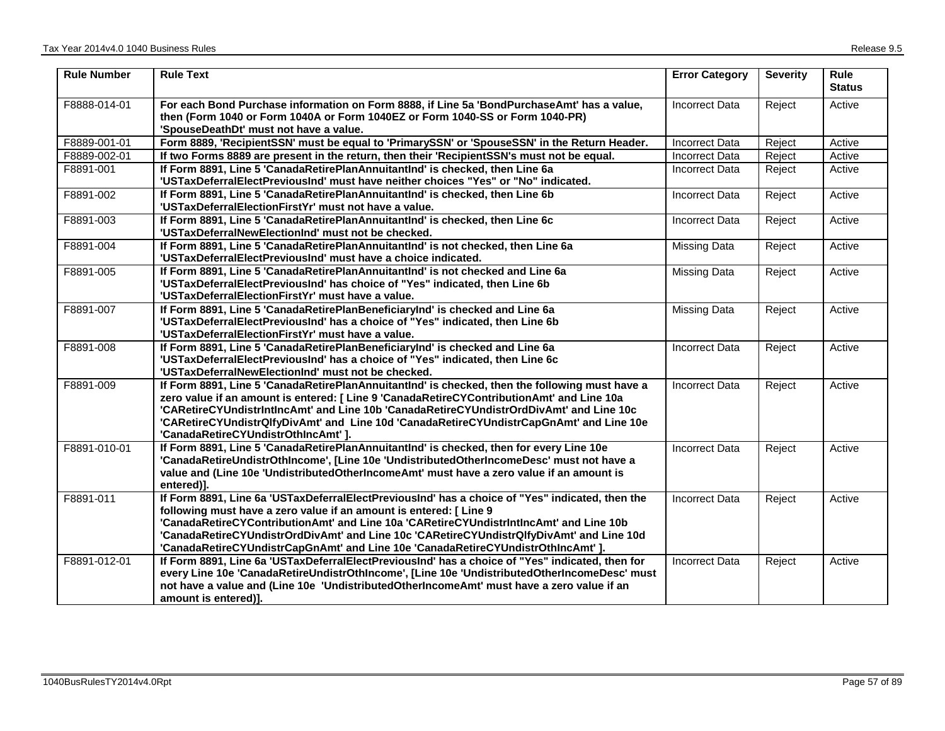| <b>Rule Number</b> | <b>Rule Text</b>                                                                                                                                                                                                                                                                                                                                                                                                                                | <b>Error Category</b> | <b>Severity</b> | <b>Rule</b><br><b>Status</b> |
|--------------------|-------------------------------------------------------------------------------------------------------------------------------------------------------------------------------------------------------------------------------------------------------------------------------------------------------------------------------------------------------------------------------------------------------------------------------------------------|-----------------------|-----------------|------------------------------|
| F8888-014-01       | For each Bond Purchase information on Form 8888, if Line 5a 'BondPurchaseAmt' has a value,<br>then (Form 1040 or Form 1040A or Form 1040EZ or Form 1040-SS or Form 1040-PR)<br>'SpouseDeathDt' must not have a value.                                                                                                                                                                                                                           | <b>Incorrect Data</b> | Reject          | Active                       |
| F8889-001-01       | Form 8889, 'RecipientSSN' must be equal to 'PrimarySSN' or 'SpouseSSN' in the Return Header.                                                                                                                                                                                                                                                                                                                                                    | <b>Incorrect Data</b> | Reject          | Active                       |
| F8889-002-01       | If two Forms 8889 are present in the return, then their 'RecipientSSN's must not be equal.                                                                                                                                                                                                                                                                                                                                                      | <b>Incorrect Data</b> | Reject          | Active                       |
| F8891-001          | If Form 8891, Line 5 'CanadaRetirePlanAnnuitantInd' is checked, then Line 6a<br>'USTaxDeferralElectPreviousInd' must have neither choices "Yes" or "No" indicated.                                                                                                                                                                                                                                                                              | <b>Incorrect Data</b> | Reject          | Active                       |
| F8891-002          | If Form 8891, Line 5 'CanadaRetirePlanAnnuitantInd' is checked, then Line 6b<br>'USTaxDeferralElectionFirstYr' must not have a value.                                                                                                                                                                                                                                                                                                           | <b>Incorrect Data</b> | Reject          | Active                       |
| F8891-003          | If Form 8891, Line 5 'CanadaRetirePlanAnnuitantInd' is checked, then Line 6c<br>'USTaxDeferralNewElectionInd' must not be checked.                                                                                                                                                                                                                                                                                                              | <b>Incorrect Data</b> | Reject          | Active                       |
| F8891-004          | If Form 8891, Line 5 'CanadaRetirePlanAnnuitantInd' is not checked, then Line 6a<br>'USTaxDeferralElectPreviousInd' must have a choice indicated.                                                                                                                                                                                                                                                                                               | <b>Missing Data</b>   | Reject          | Active                       |
| F8891-005          | If Form 8891, Line 5 'CanadaRetirePlanAnnuitantInd' is not checked and Line 6a<br>'USTaxDeferralElectPreviousInd' has choice of "Yes" indicated, then Line 6b<br>'USTaxDeferralElectionFirstYr' must have a value.                                                                                                                                                                                                                              | <b>Missing Data</b>   | Reject          | Active                       |
| F8891-007          | If Form 8891, Line 5 'CanadaRetirePlanBeneficiaryInd' is checked and Line 6a<br>'USTaxDeferralElectPreviousInd' has a choice of "Yes" indicated, then Line 6b<br>'USTaxDeferralElectionFirstYr' must have a value.                                                                                                                                                                                                                              | <b>Missing Data</b>   | Reject          | Active                       |
| F8891-008          | If Form 8891, Line 5 'CanadaRetirePlanBeneficiaryInd' is checked and Line 6a<br>'USTaxDeferralElectPreviousInd' has a choice of "Yes" indicated, then Line 6c<br>'USTaxDeferralNewElectionInd' must not be checked.                                                                                                                                                                                                                             | <b>Incorrect Data</b> | Reject          | Active                       |
| F8891-009          | If Form 8891, Line 5 'CanadaRetirePlanAnnuitantInd' is checked, then the following must have a<br>zero value if an amount is entered: [ Line 9 'CanadaRetireCYContributionAmt' and Line 10a<br>'CARetireCYUndistrIntIncAmt' and Line 10b 'CanadaRetireCYUndistrOrdDivAmt' and Line 10c<br>'CARetireCYUndistrQlfyDivAmt' and Line 10d 'CanadaRetireCYUndistrCapGnAmt' and Line 10e<br>'CanadaRetireCYUndistrOthIncAmt' ].                        | <b>Incorrect Data</b> | Reject          | Active                       |
| F8891-010-01       | If Form 8891, Line 5 'CanadaRetirePlanAnnuitantInd' is checked, then for every Line 10e<br>'CanadaRetireUndistrOthIncome', [Line 10e 'UndistributedOtherIncomeDesc' must not have a<br>value and (Line 10e 'UndistributedOtherIncomeAmt' must have a zero value if an amount is<br>entered)].                                                                                                                                                   | <b>Incorrect Data</b> | Reject          | Active                       |
| F8891-011          | If Form 8891, Line 6a 'USTaxDeferralElectPreviousInd' has a choice of "Yes" indicated, then the<br>following must have a zero value if an amount is entered: [Line 9]<br>'CanadaRetireCYContributionAmt' and Line 10a 'CARetireCYUndistrIntlncAmt' and Line 10b<br>'CanadaRetireCYUndistrOrdDivAmt' and Line 10c 'CARetireCYUndistrQlfyDivAmt' and Line 10d<br>'CanadaRetireCYUndistrCapGnAmt' and Line 10e 'CanadaRetireCYUndistrOthIncAmt' ]. | <b>Incorrect Data</b> | Reject          | Active                       |
| F8891-012-01       | If Form 8891, Line 6a 'USTaxDeferralElectPreviousInd' has a choice of "Yes" indicated, then for<br>every Line 10e 'CanadaRetireUndistrOthIncome', [Line 10e 'UndistributedOtherIncomeDesc' must<br>not have a value and (Line 10e 'UndistributedOtherIncomeAmt' must have a zero value if an<br>amount is entered)].                                                                                                                            | <b>Incorrect Data</b> | Reject          | Active                       |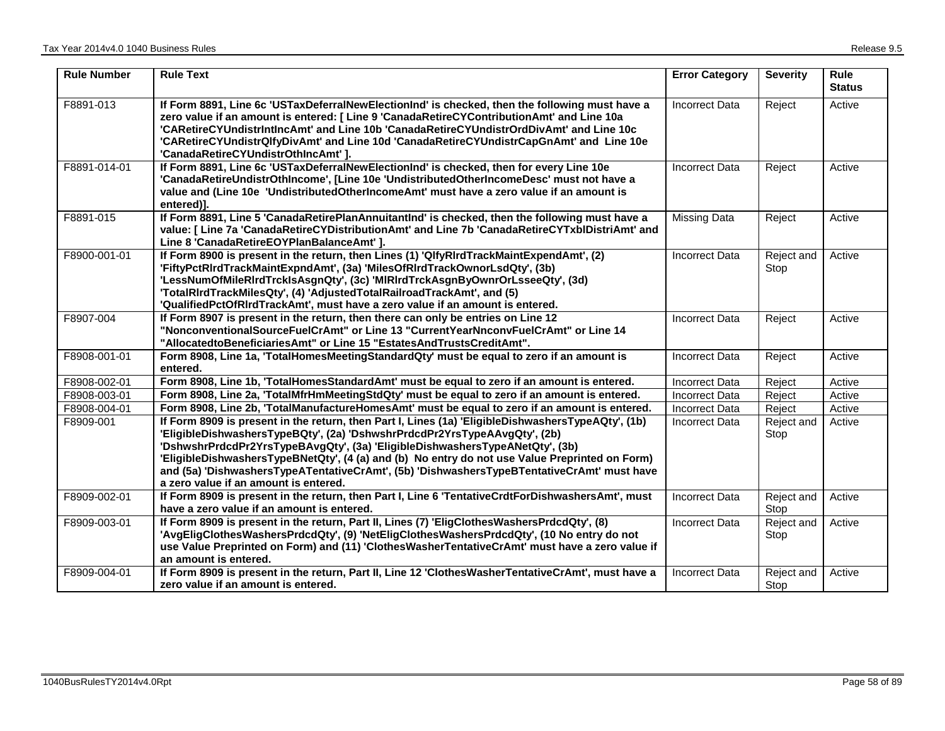| <b>Rule Number</b> | <b>Rule Text</b>                                                                                                                                                                                                                                                                                                                                                                                                                                                                                         | <b>Error Category</b> | <b>Severity</b>    | Rule<br><b>Status</b> |
|--------------------|----------------------------------------------------------------------------------------------------------------------------------------------------------------------------------------------------------------------------------------------------------------------------------------------------------------------------------------------------------------------------------------------------------------------------------------------------------------------------------------------------------|-----------------------|--------------------|-----------------------|
| F8891-013          | If Form 8891, Line 6c 'USTaxDeferralNewElectionInd' is checked, then the following must have a<br>zero value if an amount is entered: [ Line 9 'CanadaRetireCYContributionAmt' and Line 10a<br>'CARetireCYUndistrIntIncAmt' and Line 10b 'CanadaRetireCYUndistrOrdDivAmt' and Line 10c<br>'CARetireCYUndistrQlfyDivAmt' and Line 10d 'CanadaRetireCYUndistrCapGnAmt' and Line 10e<br>'CanadaRetireCYUndistrOthIncAmt']                                                                                   | <b>Incorrect Data</b> | Reject             | Active                |
| F8891-014-01       | If Form 8891, Line 6c 'USTaxDeferralNewElectionInd' is checked, then for every Line 10e<br>'CanadaRetireUndistrOthIncome', [Line 10e 'UndistributedOtherIncomeDesc' must not have a<br>value and (Line 10e 'UndistributedOtherIncomeAmt' must have a zero value if an amount is<br>entered)].                                                                                                                                                                                                            | <b>Incorrect Data</b> | Reject             | Active                |
| F8891-015          | If Form 8891, Line 5 'CanadaRetirePlanAnnuitantInd' is checked, then the following must have a<br>value: [ Line 7a 'CanadaRetireCYDistributionAmt' and Line 7b 'CanadaRetireCYTxblDistriAmt' and<br>Line 8 'CanadaRetireEOYPlanBalanceAmt' ].                                                                                                                                                                                                                                                            | <b>Missing Data</b>   | Reject             | Active                |
| F8900-001-01       | If Form 8900 is present in the return, then Lines (1) 'QlfyRIrdTrackMaintExpendAmt', (2)<br>'FiftyPctRIrdTrackMaintExpndAmt', (3a) 'MilesOfRIrdTrackOwnorLsdQty', (3b)<br>'LessNumOfMileRIrdTrcklsAsgnQty', (3c) 'MIRIrdTrckAsgnByOwnrOrLsseeQty', (3d)<br>'TotalRIrdTrackMilesQty', (4) 'AdjustedTotalRailroadTrackAmt', and (5)<br>'QualifiedPctOfRIrdTrackAmt', must have a zero value if an amount is entered.                                                                                       | <b>Incorrect Data</b> | Reject and<br>Stop | Active                |
| F8907-004          | If Form 8907 is present in the return, then there can only be entries on Line 12<br>"NonconventionalSourceFuelCrAmt" or Line 13 "CurrentYearNnconvFuelCrAmt" or Line 14<br>"AllocatedtoBeneficiariesAmt" or Line 15 "EstatesAndTrustsCreditAmt".                                                                                                                                                                                                                                                         | <b>Incorrect Data</b> | Reject             | Active                |
| F8908-001-01       | Form 8908, Line 1a, 'TotalHomesMeetingStandardQty' must be equal to zero if an amount is<br>entered.                                                                                                                                                                                                                                                                                                                                                                                                     | <b>Incorrect Data</b> | Reject             | Active                |
| F8908-002-01       | Form 8908, Line 1b, 'TotalHomesStandardAmt' must be equal to zero if an amount is entered.                                                                                                                                                                                                                                                                                                                                                                                                               | <b>Incorrect Data</b> | Reject             | Active                |
| F8908-003-01       | Form 8908, Line 2a, 'TotalMfrHmMeetingStdQty' must be equal to zero if an amount is entered.                                                                                                                                                                                                                                                                                                                                                                                                             | Incorrect Data        | Reject             | Active                |
| F8908-004-01       | Form 8908, Line 2b, 'TotalManufactureHomesAmt' must be equal to zero if an amount is entered.                                                                                                                                                                                                                                                                                                                                                                                                            | <b>Incorrect Data</b> | Reject             | Active                |
| F8909-001          | If Form 8909 is present in the return, then Part I, Lines (1a) 'EligibleDishwashersTypeAQty', (1b)<br>'EligibleDishwashersTypeBQty', (2a) 'DshwshrPrdcdPr2YrsTypeAAvgQty', (2b)<br>'DshwshrPrdcdPr2YrsTypeBAvgQty', (3a) 'EligibleDishwashersTypeANetQty', (3b)<br>'EligibleDishwashersTypeBNetQty', (4 (a) and (b) No entry do not use Value Preprinted on Form)<br>and (5a) 'DishwashersTypeATentativeCrAmt', (5b) 'DishwashersTypeBTentativeCrAmt' must have<br>a zero value if an amount is entered. | <b>Incorrect Data</b> | Reject and<br>Stop | Active                |
| F8909-002-01       | If Form 8909 is present in the return, then Part I, Line 6 'TentativeCrdtForDishwashersAmt', must<br>have a zero value if an amount is entered.                                                                                                                                                                                                                                                                                                                                                          | <b>Incorrect Data</b> | Reject and<br>Stop | Active                |
| F8909-003-01       | If Form 8909 is present in the return, Part II, Lines (7) 'EligClothesWashersPrdcdQty', (8)<br>'AvgEligClothesWashersPrdcdQty', (9) 'NetEligClothesWashersPrdcdQty', (10 No entry do not<br>use Value Preprinted on Form) and (11) 'ClothesWasherTentativeCrAmt' must have a zero value if<br>an amount is entered.                                                                                                                                                                                      | <b>Incorrect Data</b> | Reject and<br>Stop | Active                |
| F8909-004-01       | If Form 8909 is present in the return, Part II, Line 12 'ClothesWasherTentativeCrAmt', must have a<br>zero value if an amount is entered.                                                                                                                                                                                                                                                                                                                                                                | <b>Incorrect Data</b> | Reject and<br>Stop | Active                |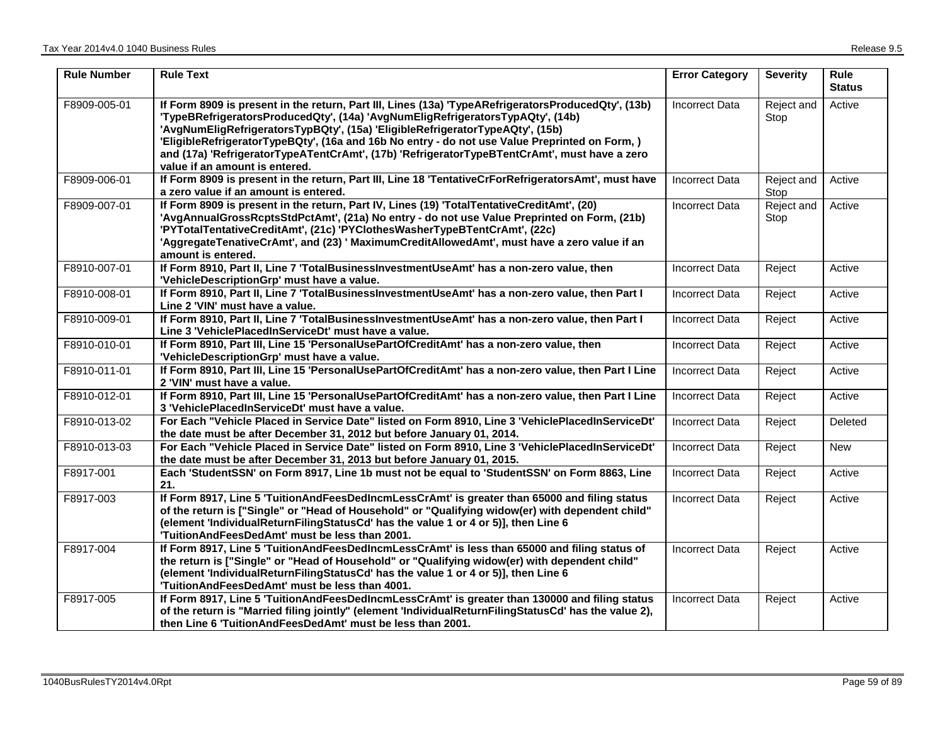| <b>Rule Number</b> | <b>Rule Text</b>                                                                                                                                                                                                                                                                                                                                                                                                                                                                                          | <b>Error Category</b> | <b>Severity</b>    | Rule<br><b>Status</b> |
|--------------------|-----------------------------------------------------------------------------------------------------------------------------------------------------------------------------------------------------------------------------------------------------------------------------------------------------------------------------------------------------------------------------------------------------------------------------------------------------------------------------------------------------------|-----------------------|--------------------|-----------------------|
| F8909-005-01       | If Form 8909 is present in the return, Part III, Lines (13a) 'TypeARefrigeratorsProducedQty', (13b)<br>'TypeBRefrigeratorsProducedQty', (14a) 'AvgNumEligRefrigeratorsTypAQty', (14b)<br>'AvgNumEligRefrigeratorsTypBQty', (15a) 'EligibleRefrigeratorTypeAQty', (15b)<br>'EligibleRefrigeratorTypeBQty', (16a and 16b No entry - do not use Value Preprinted on Form,)<br>and (17a) 'RefrigeratorTypeATentCrAmt', (17b) 'RefrigeratorTypeBTentCrAmt', must have a zero<br>value if an amount is entered. | <b>Incorrect Data</b> | Reject and<br>Stop | Active                |
| F8909-006-01       | If Form 8909 is present in the return, Part III, Line 18 'TentativeCrForRefrigeratorsAmt', must have<br>a zero value if an amount is entered.                                                                                                                                                                                                                                                                                                                                                             | <b>Incorrect Data</b> | Reject and<br>Stop | Active                |
| F8909-007-01       | If Form 8909 is present in the return, Part IV, Lines (19) 'TotalTentativeCreditAmt', (20)<br>'AvgAnnualGrossRcptsStdPctAmt', (21a) No entry - do not use Value Preprinted on Form, (21b)<br>'PYTotalTentativeCreditAmt', (21c) 'PYClothesWasherTypeBTentCrAmt', (22c)<br>'AggregateTenativeCrAmt', and (23) ' MaximumCreditAllowedAmt', must have a zero value if an<br>amount is entered.                                                                                                               | <b>Incorrect Data</b> | Reject and<br>Stop | Active                |
| F8910-007-01       | If Form 8910, Part II, Line 7 'TotalBusinessInvestmentUseAmt' has a non-zero value, then<br>'VehicleDescriptionGrp' must have a value.                                                                                                                                                                                                                                                                                                                                                                    | <b>Incorrect Data</b> | Reject             | Active                |
| F8910-008-01       | If Form 8910, Part II, Line 7 'TotalBusinessInvestmentUseAmt' has a non-zero value, then Part I<br>Line 2 'VIN' must have a value.                                                                                                                                                                                                                                                                                                                                                                        | Incorrect Data        | Reject             | Active                |
| F8910-009-01       | If Form 8910, Part II, Line 7 'TotalBusinessInvestmentUseAmt' has a non-zero value, then Part I<br>Line 3 'VehiclePlacedInServiceDt' must have a value.                                                                                                                                                                                                                                                                                                                                                   | <b>Incorrect Data</b> | Reject             | Active                |
| F8910-010-01       | If Form 8910, Part III, Line 15 'PersonalUsePartOfCreditAmt' has a non-zero value, then<br>'VehicleDescriptionGrp' must have a value.                                                                                                                                                                                                                                                                                                                                                                     | <b>Incorrect Data</b> | Reject             | Active                |
| F8910-011-01       | If Form 8910, Part III, Line 15 'PersonalUsePartOfCreditAmt' has a non-zero value, then Part I Line<br>2 'VIN' must have a value.                                                                                                                                                                                                                                                                                                                                                                         | Incorrect Data        | Reject             | Active                |
| F8910-012-01       | If Form 8910, Part III, Line 15 'PersonalUsePartOfCreditAmt' has a non-zero value, then Part I Line<br>3 'VehiclePlacedInServiceDt' must have a value.                                                                                                                                                                                                                                                                                                                                                    | <b>Incorrect Data</b> | Reject             | Active                |
| F8910-013-02       | For Each "Vehicle Placed in Service Date" listed on Form 8910, Line 3 'VehiclePlacedInServiceDt'<br>the date must be after December 31, 2012 but before January 01, 2014.                                                                                                                                                                                                                                                                                                                                 | <b>Incorrect Data</b> | Reject             | Deleted               |
| F8910-013-03       | For Each "Vehicle Placed in Service Date" listed on Form 8910, Line 3 'VehiclePlacedInServiceDt'<br>the date must be after December 31, 2013 but before January 01, 2015.                                                                                                                                                                                                                                                                                                                                 | <b>Incorrect Data</b> | Reject             | <b>New</b>            |
| F8917-001          | Each 'StudentSSN' on Form 8917, Line 1b must not be equal to 'StudentSSN' on Form 8863, Line<br>21.                                                                                                                                                                                                                                                                                                                                                                                                       | Incorrect Data        | Reject             | Active                |
| F8917-003          | If Form 8917, Line 5 'TuitionAndFeesDedIncmLessCrAmt' is greater than 65000 and filing status<br>of the return is ["Single" or "Head of Household" or "Qualifying widow(er) with dependent child"<br>(element 'IndividualReturnFilingStatusCd' has the value 1 or 4 or 5)], then Line 6<br>'TuitionAndFeesDedAmt' must be less than 2001.                                                                                                                                                                 | <b>Incorrect Data</b> | Reject             | Active                |
| F8917-004          | If Form 8917, Line 5 'TuitionAndFeesDedIncmLessCrAmt' is less than 65000 and filing status of<br>the return is ["Single" or "Head of Household" or "Qualifying widow(er) with dependent child"<br>(element 'IndividualReturnFilingStatusCd' has the value 1 or 4 or 5)], then Line 6<br>'TuitionAndFeesDedAmt' must be less than 4001.                                                                                                                                                                    | <b>Incorrect Data</b> | Reject             | Active                |
| F8917-005          | If Form 8917, Line 5 'TuitionAndFeesDedIncmLessCrAmt' is greater than 130000 and filing status<br>of the return is "Married filing jointly" (element 'IndividualReturnFilingStatusCd' has the value 2),<br>then Line 6 'TuitionAndFeesDedAmt' must be less than 2001.                                                                                                                                                                                                                                     | <b>Incorrect Data</b> | Reject             | Active                |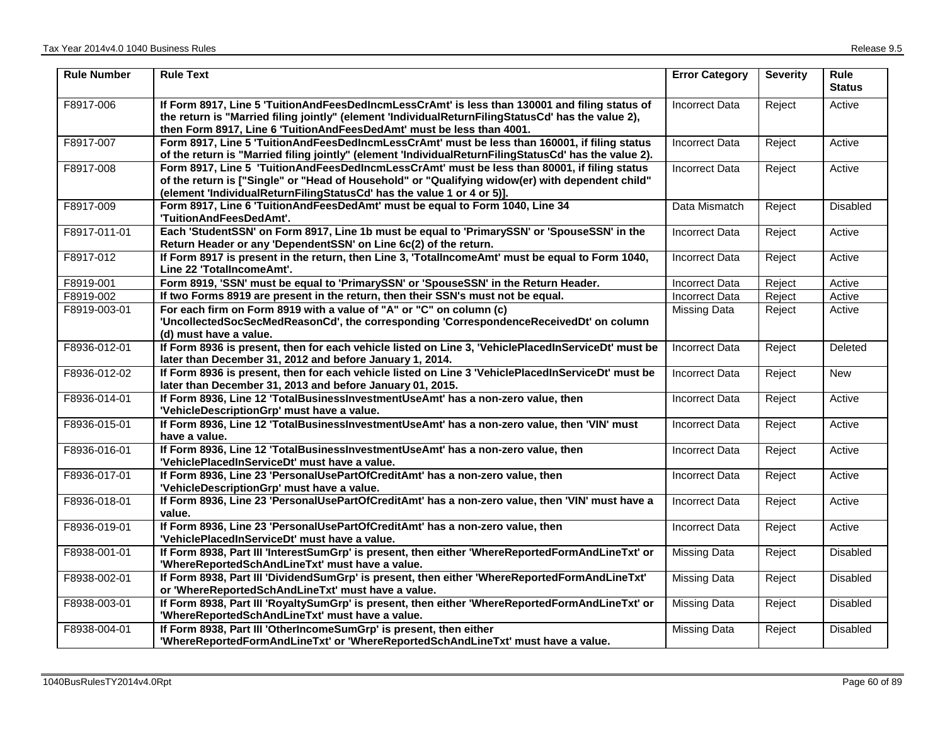| <b>Rule Number</b> | <b>Rule Text</b>                                                                                                                                                                                                                                                              | <b>Error Category</b> | <b>Severity</b> | <b>Rule</b><br><b>Status</b> |
|--------------------|-------------------------------------------------------------------------------------------------------------------------------------------------------------------------------------------------------------------------------------------------------------------------------|-----------------------|-----------------|------------------------------|
| F8917-006          | If Form 8917, Line 5 'TuitionAndFeesDedIncmLessCrAmt' is less than 130001 and filing status of<br>the return is "Married filing jointly" (element 'IndividualReturnFilingStatusCd' has the value 2),<br>then Form 8917, Line 6 'TuitionAndFeesDedAmt' must be less than 4001. | <b>Incorrect Data</b> | Reject          | Active                       |
| F8917-007          | Form 8917, Line 5 'TuitionAndFeesDedIncmLessCrAmt' must be less than 160001, if filing status<br>of the return is "Married filing jointly" (element 'IndividualReturnFilingStatusCd' has the value 2).                                                                        | <b>Incorrect Data</b> | Reject          | Active                       |
| F8917-008          | Form 8917, Line 5 'TuitionAndFeesDedIncmLessCrAmt' must be less than 80001, if filing status<br>of the return is ["Single" or "Head of Household" or "Qualifying widow(er) with dependent child"<br>(element 'IndividualReturnFilingStatusCd' has the value 1 or 4 or 5)].    | <b>Incorrect Data</b> | Reject          | Active                       |
| F8917-009          | Form 8917, Line 6 'TuitionAndFeesDedAmt' must be equal to Form 1040, Line 34<br>'TuitionAndFeesDedAmt'.                                                                                                                                                                       | Data Mismatch         | Reject          | Disabled                     |
| F8917-011-01       | Each 'StudentSSN' on Form 8917, Line 1b must be equal to 'PrimarySSN' or 'SpouseSSN' in the<br>Return Header or any 'DependentSSN' on Line 6c(2) of the return.                                                                                                               | <b>Incorrect Data</b> | Reject          | Active                       |
| F8917-012          | If Form 8917 is present in the return, then Line 3, 'TotalIncomeAmt' must be equal to Form 1040,<br>Line 22 'TotalIncomeAmt'.                                                                                                                                                 | <b>Incorrect Data</b> | Reject          | Active                       |
| F8919-001          | Form 8919, 'SSN' must be equal to 'PrimarySSN' or 'SpouseSSN' in the Return Header.                                                                                                                                                                                           | <b>Incorrect Data</b> | Reject          | Active                       |
| F8919-002          | If two Forms 8919 are present in the return, then their SSN's must not be equal.                                                                                                                                                                                              | <b>Incorrect Data</b> | Reject          | Active                       |
| F8919-003-01       | For each firm on Form 8919 with a value of "A" or "C" on column (c)<br>'UncollectedSocSecMedReasonCd', the corresponding 'CorrespondenceReceivedDt' on column<br>(d) must have a value.                                                                                       | Missing Data          | Reject          | Active                       |
| F8936-012-01       | If Form 8936 is present, then for each vehicle listed on Line 3, 'VehiclePlacedInServiceDt' must be<br>later than December 31, 2012 and before January 1, 2014.                                                                                                               | <b>Incorrect Data</b> | Reject          | Deleted                      |
| F8936-012-02       | If Form 8936 is present, then for each vehicle listed on Line 3 'VehiclePlacedInServiceDt' must be<br>later than December 31, 2013 and before January 01, 2015.                                                                                                               | <b>Incorrect Data</b> | Reject          | <b>New</b>                   |
| F8936-014-01       | If Form 8936, Line 12 'TotalBusinessInvestmentUseAmt' has a non-zero value, then<br>'VehicleDescriptionGrp' must have a value.                                                                                                                                                | <b>Incorrect Data</b> | Reject          | Active                       |
| F8936-015-01       | If Form 8936, Line 12 'TotalBusinessInvestmentUseAmt' has a non-zero value, then 'VIN' must<br>have a value.                                                                                                                                                                  | <b>Incorrect Data</b> | Reject          | Active                       |
| F8936-016-01       | If Form 8936, Line 12 'TotalBusinessInvestmentUseAmt' has a non-zero value, then<br>'VehiclePlacedInServiceDt' must have a value.                                                                                                                                             | <b>Incorrect Data</b> | Reject          | Active                       |
| F8936-017-01       | If Form 8936, Line 23 'PersonalUsePartOfCreditAmt' has a non-zero value, then<br>'VehicleDescriptionGrp' must have a value.                                                                                                                                                   | <b>Incorrect Data</b> | Reject          | Active                       |
| F8936-018-01       | If Form 8936, Line 23 'PersonalUsePartOfCreditAmt' has a non-zero value, then 'VIN' must have a<br>value.                                                                                                                                                                     | Incorrect Data        | Reject          | Active                       |
| F8936-019-01       | If Form 8936, Line 23 'PersonalUsePartOfCreditAmt' has a non-zero value, then<br>'VehiclePlacedInServiceDt' must have a value.                                                                                                                                                | <b>Incorrect Data</b> | Reject          | Active                       |
| F8938-001-01       | If Form 8938, Part III 'InterestSumGrp' is present, then either 'WhereReportedFormAndLineTxt' or<br>'WhereReportedSchAndLineTxt' must have a value.                                                                                                                           | <b>Missing Data</b>   | Reject          | Disabled                     |
| F8938-002-01       | If Form 8938, Part III 'DividendSumGrp' is present, then either 'WhereReportedFormAndLineTxt'<br>or 'WhereReportedSchAndLineTxt' must have a value.                                                                                                                           | <b>Missing Data</b>   | Reject          | Disabled                     |
| F8938-003-01       | If Form 8938, Part III 'RoyaltySumGrp' is present, then either 'WhereReportedFormAndLineTxt' or<br>'WhereReportedSchAndLineTxt' must have a value.                                                                                                                            | <b>Missing Data</b>   | Reject          | Disabled                     |
| F8938-004-01       | If Form 8938, Part III 'OtherIncomeSumGrp' is present, then either<br>'WhereReportedFormAndLineTxt' or 'WhereReportedSchAndLineTxt' must have a value.                                                                                                                        | <b>Missing Data</b>   | Reject          | <b>Disabled</b>              |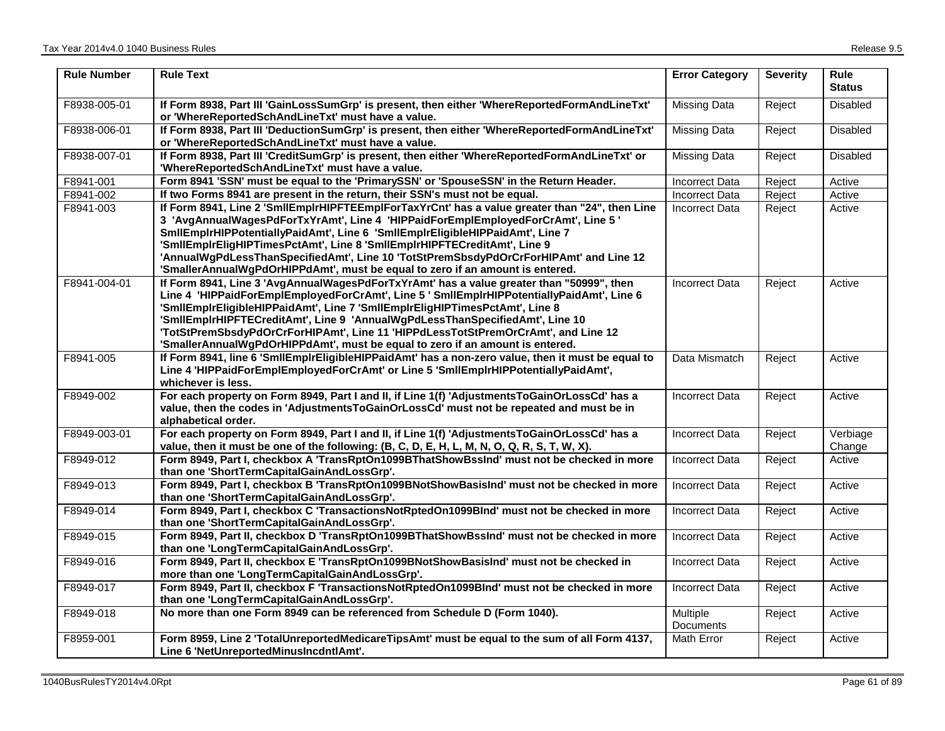| <b>Rule Number</b> | <b>Rule Text</b>                                                                                                                                                                                                                                                                                                                                                                                                                                                                                                           | <b>Error Category</b>        | <b>Severity</b> | <b>Rule</b><br><b>Status</b> |
|--------------------|----------------------------------------------------------------------------------------------------------------------------------------------------------------------------------------------------------------------------------------------------------------------------------------------------------------------------------------------------------------------------------------------------------------------------------------------------------------------------------------------------------------------------|------------------------------|-----------------|------------------------------|
| F8938-005-01       | If Form 8938, Part III 'GainLossSumGrp' is present, then either 'WhereReportedFormAndLineTxt'<br>or 'WhereReportedSchAndLineTxt' must have a value.                                                                                                                                                                                                                                                                                                                                                                        | Missing Data                 | Reject          | <b>Disabled</b>              |
| F8938-006-01       | If Form 8938, Part III 'DeductionSumGrp' is present, then either 'WhereReportedFormAndLineTxt'<br>or 'WhereReportedSchAndLineTxt' must have a value.                                                                                                                                                                                                                                                                                                                                                                       | Missing Data                 | Reject          | <b>Disabled</b>              |
| F8938-007-01       | If Form 8938, Part III 'CreditSumGrp' is present, then either 'WhereReportedFormAndLineTxt' or<br>'WhereReportedSchAndLineTxt' must have a value.                                                                                                                                                                                                                                                                                                                                                                          | <b>Missing Data</b>          | Reject          | <b>Disabled</b>              |
| F8941-001          | Form 8941 'SSN' must be equal to the 'PrimarySSN' or 'SpouseSSN' in the Return Header.                                                                                                                                                                                                                                                                                                                                                                                                                                     | <b>Incorrect Data</b>        | Reject          | Active                       |
| F8941-002          | If two Forms 8941 are present in the return, their SSN's must not be equal.                                                                                                                                                                                                                                                                                                                                                                                                                                                | Incorrect Data               | Reject          | Active                       |
| F8941-003          | If Form 8941, Line 2 'SmIIEmpIrHIPFTEEmpIForTaxYrCnt' has a value greater than "24", then Line<br>3 'AvgAnnualWagesPdForTxYrAmt', Line 4 'HIPPaidForEmplEmployedForCrAmt', Line 5 '<br>SmilEmplrHIPPotentiallyPaidAmt', Line 6 'SmilEmplrEligibleHIPPaidAmt', Line 7<br>'SmilEmpirEligHIPTimesPctAmt', Line 8 'SmilEmpirHIPFTECreditAmt', Line 9<br>'AnnualWgPdLessThanSpecifiedAmt', Line 10 'TotStPremSbsdyPdOrCrForHIPAmt' and Line 12<br>'SmallerAnnualWgPdOrHIPPdAmt', must be equal to zero if an amount is entered. | <b>Incorrect Data</b>        | Reject          | Active                       |
| F8941-004-01       | If Form 8941, Line 3 'AvgAnnualWagesPdForTxYrAmt' has a value greater than "50999", then<br>Line 4 'HIPPaidForEmplEmployedForCrAmt', Line 5 ' SmIlEmplrHIPPotentiallyPaidAmt', Line 6<br>'SmilEmpirEligibleHIPPaidAmt', Line 7 'SmilEmpirEligHIPTimesPctAmt', Line 8<br>'SmIIEmpIrHIPFTECreditAmt', Line 9 'AnnualWgPdLessThanSpecifiedAmt', Line 10<br>'TotStPremSbsdyPdOrCrForHIPAmt', Line 11 'HIPPdLessTotStPremOrCrAmt', and Line 12<br>'SmallerAnnualWgPdOrHIPPdAmt', must be equal to zero if an amount is entered. | <b>Incorrect Data</b>        | Reject          | Active                       |
| F8941-005          | If Form 8941, line 6 'SmllEmplrEligibleHIPPaidAmt' has a non-zero value, then it must be equal to<br>Line 4 'HIPPaidForEmplEmployedForCrAmt' or Line 5 'SmIIEmplrHIPPotentiallyPaidAmt',<br>whichever is less.                                                                                                                                                                                                                                                                                                             | Data Mismatch                | Reject          | Active                       |
| F8949-002          | For each property on Form 8949, Part I and II, if Line 1(f) 'AdjustmentsToGainOrLossCd' has a<br>value, then the codes in 'AdjustmentsToGainOrLossCd' must not be repeated and must be in<br>alphabetical order.                                                                                                                                                                                                                                                                                                           | <b>Incorrect Data</b>        | Reject          | Active                       |
| F8949-003-01       | For each property on Form 8949, Part I and II, if Line 1(f) 'AdjustmentsToGainOrLossCd' has a<br>value, then it must be one of the following: (B, C, D, E, H, L, M, N, O, Q, R, S, T, W, X).                                                                                                                                                                                                                                                                                                                               | Incorrect Data               | Reject          | Verbiage<br>Change           |
| F8949-012          | Form 8949, Part I, checkbox A 'TransRptOn1099BThatShowBssInd' must not be checked in more<br>than one 'ShortTermCapitalGainAndLossGrp'.                                                                                                                                                                                                                                                                                                                                                                                    | <b>Incorrect Data</b>        | Reject          | Active                       |
| F8949-013          | Form 8949, Part I, checkbox B 'TransRptOn1099BNotShowBasisInd' must not be checked in more<br>than one 'ShortTermCapitalGainAndLossGrp'.                                                                                                                                                                                                                                                                                                                                                                                   | <b>Incorrect Data</b>        | Reject          | Active                       |
| F8949-014          | Form 8949, Part I, checkbox C 'TransactionsNotRptedOn1099BInd' must not be checked in more<br>than one 'ShortTermCapitalGainAndLossGrp'.                                                                                                                                                                                                                                                                                                                                                                                   | Incorrect Data               | Reject          | Active                       |
| F8949-015          | Form 8949, Part II, checkbox D 'TransRptOn1099BThatShowBssInd' must not be checked in more<br>than one 'LongTermCapitalGainAndLossGrp'.                                                                                                                                                                                                                                                                                                                                                                                    | Incorrect Data               | Reject          | Active                       |
| F8949-016          | Form 8949, Part II, checkbox E 'TransRptOn1099BNotShowBasisInd' must not be checked in<br>more than one 'LongTermCapitalGainAndLossGrp'.                                                                                                                                                                                                                                                                                                                                                                                   | Incorrect Data               | Reject          | Active                       |
| F8949-017          | Form 8949, Part II, checkbox F 'TransactionsNotRptedOn1099BInd' must not be checked in more<br>than one 'LongTermCapitalGainAndLossGrp'.                                                                                                                                                                                                                                                                                                                                                                                   | Incorrect Data               | Reject          | Active                       |
| F8949-018          | No more than one Form 8949 can be referenced from Schedule D (Form 1040).                                                                                                                                                                                                                                                                                                                                                                                                                                                  | Multiple<br><b>Documents</b> | Reject          | Active                       |
| F8959-001          | Form 8959, Line 2 'TotalUnreportedMedicareTipsAmt' must be equal to the sum of all Form 4137,<br>Line 6 'NetUnreportedMinusIncdntlAmt'.                                                                                                                                                                                                                                                                                                                                                                                    | Math Error                   | Reject          | Active                       |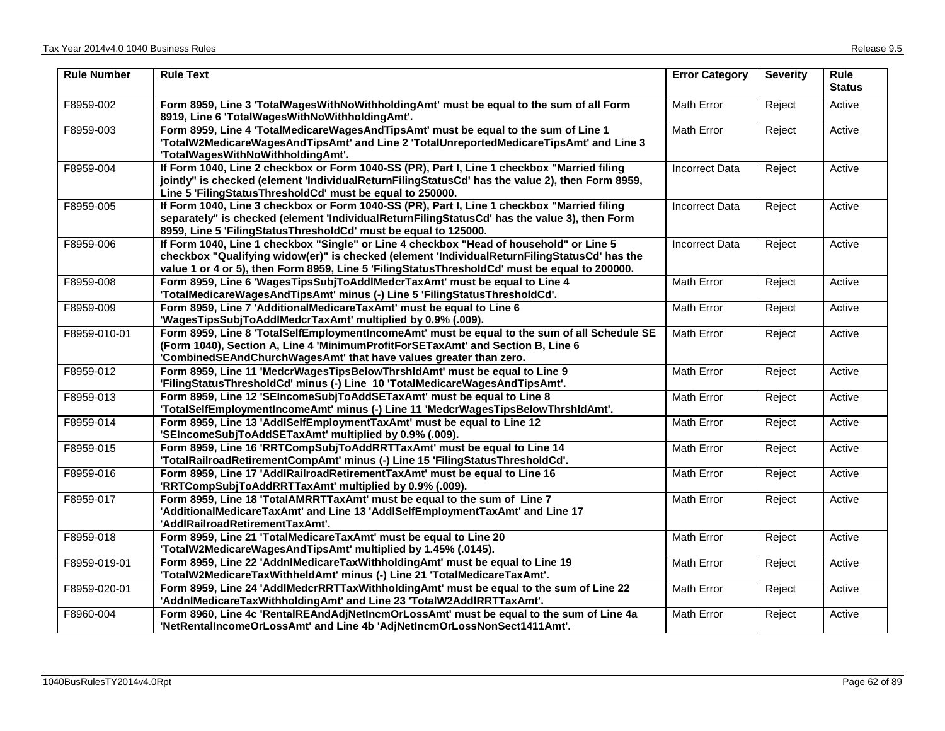| <b>Rule Number</b> | <b>Rule Text</b>                                                                                                                                                                                                                                                                         | <b>Error Category</b> | <b>Severity</b> | <b>Rule</b><br><b>Status</b> |
|--------------------|------------------------------------------------------------------------------------------------------------------------------------------------------------------------------------------------------------------------------------------------------------------------------------------|-----------------------|-----------------|------------------------------|
| F8959-002          | Form 8959, Line 3 'TotalWagesWithNoWithholdingAmt' must be equal to the sum of all Form<br>8919, Line 6 'TotalWagesWithNoWithholdingAmt'.                                                                                                                                                | Math Error            | Reject          | Active                       |
| F8959-003          | Form 8959, Line 4 'TotalMedicareWagesAndTipsAmt' must be equal to the sum of Line 1<br>'TotalW2MedicareWagesAndTipsAmt' and Line 2 'TotalUnreportedMedicareTipsAmt' and Line 3<br>'TotalWagesWithNoWithholdingAmt'.                                                                      | Math Error            | Reject          | Active                       |
| F8959-004          | If Form 1040, Line 2 checkbox or Form 1040-SS (PR), Part I, Line 1 checkbox "Married filing<br>jointly" is checked (element 'IndividualReturnFilingStatusCd' has the value 2), then Form 8959,<br>Line 5 'FilingStatusThresholdCd' must be equal to 250000.                              | <b>Incorrect Data</b> | Reject          | Active                       |
| F8959-005          | If Form 1040, Line 3 checkbox or Form 1040-SS (PR), Part I, Line 1 checkbox "Married filing<br>separately" is checked (element 'IndividualReturnFilingStatusCd' has the value 3), then Form<br>8959, Line 5 'FilingStatusThresholdCd' must be equal to 125000.                           | <b>Incorrect Data</b> | Reject          | Active                       |
| F8959-006          | If Form 1040, Line 1 checkbox "Single" or Line 4 checkbox "Head of household" or Line 5<br>checkbox "Qualifying widow(er)" is checked (element 'IndividualReturnFilingStatusCd' has the<br>value 1 or 4 or 5), then Form 8959, Line 5 'FilingStatusThresholdCd' must be equal to 200000. | <b>Incorrect Data</b> | Reject          | Active                       |
| F8959-008          | Form 8959, Line 6 'WagesTipsSubjToAddlMedcrTaxAmt' must be equal to Line 4<br>'TotalMedicareWagesAndTipsAmt' minus (-) Line 5 'FilingStatusThresholdCd'.                                                                                                                                 | Math Error            | Reject          | Active                       |
| F8959-009          | Form 8959, Line 7 'AdditionalMedicareTaxAmt' must be equal to Line 6<br>'WagesTipsSubjToAddlMedcrTaxAmt' multiplied by 0.9% (.009).                                                                                                                                                      | Math Error            | Reject          | Active                       |
| F8959-010-01       | Form 8959, Line 8 'TotalSelfEmploymentIncomeAmt' must be equal to the sum of all Schedule SE<br>(Form 1040), Section A, Line 4 'MinimumProfitForSETaxAmt' and Section B, Line 6<br>'CombinedSEAndChurchWagesAmt' that have values greater than zero.                                     | Math Error            | Reject          | Active                       |
| F8959-012          | Form 8959, Line 11 'MedcrWagesTipsBelowThrshIdAmt' must be equal to Line 9<br>'FilingStatusThresholdCd' minus (-) Line 10 'TotalMedicareWagesAndTipsAmt'.                                                                                                                                | <b>Math Error</b>     | Reject          | Active                       |
| F8959-013          | Form 8959, Line 12 'SEIncomeSubjToAddSETaxAmt' must be equal to Line 8<br>'TotalSelfEmploymentIncomeAmt' minus (-) Line 11 'MedcrWagesTipsBelowThrshIdAmt'.                                                                                                                              | Math Error            | Reject          | Active                       |
| F8959-014          | Form 8959, Line 13 'AddlSelfEmploymentTaxAmt' must be equal to Line 12<br>'SEIncomeSubjToAddSETaxAmt' multiplied by 0.9% (.009).                                                                                                                                                         | Math Error            | Reject          | Active                       |
| F8959-015          | Form 8959, Line 16 'RRTCompSubjToAddRRTTaxAmt' must be equal to Line 14<br>'TotalRailroadRetirementCompAmt' minus (-) Line 15 'FilingStatusThresholdCd'.                                                                                                                                 | Math Error            | Reject          | Active                       |
| F8959-016          | Form 8959, Line 17 'AddlRailroadRetirementTaxAmt' must be equal to Line 16<br>'RRTCompSubjToAddRRTTaxAmt' multiplied by 0.9% (.009).                                                                                                                                                     | <b>Math Error</b>     | Reject          | Active                       |
| F8959-017          | Form 8959, Line 18 'TotalAMRRTTaxAmt' must be equal to the sum of Line 7<br>'AdditionalMedicareTaxAmt' and Line 13 'AddlSelfEmploymentTaxAmt' and Line 17<br>'AddlRailroadRetirementTaxAmt'.                                                                                             | <b>Math Error</b>     | Reject          | Active                       |
| F8959-018          | Form 8959, Line 21 'TotalMedicareTaxAmt' must be equal to Line 20<br>'TotalW2MedicareWagesAndTipsAmt' multiplied by 1.45% (.0145).                                                                                                                                                       | Math Error            | Reject          | Active                       |
| F8959-019-01       | Form 8959, Line 22 'AddnlMedicareTaxWithholdingAmt' must be equal to Line 19<br>'TotalW2MedicareTaxWithheldAmt' minus (-) Line 21 'TotalMedicareTaxAmt'.                                                                                                                                 | Math Error            | Reject          | Active                       |
| F8959-020-01       | Form 8959, Line 24 'AddlMedcrRRTTaxWithholdingAmt' must be equal to the sum of Line 22<br>'AddnlMedicareTaxWithholdingAmt' and Line 23 'TotalW2AddlRRTTaxAmt'.                                                                                                                           | Math Error            | Reject          | Active                       |
| F8960-004          | Form 8960, Line 4c 'RentalREAndAdjNetIncmOrLossAmt' must be equal to the sum of Line 4a<br>'NetRentalIncomeOrLossAmt' and Line 4b 'AdjNetIncmOrLossNonSect1411Amt'.                                                                                                                      | Math Error            | Reject          | Active                       |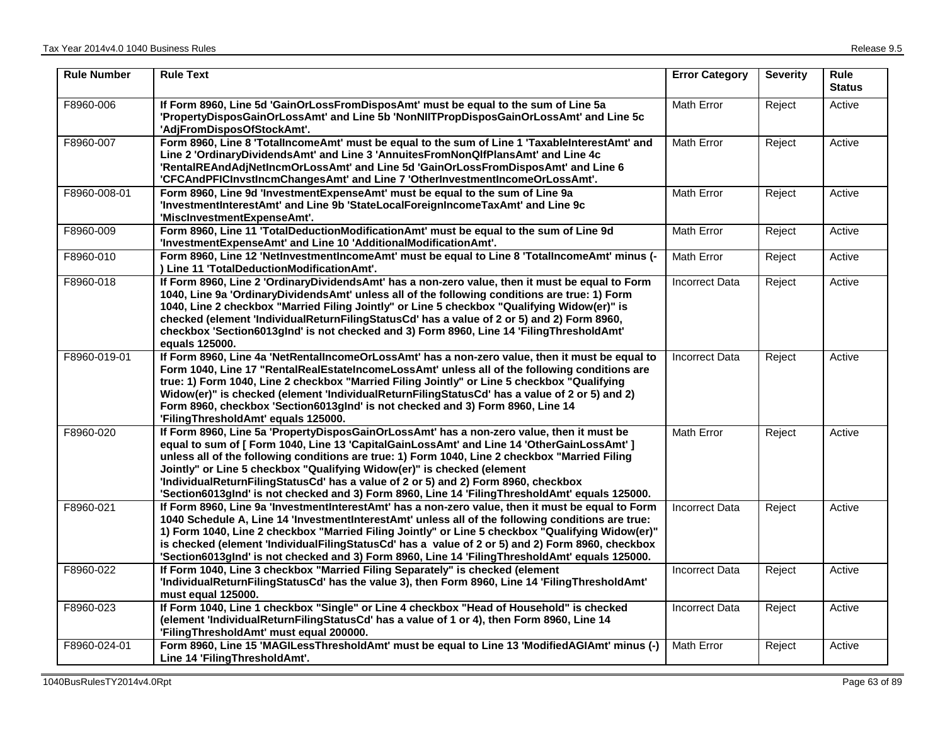| <b>Rule Number</b> | <b>Rule Text</b>                                                                                                                                                                                                                                                                                                                                                                                                                                                                                                                                            | <b>Error Category</b> | <b>Severity</b> | <b>Rule</b><br><b>Status</b> |
|--------------------|-------------------------------------------------------------------------------------------------------------------------------------------------------------------------------------------------------------------------------------------------------------------------------------------------------------------------------------------------------------------------------------------------------------------------------------------------------------------------------------------------------------------------------------------------------------|-----------------------|-----------------|------------------------------|
| F8960-006          | If Form 8960, Line 5d 'GainOrLossFromDisposAmt' must be equal to the sum of Line 5a<br>'PropertyDisposGainOrLossAmt' and Line 5b 'NonNIITPropDisposGainOrLossAmt' and Line 5c<br>'AdjFromDisposOfStockAmt'.                                                                                                                                                                                                                                                                                                                                                 | Math Error            | Reject          | Active                       |
| F8960-007          | Form 8960, Line 8 'TotalIncomeAmt' must be equal to the sum of Line 1 'TaxableInterestAmt' and<br>Line 2 'OrdinaryDividendsAmt' and Line 3 'AnnuitesFromNonQlfPlansAmt' and Line 4c<br>'RentalREAndAdjNetIncmOrLossAmt' and Line 5d 'GainOrLossFromDisposAmt' and Line 6<br>'CFCAndPFICInvstIncmChangesAmt' and Line 7 'OtherInvestmentIncomeOrLossAmt'.                                                                                                                                                                                                    | <b>Math Error</b>     | Reject          | Active                       |
| F8960-008-01       | Form 8960, Line 9d 'InvestmentExpenseAmt' must be equal to the sum of Line 9a<br>'InvestmentInterestAmt' and Line 9b 'StateLocalForeignIncomeTaxAmt' and Line 9c<br>'MiscInvestmentExpenseAmt'.                                                                                                                                                                                                                                                                                                                                                             | <b>Math Error</b>     | Reject          | Active                       |
| F8960-009          | Form 8960, Line 11 'TotalDeductionModificationAmt' must be equal to the sum of Line 9d<br>'InvestmentExpenseAmt' and Line 10 'AdditionalModificationAmt'.                                                                                                                                                                                                                                                                                                                                                                                                   | Math Error            | Reject          | Active                       |
| F8960-010          | Form 8960, Line 12 'NetInvestmentIncomeAmt' must be equal to Line 8 'TotalIncomeAmt' minus (-<br>) Line 11 'TotalDeductionModificationAmt'.                                                                                                                                                                                                                                                                                                                                                                                                                 | <b>Math Error</b>     | Reject          | Active                       |
| F8960-018          | If Form 8960, Line 2 'OrdinaryDividendsAmt' has a non-zero value, then it must be equal to Form<br>1040, Line 9a 'OrdinaryDividendsAmt' unless all of the following conditions are true: 1) Form<br>1040, Line 2 checkbox "Married Filing Jointly" or Line 5 checkbox "Qualifying Widow(er)" is<br>checked (element 'IndividualReturnFilingStatusCd' has a value of 2 or 5) and 2) Form 8960,<br>checkbox 'Section6013gInd' is not checked and 3) Form 8960, Line 14 'FilingThresholdAmt'<br>equals 125000.                                                 | <b>Incorrect Data</b> | Reject          | Active                       |
| F8960-019-01       | If Form 8960, Line 4a 'NetRentalIncomeOrLossAmt' has a non-zero value, then it must be equal to<br>Form 1040, Line 17 "RentalRealEstateIncomeLossAmt' unless all of the following conditions are<br>true: 1) Form 1040, Line 2 checkbox "Married Filing Jointly" or Line 5 checkbox "Qualifying<br>Widow(er)" is checked (element 'IndividualReturnFilingStatusCd' has a value of 2 or 5) and 2)<br>Form 8960, checkbox 'Section6013gInd' is not checked and 3) Form 8960, Line 14<br>'FilingThresholdAmt' equals 125000.                                   | <b>Incorrect Data</b> | Reject          | Active                       |
| F8960-020          | If Form 8960, Line 5a 'PropertyDisposGainOrLossAmt' has a non-zero value, then it must be<br>equal to sum of [ Form 1040, Line 13 'CapitalGainLossAmt' and Line 14 'OtherGainLossAmt' ]<br>unless all of the following conditions are true: 1) Form 1040, Line 2 checkbox "Married Filing<br>Jointly" or Line 5 checkbox "Qualifying Widow(er)" is checked (element<br>'IndividualReturnFilingStatusCd' has a value of 2 or 5) and 2) Form 8960, checkbox<br>'Section6013gInd' is not checked and 3) Form 8960, Line 14 'FilingThresholdAmt' equals 125000. | <b>Math Error</b>     | Reject          | Active                       |
| F8960-021          | If Form 8960, Line 9a 'InvestmentInterestAmt' has a non-zero value, then it must be equal to Form<br>1040 Schedule A, Line 14 'InvestmentInterestAmt' unless all of the following conditions are true:<br>1) Form 1040, Line 2 checkbox "Married Filing Jointly" or Line 5 checkbox "Qualifying Widow(er)"<br>is checked (element 'IndividualFilingStatusCd' has a value of 2 or 5) and 2) Form 8960, checkbox<br>'Section6013gInd' is not checked and 3) Form 8960, Line 14 'FilingThresholdAmt' equals 125000.                                            | <b>Incorrect Data</b> | Reject          | Active                       |
| F8960-022          | If Form 1040, Line 3 checkbox "Married Filing Separately" is checked (element<br>'IndividualReturnFilingStatusCd' has the value 3), then Form 8960, Line 14 'FilingThresholdAmt'<br>must equal 125000.                                                                                                                                                                                                                                                                                                                                                      | <b>Incorrect Data</b> | Reject          | Active                       |
| F8960-023          | If Form 1040, Line 1 checkbox "Single" or Line 4 checkbox "Head of Household" is checked<br>(element 'IndividualReturnFilingStatusCd' has a value of 1 or 4), then Form 8960, Line 14<br>'FilingThresholdAmt' must equal 200000.                                                                                                                                                                                                                                                                                                                            | <b>Incorrect Data</b> | Reject          | Active                       |
| F8960-024-01       | Form 8960, Line 15 'MAGILessThresholdAmt' must be equal to Line 13 'ModifiedAGIAmt' minus (-)<br>Line 14 'FilingThresholdAmt'.                                                                                                                                                                                                                                                                                                                                                                                                                              | <b>Math Error</b>     | Reject          | Active                       |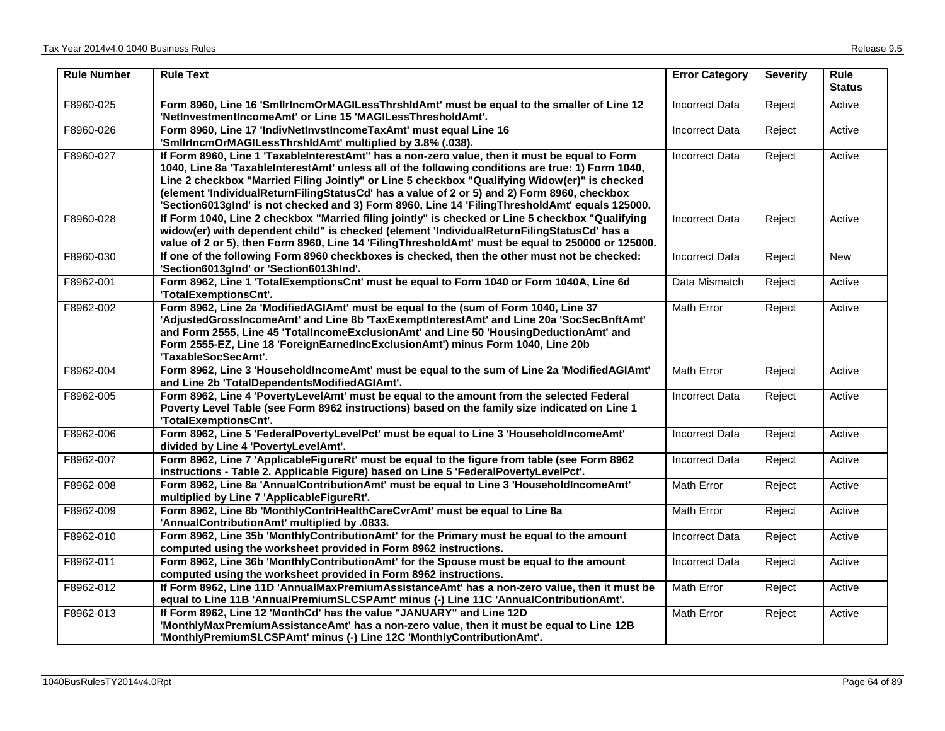| <b>Rule Number</b> | <b>Rule Text</b>                                                                                                                                                                                                                                                                                                                                                                                                                                                                                      | <b>Error Category</b> | <b>Severity</b> | <b>Rule</b><br><b>Status</b> |
|--------------------|-------------------------------------------------------------------------------------------------------------------------------------------------------------------------------------------------------------------------------------------------------------------------------------------------------------------------------------------------------------------------------------------------------------------------------------------------------------------------------------------------------|-----------------------|-----------------|------------------------------|
| F8960-025          | Form 8960, Line 16 'SmllrIncmOrMAGILessThrshIdAmt' must be equal to the smaller of Line 12<br>'NetInvestmentIncomeAmt' or Line 15 'MAGILessThresholdAmt'.                                                                                                                                                                                                                                                                                                                                             | <b>Incorrect Data</b> | Reject          | Active                       |
| F8960-026          | Form 8960, Line 17 'IndivNetInvstIncomeTaxAmt' must equal Line 16<br>'SmilrincmOrMAGILessThrshidAmt' multiplied by 3.8% (.038).                                                                                                                                                                                                                                                                                                                                                                       | Incorrect Data        | Reject          | Active                       |
| F8960-027          | If Form 8960, Line 1 'TaxableInterestAmt'' has a non-zero value, then it must be equal to Form<br>1040, Line 8a 'TaxableInterestAmt' unless all of the following conditions are true: 1) Form 1040,<br>Line 2 checkbox "Married Filing Jointly" or Line 5 checkbox "Qualifying Widow(er)" is checked<br>(element 'IndividualReturnFilingStatusCd' has a value of 2 or 5) and 2) Form 8960, checkbox<br>'Section6013gInd' is not checked and 3) Form 8960, Line 14 'FilingThresholdAmt' equals 125000. | <b>Incorrect Data</b> | Reject          | Active                       |
| F8960-028          | If Form 1040, Line 2 checkbox "Married filing jointly" is checked or Line 5 checkbox "Qualifying<br>widow(er) with dependent child" is checked (element 'IndividualReturnFilingStatusCd' has a<br>value of 2 or 5), then Form 8960, Line 14 'FilingThresholdAmt' must be equal to 250000 or 125000.                                                                                                                                                                                                   | <b>Incorrect Data</b> | Reject          | Active                       |
| F8960-030          | If one of the following Form 8960 checkboxes is checked, then the other must not be checked:<br>'Section6013gInd' or 'Section6013hInd'.                                                                                                                                                                                                                                                                                                                                                               | <b>Incorrect Data</b> | Reject          | <b>New</b>                   |
| F8962-001          | Form 8962, Line 1 'TotalExemptionsCnt' must be equal to Form 1040 or Form 1040A, Line 6d<br>'TotalExemptionsCnt'.                                                                                                                                                                                                                                                                                                                                                                                     | Data Mismatch         | Reject          | Active                       |
| F8962-002          | Form 8962, Line 2a 'ModifiedAGIAmt' must be equal to the (sum of Form 1040, Line 37<br>'AdjustedGrossIncomeAmt' and Line 8b 'TaxExemptInterestAmt' and Line 20a 'SocSecBnftAmt'<br>and Form 2555, Line 45 'TotalIncomeExclusionAmt' and Line 50 'HousingDeductionAmt' and<br>Form 2555-EZ, Line 18 'ForeignEarnedIncExclusionAmt') minus Form 1040, Line 20b<br>'TaxableSocSecAmt'.                                                                                                                   | <b>Math Error</b>     | Reject          | Active                       |
| F8962-004          | Form 8962, Line 3 'HouseholdIncomeAmt' must be equal to the sum of Line 2a 'ModifiedAGIAmt'<br>and Line 2b 'TotalDependentsModifiedAGIAmt'.                                                                                                                                                                                                                                                                                                                                                           | Math Error            | Reject          | Active                       |
| F8962-005          | Form 8962, Line 4 'PovertyLevelAmt' must be equal to the amount from the selected Federal<br>Poverty Level Table (see Form 8962 instructions) based on the family size indicated on Line 1<br>'TotalExemptionsCnt'.                                                                                                                                                                                                                                                                                   | <b>Incorrect Data</b> | Reject          | Active                       |
| F8962-006          | Form 8962, Line 5 'FederalPovertyLevelPct' must be equal to Line 3 'HouseholdIncomeAmt'<br>divided by Line 4 'PovertyLevelAmt'.                                                                                                                                                                                                                                                                                                                                                                       | <b>Incorrect Data</b> | Reject          | Active                       |
| F8962-007          | Form 8962, Line 7 'ApplicableFigureRt' must be equal to the figure from table (see Form 8962<br>instructions - Table 2. Applicable Figure) based on Line 5 'FederalPovertyLevelPct'.                                                                                                                                                                                                                                                                                                                  | <b>Incorrect Data</b> | Reject          | Active                       |
| F8962-008          | Form 8962, Line 8a 'AnnualContributionAmt' must be equal to Line 3 'HouseholdIncomeAmt'<br>multiplied by Line 7 'ApplicableFigureRt'.                                                                                                                                                                                                                                                                                                                                                                 | Math Error            | Reject          | Active                       |
| F8962-009          | Form 8962, Line 8b 'MonthlyContriHealthCareCvrAmt' must be equal to Line 8a<br>'AnnualContributionAmt' multiplied by .0833.                                                                                                                                                                                                                                                                                                                                                                           | Math Error            | Reject          | Active                       |
| F8962-010          | Form 8962, Line 35b 'MonthlyContributionAmt' for the Primary must be equal to the amount<br>computed using the worksheet provided in Form 8962 instructions.                                                                                                                                                                                                                                                                                                                                          | <b>Incorrect Data</b> | Reject          | Active                       |
| F8962-011          | Form 8962, Line 36b 'MonthlyContributionAmt' for the Spouse must be equal to the amount<br>computed using the worksheet provided in Form 8962 instructions.                                                                                                                                                                                                                                                                                                                                           | Incorrect Data        | Reject          | Active                       |
| F8962-012          | If Form 8962, Line 11D 'AnnualMaxPremiumAssistanceAmt' has a non-zero value, then it must be<br>equal to Line 11B 'AnnualPremiumSLCSPAmt' minus (-) Line 11C 'AnnualContributionAmt'.                                                                                                                                                                                                                                                                                                                 | Math Error            | Reject          | Active                       |
| F8962-013          | If Form 8962, Line 12 'MonthCd' has the value "JANUARY" and Line 12D<br>'MonthlyMaxPremiumAssistanceAmt' has a non-zero value, then it must be equal to Line 12B<br>'MonthlyPremiumSLCSPAmt' minus (-) Line 12C 'MonthlyContributionAmt'.                                                                                                                                                                                                                                                             | Math Error            | Reject          | Active                       |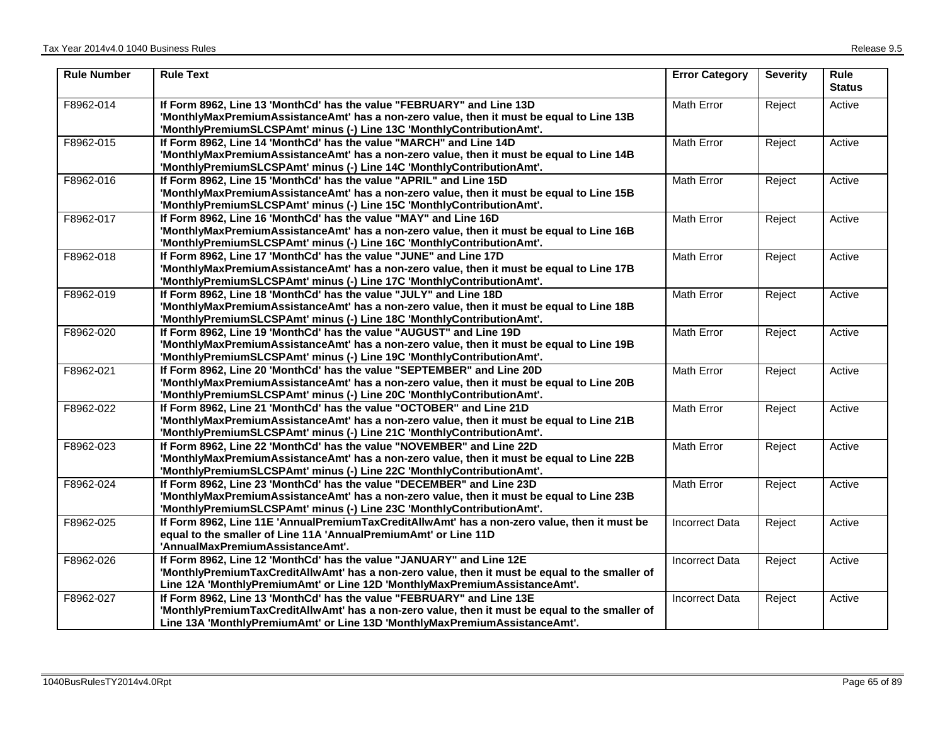| <b>Rule Number</b> | <b>Rule Text</b>                                                                                                                                                                                                                                      | <b>Error Category</b> | <b>Severity</b> | <b>Rule</b><br><b>Status</b> |
|--------------------|-------------------------------------------------------------------------------------------------------------------------------------------------------------------------------------------------------------------------------------------------------|-----------------------|-----------------|------------------------------|
| F8962-014          | If Form 8962, Line 13 'MonthCd' has the value "FEBRUARY" and Line 13D<br>'MonthlyMaxPremiumAssistanceAmt' has a non-zero value, then it must be equal to Line 13B<br>'MonthlyPremiumSLCSPAmt' minus (-) Line 13C 'MonthlyContributionAmt'.            | Math Error            | Reject          | Active                       |
| F8962-015          | If Form 8962, Line 14 'MonthCd' has the value "MARCH" and Line 14D<br>'MonthlyMaxPremiumAssistanceAmt' has a non-zero value, then it must be equal to Line 14B<br>'MonthlyPremiumSLCSPAmt' minus (-) Line 14C 'MonthlyContributionAmt'.               | Math Error            | Reject          | Active                       |
| F8962-016          | If Form 8962, Line 15 'MonthCd' has the value "APRIL" and Line 15D<br>'MonthlyMaxPremiumAssistanceAmt' has a non-zero value, then it must be equal to Line 15B<br>'MonthlyPremiumSLCSPAmt' minus (-) Line 15C 'MonthlyContributionAmt'.               | <b>Math Error</b>     | Reject          | Active                       |
| F8962-017          | If Form 8962, Line 16 'MonthCd' has the value "MAY" and Line 16D<br>'MonthlyMaxPremiumAssistanceAmt' has a non-zero value, then it must be equal to Line 16B<br>'MonthlyPremiumSLCSPAmt' minus (-) Line 16C 'MonthlyContributionAmt'.                 | Math Error            | Reject          | Active                       |
| F8962-018          | If Form 8962, Line 17 'MonthCd' has the value "JUNE" and Line 17D<br>'MonthlyMaxPremiumAssistanceAmt' has a non-zero value, then it must be equal to Line 17B<br>'MonthlyPremiumSLCSPAmt' minus (-) Line 17C 'MonthlyContributionAmt'.                | Math Error            | Reject          | Active                       |
| F8962-019          | If Form 8962, Line 18 'MonthCd' has the value "JULY" and Line 18D<br>'MonthlyMaxPremiumAssistanceAmt' has a non-zero value, then it must be equal to Line 18B<br>'MonthlyPremiumSLCSPAmt' minus (-) Line 18C 'MonthlyContributionAmt'.                | Math Error            | Reject          | Active                       |
| F8962-020          | If Form 8962, Line 19 'MonthCd' has the value "AUGUST" and Line 19D<br>'MonthlyMaxPremiumAssistanceAmt' has a non-zero value, then it must be equal to Line 19B<br>'MonthlyPremiumSLCSPAmt' minus (-) Line 19C 'MonthlyContributionAmt'.              | Math Error            | Reject          | Active                       |
| F8962-021          | If Form 8962, Line 20 'MonthCd' has the value "SEPTEMBER" and Line 20D<br>'MonthlyMaxPremiumAssistanceAmt' has a non-zero value, then it must be equal to Line 20B<br>'MonthlyPremiumSLCSPAmt' minus (-) Line 20C 'MonthlyContributionAmt'.           | <b>Math Error</b>     | Reject          | Active                       |
| F8962-022          | If Form 8962, Line 21 'MonthCd' has the value "OCTOBER" and Line 21D<br>'MonthlyMaxPremiumAssistanceAmt' has a non-zero value, then it must be equal to Line 21B<br>'MonthlyPremiumSLCSPAmt' minus (-) Line 21C 'MonthlyContributionAmt'.             | Math Error            | Reject          | Active                       |
| F8962-023          | If Form 8962, Line 22 'MonthCd' has the value "NOVEMBER" and Line 22D<br>'MonthlyMaxPremiumAssistanceAmt' has a non-zero value, then it must be equal to Line 22B<br>'MonthlyPremiumSLCSPAmt' minus (-) Line 22C 'MonthlyContributionAmt'.            | Math Error            | Reject          | Active                       |
| F8962-024          | If Form 8962, Line 23 'MonthCd' has the value "DECEMBER" and Line 23D<br>'MonthlyMaxPremiumAssistanceAmt' has a non-zero value, then it must be equal to Line 23B<br>'MonthlyPremiumSLCSPAmt' minus (-) Line 23C 'MonthlyContributionAmt'.            | Math Error            | Reject          | Active                       |
| F8962-025          | If Form 8962, Line 11E 'AnnualPremiumTaxCreditAllwAmt' has a non-zero value, then it must be<br>equal to the smaller of Line 11A 'AnnualPremiumAmt' or Line 11D<br>'AnnualMaxPremiumAssistanceAmt'.                                                   | <b>Incorrect Data</b> | Reject          | Active                       |
| F8962-026          | If Form 8962, Line 12 'MonthCd' has the value "JANUARY" and Line 12E<br>'MonthlyPremiumTaxCreditAllwAmt' has a non-zero value, then it must be equal to the smaller of<br>Line 12A 'MonthlyPremiumAmt' or Line 12D 'MonthlyMaxPremiumAssistanceAmt'.  | <b>Incorrect Data</b> | Reject          | Active                       |
| F8962-027          | If Form 8962, Line 13 'MonthCd' has the value "FEBRUARY" and Line 13E<br>'MonthlyPremiumTaxCreditAllwAmt' has a non-zero value, then it must be equal to the smaller of<br>Line 13A 'MonthlyPremiumAmt' or Line 13D 'MonthlyMaxPremiumAssistanceAmt'. | <b>Incorrect Data</b> | Reject          | Active                       |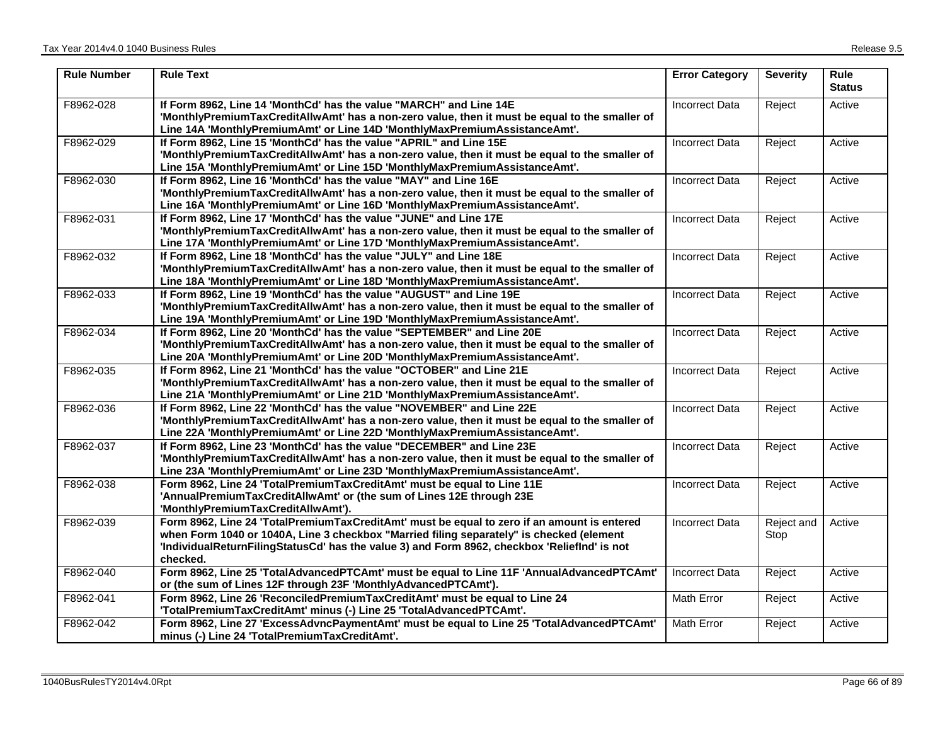| <b>Rule Number</b> | <b>Rule Text</b>                                                                                                                                                                                                                                                                                    | <b>Error Category</b> | <b>Severity</b>    | <b>Rule</b><br><b>Status</b> |
|--------------------|-----------------------------------------------------------------------------------------------------------------------------------------------------------------------------------------------------------------------------------------------------------------------------------------------------|-----------------------|--------------------|------------------------------|
| F8962-028          | If Form 8962, Line 14 'MonthCd' has the value "MARCH" and Line 14E<br>'MonthlyPremiumTaxCreditAllwAmt' has a non-zero value, then it must be equal to the smaller of<br>Line 14A 'MonthlyPremiumAmt' or Line 14D 'MonthlyMaxPremiumAssistanceAmt'.                                                  | Incorrect Data        | Reject             | Active                       |
| F8962-029          | If Form 8962, Line 15 'MonthCd' has the value "APRIL" and Line 15E<br>'MonthlyPremiumTaxCreditAllwAmt' has a non-zero value, then it must be equal to the smaller of<br>Line 15A 'MonthlyPremiumAmt' or Line 15D 'MonthlyMaxPremiumAssistanceAmt'.                                                  | <b>Incorrect Data</b> | Reject             | Active                       |
| F8962-030          | If Form 8962, Line 16 'MonthCd' has the value "MAY" and Line 16E<br>'MonthlyPremiumTaxCreditAllwAmt' has a non-zero value, then it must be equal to the smaller of<br>Line 16A 'MonthlyPremiumAmt' or Line 16D 'MonthlyMaxPremiumAssistanceAmt'.                                                    | <b>Incorrect Data</b> | Reject             | Active                       |
| F8962-031          | If Form 8962, Line 17 'MonthCd' has the value "JUNE" and Line 17E<br>'MonthlyPremiumTaxCreditAllwAmt' has a non-zero value, then it must be equal to the smaller of<br>Line 17A 'MonthlyPremiumAmt' or Line 17D 'MonthlyMaxPremiumAssistanceAmt'.                                                   | <b>Incorrect Data</b> | Reject             | Active                       |
| F8962-032          | If Form 8962, Line 18 'MonthCd' has the value "JULY" and Line 18E<br>'MonthlyPremiumTaxCreditAllwAmt' has a non-zero value, then it must be equal to the smaller of<br>Line 18A 'MonthlyPremiumAmt' or Line 18D 'MonthlyMaxPremiumAssistanceAmt'.                                                   | <b>Incorrect Data</b> | Reject             | Active                       |
| F8962-033          | If Form 8962, Line 19 'MonthCd' has the value "AUGUST" and Line 19E<br>'MonthlyPremiumTaxCreditAllwAmt' has a non-zero value, then it must be equal to the smaller of<br>Line 19A 'MonthlyPremiumAmt' or Line 19D 'MonthlyMaxPremiumAssistanceAmt'.                                                 | <b>Incorrect Data</b> | Reject             | Active                       |
| F8962-034          | If Form 8962, Line 20 'MonthCd' has the value "SEPTEMBER" and Line 20E<br>'MonthlyPremiumTaxCreditAllwAmt' has a non-zero value, then it must be equal to the smaller of<br>Line 20A 'MonthlyPremiumAmt' or Line 20D 'MonthlyMaxPremiumAssistanceAmt'.                                              | <b>Incorrect Data</b> | Reject             | Active                       |
| F8962-035          | If Form 8962, Line 21 'MonthCd' has the value "OCTOBER" and Line 21E<br>'MonthlyPremiumTaxCreditAllwAmt' has a non-zero value, then it must be equal to the smaller of<br>Line 21A 'MonthlyPremiumAmt' or Line 21D 'MonthlyMaxPremiumAssistanceAmt'.                                                | <b>Incorrect Data</b> | Reject             | Active                       |
| F8962-036          | If Form 8962, Line 22 'MonthCd' has the value "NOVEMBER" and Line 22E<br>'MonthlyPremiumTaxCreditAllwAmt' has a non-zero value, then it must be equal to the smaller of<br>Line 22A 'MonthlyPremiumAmt' or Line 22D 'MonthlyMaxPremiumAssistanceAmt'.                                               | <b>Incorrect Data</b> | Reject             | Active                       |
| F8962-037          | If Form 8962, Line 23 'MonthCd' has the value "DECEMBER" and Line 23E<br>'MonthlyPremiumTaxCreditAllwAmt' has a non-zero value, then it must be equal to the smaller of<br>Line 23A 'MonthlyPremiumAmt' or Line 23D 'MonthlyMaxPremiumAssistanceAmt'.                                               | <b>Incorrect Data</b> | Reject             | Active                       |
| F8962-038          | Form 8962, Line 24 'TotalPremiumTaxCreditAmt' must be equal to Line 11E<br>'AnnualPremiumTaxCreditAllwAmt' or (the sum of Lines 12E through 23E<br>'MonthlyPremiumTaxCreditAllwAmt').                                                                                                               | <b>Incorrect Data</b> | Reject             | Active                       |
| F8962-039          | Form 8962, Line 24 'TotalPremiumTaxCreditAmt' must be equal to zero if an amount is entered<br>when Form 1040 or 1040A, Line 3 checkbox "Married filing separately" is checked (element<br>'IndividualReturnFilingStatusCd' has the value 3) and Form 8962, checkbox 'Relieflnd' is not<br>checked. | <b>Incorrect Data</b> | Reject and<br>Stop | Active                       |
| F8962-040          | Form 8962, Line 25 'TotalAdvancedPTCAmt' must be equal to Line 11F 'AnnualAdvancedPTCAmt'<br>or (the sum of Lines 12F through 23F 'MonthlyAdvancedPTCAmt').                                                                                                                                         | <b>Incorrect Data</b> | Reject             | Active                       |
| F8962-041          | Form 8962, Line 26 'ReconciledPremiumTaxCreditAmt' must be equal to Line 24<br>'TotalPremiumTaxCreditAmt' minus (-) Line 25 'TotalAdvancedPTCAmt'.                                                                                                                                                  | Math Error            | Reject             | Active                       |
| F8962-042          | Form 8962, Line 27 'ExcessAdvncPaymentAmt' must be equal to Line 25 'TotalAdvancedPTCAmt'<br>minus (-) Line 24 'TotalPremiumTaxCreditAmt'.                                                                                                                                                          | <b>Math Error</b>     | Reject             | Active                       |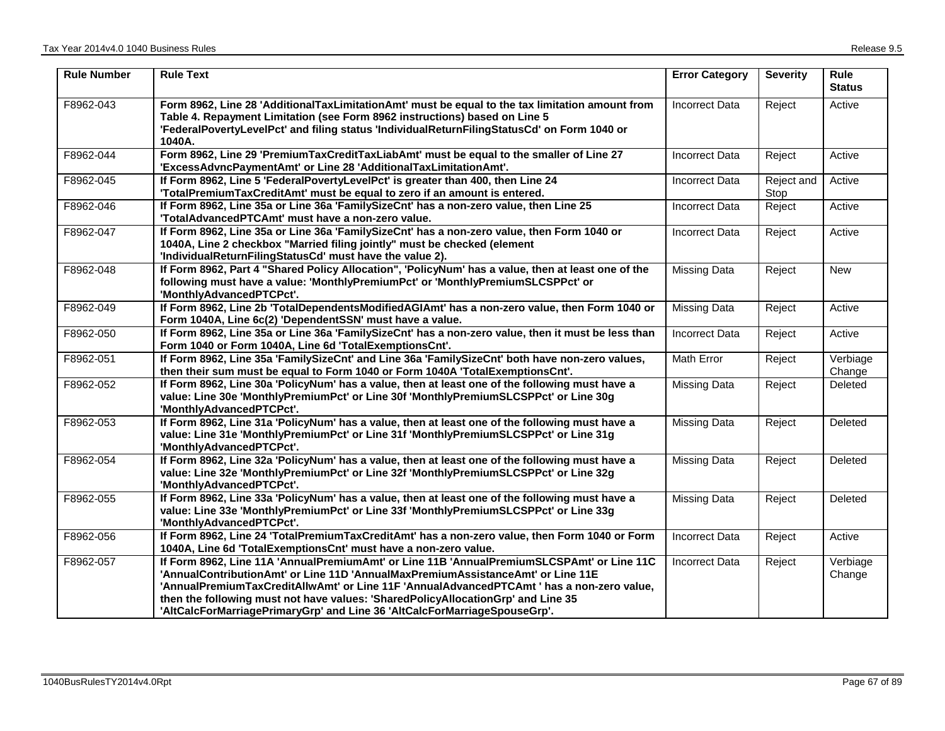| <b>Rule Number</b> | <b>Rule Text</b>                                                                                                                                                                                                                                                                                                                                                                                                                           | <b>Error Category</b> | <b>Severity</b>    | <b>Rule</b><br><b>Status</b> |
|--------------------|--------------------------------------------------------------------------------------------------------------------------------------------------------------------------------------------------------------------------------------------------------------------------------------------------------------------------------------------------------------------------------------------------------------------------------------------|-----------------------|--------------------|------------------------------|
| F8962-043          | Form 8962, Line 28 'AdditionalTaxLimitationAmt' must be equal to the tax limitation amount from<br>Table 4. Repayment Limitation (see Form 8962 instructions) based on Line 5<br>'FederalPovertyLevelPct' and filing status 'IndividualReturnFilingStatusCd' on Form 1040 or<br>1040A.                                                                                                                                                     | <b>Incorrect Data</b> | Reject             | Active                       |
| F8962-044          | Form 8962, Line 29 'PremiumTaxCreditTaxLiabAmt' must be equal to the smaller of Line 27<br>'ExcessAdvncPaymentAmt' or Line 28 'AdditionalTaxLimitationAmt'.                                                                                                                                                                                                                                                                                | <b>Incorrect Data</b> | Reject             | Active                       |
| F8962-045          | If Form 8962, Line 5 'FederalPovertyLevelPct' is greater than 400, then Line 24<br>'TotalPremiumTaxCreditAmt' must be equal to zero if an amount is entered.                                                                                                                                                                                                                                                                               | <b>Incorrect Data</b> | Reject and<br>Stop | Active                       |
| F8962-046          | If Form 8962, Line 35a or Line 36a 'FamilySizeCnt' has a non-zero value, then Line 25<br>'TotalAdvancedPTCAmt' must have a non-zero value.                                                                                                                                                                                                                                                                                                 | <b>Incorrect Data</b> | Reject             | Active                       |
| F8962-047          | If Form 8962, Line 35a or Line 36a 'FamilySizeCnt' has a non-zero value, then Form 1040 or<br>1040A, Line 2 checkbox "Married filing jointly" must be checked (element<br>'IndividualReturnFilingStatusCd' must have the value 2).                                                                                                                                                                                                         | <b>Incorrect Data</b> | Reject             | Active                       |
| F8962-048          | If Form 8962, Part 4 "Shared Policy Allocation", 'PolicyNum' has a value, then at least one of the<br>following must have a value: 'MonthlyPremiumPct' or 'MonthlyPremiumSLCSPPct' or<br>'MonthlyAdvancedPTCPct'.                                                                                                                                                                                                                          | <b>Missing Data</b>   | Reject             | <b>New</b>                   |
| F8962-049          | If Form 8962, Line 2b 'TotalDependentsModifiedAGIAmt' has a non-zero value, then Form 1040 or<br>Form 1040A, Line 6c(2) 'DependentSSN' must have a value.                                                                                                                                                                                                                                                                                  | <b>Missing Data</b>   | Reject             | Active                       |
| F8962-050          | If Form 8962, Line 35a or Line 36a 'FamilySizeCnt' has a non-zero value, then it must be less than<br>Form 1040 or Form 1040A, Line 6d 'TotalExemptionsCnt'.                                                                                                                                                                                                                                                                               | <b>Incorrect Data</b> | Reject             | Active                       |
| F8962-051          | If Form 8962, Line 35a 'FamilySizeCnt' and Line 36a 'FamilySizeCnt' both have non-zero values,<br>then their sum must be equal to Form 1040 or Form 1040A 'TotalExemptionsCnt'.                                                                                                                                                                                                                                                            | Math Error            | Reject             | Verbiage<br>Change           |
| F8962-052          | If Form 8962, Line 30a 'PolicyNum' has a value, then at least one of the following must have a<br>value: Line 30e 'MonthlyPremiumPct' or Line 30f 'MonthlyPremiumSLCSPPct' or Line 30g<br>'MonthlyAdvancedPTCPct'.                                                                                                                                                                                                                         | <b>Missing Data</b>   | Reject             | Deleted                      |
| F8962-053          | If Form 8962, Line 31a 'PolicyNum' has a value, then at least one of the following must have a<br>value: Line 31e 'MonthlyPremiumPct' or Line 31f 'MonthlyPremiumSLCSPPct' or Line 31g<br>'MonthlyAdvancedPTCPct'.                                                                                                                                                                                                                         | <b>Missing Data</b>   | Reject             | Deleted                      |
| F8962-054          | If Form 8962, Line 32a 'PolicyNum' has a value, then at least one of the following must have a<br>value: Line 32e 'MonthlyPremiumPct' or Line 32f 'MonthlyPremiumSLCSPPct' or Line 32g<br>'MonthlyAdvancedPTCPct'.                                                                                                                                                                                                                         | <b>Missing Data</b>   | Reject             | Deleted                      |
| F8962-055          | If Form 8962, Line 33a 'PolicyNum' has a value, then at least one of the following must have a<br>value: Line 33e 'MonthlyPremiumPct' or Line 33f 'MonthlyPremiumSLCSPPct' or Line 33g<br>'MonthlyAdvancedPTCPct'.                                                                                                                                                                                                                         | <b>Missing Data</b>   | Reject             | Deleted                      |
| F8962-056          | If Form 8962, Line 24 'TotalPremiumTaxCreditAmt' has a non-zero value, then Form 1040 or Form<br>1040A, Line 6d 'TotalExemptionsCnt' must have a non-zero value.                                                                                                                                                                                                                                                                           | <b>Incorrect Data</b> | Reject             | Active                       |
| F8962-057          | If Form 8962, Line 11A 'AnnualPremiumAmt' or Line 11B 'AnnualPremiumSLCSPAmt' or Line 11C<br>'AnnualContributionAmt' or Line 11D 'AnnualMaxPremiumAssistanceAmt' or Line 11E<br>'AnnualPremiumTaxCreditAllwAmt' or Line 11F 'AnnualAdvancedPTCAmt ' has a non-zero value,<br>then the following must not have values: 'SharedPolicyAllocationGrp' and Line 35<br>'AltCalcForMarriagePrimaryGrp' and Line 36 'AltCalcForMarriageSpouseGrp'. | <b>Incorrect Data</b> | Reject             | Verbiage<br>Change           |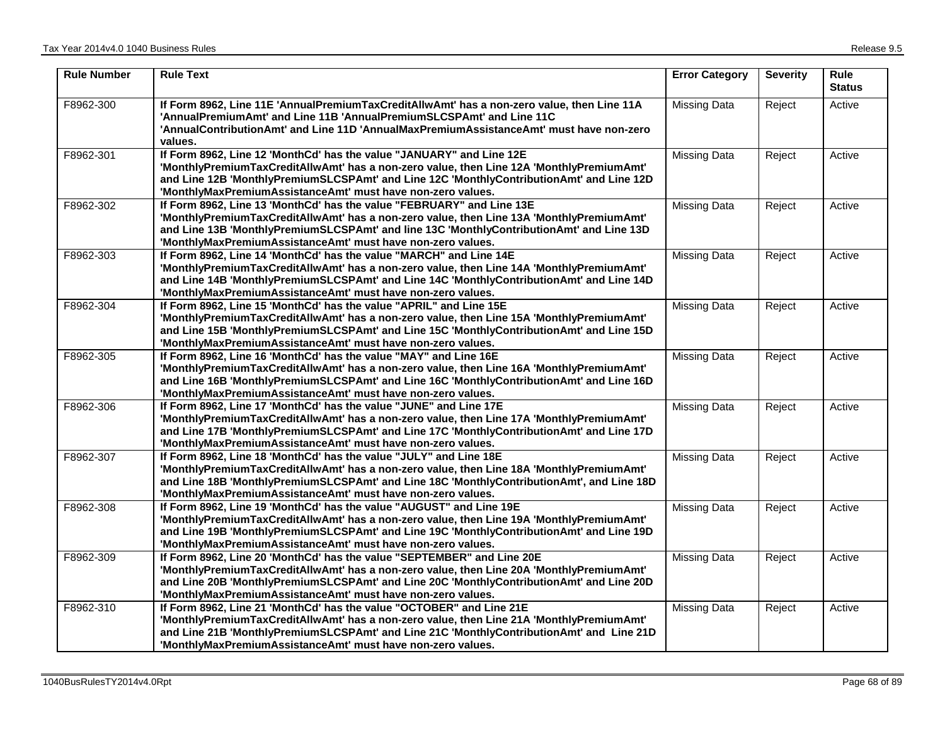| <b>Rule Number</b> | <b>Rule Text</b>                                                                                                                                                                                                                                                                                                              | <b>Error Category</b> | <b>Severity</b> | Rule<br><b>Status</b> |
|--------------------|-------------------------------------------------------------------------------------------------------------------------------------------------------------------------------------------------------------------------------------------------------------------------------------------------------------------------------|-----------------------|-----------------|-----------------------|
| F8962-300          | If Form 8962, Line 11E 'AnnualPremiumTaxCreditAllwAmt' has a non-zero value, then Line 11A<br>'AnnualPremiumAmt' and Line 11B 'AnnualPremiumSLCSPAmt' and Line 11C<br>'AnnualContributionAmt' and Line 11D 'AnnualMaxPremiumAssistanceAmt' must have non-zero<br>values.                                                      | <b>Missing Data</b>   | Reject          | Active                |
| F8962-301          | If Form 8962, Line 12 'MonthCd' has the value "JANUARY" and Line 12E<br>'MonthlyPremiumTaxCreditAllwAmt' has a non-zero value, then Line 12A 'MonthlyPremiumAmt'<br>and Line 12B 'MonthlyPremiumSLCSPAmt' and Line 12C 'MonthlyContributionAmt' and Line 12D<br>'MonthlyMaxPremiumAssistanceAmt' must have non-zero values.   | <b>Missing Data</b>   | Reject          | Active                |
| F8962-302          | If Form 8962, Line 13 'MonthCd' has the value "FEBRUARY" and Line 13E<br>'MonthlyPremiumTaxCreditAllwAmt' has a non-zero value, then Line 13A 'MonthlyPremiumAmt'<br>and Line 13B 'MonthlyPremiumSLCSPAmt' and line 13C 'MonthlyContributionAmt' and Line 13D<br>'MonthlyMaxPremiumAssistanceAmt' must have non-zero values.  | <b>Missing Data</b>   | Reject          | Active                |
| F8962-303          | If Form 8962, Line 14 'MonthCd' has the value "MARCH" and Line 14E<br>'MonthlyPremiumTaxCreditAllwAmt' has a non-zero value, then Line 14A 'MonthlyPremiumAmt'<br>and Line 14B 'MonthlyPremiumSLCSPAmt' and Line 14C 'MonthlyContributionAmt' and Line 14D<br>'MonthlyMaxPremiumAssistanceAmt' must have non-zero values.     | <b>Missing Data</b>   | Reject          | Active                |
| F8962-304          | If Form 8962, Line 15 'MonthCd' has the value "APRIL" and Line 15E<br>'MonthlyPremiumTaxCreditAllwAmt' has a non-zero value, then Line 15A 'MonthlyPremiumAmt'<br>and Line 15B 'MonthlyPremiumSLCSPAmt' and Line 15C 'MonthlyContributionAmt' and Line 15D<br>'MonthlyMaxPremiumAssistanceAmt' must have non-zero values.     | <b>Missing Data</b>   | Reject          | Active                |
| F8962-305          | If Form 8962, Line 16 'MonthCd' has the value "MAY" and Line 16E<br>'MonthlyPremiumTaxCreditAllwAmt' has a non-zero value, then Line 16A 'MonthlyPremiumAmt'<br>and Line 16B 'MonthlyPremiumSLCSPAmt' and Line 16C 'MonthlyContributionAmt' and Line 16D<br>'MonthlyMaxPremiumAssistanceAmt' must have non-zero values.       | <b>Missing Data</b>   | Reject          | Active                |
| F8962-306          | If Form 8962, Line 17 'MonthCd' has the value "JUNE" and Line 17E<br>'MonthlyPremiumTaxCreditAllwAmt' has a non-zero value, then Line 17A 'MonthlyPremiumAmt'<br>and Line 17B 'MonthlyPremiumSLCSPAmt' and Line 17C 'MonthlyContributionAmt' and Line 17D<br>'MonthlyMaxPremiumAssistanceAmt' must have non-zero values.      | <b>Missing Data</b>   | Reject          | Active                |
| F8962-307          | If Form 8962, Line 18 'MonthCd' has the value "JULY" and Line 18E<br>'MonthlyPremiumTaxCreditAllwAmt' has a non-zero value, then Line 18A 'MonthlyPremiumAmt'<br>and Line 18B 'MonthlyPremiumSLCSPAmt' and Line 18C 'MonthlyContributionAmt', and Line 18D<br>'MonthlyMaxPremiumAssistanceAmt' must have non-zero values.     | <b>Missing Data</b>   | Reject          | Active                |
| F8962-308          | If Form 8962, Line 19 'MonthCd' has the value "AUGUST" and Line 19E<br>'MonthlyPremiumTaxCreditAllwAmt' has a non-zero value, then Line 19A 'MonthlyPremiumAmt'<br>and Line 19B 'MonthlyPremiumSLCSPAmt' and Line 19C 'MonthlyContributionAmt' and Line 19D<br>'MonthlyMaxPremiumAssistanceAmt' must have non-zero values.    | <b>Missing Data</b>   | Reject          | Active                |
| F8962-309          | If Form 8962, Line 20 'MonthCd' has the value "SEPTEMBER" and Line 20E<br>'MonthlyPremiumTaxCreditAllwAmt' has a non-zero value, then Line 20A 'MonthlyPremiumAmt'<br>and Line 20B 'MonthlyPremiumSLCSPAmt' and Line 20C 'MonthlyContributionAmt' and Line 20D<br>'MonthlyMaxPremiumAssistanceAmt' must have non-zero values. | <b>Missing Data</b>   | Reject          | Active                |
| F8962-310          | If Form 8962, Line 21 'MonthCd' has the value "OCTOBER" and Line 21E<br>'MonthlyPremiumTaxCreditAllwAmt' has a non-zero value, then Line 21A 'MonthlyPremiumAmt'<br>and Line 21B 'MonthlyPremiumSLCSPAmt' and Line 21C 'MonthlyContributionAmt' and Line 21D<br>'MonthlyMaxPremiumAssistanceAmt' must have non-zero values.   | <b>Missing Data</b>   | Reject          | Active                |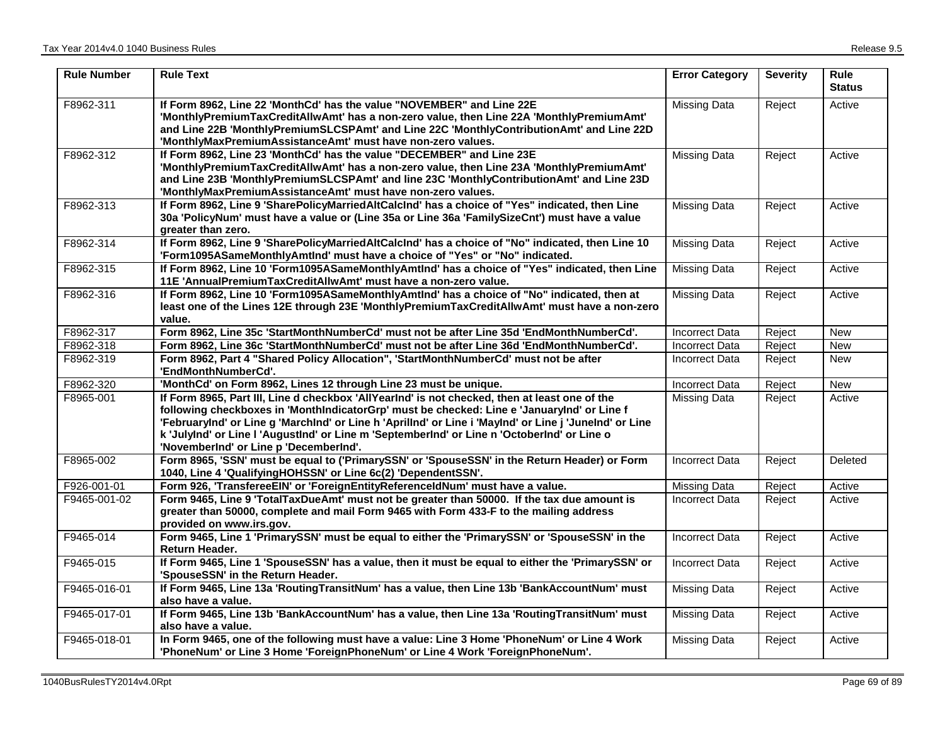| <b>Rule Number</b> | <b>Rule Text</b>                                                                                                                                                                                                                                                                                                                                                                                                                               | <b>Error Category</b> | <b>Severity</b> | <b>Rule</b><br><b>Status</b> |
|--------------------|------------------------------------------------------------------------------------------------------------------------------------------------------------------------------------------------------------------------------------------------------------------------------------------------------------------------------------------------------------------------------------------------------------------------------------------------|-----------------------|-----------------|------------------------------|
| F8962-311          | If Form 8962, Line 22 'MonthCd' has the value "NOVEMBER" and Line 22E<br>'MonthlyPremiumTaxCreditAllwAmt' has a non-zero value, then Line 22A 'MonthlyPremiumAmt'<br>and Line 22B 'MonthlyPremiumSLCSPAmt' and Line 22C 'MonthlyContributionAmt' and Line 22D<br>'MonthlyMaxPremiumAssistanceAmt' must have non-zero values.                                                                                                                   | <b>Missing Data</b>   | Reject          | Active                       |
| F8962-312          | If Form 8962, Line 23 'MonthCd' has the value "DECEMBER" and Line 23E<br>'MonthlyPremiumTaxCreditAllwAmt' has a non-zero value, then Line 23A 'MonthlyPremiumAmt'<br>and Line 23B 'MonthlyPremiumSLCSPAmt' and line 23C 'MonthlyContributionAmt' and Line 23D<br>'MonthlyMaxPremiumAssistanceAmt' must have non-zero values.                                                                                                                   | <b>Missing Data</b>   | Reject          | Active                       |
| F8962-313          | If Form 8962, Line 9 'SharePolicyMarriedAltCalcInd' has a choice of "Yes" indicated, then Line<br>30a 'PolicyNum' must have a value or (Line 35a or Line 36a 'FamilySizeCnt') must have a value<br>greater than zero.                                                                                                                                                                                                                          | <b>Missing Data</b>   | Reject          | Active                       |
| F8962-314          | If Form 8962, Line 9 'SharePolicyMarriedAltCalcInd' has a choice of "No" indicated, then Line 10<br>'Form1095ASameMonthlyAmtInd' must have a choice of "Yes" or "No" indicated.                                                                                                                                                                                                                                                                | <b>Missing Data</b>   | Reject          | Active                       |
| F8962-315          | If Form 8962, Line 10 'Form1095ASameMonthlyAmtInd' has a choice of "Yes" indicated, then Line<br>11E 'AnnualPremiumTaxCreditAllwAmt' must have a non-zero value.                                                                                                                                                                                                                                                                               | <b>Missing Data</b>   | Reject          | Active                       |
| F8962-316          | If Form 8962, Line 10 'Form1095ASameMonthlyAmtInd' has a choice of "No" indicated, then at<br>least one of the Lines 12E through 23E 'MonthlyPremiumTaxCreditAllwAmt' must have a non-zero<br>value.                                                                                                                                                                                                                                           | <b>Missing Data</b>   | Reject          | Active                       |
| F8962-317          | Form 8962, Line 35c 'StartMonthNumberCd' must not be after Line 35d 'EndMonthNumberCd'.                                                                                                                                                                                                                                                                                                                                                        | Incorrect Data        | Reject          | <b>New</b>                   |
| F8962-318          | Form 8962, Line 36c 'StartMonthNumberCd' must not be after Line 36d 'EndMonthNumberCd'.                                                                                                                                                                                                                                                                                                                                                        | <b>Incorrect Data</b> | Reject          | <b>New</b>                   |
| F8962-319          | Form 8962, Part 4 "Shared Policy Allocation", 'StartMonthNumberCd' must not be after<br>'EndMonthNumberCd'.                                                                                                                                                                                                                                                                                                                                    | <b>Incorrect Data</b> | Reject          | <b>New</b>                   |
| F8962-320          | 'MonthCd' on Form 8962, Lines 12 through Line 23 must be unique.                                                                                                                                                                                                                                                                                                                                                                               | <b>Incorrect Data</b> | Reject          | <b>New</b>                   |
| F8965-001          | If Form 8965, Part III, Line d checkbox 'AllYearInd' is not checked, then at least one of the<br>following checkboxes in 'MonthIndicatorGrp' must be checked: Line e 'JanuaryInd' or Line f<br>'Februaryind' or Line g 'Marchind' or Line h 'Aprilind' or Line i 'Mayind' or Line j 'Junelnd' or Line<br>k 'JulyInd' or Line I 'AugustInd' or Line m 'SeptemberInd' or Line n 'OctoberInd' or Line o<br>'NovemberInd' or Line p 'DecemberInd'. | Missing Data          | Reject          | Active                       |
| F8965-002          | Form 8965, 'SSN' must be equal to ('PrimarySSN' or 'SpouseSSN' in the Return Header) or Form<br>1040, Line 4 'QualifyingHOHSSN' or Line 6c(2) 'DependentSSN'.                                                                                                                                                                                                                                                                                  | <b>Incorrect Data</b> | Reject          | Deleted                      |
| F926-001-01        | Form 926, 'TransfereeEIN' or 'ForeignEntityReferenceIdNum' must have a value.                                                                                                                                                                                                                                                                                                                                                                  | <b>Missing Data</b>   | Reject          | Active                       |
| F9465-001-02       | Form 9465, Line 9 'TotalTaxDueAmt' must not be greater than 50000. If the tax due amount is<br>greater than 50000, complete and mail Form 9465 with Form 433-F to the mailing address<br>provided on www.irs.gov.                                                                                                                                                                                                                              | <b>Incorrect Data</b> | Reject          | Active                       |
| F9465-014          | Form 9465, Line 1 'PrimarySSN' must be equal to either the 'PrimarySSN' or 'SpouseSSN' in the<br>Return Header.                                                                                                                                                                                                                                                                                                                                | <b>Incorrect Data</b> | Reject          | Active                       |
| F9465-015          | If Form 9465, Line 1 'SpouseSSN' has a value, then it must be equal to either the 'PrimarySSN' or<br>'SpouseSSN' in the Return Header.                                                                                                                                                                                                                                                                                                         | <b>Incorrect Data</b> | Reject          | Active                       |
| F9465-016-01       | If Form 9465, Line 13a 'RoutingTransitNum' has a value, then Line 13b 'BankAccountNum' must<br>also have a value.                                                                                                                                                                                                                                                                                                                              | <b>Missing Data</b>   | Reject          | Active                       |
| F9465-017-01       | If Form 9465, Line 13b 'BankAccountNum' has a value, then Line 13a 'RoutingTransitNum' must<br>also have a value.                                                                                                                                                                                                                                                                                                                              | <b>Missing Data</b>   | Reject          | Active                       |
| F9465-018-01       | In Form 9465, one of the following must have a value: Line 3 Home 'PhoneNum' or Line 4 Work<br>'PhoneNum' or Line 3 Home 'ForeignPhoneNum' or Line 4 Work 'ForeignPhoneNum'.                                                                                                                                                                                                                                                                   | <b>Missing Data</b>   | Reject          | Active                       |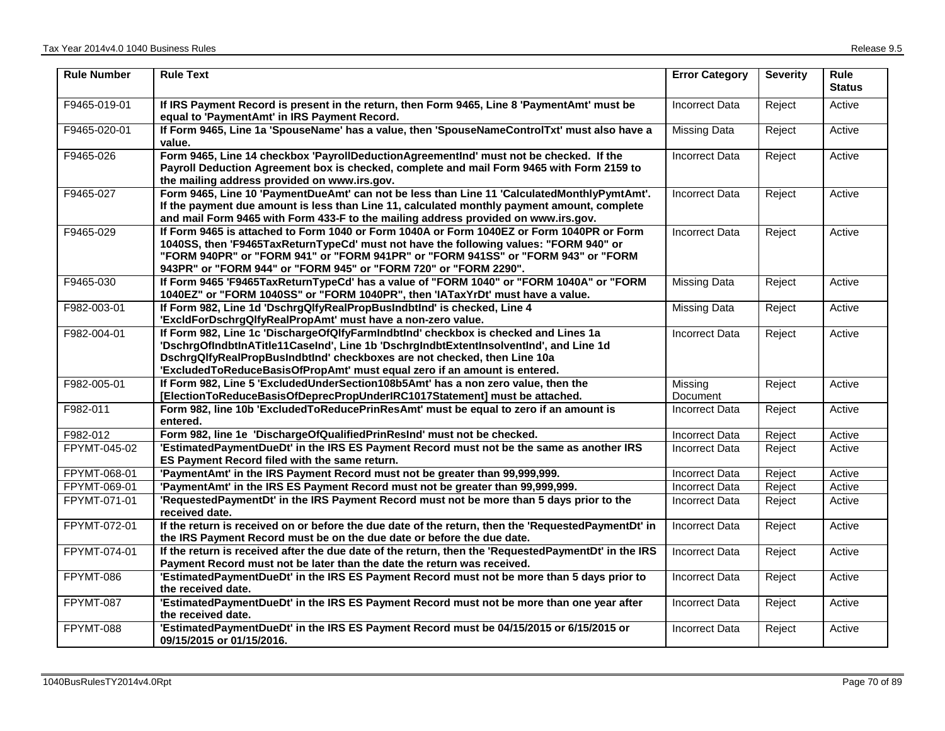| <b>Rule Number</b> | <b>Rule Text</b>                                                                                                                                                                                                                                                                                                                            | <b>Error Category</b> | <b>Severity</b> | <b>Rule</b><br><b>Status</b> |
|--------------------|---------------------------------------------------------------------------------------------------------------------------------------------------------------------------------------------------------------------------------------------------------------------------------------------------------------------------------------------|-----------------------|-----------------|------------------------------|
| F9465-019-01       | If IRS Payment Record is present in the return, then Form 9465, Line 8 'PaymentAmt' must be<br>equal to 'PaymentAmt' in IRS Payment Record.                                                                                                                                                                                                 | <b>Incorrect Data</b> | Reject          | Active                       |
| F9465-020-01       | If Form 9465, Line 1a 'SpouseName' has a value, then 'SpouseNameControlTxt' must also have a<br>value.                                                                                                                                                                                                                                      | Missing Data          | Reject          | Active                       |
| F9465-026          | Form 9465, Line 14 checkbox 'PayrollDeductionAgreementInd' must not be checked. If the<br>Payroll Deduction Agreement box is checked, complete and mail Form 9465 with Form 2159 to<br>the mailing address provided on www.irs.gov.                                                                                                         | <b>Incorrect Data</b> | Reject          | Active                       |
| F9465-027          | Form 9465, Line 10 'PaymentDueAmt' can not be less than Line 11 'CalculatedMonthlyPymtAmt'.<br>If the payment due amount is less than Line 11, calculated monthly payment amount, complete<br>and mail Form 9465 with Form 433-F to the mailing address provided on www.irs.gov.                                                            | Incorrect Data        | Reject          | Active                       |
| F9465-029          | If Form 9465 is attached to Form 1040 or Form 1040A or Form 1040EZ or Form 1040PR or Form<br>1040SS, then 'F9465TaxReturnTypeCd' must not have the following values: "FORM 940" or<br>"FORM 940PR" or "FORM 941" or "FORM 941PR" or "FORM 941SS" or "FORM 943" or "FORM<br>943PR" or "FORM 944" or "FORM 945" or "FORM 720" or "FORM 2290". | <b>Incorrect Data</b> | Reject          | Active                       |
| F9465-030          | If Form 9465 'F9465TaxReturnTypeCd' has a value of "FORM 1040" or "FORM 1040A" or "FORM<br>1040EZ" or "FORM 1040SS" or "FORM 1040PR", then 'IATaxYrDt' must have a value.                                                                                                                                                                   | <b>Missing Data</b>   | Reject          | Active                       |
| F982-003-01        | If Form 982, Line 1d 'DschrgQlfyRealPropBusIndbtInd' is checked, Line 4<br>'ExcldForDschrgQlfyRealPropAmt' must have a non-zero value.                                                                                                                                                                                                      | <b>Missing Data</b>   | Reject          | Active                       |
| F982-004-01        | If Form 982, Line 1c 'DischargeOfQlfyFarmIndbtInd' checkbox is checked and Lines 1a<br>'DschrgOfIndbtInATitle11CaseInd', Line 1b 'DschrgIndbtExtentInsolventInd', and Line 1d<br>DschrgQlfyRealPropBusIndbtInd' checkboxes are not checked, then Line 10a<br>'ExcludedToReduceBasisOfPropAmt' must equal zero if an amount is entered.      | <b>Incorrect Data</b> | Reject          | Active                       |
| F982-005-01        | If Form 982, Line 5 'ExcludedUnderSection108b5Amt' has a non zero value, then the<br>[ElectionToReduceBasisOfDeprecPropUnderIRC1017Statement] must be attached.                                                                                                                                                                             | Missing<br>Document   | Reject          | Active                       |
| F982-011           | Form 982, line 10b 'ExcludedToReducePrinResAmt' must be equal to zero if an amount is<br>entered.                                                                                                                                                                                                                                           | Incorrect Data        | Reject          | Active                       |
| F982-012           | Form 982, line 1e 'DischargeOfQualifiedPrinResInd' must not be checked.                                                                                                                                                                                                                                                                     | <b>Incorrect Data</b> | Reject          | Active                       |
| FPYMT-045-02       | 'EstimatedPaymentDueDt' in the IRS ES Payment Record must not be the same as another IRS<br>ES Payment Record filed with the same return.                                                                                                                                                                                                   | Incorrect Data        | Reject          | Active                       |
| FPYMT-068-01       | 'PaymentAmt' in the IRS Payment Record must not be greater than 99,999,999.                                                                                                                                                                                                                                                                 | <b>Incorrect Data</b> | Reject          | Active                       |
| FPYMT-069-01       | 'PaymentAmt' in the IRS ES Payment Record must not be greater than 99,999,999.                                                                                                                                                                                                                                                              | <b>Incorrect Data</b> | Reject          | Active                       |
| FPYMT-071-01       | 'RequestedPaymentDt' in the IRS Payment Record must not be more than 5 days prior to the<br>received date.                                                                                                                                                                                                                                  | Incorrect Data        | Reject          | Active                       |
| FPYMT-072-01       | If the return is received on or before the due date of the return, then the 'RequestedPaymentDt' in<br>the IRS Payment Record must be on the due date or before the due date.                                                                                                                                                               | <b>Incorrect Data</b> | Reject          | Active                       |
| FPYMT-074-01       | If the return is received after the due date of the return, then the 'RequestedPaymentDt' in the IRS<br>Payment Record must not be later than the date the return was received.                                                                                                                                                             | <b>Incorrect Data</b> | Reject          | Active                       |
| FPYMT-086          | 'EstimatedPaymentDueDt' in the IRS ES Payment Record must not be more than 5 days prior to<br>the received date.                                                                                                                                                                                                                            | <b>Incorrect Data</b> | Reject          | Active                       |
| FPYMT-087          | 'EstimatedPaymentDueDt' in the IRS ES Payment Record must not be more than one year after<br>the received date.                                                                                                                                                                                                                             | <b>Incorrect Data</b> | Reject          | Active                       |
| FPYMT-088          | 'EstimatedPaymentDueDt' in the IRS ES Payment Record must be 04/15/2015 or 6/15/2015 or<br>09/15/2015 or 01/15/2016.                                                                                                                                                                                                                        | <b>Incorrect Data</b> | Reject          | Active                       |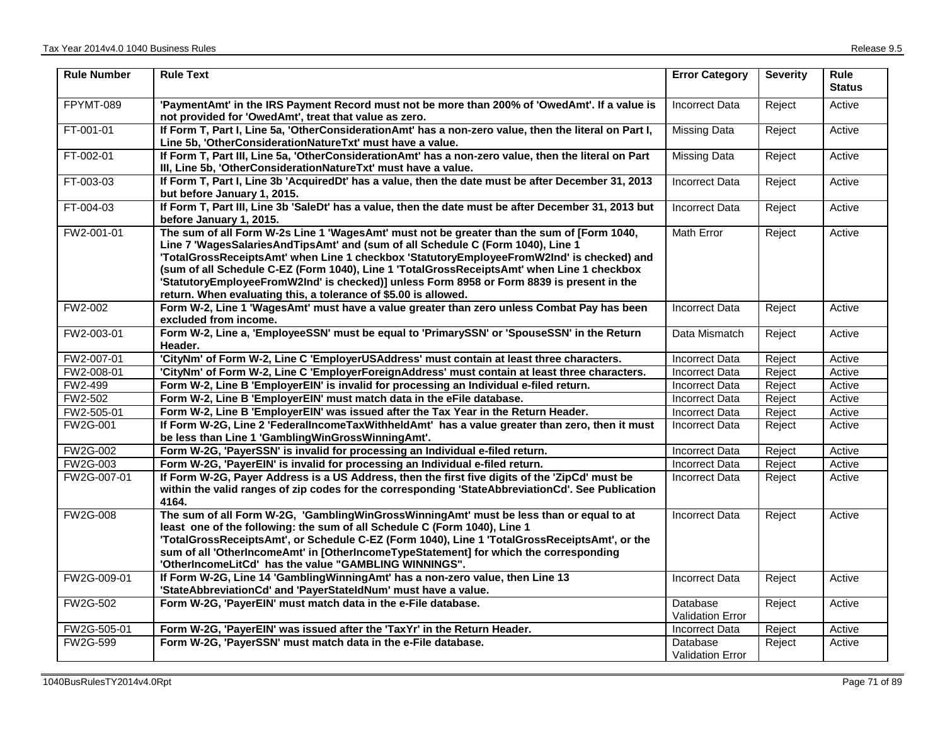| <b>Rule Number</b> | <b>Rule Text</b>                                                                                                                                                                                                                                                                                                                                                                                                                                                                                                                         | <b>Error Category</b>               | <b>Severity</b> | <b>Rule</b><br><b>Status</b> |
|--------------------|------------------------------------------------------------------------------------------------------------------------------------------------------------------------------------------------------------------------------------------------------------------------------------------------------------------------------------------------------------------------------------------------------------------------------------------------------------------------------------------------------------------------------------------|-------------------------------------|-----------------|------------------------------|
| FPYMT-089          | 'PaymentAmt' in the IRS Payment Record must not be more than 200% of 'OwedAmt'. If a value is<br>not provided for 'OwedAmt', treat that value as zero.                                                                                                                                                                                                                                                                                                                                                                                   | <b>Incorrect Data</b>               | Reject          | Active                       |
| FT-001-01          | If Form T, Part I, Line 5a, 'OtherConsiderationAmt' has a non-zero value, then the literal on Part I,<br>Line 5b, 'OtherConsiderationNatureTxt' must have a value.                                                                                                                                                                                                                                                                                                                                                                       | <b>Missing Data</b>                 | Reject          | Active                       |
| FT-002-01          | If Form T, Part III, Line 5a, 'OtherConsiderationAmt' has a non-zero value, then the literal on Part<br>III, Line 5b, 'OtherConsiderationNatureTxt' must have a value.                                                                                                                                                                                                                                                                                                                                                                   | <b>Missing Data</b>                 | Reject          | Active                       |
| FT-003-03          | If Form T, Part I, Line 3b 'AcquiredDt' has a value, then the date must be after December 31, 2013<br>but before January 1, 2015.                                                                                                                                                                                                                                                                                                                                                                                                        | <b>Incorrect Data</b>               | Reject          | Active                       |
| FT-004-03          | If Form T, Part III, Line 3b 'SaleDt' has a value, then the date must be after December 31, 2013 but<br>before January 1, 2015.                                                                                                                                                                                                                                                                                                                                                                                                          | <b>Incorrect Data</b>               | Reject          | Active                       |
| FW2-001-01         | The sum of all Form W-2s Line 1 'WagesAmt' must not be greater than the sum of [Form 1040,<br>Line 7 'WagesSalariesAndTipsAmt' and (sum of all Schedule C (Form 1040), Line 1<br>'TotalGrossReceiptsAmt' when Line 1 checkbox 'StatutoryEmployeeFromW2Ind' is checked) and<br>(sum of all Schedule C-EZ (Form 1040), Line 1 'TotalGrossReceiptsAmt' when Line 1 checkbox<br>'StatutoryEmployeeFromW2Ind' is checked)] unless Form 8958 or Form 8839 is present in the<br>return. When evaluating this, a tolerance of \$5.00 is allowed. | Math Error                          | Reject          | Active                       |
| <b>FW2-002</b>     | Form W-2, Line 1 'WagesAmt' must have a value greater than zero unless Combat Pay has been<br>excluded from income.                                                                                                                                                                                                                                                                                                                                                                                                                      | <b>Incorrect Data</b>               | Reject          | Active                       |
| FW2-003-01         | Form W-2, Line a, 'EmployeeSSN' must be equal to 'PrimarySSN' or 'SpouseSSN' in the Return<br>Header.                                                                                                                                                                                                                                                                                                                                                                                                                                    | Data Mismatch                       | Reject          | Active                       |
| FW2-007-01         | 'CityNm' of Form W-2, Line C 'EmployerUSAddress' must contain at least three characters.                                                                                                                                                                                                                                                                                                                                                                                                                                                 | <b>Incorrect Data</b>               | Reject          | Active                       |
| FW2-008-01         | 'CityNm' of Form W-2, Line C 'EmployerForeignAddress' must contain at least three characters.                                                                                                                                                                                                                                                                                                                                                                                                                                            | <b>Incorrect Data</b>               | Reject          | Active                       |
| FW2-499            | Form W-2, Line B 'EmployerEIN' is invalid for processing an Individual e-filed return.                                                                                                                                                                                                                                                                                                                                                                                                                                                   | <b>Incorrect Data</b>               | Reject          | Active                       |
| FW2-502            | Form W-2, Line B 'EmployerEIN' must match data in the eFile database.                                                                                                                                                                                                                                                                                                                                                                                                                                                                    | <b>Incorrect Data</b>               | Reject          | Active                       |
| FW2-505-01         | Form W-2, Line B 'EmployerEIN' was issued after the Tax Year in the Return Header.                                                                                                                                                                                                                                                                                                                                                                                                                                                       | <b>Incorrect Data</b>               | Reject          | Active                       |
| FW2G-001           | If Form W-2G, Line 2 'FederalIncomeTaxWithheldAmt' has a value greater than zero, then it must<br>be less than Line 1 'GamblingWinGrossWinningAmt'.                                                                                                                                                                                                                                                                                                                                                                                      | <b>Incorrect Data</b>               | Reject          | Active                       |
| FW2G-002           | Form W-2G, 'PayerSSN' is invalid for processing an Individual e-filed return.                                                                                                                                                                                                                                                                                                                                                                                                                                                            | <b>Incorrect Data</b>               | Reject          | Active                       |
| <b>FW2G-003</b>    | Form W-2G, 'PayerEIN' is invalid for processing an Individual e-filed return.                                                                                                                                                                                                                                                                                                                                                                                                                                                            | Incorrect Data                      | Reject          | Active                       |
| FW2G-007-01        | If Form W-2G, Payer Address is a US Address, then the first five digits of the 'ZipCd' must be<br>within the valid ranges of zip codes for the corresponding 'StateAbbreviationCd'. See Publication<br>4164.                                                                                                                                                                                                                                                                                                                             | Incorrect Data                      | Reject          | Active                       |
| <b>FW2G-008</b>    | The sum of all Form W-2G, 'GamblingWinGrossWinningAmt' must be less than or equal to at<br>least one of the following: the sum of all Schedule C (Form 1040), Line 1<br>'TotalGrossReceiptsAmt', or Schedule C-EZ (Form 1040), Line 1 'TotalGrossReceiptsAmt', or the<br>sum of all 'OtherIncomeAmt' in [OtherIncomeTypeStatement] for which the corresponding<br>'OtherIncomeLitCd' has the value "GAMBLING WINNINGS".                                                                                                                  | Incorrect Data                      | Reject          | Active                       |
| FW2G-009-01        | If Form W-2G, Line 14 'Gambling Winning Amt' has a non-zero value, then Line 13<br>'StateAbbreviationCd' and 'PayerStateIdNum' must have a value.                                                                                                                                                                                                                                                                                                                                                                                        | <b>Incorrect Data</b>               | Reject          | Active                       |
| <b>FW2G-502</b>    | Form W-2G, 'PayerEIN' must match data in the e-File database.                                                                                                                                                                                                                                                                                                                                                                                                                                                                            | Database<br>Validation Error        | Reject          | Active                       |
| FW2G-505-01        | Form W-2G, 'PayerEIN' was issued after the 'TaxYr' in the Return Header.                                                                                                                                                                                                                                                                                                                                                                                                                                                                 | <b>Incorrect Data</b>               | Reject          | Active                       |
| FW2G-599           | Form W-2G, 'PayerSSN' must match data in the e-File database.                                                                                                                                                                                                                                                                                                                                                                                                                                                                            | Database<br><b>Validation Error</b> | Reject          | Active                       |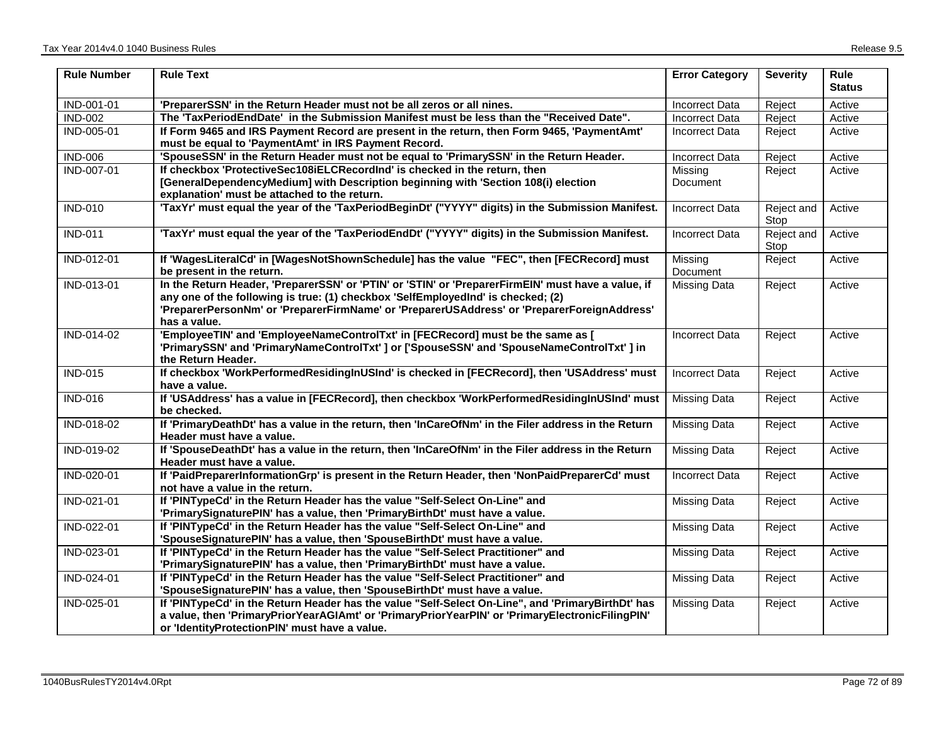| <b>Rule Number</b> | <b>Rule Text</b>                                                                                                                                                                                                                                                                                      | <b>Error Category</b> | <b>Severity</b>    | <b>Rule</b><br><b>Status</b> |
|--------------------|-------------------------------------------------------------------------------------------------------------------------------------------------------------------------------------------------------------------------------------------------------------------------------------------------------|-----------------------|--------------------|------------------------------|
| IND-001-01         | 'PreparerSSN' in the Return Header must not be all zeros or all nines.                                                                                                                                                                                                                                | <b>Incorrect Data</b> | Reject             | Active                       |
| <b>IND-002</b>     | The 'TaxPeriodEndDate' in the Submission Manifest must be less than the "Received Date".                                                                                                                                                                                                              | <b>Incorrect Data</b> | Reject             | Active                       |
| IND-005-01         | If Form 9465 and IRS Payment Record are present in the return, then Form 9465, 'PaymentAmt'<br>must be equal to 'PaymentAmt' in IRS Payment Record.                                                                                                                                                   | Incorrect Data        | Reject             | Active                       |
| <b>IND-006</b>     | 'SpouseSSN' in the Return Header must not be equal to 'PrimarySSN' in the Return Header.                                                                                                                                                                                                              | <b>Incorrect Data</b> | Reject             | Active                       |
| IND-007-01         | If checkbox 'ProtectiveSec108iELCRecordInd' is checked in the return, then<br>[GeneralDependencyMedium] with Description beginning with 'Section 108(i) election<br>explanation' must be attached to the return.                                                                                      | Missing<br>Document   | Reject             | Active                       |
| <b>IND-010</b>     | 'TaxYr' must equal the year of the 'TaxPeriodBeginDt' ("YYYY" digits) in the Submission Manifest.                                                                                                                                                                                                     | <b>Incorrect Data</b> | Reject and<br>Stop | Active                       |
| <b>IND-011</b>     | 'TaxYr' must equal the year of the 'TaxPeriodEndDt' ("YYYY" digits) in the Submission Manifest.                                                                                                                                                                                                       | <b>Incorrect Data</b> | Reject and<br>Stop | Active                       |
| IND-012-01         | If 'WagesLiteralCd' in [WagesNotShownSchedule] has the value "FEC", then [FECRecord] must<br>be present in the return.                                                                                                                                                                                | Missing<br>Document   | Reject             | Active                       |
| IND-013-01         | In the Return Header, 'PreparerSSN' or 'PTIN' or 'STIN' or 'PreparerFirmElN' must have a value, if<br>any one of the following is true: (1) checkbox 'SelfEmployedInd' is checked; (2)<br>'PreparerPersonNm' or 'PreparerFirmName' or 'PreparerUSAddress' or 'PreparerForeignAddress'<br>has a value. | Missing Data          | Reject             | Active                       |
| IND-014-02         | 'EmployeeTIN' and 'EmployeeNameControlTxt' in [FECRecord] must be the same as [<br>'PrimarySSN' and 'PrimaryNameControlTxt' ] or ['SpouseSSN' and 'SpouseNameControlTxt' ] in<br>the Return Header.                                                                                                   | <b>Incorrect Data</b> | Reject             | Active                       |
| <b>IND-015</b>     | If checkbox 'WorkPerformedResidingInUSInd' is checked in [FECRecord], then 'USAddress' must<br>have a value.                                                                                                                                                                                          | <b>Incorrect Data</b> | Reject             | Active                       |
| <b>IND-016</b>     | If 'USAddress' has a value in [FECRecord], then checkbox 'WorkPerformedResidingInUSInd' must<br>be checked.                                                                                                                                                                                           | <b>Missing Data</b>   | Reject             | Active                       |
| IND-018-02         | If 'PrimaryDeathDt' has a value in the return, then 'InCareOfNm' in the Filer address in the Return<br>Header must have a value.                                                                                                                                                                      | <b>Missing Data</b>   | Reject             | Active                       |
| IND-019-02         | If 'SpouseDeathDt' has a value in the return, then 'InCareOfNm' in the Filer address in the Return<br>Header must have a value.                                                                                                                                                                       | <b>Missing Data</b>   | Reject             | Active                       |
| IND-020-01         | If 'PaidPreparerInformationGrp' is present in the Return Header, then 'NonPaidPreparerCd' must<br>not have a value in the return.                                                                                                                                                                     | <b>Incorrect Data</b> | Reject             | Active                       |
| IND-021-01         | If 'PINTypeCd' in the Return Header has the value "Self-Select On-Line" and<br>'PrimarySignaturePIN' has a value, then 'PrimaryBirthDt' must have a value.                                                                                                                                            | Missing Data          | Reject             | Active                       |
| IND-022-01         | If 'PINTypeCd' in the Return Header has the value "Self-Select On-Line" and<br>'SpouseSignaturePIN' has a value, then 'SpouseBirthDt' must have a value.                                                                                                                                              | <b>Missing Data</b>   | Reject             | Active                       |
| IND-023-01         | If 'PINTypeCd' in the Return Header has the value "Self-Select Practitioner" and<br>'PrimarySignaturePIN' has a value, then 'PrimaryBirthDt' must have a value.                                                                                                                                       | Missing Data          | Reject             | Active                       |
| IND-024-01         | If 'PINTypeCd' in the Return Header has the value "Self-Select Practitioner" and<br>'SpouseSignaturePIN' has a value, then 'SpouseBirthDt' must have a value.                                                                                                                                         | Missing Data          | Reject             | Active                       |
| IND-025-01         | If 'PINTypeCd' in the Return Header has the value "Self-Select On-Line", and 'PrimaryBirthDt' has<br>a value, then 'PrimaryPriorYearAGIAmt' or 'PrimaryPriorYearPIN' or 'PrimaryElectronicFilingPIN'<br>or 'IdentityProtectionPIN' must have a value.                                                 | Missing Data          | Reject             | Active                       |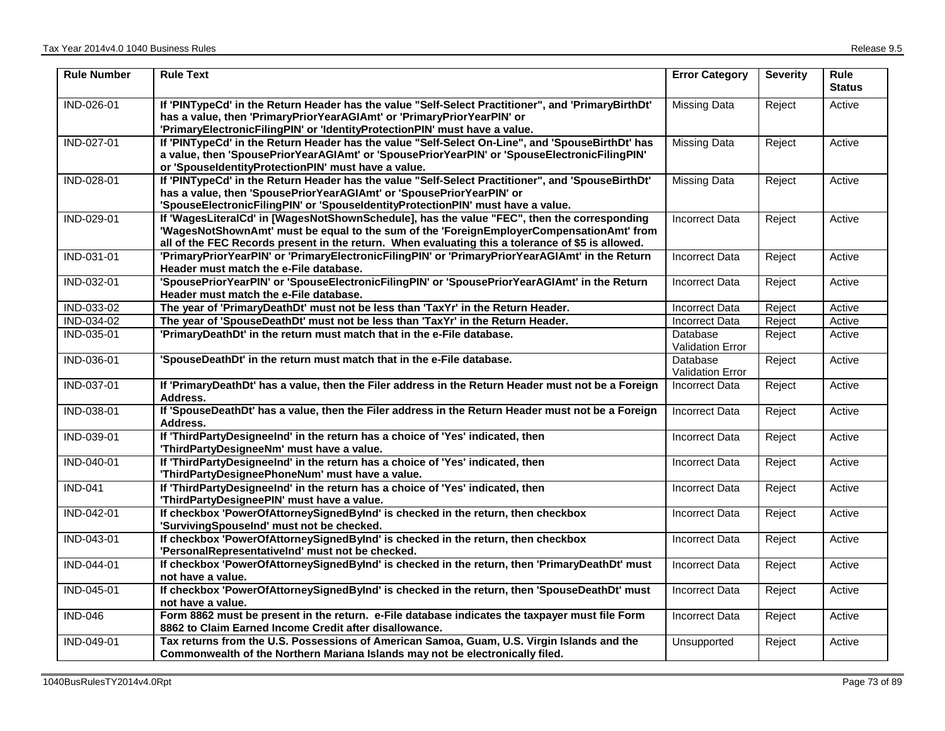| <b>Rule Number</b> | <b>Rule Text</b>                                                                                                                                                                                                                                                                             | <b>Error Category</b>               | <b>Severity</b> | <b>Rule</b><br><b>Status</b> |
|--------------------|----------------------------------------------------------------------------------------------------------------------------------------------------------------------------------------------------------------------------------------------------------------------------------------------|-------------------------------------|-----------------|------------------------------|
| IND-026-01         | If 'PINTypeCd' in the Return Header has the value "Self-Select Practitioner", and 'PrimaryBirthDt'<br>has a value, then 'PrimaryPriorYearAGIAmt' or 'PrimaryPriorYearPIN' or<br>'PrimaryElectronicFilingPIN' or 'IdentityProtectionPIN' must have a value.                                   | <b>Missing Data</b>                 | Reject          | Active                       |
| IND-027-01         | If 'PINTypeCd' in the Return Header has the value "Self-Select On-Line", and 'SpouseBirthDt' has<br>a value, then 'SpousePriorYearAGIAmt' or 'SpousePriorYearPIN' or 'SpouseElectronicFilingPIN'<br>or 'SpouseIdentityProtectionPIN' must have a value.                                      | <b>Missing Data</b>                 | Reject          | Active                       |
| IND-028-01         | If 'PINTypeCd' in the Return Header has the value "Self-Select Practitioner", and 'SpouseBirthDt'<br>has a value, then 'SpousePriorYearAGIAmt' or 'SpousePriorYearPIN' or<br>'SpouseElectronicFilingPIN' or 'SpouseIdentityProtectionPIN' must have a value.                                 | <b>Missing Data</b>                 | Reject          | Active                       |
| IND-029-01         | If 'WagesLiteralCd' in [WagesNotShownSchedule], has the value "FEC", then the corresponding<br>'WagesNotShownAmt' must be equal to the sum of the 'ForeignEmployerCompensationAmt' from<br>all of the FEC Records present in the return. When evaluating this a tolerance of \$5 is allowed. | <b>Incorrect Data</b>               | Reject          | Active                       |
| IND-031-01         | 'PrimaryPriorYearPIN' or 'PrimaryElectronicFilingPIN' or 'PrimaryPriorYearAGIAmt' in the Return<br>Header must match the e-File database.                                                                                                                                                    | <b>Incorrect Data</b>               | Reject          | Active                       |
| IND-032-01         | 'SpousePriorYearPIN' or 'SpouseElectronicFilingPIN' or 'SpousePriorYearAGIAmt' in the Return<br>Header must match the e-File database.                                                                                                                                                       | <b>Incorrect Data</b>               | Reject          | Active                       |
| IND-033-02         | The year of 'PrimaryDeathDt' must not be less than 'TaxYr' in the Return Header.                                                                                                                                                                                                             | <b>Incorrect Data</b>               | Reject          | Active                       |
| IND-034-02         | The year of 'SpouseDeathDt' must not be less than 'TaxYr' in the Return Header.                                                                                                                                                                                                              | Incorrect Data                      | Reject          | Active                       |
| IND-035-01         | 'PrimaryDeathDt' in the return must match that in the e-File database.                                                                                                                                                                                                                       | Database<br>Validation Error        | Reject          | Active                       |
| IND-036-01         | 'SpouseDeathDt' in the return must match that in the e-File database.                                                                                                                                                                                                                        | Database<br><b>Validation Error</b> | Reject          | Active                       |
| IND-037-01         | If 'PrimaryDeathDt' has a value, then the Filer address in the Return Header must not be a Foreign<br>Address.                                                                                                                                                                               | Incorrect Data                      | Reject          | Active                       |
| IND-038-01         | If 'SpouseDeathDt' has a value, then the Filer address in the Return Header must not be a Foreign<br>Address.                                                                                                                                                                                | <b>Incorrect Data</b>               | Reject          | Active                       |
| IND-039-01         | If 'ThirdPartyDesigneeInd' in the return has a choice of 'Yes' indicated, then<br>'ThirdPartyDesigneeNm' must have a value.                                                                                                                                                                  | <b>Incorrect Data</b>               | Reject          | Active                       |
| IND-040-01         | If 'ThirdPartyDesigneeInd' in the return has a choice of 'Yes' indicated, then<br>'ThirdPartyDesigneePhoneNum' must have a value.                                                                                                                                                            | Incorrect Data                      | Reject          | Active                       |
| <b>IND-041</b>     | If 'ThirdPartyDesigneeInd' in the return has a choice of 'Yes' indicated, then<br>'ThirdPartyDesigneePIN' must have a value.                                                                                                                                                                 | <b>Incorrect Data</b>               | Reject          | Active                       |
| IND-042-01         | If checkbox 'PowerOfAttorneySignedByInd' is checked in the return, then checkbox<br>'SurvivingSpouseInd' must not be checked.                                                                                                                                                                | <b>Incorrect Data</b>               | Reject          | Active                       |
| IND-043-01         | If checkbox 'PowerOfAttorneySignedByInd' is checked in the return, then checkbox<br>'PersonalRepresentativelnd' must not be checked.                                                                                                                                                         | Incorrect Data                      | Reject          | Active                       |
| IND-044-01         | If checkbox 'PowerOfAttorneySignedByInd' is checked in the return, then 'PrimaryDeathDt' must<br>not have a value.                                                                                                                                                                           | <b>Incorrect Data</b>               | Reject          | Active                       |
| IND-045-01         | If checkbox 'PowerOfAttorneySignedByInd' is checked in the return, then 'SpouseDeathDt' must<br>not have a value.                                                                                                                                                                            | Incorrect Data                      | Reject          | Active                       |
| <b>IND-046</b>     | Form 8862 must be present in the return. e-File database indicates the taxpayer must file Form<br>8862 to Claim Earned Income Credit after disallowance.                                                                                                                                     | <b>Incorrect Data</b>               | Reject          | Active                       |
| IND-049-01         | Tax returns from the U.S. Possessions of American Samoa, Guam, U.S. Virgin Islands and the<br>Commonwealth of the Northern Mariana Islands may not be electronically filed.                                                                                                                  | Unsupported                         | Reject          | Active                       |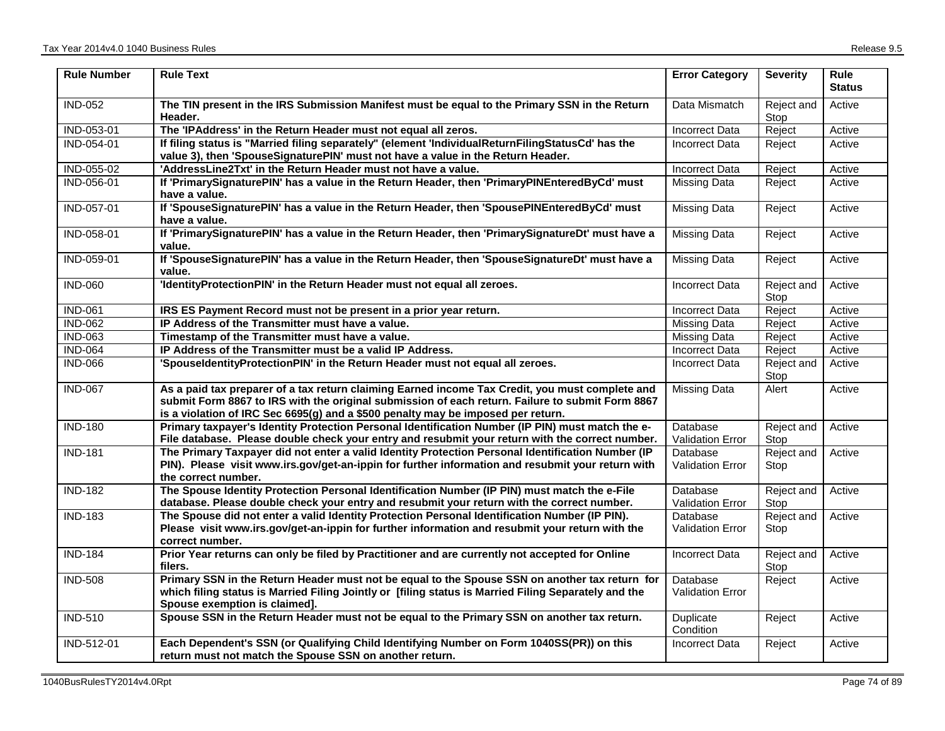| <b>Rule Number</b> | <b>Rule Text</b>                                                                                                                                                                                                                                                                        | <b>Error Category</b>               | <b>Severity</b>    | <b>Rule</b><br><b>Status</b> |
|--------------------|-----------------------------------------------------------------------------------------------------------------------------------------------------------------------------------------------------------------------------------------------------------------------------------------|-------------------------------------|--------------------|------------------------------|
| <b>IND-052</b>     | The TIN present in the IRS Submission Manifest must be equal to the Primary SSN in the Return<br>Header.                                                                                                                                                                                | Data Mismatch                       | Reject and<br>Stop | Active                       |
| IND-053-01         | The 'IPAddress' in the Return Header must not equal all zeros.                                                                                                                                                                                                                          | Incorrect Data                      | Reject             | Active                       |
| IND-054-01         | If filing status is "Married filing separately" (element 'IndividualReturnFilingStatusCd' has the<br>value 3), then 'SpouseSignaturePIN' must not have a value in the Return Header.                                                                                                    | <b>Incorrect Data</b>               | Reject             | Active                       |
| IND-055-02         | 'AddressLine2Txt' in the Return Header must not have a value.                                                                                                                                                                                                                           | <b>Incorrect Data</b>               | Reject             | Active                       |
| IND-056-01         | If 'PrimarySignaturePIN' has a value in the Return Header, then 'PrimaryPINEnteredByCd' must<br>have a value.                                                                                                                                                                           | Missing Data                        | Reject             | Active                       |
| IND-057-01         | If 'SpouseSignaturePIN' has a value in the Return Header, then 'SpousePINEnteredByCd' must<br>have a value.                                                                                                                                                                             | Missing Data                        | Reject             | Active                       |
| IND-058-01         | If 'PrimarySignaturePIN' has a value in the Return Header, then 'PrimarySignatureDt' must have a<br>value.                                                                                                                                                                              | <b>Missing Data</b>                 | Reject             | Active                       |
| IND-059-01         | If 'SpouseSignaturePIN' has a value in the Return Header, then 'SpouseSignatureDt' must have a<br>value.                                                                                                                                                                                | Missing Data                        | Reject             | Active                       |
| <b>IND-060</b>     | 'IdentityProtectionPIN' in the Return Header must not equal all zeroes.                                                                                                                                                                                                                 | <b>Incorrect Data</b>               | Reject and<br>Stop | Active                       |
| <b>IND-061</b>     | IRS ES Payment Record must not be present in a prior year return.                                                                                                                                                                                                                       | <b>Incorrect Data</b>               | Reject             | Active                       |
| <b>IND-062</b>     | IP Address of the Transmitter must have a value.                                                                                                                                                                                                                                        | <b>Missing Data</b>                 | Reject             | Active                       |
| <b>IND-063</b>     | Timestamp of the Transmitter must have a value.                                                                                                                                                                                                                                         | Missing Data                        | Reject             | Active                       |
| <b>IND-064</b>     | IP Address of the Transmitter must be a valid IP Address.                                                                                                                                                                                                                               | <b>Incorrect Data</b>               | Reject             | Active                       |
| <b>IND-066</b>     | 'SpouseldentityProtectionPIN' in the Return Header must not equal all zeroes.                                                                                                                                                                                                           | <b>Incorrect Data</b>               | Reject and<br>Stop | Active                       |
| <b>IND-067</b>     | As a paid tax preparer of a tax return claiming Earned income Tax Credit, you must complete and<br>submit Form 8867 to IRS with the original submission of each return. Failure to submit Form 8867<br>is a violation of IRC Sec 6695(g) and a \$500 penalty may be imposed per return. | Missing Data                        | Alert              | Active                       |
| <b>IND-180</b>     | Primary taxpayer's Identity Protection Personal Identification Number (IP PIN) must match the e-<br>File database. Please double check your entry and resubmit your return with the correct number.                                                                                     | Database<br><b>Validation Error</b> | Reject and<br>Stop | Active                       |
| <b>IND-181</b>     | The Primary Taxpayer did not enter a valid Identity Protection Personal Identification Number (IP<br>PIN). Please visit www.irs.gov/get-an-ippin for further information and resubmit your return with<br>the correct number.                                                           | Database<br><b>Validation Error</b> | Reject and<br>Stop | Active                       |
| <b>IND-182</b>     | The Spouse Identity Protection Personal Identification Number (IP PIN) must match the e-File<br>database. Please double check your entry and resubmit your return with the correct number.                                                                                              | Database<br>Validation Error        | Reject and<br>Stop | Active                       |
| <b>IND-183</b>     | The Spouse did not enter a valid Identity Protection Personal Identification Number (IP PIN).<br>Please visit www.irs.gov/get-an-ippin for further information and resubmit your return with the<br>correct number.                                                                     | Database<br><b>Validation Error</b> | Reject and<br>Stop | Active                       |
| <b>IND-184</b>     | Prior Year returns can only be filed by Practitioner and are currently not accepted for Online<br>filers.                                                                                                                                                                               | <b>Incorrect Data</b>               | Reject and<br>Stop | Active                       |
| <b>IND-508</b>     | Primary SSN in the Return Header must not be equal to the Spouse SSN on another tax return for<br>which filing status is Married Filing Jointly or [filing status is Married Filing Separately and the<br>Spouse exemption is claimed].                                                 | Database<br><b>Validation Error</b> | Reject             | Active                       |
| <b>IND-510</b>     | Spouse SSN in the Return Header must not be equal to the Primary SSN on another tax return.                                                                                                                                                                                             | Duplicate<br>Condition              | Reject             | Active                       |
| IND-512-01         | Each Dependent's SSN (or Qualifying Child Identifying Number on Form 1040SS(PR)) on this<br>return must not match the Spouse SSN on another return.                                                                                                                                     | <b>Incorrect Data</b>               | Reject             | Active                       |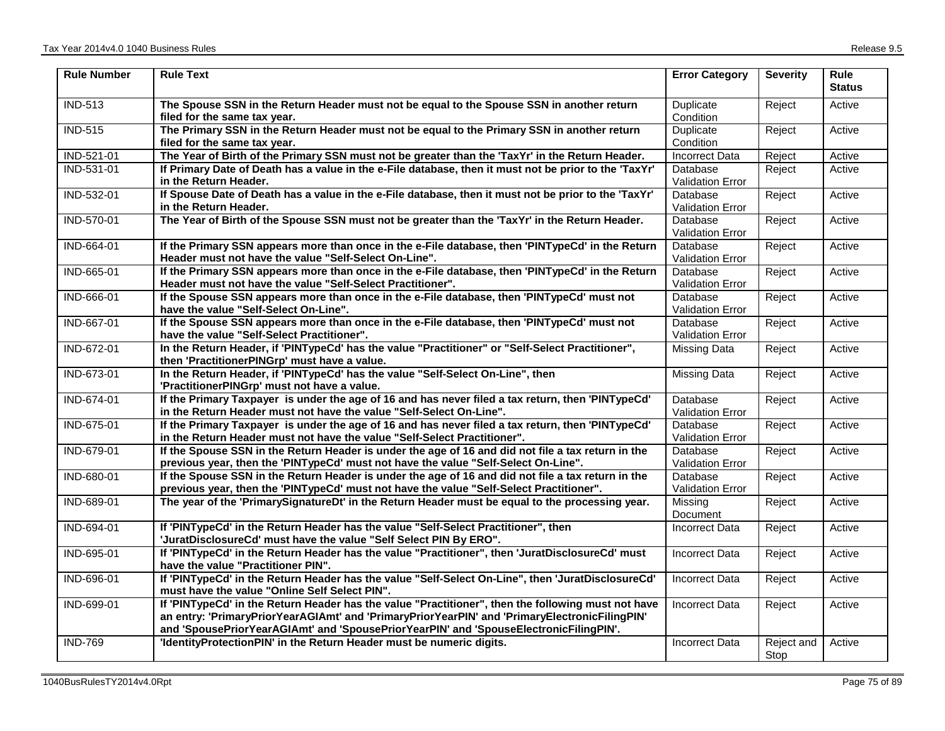| <b>Rule Number</b> | <b>Rule Text</b>                                                                                                                                                                                                                                                                             | <b>Error Category</b>               | <b>Severity</b>    | <b>Rule</b><br><b>Status</b> |
|--------------------|----------------------------------------------------------------------------------------------------------------------------------------------------------------------------------------------------------------------------------------------------------------------------------------------|-------------------------------------|--------------------|------------------------------|
| <b>IND-513</b>     | The Spouse SSN in the Return Header must not be equal to the Spouse SSN in another return<br>filed for the same tax year.                                                                                                                                                                    | Duplicate<br>Condition              | Reject             | Active                       |
| <b>IND-515</b>     | The Primary SSN in the Return Header must not be equal to the Primary SSN in another return<br>filed for the same tax year.                                                                                                                                                                  | <b>Duplicate</b><br>Condition       | Reject             | Active                       |
| IND-521-01         | The Year of Birth of the Primary SSN must not be greater than the 'TaxYr' in the Return Header.                                                                                                                                                                                              | <b>Incorrect Data</b>               | Reject             | Active                       |
| IND-531-01         | If Primary Date of Death has a value in the e-File database, then it must not be prior to the 'TaxYr'<br>in the Return Header.                                                                                                                                                               | Database<br><b>Validation Error</b> | Reject             | Active                       |
| IND-532-01         | If Spouse Date of Death has a value in the e-File database, then it must not be prior to the 'TaxYr'<br>in the Return Header.                                                                                                                                                                | Database<br><b>Validation Error</b> | Reject             | Active                       |
| IND-570-01         | The Year of Birth of the Spouse SSN must not be greater than the 'TaxYr' in the Return Header.                                                                                                                                                                                               | <b>Database</b><br>Validation Error | Reject             | Active                       |
| IND-664-01         | If the Primary SSN appears more than once in the e-File database, then 'PINTypeCd' in the Return<br>Header must not have the value "Self-Select On-Line".                                                                                                                                    | Database<br><b>Validation Error</b> | Reject             | Active                       |
| IND-665-01         | If the Primary SSN appears more than once in the e-File database, then 'PINTypeCd' in the Return<br>Header must not have the value "Self-Select Practitioner".                                                                                                                               | Database<br><b>Validation Error</b> | Reject             | Active                       |
| IND-666-01         | If the Spouse SSN appears more than once in the e-File database, then 'PINTypeCd' must not<br>have the value "Self-Select On-Line".                                                                                                                                                          | Database<br><b>Validation Error</b> | Reject             | Active                       |
| IND-667-01         | If the Spouse SSN appears more than once in the e-File database, then 'PINTypeCd' must not<br>have the value "Self-Select Practitioner".                                                                                                                                                     | Database<br><b>Validation Error</b> | Reject             | Active                       |
| IND-672-01         | In the Return Header, if 'PINTypeCd' has the value "Practitioner" or "Self-Select Practitioner",<br>then 'PractitionerPINGrp' must have a value.                                                                                                                                             | Missing Data                        | Reject             | Active                       |
| IND-673-01         | In the Return Header, if 'PINTypeCd' has the value "Self-Select On-Line", then<br>'PractitionerPINGrp' must not have a value.                                                                                                                                                                | <b>Missing Data</b>                 | Reject             | Active                       |
| IND-674-01         | If the Primary Taxpayer is under the age of 16 and has never filed a tax return, then 'PINTypeCd'<br>in the Return Header must not have the value "Self-Select On-Line".                                                                                                                     | Database<br><b>Validation Error</b> | Reject             | Active                       |
| IND-675-01         | If the Primary Taxpayer is under the age of 16 and has never filed a tax return, then 'PINTypeCd'<br>in the Return Header must not have the value "Self-Select Practitioner".                                                                                                                | Database<br><b>Validation Error</b> | Reject             | Active                       |
| IND-679-01         | If the Spouse SSN in the Return Header is under the age of 16 and did not file a tax return in the<br>previous year, then the 'PINTypeCd' must not have the value "Self-Select On-Line".                                                                                                     | Database<br><b>Validation Error</b> | Reject             | Active                       |
| IND-680-01         | If the Spouse SSN in the Return Header is under the age of 16 and did not file a tax return in the<br>previous year, then the 'PINTypeCd' must not have the value "Self-Select Practitioner".                                                                                                | Database<br>Validation Error        | Reject             | Active                       |
| IND-689-01         | The year of the 'PrimarySignatureDt' in the Return Header must be equal to the processing year.                                                                                                                                                                                              | Missing<br>Document                 | Reject             | Active                       |
| IND-694-01         | If 'PINTypeCd' in the Return Header has the value "Self-Select Practitioner", then<br>'JuratDisclosureCd' must have the value "Self Select PIN By ERO".                                                                                                                                      | <b>Incorrect Data</b>               | Reject             | Active                       |
| IND-695-01         | If 'PINTypeCd' in the Return Header has the value "Practitioner", then 'JuratDisclosureCd' must<br>have the value "Practitioner PIN".                                                                                                                                                        | <b>Incorrect Data</b>               | Reject             | Active                       |
| IND-696-01         | If 'PINTypeCd' in the Return Header has the value "Self-Select On-Line", then 'JuratDisclosureCd'<br>must have the value "Online Self Select PIN".                                                                                                                                           | <b>Incorrect Data</b>               | Reject             | Active                       |
| IND-699-01         | If 'PINTypeCd' in the Return Header has the value "Practitioner", then the following must not have<br>an entry: 'PrimaryPriorYearAGIAmt' and 'PrimaryPriorYearPIN' and 'PrimaryElectronicFilingPIN'<br>and 'SpousePriorYearAGIAmt' and 'SpousePriorYearPIN' and 'SpouseElectronicFilingPIN'. | <b>Incorrect Data</b>               | Reject             | Active                       |
| <b>IND-769</b>     | 'IdentityProtectionPIN' in the Return Header must be numeric digits.                                                                                                                                                                                                                         | <b>Incorrect Data</b>               | Reject and<br>Stop | Active                       |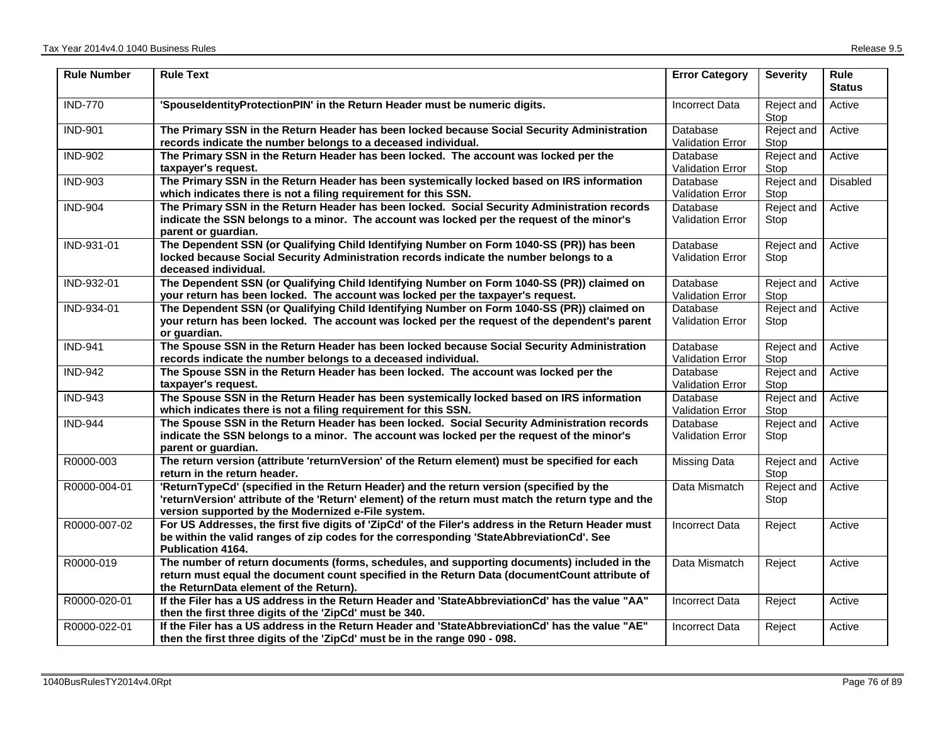| <b>Rule Number</b> | <b>Rule Text</b>                                                                                                                                                                                                                                      | <b>Error Category</b>               | <b>Severity</b>    | <b>Rule</b><br><b>Status</b> |
|--------------------|-------------------------------------------------------------------------------------------------------------------------------------------------------------------------------------------------------------------------------------------------------|-------------------------------------|--------------------|------------------------------|
| <b>IND-770</b>     | 'SpouseldentityProtectionPIN' in the Return Header must be numeric digits.                                                                                                                                                                            | <b>Incorrect Data</b>               | Reject and<br>Stop | Active                       |
| <b>IND-901</b>     | The Primary SSN in the Return Header has been locked because Social Security Administration<br>records indicate the number belongs to a deceased individual.                                                                                          | Database<br><b>Validation Error</b> | Reject and<br>Stop | Active                       |
| <b>IND-902</b>     | The Primary SSN in the Return Header has been locked. The account was locked per the<br>taxpayer's request.                                                                                                                                           | Database<br><b>Validation Error</b> | Reject and<br>Stop | Active                       |
| <b>IND-903</b>     | The Primary SSN in the Return Header has been systemically locked based on IRS information<br>which indicates there is not a filing requirement for this SSN.                                                                                         | Database<br><b>Validation Error</b> | Reject and<br>Stop | Disabled                     |
| <b>IND-904</b>     | The Primary SSN in the Return Header has been locked. Social Security Administration records<br>indicate the SSN belongs to a minor. The account was locked per the request of the minor's<br>parent or guardian.                                     | Database<br><b>Validation Error</b> | Reject and<br>Stop | Active                       |
| IND-931-01         | The Dependent SSN (or Qualifying Child Identifying Number on Form 1040-SS (PR)) has been<br>locked because Social Security Administration records indicate the number belongs to a<br>deceased individual.                                            | Database<br><b>Validation Error</b> | Reject and<br>Stop | Active                       |
| IND-932-01         | The Dependent SSN (or Qualifying Child Identifying Number on Form 1040-SS (PR)) claimed on<br>your return has been locked. The account was locked per the taxpayer's request.                                                                         | Database<br><b>Validation Error</b> | Reject and<br>Stop | Active                       |
| IND-934-01         | The Dependent SSN (or Qualifying Child Identifying Number on Form 1040-SS (PR)) claimed on<br>your return has been locked. The account was locked per the request of the dependent's parent<br>or guardian.                                           | Database<br><b>Validation Error</b> | Reject and<br>Stop | Active                       |
| <b>IND-941</b>     | The Spouse SSN in the Return Header has been locked because Social Security Administration<br>records indicate the number belongs to a deceased individual.                                                                                           | Database<br><b>Validation Error</b> | Reject and<br>Stop | Active                       |
| <b>IND-942</b>     | The Spouse SSN in the Return Header has been locked. The account was locked per the<br>taxpayer's request.                                                                                                                                            | Database<br><b>Validation Error</b> | Reject and<br>Stop | Active                       |
| <b>IND-943</b>     | The Spouse SSN in the Return Header has been systemically locked based on IRS information<br>which indicates there is not a filing requirement for this SSN.                                                                                          | Database<br><b>Validation Error</b> | Reject and<br>Stop | Active                       |
| <b>IND-944</b>     | The Spouse SSN in the Return Header has been locked. Social Security Administration records<br>indicate the SSN belongs to a minor. The account was locked per the request of the minor's<br>parent or guardian.                                      | Database<br><b>Validation Error</b> | Reject and<br>Stop | Active                       |
| R0000-003          | The return version (attribute 'returnVersion' of the Return element) must be specified for each<br>return in the return header.                                                                                                                       | <b>Missing Data</b>                 | Reject and<br>Stop | Active                       |
| R0000-004-01       | 'ReturnTypeCd' (specified in the Return Header) and the return version (specified by the<br>'returnVersion' attribute of the 'Return' element) of the return must match the return type and the<br>version supported by the Modernized e-File system. | Data Mismatch                       | Reject and<br>Stop | Active                       |
| R0000-007-02       | For US Addresses, the first five digits of 'ZipCd' of the Filer's address in the Return Header must<br>be within the valid ranges of zip codes for the corresponding 'StateAbbreviationCd'. See<br>Publication 4164.                                  | <b>Incorrect Data</b>               | Reject             | Active                       |
| R0000-019          | The number of return documents (forms, schedules, and supporting documents) included in the<br>return must equal the document count specified in the Return Data (documentCount attribute of<br>the ReturnData element of the Return).                | Data Mismatch                       | Reject             | Active                       |
| R0000-020-01       | If the Filer has a US address in the Return Header and 'StateAbbreviationCd' has the value "AA"<br>then the first three digits of the 'ZipCd' must be 340.                                                                                            | <b>Incorrect Data</b>               | Reject             | Active                       |
| R0000-022-01       | If the Filer has a US address in the Return Header and 'StateAbbreviationCd' has the value "AE"<br>then the first three digits of the 'ZipCd' must be in the range 090 - 098.                                                                         | <b>Incorrect Data</b>               | Reject             | Active                       |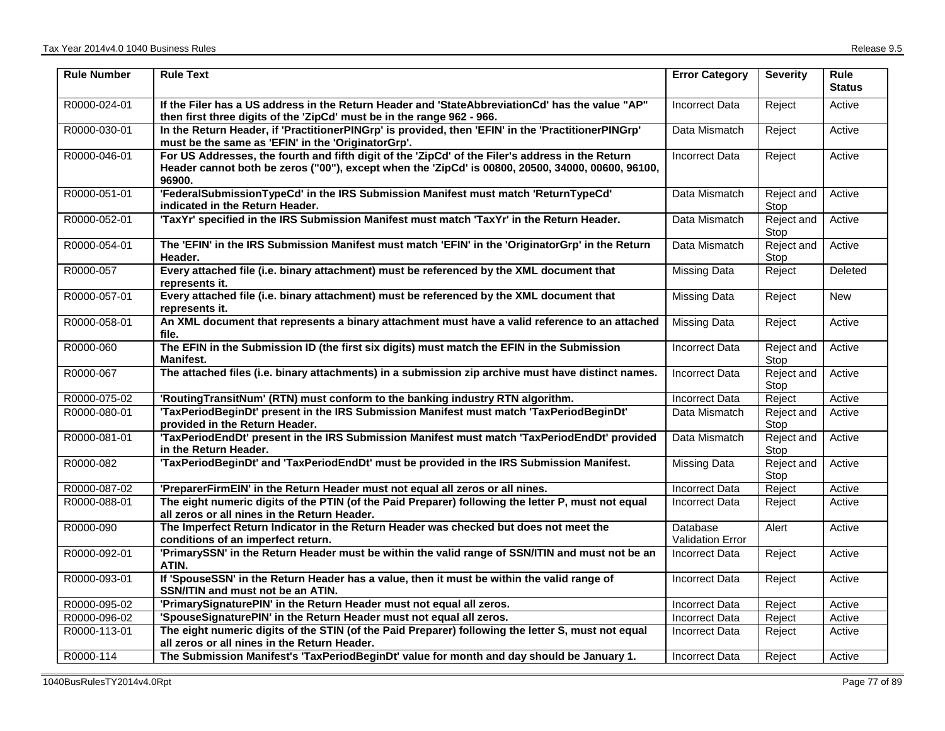| <b>Rule Number</b> | <b>Rule Text</b>                                                                                                                                                                                                | <b>Error Category</b>               | <b>Severity</b>    | <b>Rule</b><br><b>Status</b> |
|--------------------|-----------------------------------------------------------------------------------------------------------------------------------------------------------------------------------------------------------------|-------------------------------------|--------------------|------------------------------|
| R0000-024-01       | If the Filer has a US address in the Return Header and 'StateAbbreviationCd' has the value "AP"<br>then first three digits of the 'ZipCd' must be in the range 962 - 966.                                       | <b>Incorrect Data</b>               | Reject             | Active                       |
| R0000-030-01       | In the Return Header, if 'PractitionerPINGrp' is provided, then 'EFIN' in the 'PractitionerPINGrp'<br>must be the same as 'EFIN' in the 'OriginatorGrp'.                                                        | Data Mismatch                       | Reject             | Active                       |
| R0000-046-01       | For US Addresses, the fourth and fifth digit of the 'ZipCd' of the Filer's address in the Return<br>Header cannot both be zeros ("00"), except when the 'ZipCd' is 00800, 20500, 34000, 00600, 96100,<br>96900. | <b>Incorrect Data</b>               | Reject             | Active                       |
| R0000-051-01       | 'FederalSubmissionTypeCd' in the IRS Submission Manifest must match 'ReturnTypeCd'<br>indicated in the Return Header.                                                                                           | Data Mismatch                       | Reject and<br>Stop | Active                       |
| R0000-052-01       | 'TaxYr' specified in the IRS Submission Manifest must match 'TaxYr' in the Return Header.                                                                                                                       | Data Mismatch                       | Reject and<br>Stop | Active                       |
| R0000-054-01       | The 'EFIN' in the IRS Submission Manifest must match 'EFIN' in the 'OriginatorGrp' in the Return<br>Header.                                                                                                     | Data Mismatch                       | Reject and<br>Stop | Active                       |
| R0000-057          | Every attached file (i.e. binary attachment) must be referenced by the XML document that<br>represents it.                                                                                                      | <b>Missing Data</b>                 | Reject             | Deleted                      |
| R0000-057-01       | Every attached file (i.e. binary attachment) must be referenced by the XML document that<br>represents it.                                                                                                      | <b>Missing Data</b>                 | Reject             | <b>New</b>                   |
| R0000-058-01       | An XML document that represents a binary attachment must have a valid reference to an attached<br>file.                                                                                                         | <b>Missing Data</b>                 | Reject             | Active                       |
| R0000-060          | The EFIN in the Submission ID (the first six digits) must match the EFIN in the Submission<br><b>Manifest.</b>                                                                                                  | <b>Incorrect Data</b>               | Reject and<br>Stop | Active                       |
| R0000-067          | The attached files (i.e. binary attachments) in a submission zip archive must have distinct names.                                                                                                              | <b>Incorrect Data</b>               | Reject and<br>Stop | Active                       |
| R0000-075-02       | 'RoutingTransitNum' (RTN) must conform to the banking industry RTN algorithm.                                                                                                                                   | <b>Incorrect Data</b>               | Reject             | Active                       |
| R0000-080-01       | 'TaxPeriodBeginDt' present in the IRS Submission Manifest must match 'TaxPeriodBeginDt'<br>provided in the Return Header.                                                                                       | Data Mismatch                       | Reject and<br>Stop | Active                       |
| R0000-081-01       | 'TaxPeriodEndDt' present in the IRS Submission Manifest must match 'TaxPeriodEndDt' provided<br>in the Return Header.                                                                                           | Data Mismatch                       | Reject and<br>Stop | Active                       |
| R0000-082          | 'TaxPeriodBeginDt' and 'TaxPeriodEndDt' must be provided in the IRS Submission Manifest.                                                                                                                        | <b>Missing Data</b>                 | Reject and<br>Stop | Active                       |
| R0000-087-02       | 'PreparerFirmEIN' in the Return Header must not equal all zeros or all nines.                                                                                                                                   | <b>Incorrect Data</b>               | Reject             | Active                       |
| R0000-088-01       | The eight numeric digits of the PTIN (of the Paid Preparer) following the letter P, must not equal<br>all zeros or all nines in the Return Header.                                                              | <b>Incorrect Data</b>               | Reject             | Active                       |
| R0000-090          | The Imperfect Return Indicator in the Return Header was checked but does not meet the<br>conditions of an imperfect return.                                                                                     | Database<br><b>Validation Error</b> | Alert              | Active                       |
| R0000-092-01       | 'PrimarySSN' in the Return Header must be within the valid range of SSN/ITIN and must not be an<br>ATIN.                                                                                                        | <b>Incorrect Data</b>               | Reject             | Active                       |
| R0000-093-01       | If 'SpouseSSN' in the Return Header has a value, then it must be within the valid range of<br>SSN/ITIN and must not be an ATIN.                                                                                 | <b>Incorrect Data</b>               | Reject             | Active                       |
| R0000-095-02       | 'PrimarySignaturePIN' in the Return Header must not equal all zeros.                                                                                                                                            | Incorrect Data                      | Reject             | Active                       |
| R0000-096-02       | 'SpouseSignaturePIN' in the Return Header must not equal all zeros.                                                                                                                                             | <b>Incorrect Data</b>               | Reject             | Active                       |
| R0000-113-01       | The eight numeric digits of the STIN (of the Paid Preparer) following the letter S, must not equal<br>all zeros or all nines in the Return Header.                                                              | Incorrect Data                      | Reject             | Active                       |
| R0000-114          | The Submission Manifest's 'TaxPeriodBeginDt' value for month and day should be January 1.                                                                                                                       | <b>Incorrect Data</b>               | Reject             | Active                       |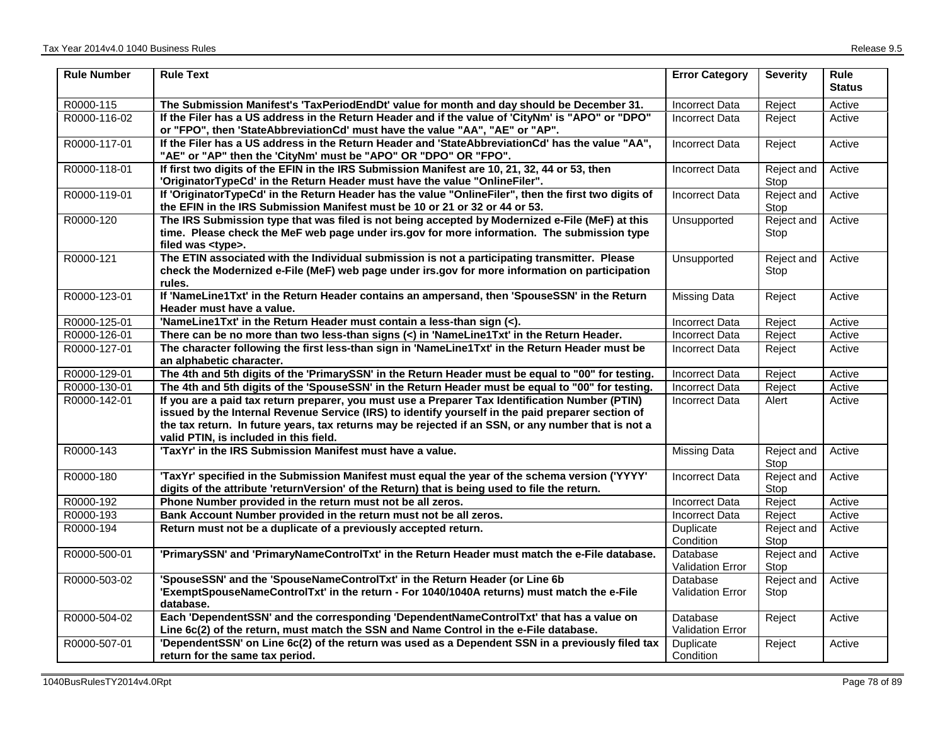| <b>Rule Number</b> | <b>Rule Text</b>                                                                                                                                                                                                                                                                                                                                      | <b>Error Category</b>               | <b>Severity</b>    | <b>Rule</b><br><b>Status</b> |
|--------------------|-------------------------------------------------------------------------------------------------------------------------------------------------------------------------------------------------------------------------------------------------------------------------------------------------------------------------------------------------------|-------------------------------------|--------------------|------------------------------|
| R0000-115          | The Submission Manifest's 'TaxPeriodEndDt' value for month and day should be December 31.                                                                                                                                                                                                                                                             | Incorrect Data                      | Reject             | Active                       |
| R0000-116-02       | If the Filer has a US address in the Return Header and if the value of 'CityNm' is "APO" or "DPO"<br>or "FPO", then 'StateAbbreviationCd' must have the value "AA", "AE" or "AP".                                                                                                                                                                     | Incorrect Data                      | Reject             | Active                       |
| R0000-117-01       | If the Filer has a US address in the Return Header and 'StateAbbreviationCd' has the value "AA",<br>"AE" or "AP" then the 'CityNm' must be "APO" OR "DPO" OR "FPO".                                                                                                                                                                                   | <b>Incorrect Data</b>               | Reject             | Active                       |
| R0000-118-01       | If first two digits of the EFIN in the IRS Submission Manifest are 10, 21, 32, 44 or 53, then<br>'OriginatorTypeCd' in the Return Header must have the value "OnlineFiler".                                                                                                                                                                           | <b>Incorrect Data</b>               | Reject and<br>Stop | Active                       |
| R0000-119-01       | If 'OriginatorTypeCd' in the Return Header has the value "OnlineFiler", then the first two digits of<br>the EFIN in the IRS Submission Manifest must be 10 or 21 or 32 or 44 or 53.                                                                                                                                                                   | <b>Incorrect Data</b>               | Reject and<br>Stop | Active                       |
| R0000-120          | The IRS Submission type that was filed is not being accepted by Modernized e-File (MeF) at this<br>time. Please check the MeF web page under irs.gov for more information. The submission type<br>filed was <type>.</type>                                                                                                                            | Unsupported                         | Reject and<br>Stop | Active                       |
| R0000-121          | The ETIN associated with the Individual submission is not a participating transmitter. Please<br>check the Modernized e-File (MeF) web page under irs.gov for more information on participation<br>rules.                                                                                                                                             | Unsupported                         | Reject and<br>Stop | Active                       |
| R0000-123-01       | If 'NameLine1Txt' in the Return Header contains an ampersand, then 'SpouseSSN' in the Return<br>Header must have a value.                                                                                                                                                                                                                             | <b>Missing Data</b>                 | Reject             | Active                       |
| R0000-125-01       | 'NameLine1Txt' in the Return Header must contain a less-than sign (<).                                                                                                                                                                                                                                                                                | <b>Incorrect Data</b>               | Reject             | Active                       |
| R0000-126-01       | There can be no more than two less-than signs (<) in 'NameLine1Txt' in the Return Header.                                                                                                                                                                                                                                                             | <b>Incorrect Data</b>               | Reject             | Active                       |
| R0000-127-01       | The character following the first less-than sign in 'NameLine1Txt' in the Return Header must be<br>an alphabetic character.                                                                                                                                                                                                                           | <b>Incorrect Data</b>               | Reject             | Active                       |
| R0000-129-01       | The 4th and 5th digits of the 'PrimarySSN' in the Return Header must be equal to "00" for testing.                                                                                                                                                                                                                                                    | <b>Incorrect Data</b>               | Reject             | Active                       |
| R0000-130-01       | The 4th and 5th digits of the 'SpouseSSN' in the Return Header must be equal to "00" for testing.                                                                                                                                                                                                                                                     | <b>Incorrect Data</b>               | Reject             | Active                       |
| R0000-142-01       | If you are a paid tax return preparer, you must use a Preparer Tax Identification Number (PTIN)<br>issued by the Internal Revenue Service (IRS) to identify yourself in the paid preparer section of<br>the tax return. In future years, tax returns may be rejected if an SSN, or any number that is not a<br>valid PTIN, is included in this field. | <b>Incorrect Data</b>               | Alert              | Active                       |
| R0000-143          | 'TaxYr' in the IRS Submission Manifest must have a value.                                                                                                                                                                                                                                                                                             | <b>Missing Data</b>                 | Reject and<br>Stop | Active                       |
| R0000-180          | 'TaxYr' specified in the Submission Manifest must equal the year of the schema version ('YYYY'<br>digits of the attribute 'returnVersion' of the Return) that is being used to file the return.                                                                                                                                                       | <b>Incorrect Data</b>               | Reject and<br>Stop | Active                       |
| R0000-192          | Phone Number provided in the return must not be all zeros.                                                                                                                                                                                                                                                                                            | <b>Incorrect Data</b>               | Reject             | Active                       |
| R0000-193          | Bank Account Number provided in the return must not be all zeros.                                                                                                                                                                                                                                                                                     | <b>Incorrect Data</b>               | Reject             | Active                       |
| R0000-194          | Return must not be a duplicate of a previously accepted return.                                                                                                                                                                                                                                                                                       | Duplicate<br>Condition              | Reject and<br>Stop | Active                       |
| R0000-500-01       | 'PrimarySSN' and 'PrimaryNameControlTxt' in the Return Header must match the e-File database.                                                                                                                                                                                                                                                         | Database<br>Validation Error        | Reject and<br>Stop | Active                       |
| R0000-503-02       | 'SpouseSSN' and the 'SpouseNameControlTxt' in the Return Header (or Line 6b<br>'ExemptSpouseNameControlTxt' in the return - For 1040/1040A returns) must match the e-File<br>database.                                                                                                                                                                | Database<br><b>Validation Error</b> | Reject and<br>Stop | Active                       |
| R0000-504-02       | Each 'DependentSSN' and the corresponding 'DependentNameControlTxt' that has a value on<br>Line 6c(2) of the return, must match the SSN and Name Control in the e-File database.                                                                                                                                                                      | Database<br><b>Validation Error</b> | Reject             | Active                       |
| R0000-507-01       | 'DependentSSN' on Line 6c(2) of the return was used as a Dependent SSN in a previously filed tax<br>return for the same tax period.                                                                                                                                                                                                                   | Duplicate<br>Condition              | Reject             | Active                       |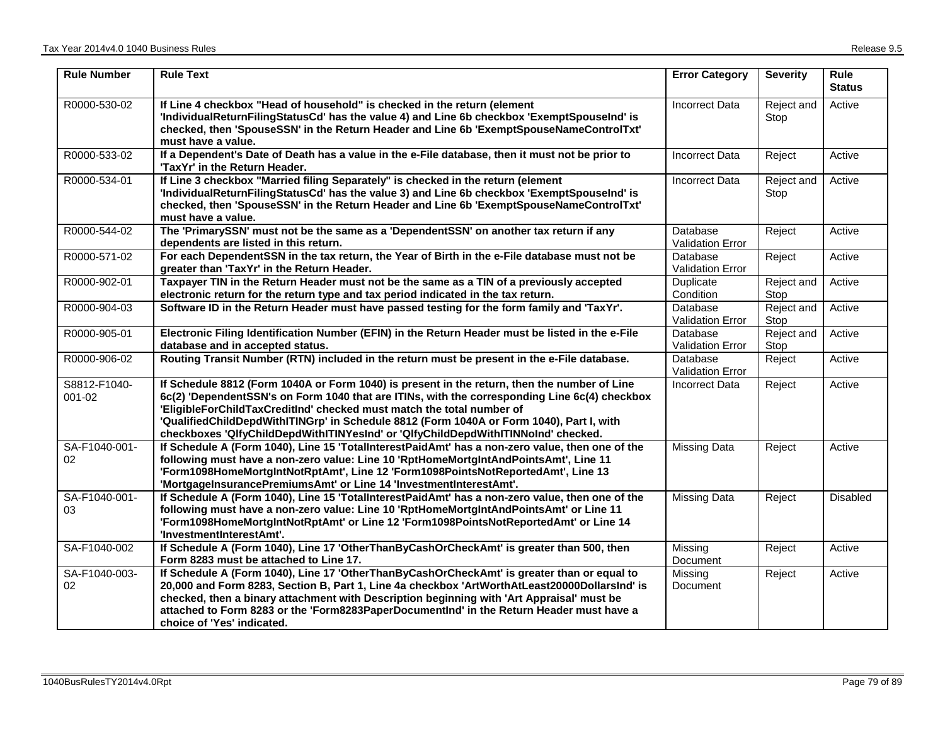| <b>Rule Number</b>         | <b>Rule Text</b>                                                                                                                                                                                                                                                                                                                                                                                                                                        | <b>Error Category</b>               | <b>Severity</b>    | Rule<br><b>Status</b> |
|----------------------------|---------------------------------------------------------------------------------------------------------------------------------------------------------------------------------------------------------------------------------------------------------------------------------------------------------------------------------------------------------------------------------------------------------------------------------------------------------|-------------------------------------|--------------------|-----------------------|
| R0000-530-02               | If Line 4 checkbox "Head of household" is checked in the return (element<br>'IndividualReturnFilingStatusCd' has the value 4) and Line 6b checkbox 'ExemptSpouseInd' is<br>checked, then 'SpouseSSN' in the Return Header and Line 6b 'ExemptSpouseNameControlTxt'<br>must have a value.                                                                                                                                                                | <b>Incorrect Data</b>               | Reject and<br>Stop | Active                |
| R0000-533-02               | If a Dependent's Date of Death has a value in the e-File database, then it must not be prior to<br>'TaxYr' in the Return Header.                                                                                                                                                                                                                                                                                                                        | <b>Incorrect Data</b>               | Reject             | Active                |
| R0000-534-01               | If Line 3 checkbox "Married filing Separately" is checked in the return (element<br>'IndividualReturnFilingStatusCd' has the value 3) and Line 6b checkbox 'ExemptSpouseInd' is<br>checked, then 'SpouseSSN' in the Return Header and Line 6b 'ExemptSpouseNameControlTxt'<br>must have a value.                                                                                                                                                        | <b>Incorrect Data</b>               | Reject and<br>Stop | Active                |
| R0000-544-02               | The 'PrimarySSN' must not be the same as a 'DependentSSN' on another tax return if any<br>dependents are listed in this return.                                                                                                                                                                                                                                                                                                                         | Database<br><b>Validation Error</b> | Reject             | Active                |
| R0000-571-02               | For each DependentSSN in the tax return, the Year of Birth in the e-File database must not be<br>greater than 'TaxYr' in the Return Header.                                                                                                                                                                                                                                                                                                             | Database<br><b>Validation Error</b> | Reject             | Active                |
| R0000-902-01               | Taxpayer TIN in the Return Header must not be the same as a TIN of a previously accepted<br>electronic return for the return type and tax period indicated in the tax return.                                                                                                                                                                                                                                                                           | Duplicate<br>Condition              | Reject and<br>Stop | Active                |
| R0000-904-03               | Software ID in the Return Header must have passed testing for the form family and 'TaxYr'.                                                                                                                                                                                                                                                                                                                                                              | Database<br>Validation Error        | Reject and<br>Stop | Active                |
| R0000-905-01               | Electronic Filing Identification Number (EFIN) in the Return Header must be listed in the e-File<br>database and in accepted status.                                                                                                                                                                                                                                                                                                                    | Database<br><b>Validation Error</b> | Reject and<br>Stop | Active                |
| R0000-906-02               | Routing Transit Number (RTN) included in the return must be present in the e-File database.                                                                                                                                                                                                                                                                                                                                                             | Database<br><b>Validation Error</b> | Reject             | Active                |
| S8812-F1040-<br>$001 - 02$ | If Schedule 8812 (Form 1040A or Form 1040) is present in the return, then the number of Line<br>6c(2) 'DependentSSN's on Form 1040 that are ITINs, with the corresponding Line 6c(4) checkbox<br>'EligibleForChildTaxCreditInd' checked must match the total number of<br>'QualifiedChildDepdWithITINGrp' in Schedule 8812 (Form 1040A or Form 1040), Part I, with<br>checkboxes 'QlfyChildDepdWithITINYesInd' or 'QlfyChildDepdWithITINNoInd' checked. | <b>Incorrect Data</b>               | Reject             | Active                |
| SA-F1040-001-<br>$02\,$    | If Schedule A (Form 1040), Line 15 'TotalInterestPaidAmt' has a non-zero value, then one of the<br>following must have a non-zero value: Line 10 'RptHomeMortgIntAndPointsAmt', Line 11<br>'Form1098HomeMortgIntNotRptAmt', Line 12 'Form1098PointsNotReportedAmt', Line 13<br>'MortgageInsurancePremiumsAmt' or Line 14 'InvestmentInterestAmt'.                                                                                                       | Missing Data                        | Reject             | Active                |
| SA-F1040-001-<br>03        | If Schedule A (Form 1040), Line 15 'TotalInterestPaidAmt' has a non-zero value, then one of the<br>following must have a non-zero value: Line 10 'RptHomeMortgIntAndPointsAmt' or Line 11<br>'Form1098HomeMortgIntNotRptAmt' or Line 12 'Form1098PointsNotReportedAmt' or Line 14<br>'InvestmentInterestAmt'.                                                                                                                                           | <b>Missing Data</b>                 | Reject             | Disabled              |
| SA-F1040-002               | If Schedule A (Form 1040), Line 17 'OtherThanByCashOrCheckAmt' is greater than 500, then<br>Form 8283 must be attached to Line 17.                                                                                                                                                                                                                                                                                                                      | Missing<br>Document                 | Reject             | Active                |
| SA-F1040-003-<br>02        | If Schedule A (Form 1040), Line 17 'OtherThanByCashOrCheckAmt' is greater than or equal to<br>20,000 and Form 8283, Section B, Part 1, Line 4a checkbox 'ArtWorthAtLeast20000DollarsInd' is<br>checked, then a binary attachment with Description beginning with 'Art Appraisal' must be<br>attached to Form 8283 or the 'Form8283PaperDocumentInd' in the Return Header must have a<br>choice of 'Yes' indicated.                                      | Missing<br><b>Document</b>          | Reject             | Active                |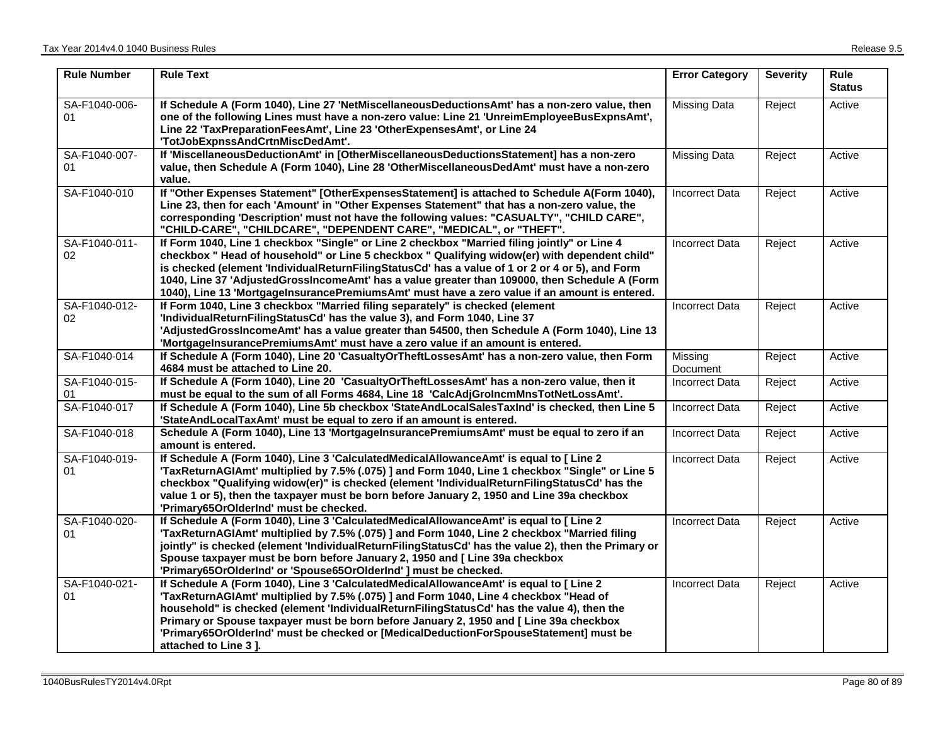| <b>Rule Number</b>  | <b>Rule Text</b>                                                                                                                                                                                                                                                                                                                                                                                                                                                                                   | <b>Error Category</b> | <b>Severity</b> | Rule<br><b>Status</b> |
|---------------------|----------------------------------------------------------------------------------------------------------------------------------------------------------------------------------------------------------------------------------------------------------------------------------------------------------------------------------------------------------------------------------------------------------------------------------------------------------------------------------------------------|-----------------------|-----------------|-----------------------|
| SA-F1040-006-<br>01 | If Schedule A (Form 1040), Line 27 'NetMiscellaneousDeductionsAmt' has a non-zero value, then<br>one of the following Lines must have a non-zero value: Line 21 'UnreimEmployeeBusExpnsAmt',<br>Line 22 'TaxPreparationFeesAmt', Line 23 'OtherExpensesAmt', or Line 24<br>'TotJobExpnssAndCrtnMiscDedAmt'.                                                                                                                                                                                        | Missing Data          | Reject          | Active                |
| SA-F1040-007-<br>01 | If 'MiscellaneousDeductionAmt' in [OtherMiscellaneousDeductionsStatement] has a non-zero<br>value, then Schedule A (Form 1040), Line 28 'OtherMiscellaneousDedAmt' must have a non-zero<br>value.                                                                                                                                                                                                                                                                                                  | Missing Data          | Reject          | Active                |
| SA-F1040-010        | If "Other Expenses Statement" [OtherExpensesStatement] is attached to Schedule A(Form 1040),<br>Line 23, then for each 'Amount' in "Other Expenses Statement" that has a non-zero value, the<br>corresponding 'Description' must not have the following values: "CASUALTY", "CHILD CARE",<br>"CHILD-CARE", "CHILDCARE", "DEPENDENT CARE", "MEDICAL", or "THEFT".                                                                                                                                   | <b>Incorrect Data</b> | Reject          | Active                |
| SA-F1040-011-<br>02 | If Form 1040, Line 1 checkbox "Single" or Line 2 checkbox "Married filing jointly" or Line 4<br>checkbox " Head of household" or Line 5 checkbox " Qualifying widow(er) with dependent child"<br>is checked (element 'IndividualReturnFilingStatusCd' has a value of 1 or 2 or 4 or 5), and Form<br>1040, Line 37 'AdjustedGrossIncomeAmt' has a value greater than 109000, then Schedule A (Form<br>1040), Line 13 'MortgageInsurancePremiumsAmt' must have a zero value if an amount is entered. | <b>Incorrect Data</b> | Reject          | Active                |
| SA-F1040-012-<br>02 | If Form 1040, Line 3 checkbox "Married filing separately" is checked (element<br>'IndividualReturnFilingStatusCd' has the value 3), and Form 1040, Line 37<br>'AdjustedGrossIncomeAmt' has a value greater than 54500, then Schedule A (Form 1040), Line 13<br>'MortgageInsurancePremiumsAmt' must have a zero value if an amount is entered.                                                                                                                                                      | <b>Incorrect Data</b> | Reject          | Active                |
| SA-F1040-014        | If Schedule A (Form 1040), Line 20 'CasualtyOrTheftLossesAmt' has a non-zero value, then Form<br>4684 must be attached to Line 20.                                                                                                                                                                                                                                                                                                                                                                 | Missing<br>Document   | Reject          | Active                |
| SA-F1040-015-<br>01 | If Schedule A (Form 1040), Line 20 'CasualtyOrTheftLossesAmt' has a non-zero value, then it<br>must be equal to the sum of all Forms 4684, Line 18 'CalcAdjGrolncmMnsTotNetLossAmt'.                                                                                                                                                                                                                                                                                                               | <b>Incorrect Data</b> | Reject          | Active                |
| SA-F1040-017        | If Schedule A (Form 1040), Line 5b checkbox 'StateAndLocalSalesTaxInd' is checked, then Line 5<br>'StateAndLocalTaxAmt' must be equal to zero if an amount is entered.                                                                                                                                                                                                                                                                                                                             | <b>Incorrect Data</b> | Reject          | Active                |
| SA-F1040-018        | Schedule A (Form 1040), Line 13 'MortgageInsurancePremiumsAmt' must be equal to zero if an<br>amount is entered.                                                                                                                                                                                                                                                                                                                                                                                   | <b>Incorrect Data</b> | Reject          | Active                |
| SA-F1040-019-<br>01 | If Schedule A (Form 1040), Line 3 'CalculatedMedicalAllowanceAmt' is equal to [ Line 2<br>'TaxReturnAGIAmt' multiplied by 7.5% (.075) ] and Form 1040, Line 1 checkbox "Single" or Line 5<br>checkbox "Qualifying widow(er)" is checked (element 'IndividualReturnFilingStatusCd' has the<br>value 1 or 5), then the taxpayer must be born before January 2, 1950 and Line 39a checkbox<br>'Primary65OrOlderInd' must be checked.                                                                  | <b>Incorrect Data</b> | Reject          | Active                |
| SA-F1040-020-<br>01 | If Schedule A (Form 1040), Line 3 'CalculatedMedicalAllowanceAmt' is equal to [ Line 2<br>'TaxReturnAGIAmt' multiplied by 7.5% (.075) ] and Form 1040, Line 2 checkbox "Married filing<br>jointly" is checked (element 'IndividualReturnFilingStatusCd' has the value 2), then the Primary or<br>Spouse taxpayer must be born before January 2, 1950 and [ Line 39a checkbox<br>'Primary65OrOlderInd' or 'Spouse65OrOlderInd' ] must be checked.                                                   | <b>Incorrect Data</b> | Reject          | Active                |
| SA-F1040-021-<br>01 | If Schedule A (Form 1040), Line 3 'CalculatedMedicalAllowanceAmt' is equal to [ Line 2<br>'TaxReturnAGIAmt' multiplied by 7.5% (.075) ] and Form 1040, Line 4 checkbox "Head of<br>household" is checked (element 'IndividualReturnFilingStatusCd' has the value 4), then the<br>Primary or Spouse taxpayer must be born before January 2, 1950 and [Line 39a checkbox<br>'Primary65OrOlderInd' must be checked or [MedicalDeductionForSpouseStatement] must be<br>attached to Line 3].            | <b>Incorrect Data</b> | Reject          | Active                |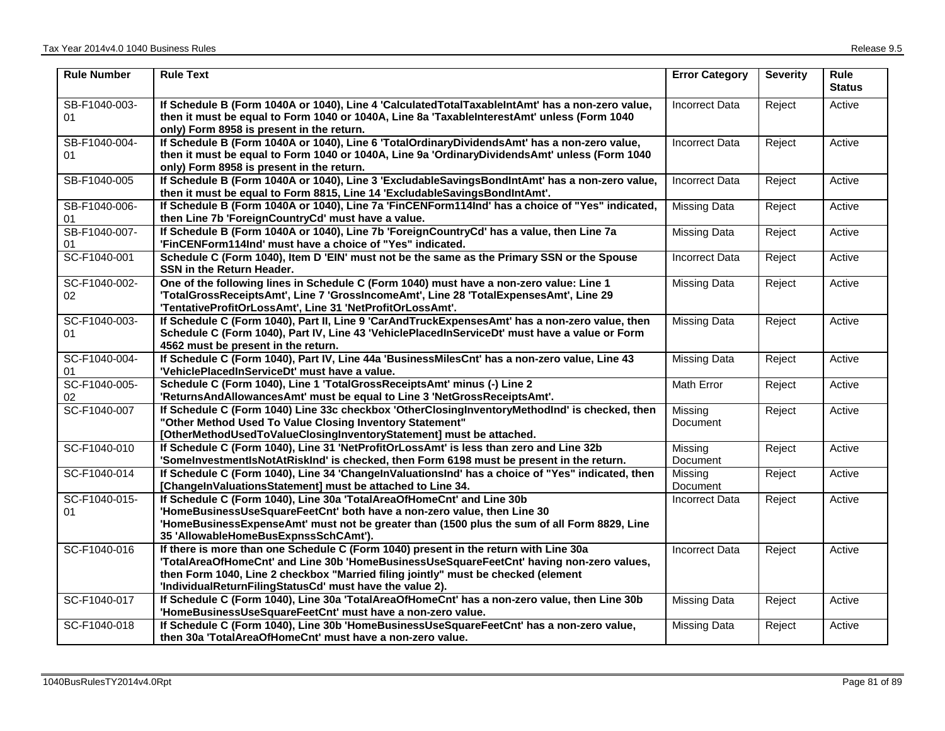| <b>Rule Number</b>  | <b>Rule Text</b>                                                                                                                                                                                                                                                                                                                  | <b>Error Category</b>      | <b>Severity</b> | Rule<br><b>Status</b> |
|---------------------|-----------------------------------------------------------------------------------------------------------------------------------------------------------------------------------------------------------------------------------------------------------------------------------------------------------------------------------|----------------------------|-----------------|-----------------------|
| SB-F1040-003-<br>01 | If Schedule B (Form 1040A or 1040), Line 4 'CalculatedTotalTaxableIntAmt' has a non-zero value,<br>then it must be equal to Form 1040 or 1040A, Line 8a 'TaxableInterestAmt' unless (Form 1040<br>only) Form 8958 is present in the return.                                                                                       | <b>Incorrect Data</b>      | Reject          | Active                |
| SB-F1040-004-<br>01 | If Schedule B (Form 1040A or 1040), Line 6 'TotalOrdinaryDividendsAmt' has a non-zero value,<br>then it must be equal to Form 1040 or 1040A, Line 9a 'OrdinaryDividendsAmt' unless (Form 1040<br>only) Form 8958 is present in the return.                                                                                        | <b>Incorrect Data</b>      | Reject          | Active                |
| SB-F1040-005        | If Schedule B (Form 1040A or 1040), Line 3 'ExcludableSavingsBondIntAmt' has a non-zero value,<br>then it must be equal to Form 8815, Line 14 'ExcludableSavingsBondIntAmt'.                                                                                                                                                      | <b>Incorrect Data</b>      | Reject          | Active                |
| SB-F1040-006-<br>01 | If Schedule B (Form 1040A or 1040), Line 7a 'FinCENForm114Ind' has a choice of "Yes" indicated,<br>then Line 7b 'ForeignCountryCd' must have a value.                                                                                                                                                                             | <b>Missing Data</b>        | Reject          | Active                |
| SB-F1040-007-<br>01 | If Schedule B (Form 1040A or 1040), Line 7b 'ForeignCountryCd' has a value, then Line 7a<br>'FinCENForm114Ind' must have a choice of "Yes" indicated.                                                                                                                                                                             | <b>Missing Data</b>        | Reject          | Active                |
| SC-F1040-001        | Schedule C (Form 1040), Item D 'EIN' must not be the same as the Primary SSN or the Spouse<br>SSN in the Return Header.                                                                                                                                                                                                           | <b>Incorrect Data</b>      | Reject          | Active                |
| SC-F1040-002-<br>02 | One of the following lines in Schedule C (Form 1040) must have a non-zero value: Line 1<br>'TotalGrossReceiptsAmt', Line 7 'GrossIncomeAmt', Line 28 'TotalExpensesAmt', Line 29<br>'TentativeProfitOrLossAmt', Line 31 'NetProfitOrLossAmt'.                                                                                     | <b>Missing Data</b>        | Reject          | Active                |
| SC-F1040-003-<br>01 | If Schedule C (Form 1040), Part II, Line 9 'CarAndTruckExpensesAmt' has a non-zero value, then<br>Schedule C (Form 1040), Part IV, Line 43 'VehiclePlacedInServiceDt' must have a value or Form<br>4562 must be present in the return.                                                                                            | <b>Missing Data</b>        | Reject          | Active                |
| SC-F1040-004-<br>01 | If Schedule C (Form 1040), Part IV, Line 44a 'BusinessMilesCnt' has a non-zero value, Line 43<br>'VehiclePlacedInServiceDt' must have a value.                                                                                                                                                                                    | <b>Missing Data</b>        | Reject          | Active                |
| SC-F1040-005-<br>02 | Schedule C (Form 1040), Line 1 'TotalGrossReceiptsAmt' minus (-) Line 2<br>'ReturnsAndAllowancesAmt' must be equal to Line 3 'NetGrossReceiptsAmt'.                                                                                                                                                                               | Math Error                 | Reject          | Active                |
| SC-F1040-007        | If Schedule C (Form 1040) Line 33c checkbox 'OtherClosingInventoryMethodInd' is checked, then<br>"Other Method Used To Value Closing Inventory Statement"<br>[OtherMethodUsedToValueClosingInventoryStatement] must be attached.                                                                                                  | Missing<br><b>Document</b> | Reject          | Active                |
| SC-F1040-010        | If Schedule C (Form 1040), Line 31 'NetProfitOrLossAmt' is less than zero and Line 32b<br>'SomelnvestmentIsNotAtRiskInd' is checked, then Form 6198 must be present in the return.                                                                                                                                                | Missing<br>Document        | Reject          | Active                |
| SC-F1040-014        | If Schedule C (Form 1040), Line 34 'ChangelnValuationsInd' has a choice of "Yes" indicated, then<br>[ChangelnValuationsStatement] must be attached to Line 34.                                                                                                                                                                    | Missing<br>Document        | Reject          | Active                |
| SC-F1040-015-<br>01 | If Schedule C (Form 1040), Line 30a 'TotalAreaOfHomeCnt' and Line 30b<br>'HomeBusinessUseSquareFeetCnt' both have a non-zero value, then Line 30<br>'HomeBusinessExpenseAmt' must not be greater than (1500 plus the sum of all Form 8829, Line<br>35 'AllowableHomeBusExpnssSchCAmt').                                           | <b>Incorrect Data</b>      | Reject          | Active                |
| SC-F1040-016        | If there is more than one Schedule C (Form 1040) present in the return with Line 30a<br>'TotalAreaOfHomeCnt' and Line 30b 'HomeBusinessUseSquareFeetCnt' having non-zero values,<br>then Form 1040, Line 2 checkbox "Married filing jointly" must be checked (element<br>'IndividualReturnFilingStatusCd' must have the value 2). | <b>Incorrect Data</b>      | Reject          | Active                |
| SC-F1040-017        | If Schedule C (Form 1040), Line 30a 'TotalAreaOfHomeCnt' has a non-zero value, then Line 30b<br>'HomeBusinessUseSquareFeetCnt' must have a non-zero value.                                                                                                                                                                        | <b>Missing Data</b>        | Reject          | Active                |
| SC-F1040-018        | If Schedule C (Form 1040), Line 30b 'HomeBusinessUseSquareFeetCnt' has a non-zero value,<br>then 30a 'TotalAreaOfHomeCnt' must have a non-zero value.                                                                                                                                                                             | <b>Missing Data</b>        | Reject          | Active                |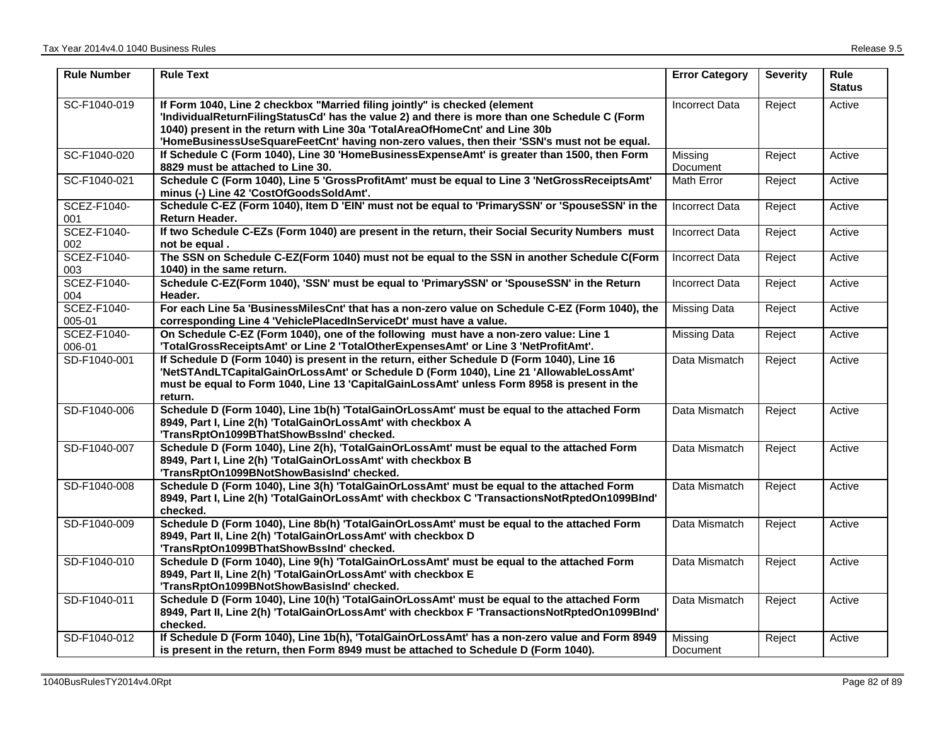| <b>Rule Number</b>    | <b>Rule Text</b>                                                                                                                                                                                                                                                                                                                                          | <b>Error Category</b> | <b>Severity</b> | Rule<br><b>Status</b> |
|-----------------------|-----------------------------------------------------------------------------------------------------------------------------------------------------------------------------------------------------------------------------------------------------------------------------------------------------------------------------------------------------------|-----------------------|-----------------|-----------------------|
| SC-F1040-019          | If Form 1040, Line 2 checkbox "Married filing jointly" is checked (element<br>'IndividualReturnFilingStatusCd' has the value 2) and there is more than one Schedule C (Form<br>1040) present in the return with Line 30a 'TotalAreaOfHomeCnt' and Line 30b<br>'HomeBusinessUseSquareFeetCnt' having non-zero values, then their 'SSN's must not be equal. | <b>Incorrect Data</b> | Reject          | Active                |
| SC-F1040-020          | If Schedule C (Form 1040), Line 30 'HomeBusinessExpenseAmt' is greater than 1500, then Form<br>8829 must be attached to Line 30.                                                                                                                                                                                                                          | Missing<br>Document   | Reject          | Active                |
| SC-F1040-021          | Schedule C (Form 1040), Line 5 'GrossProfitAmt' must be equal to Line 3 'NetGrossReceiptsAmt'<br>minus (-) Line 42 'CostOfGoodsSoldAmt'.                                                                                                                                                                                                                  | Math Error            | Reject          | Active                |
| SCEZ-F1040-<br>001    | Schedule C-EZ (Form 1040), Item D 'EIN' must not be equal to 'PrimarySSN' or 'SpouseSSN' in the<br><b>Return Header.</b>                                                                                                                                                                                                                                  | <b>Incorrect Data</b> | Reject          | Active                |
| SCEZ-F1040-<br>002    | If two Schedule C-EZs (Form 1040) are present in the return, their Social Security Numbers must<br>not be equal.                                                                                                                                                                                                                                          | <b>Incorrect Data</b> | Reject          | Active                |
| SCEZ-F1040-<br>003    | The SSN on Schedule C-EZ(Form 1040) must not be equal to the SSN in another Schedule C(Form<br>1040) in the same return.                                                                                                                                                                                                                                  | <b>Incorrect Data</b> | Reject          | Active                |
| SCEZ-F1040-<br>004    | Schedule C-EZ(Form 1040), 'SSN' must be equal to 'PrimarySSN' or 'SpouseSSN' in the Return<br>Header.                                                                                                                                                                                                                                                     | <b>Incorrect Data</b> | Reject          | Active                |
| SCEZ-F1040-<br>005-01 | For each Line 5a 'BusinessMilesCnt' that has a non-zero value on Schedule C-EZ (Form 1040), the<br>corresponding Line 4 'VehiclePlacedInServiceDt' must have a value.                                                                                                                                                                                     | <b>Missing Data</b>   | Reject          | Active                |
| SCEZ-F1040-<br>006-01 | On Schedule C-EZ (Form 1040), one of the following must have a non-zero value: Line 1<br>'TotalGrossReceiptsAmt' or Line 2 'TotalOtherExpensesAmt' or Line 3 'NetProfitAmt'.                                                                                                                                                                              | <b>Missing Data</b>   | Reject          | Active                |
| SD-F1040-001          | If Schedule D (Form 1040) is present in the return, either Schedule D (Form 1040), Line 16<br>'NetSTAndLTCapitalGainOrLossAmt' or Schedule D (Form 1040), Line 21 'AllowableLossAmt'<br>must be equal to Form 1040, Line 13 'CapitalGainLossAmt' unless Form 8958 is present in the<br>return.                                                            | Data Mismatch         | Reject          | Active                |
| SD-F1040-006          | Schedule D (Form 1040), Line 1b(h) 'TotalGainOrLossAmt' must be equal to the attached Form<br>8949, Part I, Line 2(h) 'TotalGainOrLossAmt' with checkbox A<br>'TransRptOn1099BThatShowBssInd' checked.                                                                                                                                                    | Data Mismatch         | Reject          | Active                |
| SD-F1040-007          | Schedule D (Form 1040), Line 2(h), 'TotalGainOrLossAmt' must be equal to the attached Form<br>8949, Part I, Line 2(h) 'TotalGainOrLossAmt' with checkbox B<br>'TransRptOn1099BNotShowBasisInd' checked.                                                                                                                                                   | Data Mismatch         | Reject          | Active                |
| SD-F1040-008          | Schedule D (Form 1040), Line 3(h) 'TotalGainOrLossAmt' must be equal to the attached Form<br>8949, Part I, Line 2(h) 'TotalGainOrLossAmt' with checkbox C 'TransactionsNotRptedOn1099BInd'<br>checked.                                                                                                                                                    | Data Mismatch         | Reject          | Active                |
| SD-F1040-009          | Schedule D (Form 1040), Line 8b(h) 'TotalGainOrLossAmt' must be equal to the attached Form<br>8949, Part II, Line 2(h) 'TotalGainOrLossAmt' with checkbox D<br>'TransRptOn1099BThatShowBssInd' checked.                                                                                                                                                   | Data Mismatch         | Reject          | Active                |
| SD-F1040-010          | Schedule D (Form 1040), Line 9(h) 'TotalGainOrLossAmt' must be equal to the attached Form<br>8949, Part II, Line 2(h) 'TotalGainOrLossAmt' with checkbox E<br>'TransRptOn1099BNotShowBasisInd' checked.                                                                                                                                                   | Data Mismatch         | Reject          | Active                |
| SD-F1040-011          | Schedule D (Form 1040), Line 10(h) 'TotalGainOrLossAmt' must be equal to the attached Form<br>8949, Part II, Line 2(h) 'TotalGainOrLossAmt' with checkbox F 'TransactionsNotRptedOn1099BInd'<br>checked.                                                                                                                                                  | Data Mismatch         | Reject          | Active                |
| SD-F1040-012          | If Schedule D (Form 1040), Line 1b(h), 'TotalGainOrLossAmt' has a non-zero value and Form 8949<br>is present in the return, then Form 8949 must be attached to Schedule D (Form 1040).                                                                                                                                                                    | Missing<br>Document   | Reject          | Active                |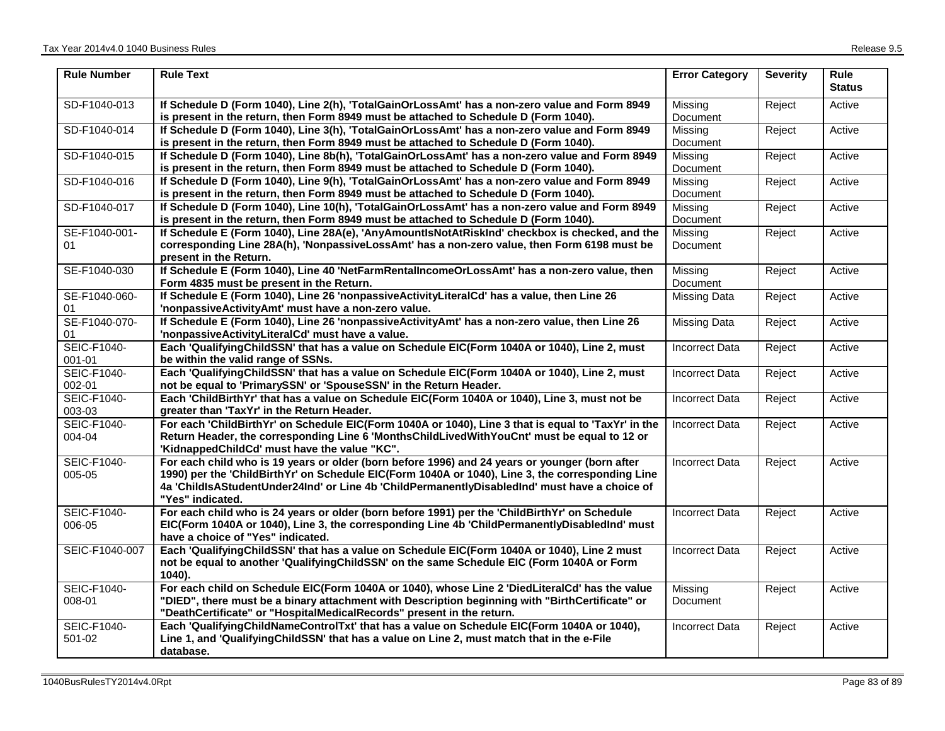| <b>Rule Number</b>           | <b>Rule Text</b>                                                                                                                                                                                                                                                                                                        | <b>Error Category</b> | <b>Severity</b> | <b>Rule</b><br><b>Status</b> |
|------------------------------|-------------------------------------------------------------------------------------------------------------------------------------------------------------------------------------------------------------------------------------------------------------------------------------------------------------------------|-----------------------|-----------------|------------------------------|
| SD-F1040-013                 | If Schedule D (Form 1040), Line 2(h), 'TotalGainOrLossAmt' has a non-zero value and Form 8949<br>is present in the return, then Form 8949 must be attached to Schedule D (Form 1040).                                                                                                                                   | Missing<br>Document   | Reject          | Active                       |
| SD-F1040-014                 | If Schedule D (Form 1040), Line 3(h), 'TotalGainOrLossAmt' has a non-zero value and Form 8949<br>is present in the return, then Form 8949 must be attached to Schedule D (Form 1040).                                                                                                                                   | Missing<br>Document   | Reject          | Active                       |
| SD-F1040-015                 | If Schedule D (Form 1040), Line 8b(h), 'TotalGainOrLossAmt' has a non-zero value and Form 8949<br>is present in the return, then Form 8949 must be attached to Schedule D (Form 1040).                                                                                                                                  | Missing<br>Document   | Reject          | Active                       |
| SD-F1040-016                 | If Schedule D (Form 1040), Line 9(h), 'TotalGainOrLossAmt' has a non-zero value and Form 8949<br>is present in the return, then Form 8949 must be attached to Schedule D (Form 1040).                                                                                                                                   | Missing<br>Document   | Reject          | Active                       |
| SD-F1040-017                 | If Schedule D (Form 1040), Line 10(h), 'TotalGainOrLossAmt' has a non-zero value and Form 8949<br>is present in the return, then Form 8949 must be attached to Schedule D (Form 1040).                                                                                                                                  | Missing<br>Document   | Reject          | Active                       |
| SE-F1040-001-<br>01          | If Schedule E (Form 1040), Line 28A(e), 'AnyAmountIsNotAtRiskInd' checkbox is checked, and the<br>corresponding Line 28A(h), 'NonpassiveLossAmt' has a non-zero value, then Form 6198 must be<br>present in the Return.                                                                                                 | Missing<br>Document   | Reject          | Active                       |
| SE-F1040-030                 | If Schedule E (Form 1040), Line 40 'NetFarmRentalIncomeOrLossAmt' has a non-zero value, then<br>Form 4835 must be present in the Return.                                                                                                                                                                                | Missing<br>Document   | Reject          | Active                       |
| SE-F1040-060-<br>01          | If Schedule E (Form 1040), Line 26 'nonpassive Activity Literal Cd' has a value, then Line 26<br>'nonpassiveActivityAmt' must have a non-zero value.                                                                                                                                                                    | <b>Missing Data</b>   | Reject          | Active                       |
| SE-F1040-070-<br>01          | If Schedule E (Form 1040), Line 26 'nonpassive Activity Amt' has a non-zero value, then Line 26<br>'nonpassiveActivityLiteralCd' must have a value.                                                                                                                                                                     | Missing Data          | Reject          | Active                       |
| <b>SEIC-F1040-</b><br>001-01 | Each 'QualifyingChildSSN' that has a value on Schedule EIC(Form 1040A or 1040), Line 2, must<br>be within the valid range of SSNs.                                                                                                                                                                                      | <b>Incorrect Data</b> | Reject          | Active                       |
| <b>SEIC-F1040-</b><br>002-01 | Each 'QualifyingChildSSN' that has a value on Schedule EIC(Form 1040A or 1040), Line 2, must<br>not be equal to 'PrimarySSN' or 'SpouseSSN' in the Return Header.                                                                                                                                                       | <b>Incorrect Data</b> | Reject          | Active                       |
| SEIC-F1040-<br>003-03        | Each 'ChildBirthYr' that has a value on Schedule EIC(Form 1040A or 1040), Line 3, must not be<br>greater than 'TaxYr' in the Return Header.                                                                                                                                                                             | <b>Incorrect Data</b> | Reject          | Active                       |
| <b>SEIC-F1040-</b><br>004-04 | For each 'ChildBirthYr' on Schedule EIC(Form 1040A or 1040), Line 3 that is equal to 'TaxYr' in the<br>Return Header, the corresponding Line 6 'MonthsChildLivedWithYouCnt' must be equal to 12 or<br>'KidnappedChildCd' must have the value "KC".                                                                      | <b>Incorrect Data</b> | Reject          | Active                       |
| SEIC-F1040-<br>005-05        | For each child who is 19 years or older (born before 1996) and 24 years or younger (born after<br>1990) per the 'ChildBirthYr' on Schedule EIC(Form 1040A or 1040), Line 3, the corresponding Line<br>4a 'ChildlsAStudentUnder24Ind' or Line 4b 'ChildPermanentlyDisabledInd' must have a choice of<br>"Yes" indicated. | <b>Incorrect Data</b> | Reject          | Active                       |
| <b>SEIC-F1040-</b><br>006-05 | For each child who is 24 years or older (born before 1991) per the 'ChildBirthYr' on Schedule<br>EIC(Form 1040A or 1040), Line 3, the corresponding Line 4b 'ChildPermanentlyDisabledInd' must<br>have a choice of "Yes" indicated.                                                                                     | <b>Incorrect Data</b> | Reject          | Active                       |
| SEIC-F1040-007               | Each 'QualifyingChildSSN' that has a value on Schedule EIC(Form 1040A or 1040), Line 2 must<br>not be equal to another 'QualifyingChildSSN' on the same Schedule EIC (Form 1040A or Form<br>1040).                                                                                                                      | <b>Incorrect Data</b> | Reject          | Active                       |
| SEIC-F1040-<br>008-01        | For each child on Schedule EIC(Form 1040A or 1040), whose Line 2 'DiedLiteralCd' has the value<br>"DIED", there must be a binary attachment with Description beginning with "BirthCertificate" or<br>"DeathCertificate" or "HospitalMedicalRecords" present in the return.                                              | Missing<br>Document   | Reject          | Active                       |
| <b>SEIC-F1040-</b><br>501-02 | Each 'QualifyingChildNameControlTxt' that has a value on Schedule EIC(Form 1040A or 1040),<br>Line 1, and 'QualifyingChildSSN' that has a value on Line 2, must match that in the e-File<br>database.                                                                                                                   | <b>Incorrect Data</b> | Reject          | Active                       |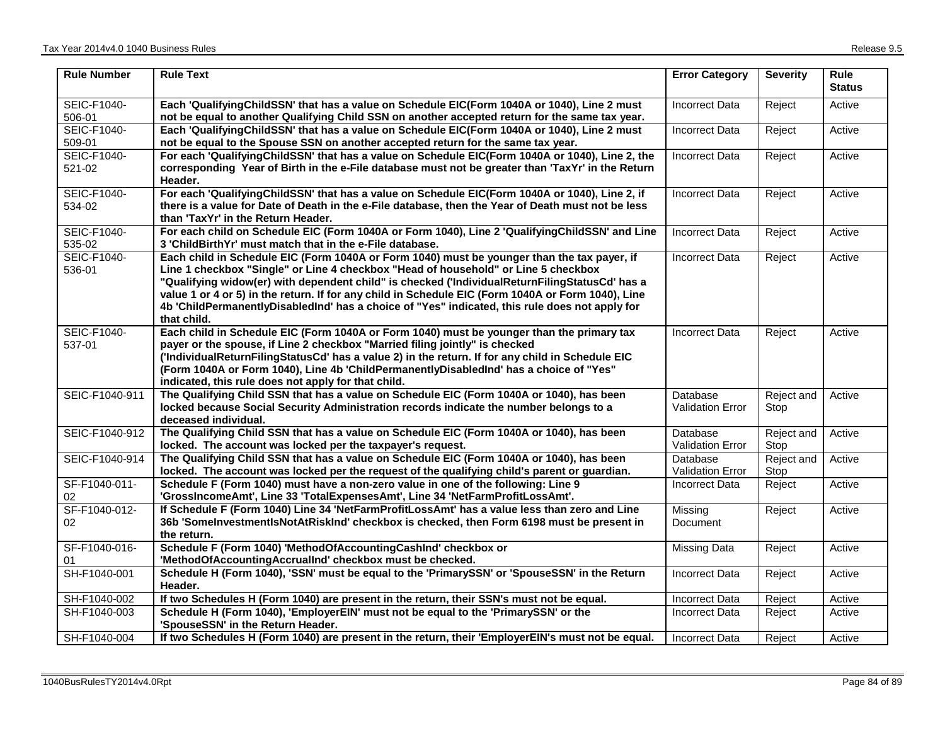| <b>Rule Number</b>           | <b>Rule Text</b>                                                                                                                                                                                                                                                                                                                                                                                                                                                                                           | <b>Error Category</b>               | <b>Severity</b>    | <b>Rule</b><br><b>Status</b> |
|------------------------------|------------------------------------------------------------------------------------------------------------------------------------------------------------------------------------------------------------------------------------------------------------------------------------------------------------------------------------------------------------------------------------------------------------------------------------------------------------------------------------------------------------|-------------------------------------|--------------------|------------------------------|
| SEIC-F1040-<br>506-01        | Each 'QualifyingChildSSN' that has a value on Schedule EIC(Form 1040A or 1040), Line 2 must<br>not be equal to another Qualifying Child SSN on another accepted return for the same tax year.                                                                                                                                                                                                                                                                                                              | <b>Incorrect Data</b>               | Reject             | Active                       |
| SEIC-F1040-<br>509-01        | Each 'QualifyingChildSSN' that has a value on Schedule EIC(Form 1040A or 1040), Line 2 must<br>not be equal to the Spouse SSN on another accepted return for the same tax year.                                                                                                                                                                                                                                                                                                                            | <b>Incorrect Data</b>               | Reject             | Active                       |
| <b>SEIC-F1040-</b><br>521-02 | For each 'QualifyingChildSSN' that has a value on Schedule EIC(Form 1040A or 1040), Line 2, the<br>corresponding Year of Birth in the e-File database must not be greater than 'TaxYr' in the Return<br>Header.                                                                                                                                                                                                                                                                                            | <b>Incorrect Data</b>               | Reject             | Active                       |
| <b>SEIC-F1040-</b><br>534-02 | For each 'QualifyingChildSSN' that has a value on Schedule EIC(Form 1040A or 1040), Line 2, if<br>there is a value for Date of Death in the e-File database, then the Year of Death must not be less<br>than 'TaxYr' in the Return Header.                                                                                                                                                                                                                                                                 | <b>Incorrect Data</b>               | Reject             | Active                       |
| SEIC-F1040-<br>535-02        | For each child on Schedule EIC (Form 1040A or Form 1040), Line 2 'QualifyingChildSSN' and Line<br>3 'ChildBirthYr' must match that in the e-File database.                                                                                                                                                                                                                                                                                                                                                 | <b>Incorrect Data</b>               | Reject             | Active                       |
| <b>SEIC-F1040-</b><br>536-01 | Each child in Schedule EIC (Form 1040A or Form 1040) must be younger than the tax payer, if<br>Line 1 checkbox "Single" or Line 4 checkbox "Head of household" or Line 5 checkbox<br>"Qualifying widow(er) with dependent child" is checked ('IndividualReturnFilingStatusCd' has a<br>value 1 or 4 or 5) in the return. If for any child in Schedule EIC (Form 1040A or Form 1040), Line<br>4b 'ChildPermanentlyDisabledInd' has a choice of "Yes" indicated, this rule does not apply for<br>that child. | Incorrect Data                      | Reject             | Active                       |
| <b>SEIC-F1040-</b><br>537-01 | Each child in Schedule EIC (Form 1040A or Form 1040) must be younger than the primary tax<br>payer or the spouse, if Line 2 checkbox "Married filing jointly" is checked<br>('IndividualReturnFilingStatusCd' has a value 2) in the return. If for any child in Schedule EIC<br>(Form 1040A or Form 1040), Line 4b 'ChildPermanentlyDisabledInd' has a choice of "Yes"<br>indicated, this rule does not apply for that child.                                                                              | <b>Incorrect Data</b>               | Reject             | Active                       |
| SEIC-F1040-911               | The Qualifying Child SSN that has a value on Schedule EIC (Form 1040A or 1040), has been<br>locked because Social Security Administration records indicate the number belongs to a<br>deceased individual.                                                                                                                                                                                                                                                                                                 | Database<br><b>Validation Error</b> | Reject and<br>Stop | Active                       |
| SEIC-F1040-912               | The Qualifying Child SSN that has a value on Schedule EIC (Form 1040A or 1040), has been<br>locked. The account was locked per the taxpayer's request.                                                                                                                                                                                                                                                                                                                                                     | Database<br><b>Validation Error</b> | Reject and<br>Stop | Active                       |
| SEIC-F1040-914               | The Qualifying Child SSN that has a value on Schedule EIC (Form 1040A or 1040), has been<br>locked. The account was locked per the request of the qualifying child's parent or guardian.                                                                                                                                                                                                                                                                                                                   | Database<br><b>Validation Error</b> | Reject and<br>Stop | Active                       |
| SF-F1040-011-<br>02          | Schedule F (Form 1040) must have a non-zero value in one of the following: Line 9<br>'GrossIncomeAmt', Line 33 'TotalExpensesAmt', Line 34 'NetFarmProfitLossAmt'.                                                                                                                                                                                                                                                                                                                                         | <b>Incorrect Data</b>               | Reject             | Active                       |
| SF-F1040-012-<br>02          | If Schedule F (Form 1040) Line 34 'NetFarmProfitLossAmt' has a value less than zero and Line<br>36b 'SomelnvestmentlsNotAtRiskInd' checkbox is checked, then Form 6198 must be present in<br>the return.                                                                                                                                                                                                                                                                                                   | Missing<br>Document                 | Reject             | Active                       |
| SF-F1040-016-<br>01          | Schedule F (Form 1040) 'MethodOfAccountingCashInd' checkbox or<br>'MethodOfAccountingAccrualInd' checkbox must be checked.                                                                                                                                                                                                                                                                                                                                                                                 | Missing Data                        | Reject             | Active                       |
| SH-F1040-001                 | Schedule H (Form 1040), 'SSN' must be equal to the 'PrimarySSN' or 'SpouseSSN' in the Return<br>Header.                                                                                                                                                                                                                                                                                                                                                                                                    | <b>Incorrect Data</b>               | Reject             | Active                       |
| SH-F1040-002                 | If two Schedules H (Form 1040) are present in the return, their SSN's must not be equal.                                                                                                                                                                                                                                                                                                                                                                                                                   | <b>Incorrect Data</b>               | Reject             | Active                       |
| SH-F1040-003                 | Schedule H (Form 1040), 'EmployerEIN' must not be equal to the 'PrimarySSN' or the<br>'SpouseSSN' in the Return Header.                                                                                                                                                                                                                                                                                                                                                                                    | Incorrect Data                      | Reject             | Active                       |
| SH-F1040-004                 | If two Schedules H (Form 1040) are present in the return, their 'EmployerEIN's must not be equal.                                                                                                                                                                                                                                                                                                                                                                                                          | <b>Incorrect Data</b>               | Reject             | Active                       |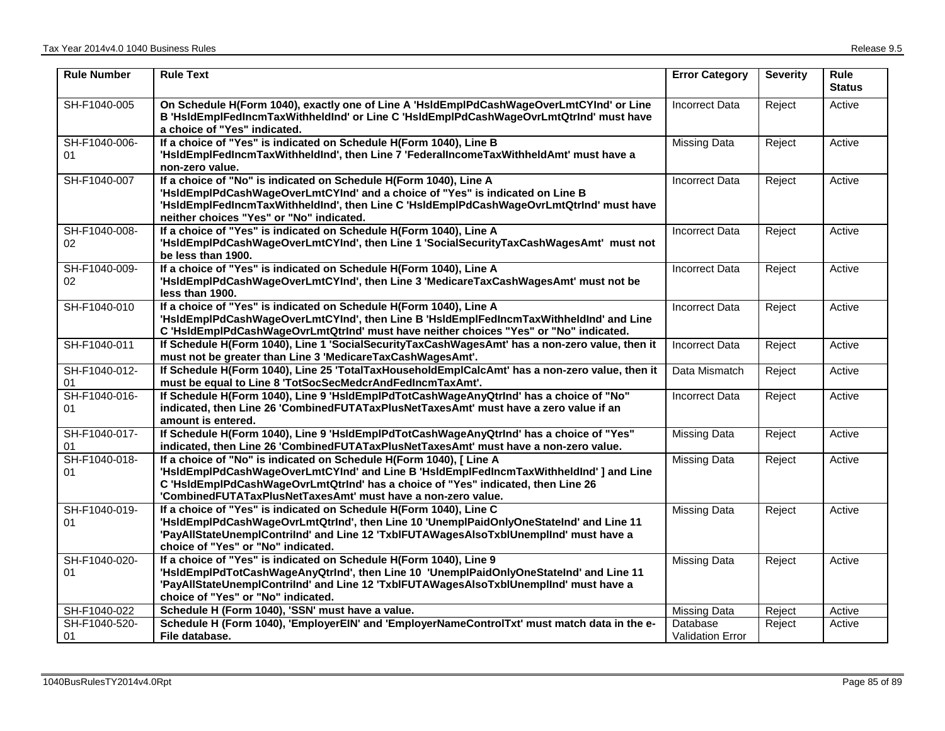| <b>Rule Number</b>  | <b>Rule Text</b>                                                                                                                                                                                                                                                                                                  | <b>Error Category</b>               | <b>Severity</b> | Rule<br><b>Status</b> |
|---------------------|-------------------------------------------------------------------------------------------------------------------------------------------------------------------------------------------------------------------------------------------------------------------------------------------------------------------|-------------------------------------|-----------------|-----------------------|
| SH-F1040-005        | On Schedule H(Form 1040), exactly one of Line A 'HsldEmplPdCashWageOverLmtCYInd' or Line<br>B 'HsIdEmpIFedIncmTaxWithheldInd' or Line C 'HsIdEmpIPdCashWageOvrLmtQtrInd' must have<br>a choice of "Yes" indicated.                                                                                                | <b>Incorrect Data</b>               | Reject          | Active                |
| SH-F1040-006-<br>01 | If a choice of "Yes" is indicated on Schedule H(Form 1040), Line B<br>'HsIdEmplFedIncmTaxWithheldInd', then Line 7 'FederalIncomeTaxWithheldAmt' must have a<br>non-zero value.                                                                                                                                   | <b>Missing Data</b>                 | Reject          | Active                |
| SH-F1040-007        | If a choice of "No" is indicated on Schedule H(Form 1040), Line A<br>'HsIdEmpIPdCashWageOverLmtCYInd' and a choice of "Yes" is indicated on Line B<br>'HsIdEmplFedIncmTaxWithheldInd', then Line C 'HsIdEmplPdCashWageOvrLmtQtrInd' must have<br>neither choices "Yes" or "No" indicated.                         | <b>Incorrect Data</b>               | Reject          | Active                |
| SH-F1040-008-<br>02 | If a choice of "Yes" is indicated on Schedule H(Form 1040), Line A<br>'HsIdEmplPdCashWageOverLmtCYInd', then Line 1 'SocialSecurityTaxCashWagesAmt' must not<br>be less than 1900.                                                                                                                                | <b>Incorrect Data</b>               | Reject          | Active                |
| SH-F1040-009-<br>02 | If a choice of "Yes" is indicated on Schedule H(Form 1040), Line A<br>'HsIdEmplPdCashWageOverLmtCYInd', then Line 3 'MedicareTaxCashWagesAmt' must not be<br>less than 1900.                                                                                                                                      | <b>Incorrect Data</b>               | Reject          | Active                |
| SH-F1040-010        | If a choice of "Yes" is indicated on Schedule H(Form 1040), Line A<br>'HsIdEmplPdCashWageOverLmtCYInd', then Line B 'HsIdEmplFedIncmTaxWithheldInd' and Line<br>C 'HsIdEmpIPdCashWageOvrLmtQtrInd' must have neither choices "Yes" or "No" indicated.                                                             | <b>Incorrect Data</b>               | Reject          | Active                |
| SH-F1040-011        | If Schedule H(Form 1040), Line 1 'SocialSecurityTaxCashWagesAmt' has a non-zero value, then it<br>must not be greater than Line 3 'MedicareTaxCashWagesAmt'.                                                                                                                                                      | <b>Incorrect Data</b>               | Reject          | Active                |
| SH-F1040-012-<br>01 | If Schedule H(Form 1040), Line 25 'TotalTaxHouseholdEmplCalcAmt' has a non-zero value, then it<br>must be equal to Line 8 'TotSocSecMedcrAndFedIncmTaxAmt'.                                                                                                                                                       | Data Mismatch                       | Reject          | Active                |
| SH-F1040-016-<br>01 | If Schedule H(Form 1040), Line 9 'HsldEmplPdTotCashWageAnyQtrInd' has a choice of "No"<br>indicated, then Line 26 'CombinedFUTATaxPlusNetTaxesAmt' must have a zero value if an<br>amount is entered.                                                                                                             | <b>Incorrect Data</b>               | Reject          | Active                |
| SH-F1040-017-<br>01 | If Schedule H(Form 1040), Line 9 'HsIdEmpIPdTotCashWageAnyQtrInd' has a choice of "Yes"<br>indicated, then Line 26 'CombinedFUTATaxPlusNetTaxesAmt' must have a non-zero value.                                                                                                                                   | <b>Missing Data</b>                 | Reject          | Active                |
| SH-F1040-018-<br>01 | If a choice of "No" is indicated on Schedule H(Form 1040), [ Line A<br>'HsIdEmplPdCashWageOverLmtCYInd' and Line B 'HsIdEmplFedIncmTaxWithheldInd' ] and Line<br>C 'HsIdEmplPdCashWageOvrLmtQtrInd' has a choice of "Yes" indicated, then Line 26<br>'CombinedFUTATaxPlusNetTaxesAmt' must have a non-zero value. | <b>Missing Data</b>                 | Reject          | Active                |
| SH-F1040-019-<br>01 | If a choice of "Yes" is indicated on Schedule H(Form 1040), Line C<br>'HsIdEmplPdCashWageOvrLmtQtrInd', then Line 10 'UnemplPaidOnlyOneStateInd' and Line 11<br>'PayAllStateUnemplContrilnd' and Line 12 'TxblFUTAWagesAlsoTxblUnemplInd' must have a<br>choice of "Yes" or "No" indicated.                       | <b>Missing Data</b>                 | Reject          | Active                |
| SH-F1040-020-<br>01 | If a choice of "Yes" is indicated on Schedule H(Form 1040), Line 9<br>'HsIdEmplPdTotCashWageAnyQtrInd', then Line 10 'UnemplPaidOnlyOneStateInd' and Line 11<br>'PayAllStateUnemplContrilnd' and Line 12 'TxblFUTAWagesAlsoTxblUnemplInd' must have a<br>choice of "Yes" or "No" indicated.                       | <b>Missing Data</b>                 | Reject          | Active                |
| SH-F1040-022        | Schedule H (Form 1040), 'SSN' must have a value.                                                                                                                                                                                                                                                                  | <b>Missing Data</b>                 | Reject          | Active                |
| SH-F1040-520-<br>01 | Schedule H (Form 1040), 'EmployerEIN' and 'EmployerNameControlTxt' must match data in the e-<br>File database.                                                                                                                                                                                                    | Database<br><b>Validation Error</b> | Reject          | Active                |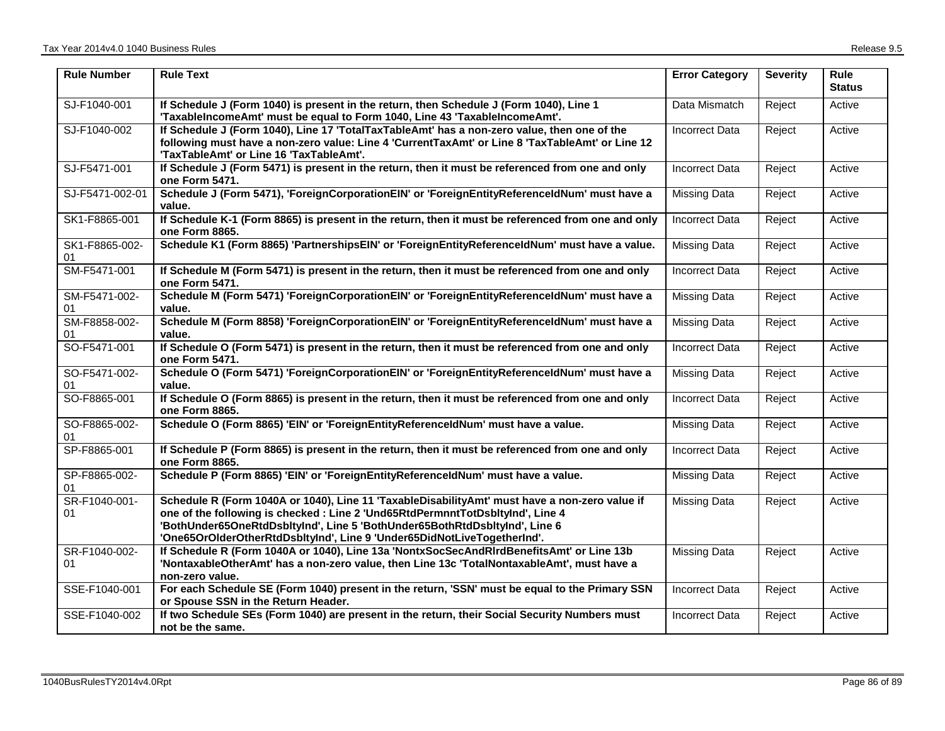| <b>Rule Number</b>   | <b>Rule Text</b>                                                                                                                                                                                                                                                                                                                         | <b>Error Category</b> | <b>Severity</b> | <b>Rule</b><br><b>Status</b> |
|----------------------|------------------------------------------------------------------------------------------------------------------------------------------------------------------------------------------------------------------------------------------------------------------------------------------------------------------------------------------|-----------------------|-----------------|------------------------------|
| SJ-F1040-001         | If Schedule J (Form 1040) is present in the return, then Schedule J (Form 1040), Line 1<br>'TaxableIncomeAmt' must be equal to Form 1040, Line 43 'TaxableIncomeAmt'.                                                                                                                                                                    | Data Mismatch         | Reject          | Active                       |
| SJ-F1040-002         | If Schedule J (Form 1040), Line 17 'TotalTaxTableAmt' has a non-zero value, then one of the<br>following must have a non-zero value: Line 4 'CurrentTaxAmt' or Line 8 'TaxTableAmt' or Line 12<br>'TaxTableAmt' or Line 16 'TaxTableAmt'.                                                                                                | <b>Incorrect Data</b> | Reject          | Active                       |
| SJ-F5471-001         | If Schedule J (Form 5471) is present in the return, then it must be referenced from one and only<br>one Form 5471.                                                                                                                                                                                                                       | <b>Incorrect Data</b> | Reject          | Active                       |
| SJ-F5471-002-01      | Schedule J (Form 5471), 'ForeignCorporationEIN' or 'ForeignEntityReferenceIdNum' must have a<br>value.                                                                                                                                                                                                                                   | <b>Missing Data</b>   | Reject          | Active                       |
| SK1-F8865-001        | If Schedule K-1 (Form 8865) is present in the return, then it must be referenced from one and only<br>one Form 8865.                                                                                                                                                                                                                     | <b>Incorrect Data</b> | Reject          | Active                       |
| SK1-F8865-002-<br>01 | Schedule K1 (Form 8865) 'PartnershipsEIN' or 'ForeignEntityReferenceldNum' must have a value.                                                                                                                                                                                                                                            | <b>Missing Data</b>   | Reject          | Active                       |
| SM-F5471-001         | If Schedule M (Form 5471) is present in the return, then it must be referenced from one and only<br>one Form 5471.                                                                                                                                                                                                                       | <b>Incorrect Data</b> | Reject          | Active                       |
| SM-F5471-002-<br>01  | Schedule M (Form 5471) 'ForeignCorporationEIN' or 'ForeignEntityReferenceldNum' must have a<br>value.                                                                                                                                                                                                                                    | <b>Missing Data</b>   | Reject          | Active                       |
| SM-F8858-002-<br>01  | Schedule M (Form 8858) 'ForeignCorporationEIN' or 'ForeignEntityReferenceldNum' must have a<br>value.                                                                                                                                                                                                                                    | <b>Missing Data</b>   | Reject          | Active                       |
| SO-F5471-001         | If Schedule O (Form 5471) is present in the return, then it must be referenced from one and only<br>one Form 5471.                                                                                                                                                                                                                       | <b>Incorrect Data</b> | Reject          | Active                       |
| SO-F5471-002-<br>01  | Schedule O (Form 5471) 'ForeignCorporationEIN' or 'ForeignEntityReferenceIdNum' must have a<br>value.                                                                                                                                                                                                                                    | <b>Missing Data</b>   | Reject          | Active                       |
| SO-F8865-001         | If Schedule O (Form 8865) is present in the return, then it must be referenced from one and only<br>one Form 8865.                                                                                                                                                                                                                       | <b>Incorrect Data</b> | Reject          | Active                       |
| SO-F8865-002-<br>01  | Schedule O (Form 8865) 'EIN' or 'ForeignEntityReferenceldNum' must have a value.                                                                                                                                                                                                                                                         | <b>Missing Data</b>   | Reject          | Active                       |
| SP-F8865-001         | If Schedule P (Form 8865) is present in the return, then it must be referenced from one and only<br>one Form 8865.                                                                                                                                                                                                                       | <b>Incorrect Data</b> | Reject          | Active                       |
| SP-F8865-002-<br>01  | Schedule P (Form 8865) 'EIN' or 'ForeignEntityReferenceldNum' must have a value.                                                                                                                                                                                                                                                         | <b>Missing Data</b>   | Reject          | Active                       |
| SR-F1040-001-<br>01  | Schedule R (Form 1040A or 1040), Line 11 'TaxableDisabilityAmt' must have a non-zero value if<br>one of the following is checked : Line 2 'Und65RtdPermnntTotDsbltyInd', Line 4<br>'BothUnder65OneRtdDsbltyInd', Line 5 'BothUnder65BothRtdDsbltyInd', Line 6<br>'One65OrOlderOtherRtdDsbltyInd', Line 9 'Under65DidNotLiveTogetherInd'. | <b>Missing Data</b>   | Reject          | Active                       |
| SR-F1040-002-<br>01  | If Schedule R (Form 1040A or 1040), Line 13a 'NontxSocSecAndRIrdBenefitsAmt' or Line 13b<br>'NontaxableOtherAmt' has a non-zero value, then Line 13c 'TotalNontaxableAmt', must have a<br>non-zero value.                                                                                                                                | <b>Missing Data</b>   | Reject          | Active                       |
| SSE-F1040-001        | For each Schedule SE (Form 1040) present in the return, 'SSN' must be equal to the Primary SSN<br>or Spouse SSN in the Return Header.                                                                                                                                                                                                    | <b>Incorrect Data</b> | Reject          | Active                       |
| SSE-F1040-002        | If two Schedule SEs (Form 1040) are present in the return, their Social Security Numbers must<br>not be the same.                                                                                                                                                                                                                        | <b>Incorrect Data</b> | Reject          | Active                       |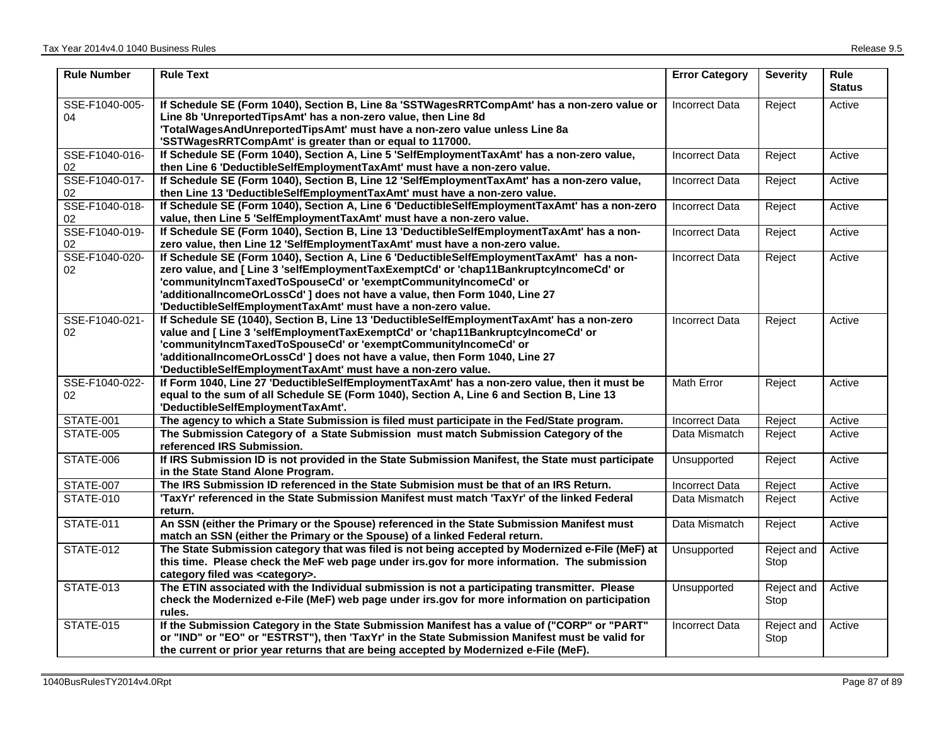| <b>Rule Number</b>   | <b>Rule Text</b>                                                                                                                                                                                                                                                                                                                                                                                   | <b>Error Category</b> | <b>Severity</b>    | <b>Rule</b><br><b>Status</b> |
|----------------------|----------------------------------------------------------------------------------------------------------------------------------------------------------------------------------------------------------------------------------------------------------------------------------------------------------------------------------------------------------------------------------------------------|-----------------------|--------------------|------------------------------|
| SSE-F1040-005-<br>04 | If Schedule SE (Form 1040), Section B, Line 8a 'SSTWagesRRTCompAmt' has a non-zero value or<br>Line 8b 'UnreportedTipsAmt' has a non-zero value, then Line 8d<br>'TotalWagesAndUnreportedTipsAmt' must have a non-zero value unless Line 8a<br>'SSTWagesRRTCompAmt' is greater than or equal to 117000.                                                                                            | <b>Incorrect Data</b> | Reject             | Active                       |
| SSE-F1040-016-<br>02 | If Schedule SE (Form 1040), Section A, Line 5 'SelfEmploymentTaxAmt' has a non-zero value,<br>then Line 6 'DeductibleSelfEmploymentTaxAmt' must have a non-zero value.                                                                                                                                                                                                                             | <b>Incorrect Data</b> | Reject             | Active                       |
| SSE-F1040-017-<br>02 | If Schedule SE (Form 1040), Section B, Line 12 'SelfEmploymentTaxAmt' has a non-zero value,<br>then Line 13 'DeductibleSelfEmploymentTaxAmt' must have a non-zero value.                                                                                                                                                                                                                           | <b>Incorrect Data</b> | Reject             | Active                       |
| SSE-F1040-018-<br>02 | If Schedule SE (Form 1040), Section A, Line 6 'DeductibleSelfEmploymentTaxAmt' has a non-zero<br>value, then Line 5 'SelfEmploymentTaxAmt' must have a non-zero value.                                                                                                                                                                                                                             | <b>Incorrect Data</b> | Reject             | Active                       |
| SSE-F1040-019-<br>02 | If Schedule SE (Form 1040), Section B, Line 13 'DeductibleSelfEmploymentTaxAmt' has a non-<br>zero value, then Line 12 'SelfEmploymentTaxAmt' must have a non-zero value.                                                                                                                                                                                                                          | <b>Incorrect Data</b> | Reject             | Active                       |
| SSE-F1040-020-<br>02 | If Schedule SE (Form 1040), Section A, Line 6 'DeductibleSelfEmploymentTaxAmt' has a non-<br>zero value, and [ Line 3 'selfEmploymentTaxExemptCd' or 'chap11BankruptcyIncomeCd' or<br>'communityIncmTaxedToSpouseCd' or 'exemptCommunityIncomeCd' or<br>'additionalIncomeOrLossCd'] does not have a value, then Form 1040, Line 27<br>'DeductibleSelfEmploymentTaxAmt' must have a non-zero value. | <b>Incorrect Data</b> | Reject             | Active                       |
| SSE-F1040-021-<br>02 | If Schedule SE (1040), Section B, Line 13 'DeductibleSelfEmploymentTaxAmt' has a non-zero<br>value and [ Line 3 'selfEmploymentTaxExemptCd' or 'chap11BankruptcyIncomeCd' or<br>'communityIncmTaxedToSpouseCd' or 'exemptCommunityIncomeCd' or<br>'additionalIncomeOrLossCd'] does not have a value, then Form 1040, Line 27<br>'DeductibleSelfEmploymentTaxAmt' must have a non-zero value.       | <b>Incorrect Data</b> | Reject             | Active                       |
| SSE-F1040-022-<br>02 | If Form 1040, Line 27 'DeductibleSelfEmploymentTaxAmt' has a non-zero value, then it must be<br>equal to the sum of all Schedule SE (Form 1040), Section A, Line 6 and Section B, Line 13<br>'DeductibleSelfEmploymentTaxAmt'.                                                                                                                                                                     | <b>Math Error</b>     | Reject             | Active                       |
| STATE-001            | The agency to which a State Submission is filed must participate in the Fed/State program.                                                                                                                                                                                                                                                                                                         | <b>Incorrect Data</b> | Reject             | Active                       |
| STATE-005            | The Submission Category of a State Submission must match Submission Category of the<br>referenced IRS Submission.                                                                                                                                                                                                                                                                                  | Data Mismatch         | Reject             | Active                       |
| STATE-006            | If IRS Submission ID is not provided in the State Submission Manifest, the State must participate<br>in the State Stand Alone Program.                                                                                                                                                                                                                                                             | Unsupported           | Reject             | Active                       |
| STATE-007            | The IRS Submission ID referenced in the State Submision must be that of an IRS Return.                                                                                                                                                                                                                                                                                                             | <b>Incorrect Data</b> | Reject             | Active                       |
| <b>STATE-010</b>     | 'TaxYr' referenced in the State Submission Manifest must match 'TaxYr' of the linked Federal<br>return.                                                                                                                                                                                                                                                                                            | Data Mismatch         | Reject             | Active                       |
| STATE-011            | An SSN (either the Primary or the Spouse) referenced in the State Submission Manifest must<br>match an SSN (either the Primary or the Spouse) of a linked Federal return.                                                                                                                                                                                                                          | Data Mismatch         | Reject             | Active                       |
| STATE-012            | The State Submission category that was filed is not being accepted by Modernized e-File (MeF) at<br>this time. Please check the MeF web page under irs.gov for more information. The submission<br>category filed was <category>.</category>                                                                                                                                                       | Unsupported           | Reject and<br>Stop | Active                       |
| STATE-013            | The ETIN associated with the Individual submission is not a participating transmitter. Please<br>check the Modernized e-File (MeF) web page under irs.gov for more information on participation<br>rules.                                                                                                                                                                                          | Unsupported           | Reject and<br>Stop | Active                       |
| STATE-015            | If the Submission Category in the State Submission Manifest has a value of ("CORP" or "PART"<br>or "IND" or "EO" or "ESTRST"), then 'TaxYr' in the State Submission Manifest must be valid for<br>the current or prior year returns that are being accepted by Modernized e-File (MeF).                                                                                                            | <b>Incorrect Data</b> | Reject and<br>Stop | Active                       |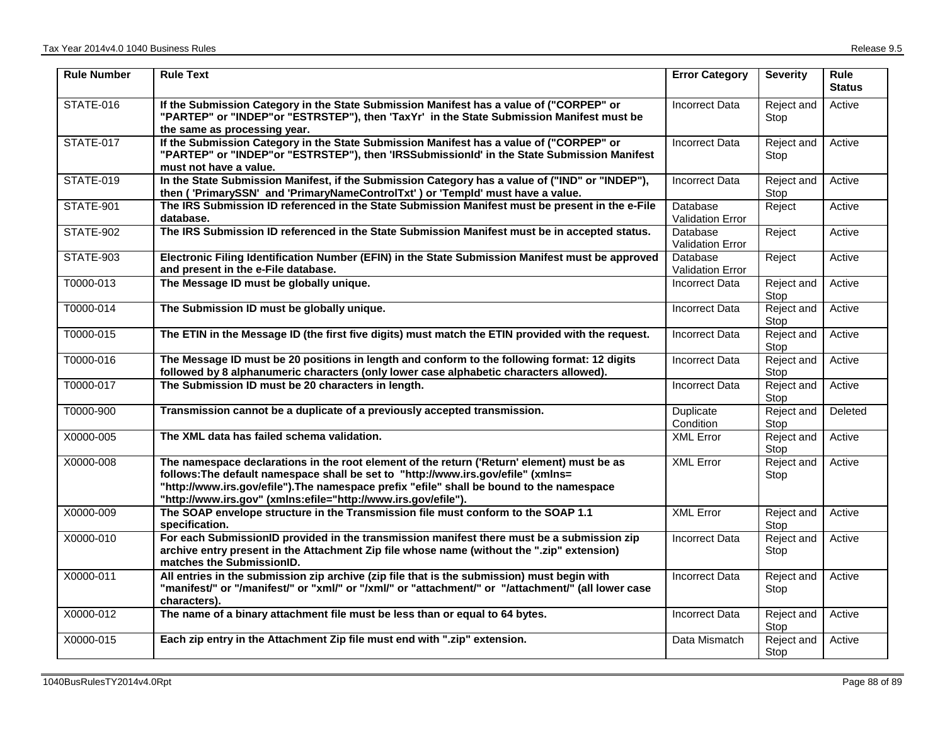| <b>Rule Number</b> | <b>Rule Text</b>                                                                                                                                                                                                                                                                                                                              | <b>Error Category</b>                      | <b>Severity</b>    | <b>Rule</b><br><b>Status</b> |
|--------------------|-----------------------------------------------------------------------------------------------------------------------------------------------------------------------------------------------------------------------------------------------------------------------------------------------------------------------------------------------|--------------------------------------------|--------------------|------------------------------|
| STATE-016          | If the Submission Category in the State Submission Manifest has a value of ("CORPEP" or<br>"PARTEP" or "INDEP"or "ESTRSTEP"), then 'TaxYr' in the State Submission Manifest must be<br>the same as processing year.                                                                                                                           | <b>Incorrect Data</b>                      | Reject and<br>Stop | Active                       |
| STATE-017          | If the Submission Category in the State Submission Manifest has a value of ("CORPEP" or<br>"PARTEP" or "INDEP"or "ESTRSTEP"), then 'IRSSubmissionId' in the State Submission Manifest<br>must not have a value.                                                                                                                               | <b>Incorrect Data</b>                      | Reject and<br>Stop | Active                       |
| <b>STATE-019</b>   | In the State Submission Manifest, if the Submission Category has a value of ("IND" or "INDEP"),<br>then ('PrimarySSN' and 'PrimaryNameControlTxt') or 'Templd' must have a value.                                                                                                                                                             | <b>Incorrect Data</b>                      | Reject and<br>Stop | Active                       |
| <b>STATE-901</b>   | The IRS Submission ID referenced in the State Submission Manifest must be present in the e-File<br>database.                                                                                                                                                                                                                                  | Database<br><b>Validation Error</b>        | Reject             | Active                       |
| STATE-902          | The IRS Submission ID referenced in the State Submission Manifest must be in accepted status.                                                                                                                                                                                                                                                 | Database<br>Validation Error               | Reject             | Active                       |
| <b>STATE-903</b>   | Electronic Filing Identification Number (EFIN) in the State Submission Manifest must be approved<br>and present in the e-File database.                                                                                                                                                                                                       | <b>Database</b><br><b>Validation Error</b> | Reject             | Active                       |
| T0000-013          | The Message ID must be globally unique.                                                                                                                                                                                                                                                                                                       | <b>Incorrect Data</b>                      | Reject and<br>Stop | Active                       |
| T0000-014          | The Submission ID must be globally unique.                                                                                                                                                                                                                                                                                                    | <b>Incorrect Data</b>                      | Reject and<br>Stop | Active                       |
| T0000-015          | The ETIN in the Message ID (the first five digits) must match the ETIN provided with the request.                                                                                                                                                                                                                                             | Incorrect Data                             | Reject and<br>Stop | Active                       |
| T0000-016          | The Message ID must be 20 positions in length and conform to the following format: 12 digits<br>followed by 8 alphanumeric characters (only lower case alphabetic characters allowed).                                                                                                                                                        | <b>Incorrect Data</b>                      | Reject and<br>Stop | Active                       |
| T0000-017          | The Submission ID must be 20 characters in length.                                                                                                                                                                                                                                                                                            | <b>Incorrect Data</b>                      | Reject and<br>Stop | Active                       |
| T0000-900          | Transmission cannot be a duplicate of a previously accepted transmission.                                                                                                                                                                                                                                                                     | Duplicate<br>Condition                     | Reject and<br>Stop | Deleted                      |
| X0000-005          | The XML data has failed schema validation.                                                                                                                                                                                                                                                                                                    | <b>XML Error</b>                           | Reject and<br>Stop | Active                       |
| X0000-008          | The namespace declarations in the root element of the return ('Return' element) must be as<br>follows: The default namespace shall be set to "http://www.irs.gov/efile" (xmlns=<br>"http://www.irs.gov/efile").The namespace prefix "efile" shall be bound to the namespace<br>"http://www.irs.gov" (xmlns:efile="http://www.irs.gov/efile"). | <b>XML Error</b>                           | Reject and<br>Stop | Active                       |
| X0000-009          | The SOAP envelope structure in the Transmission file must conform to the SOAP 1.1<br>specification.                                                                                                                                                                                                                                           | <b>XML Error</b>                           | Reject and<br>Stop | Active                       |
| X0000-010          | For each SubmissionID provided in the transmission manifest there must be a submission zip<br>archive entry present in the Attachment Zip file whose name (without the ".zip" extension)<br>matches the SubmissionID.                                                                                                                         | <b>Incorrect Data</b>                      | Reject and<br>Stop | Active                       |
| X0000-011          | All entries in the submission zip archive (zip file that is the submission) must begin with<br>"manifest/" or "/manifest/" or "xml/" or "/xml/" or "attachment/" or "/attachment/" (all lower case<br>characters).                                                                                                                            | Incorrect Data                             | Reject and<br>Stop | Active                       |
| X0000-012          | The name of a binary attachment file must be less than or equal to 64 bytes.                                                                                                                                                                                                                                                                  | <b>Incorrect Data</b>                      | Reject and<br>Stop | Active                       |
| X0000-015          | Each zip entry in the Attachment Zip file must end with ".zip" extension.                                                                                                                                                                                                                                                                     | Data Mismatch                              | Reject and<br>Stop | Active                       |